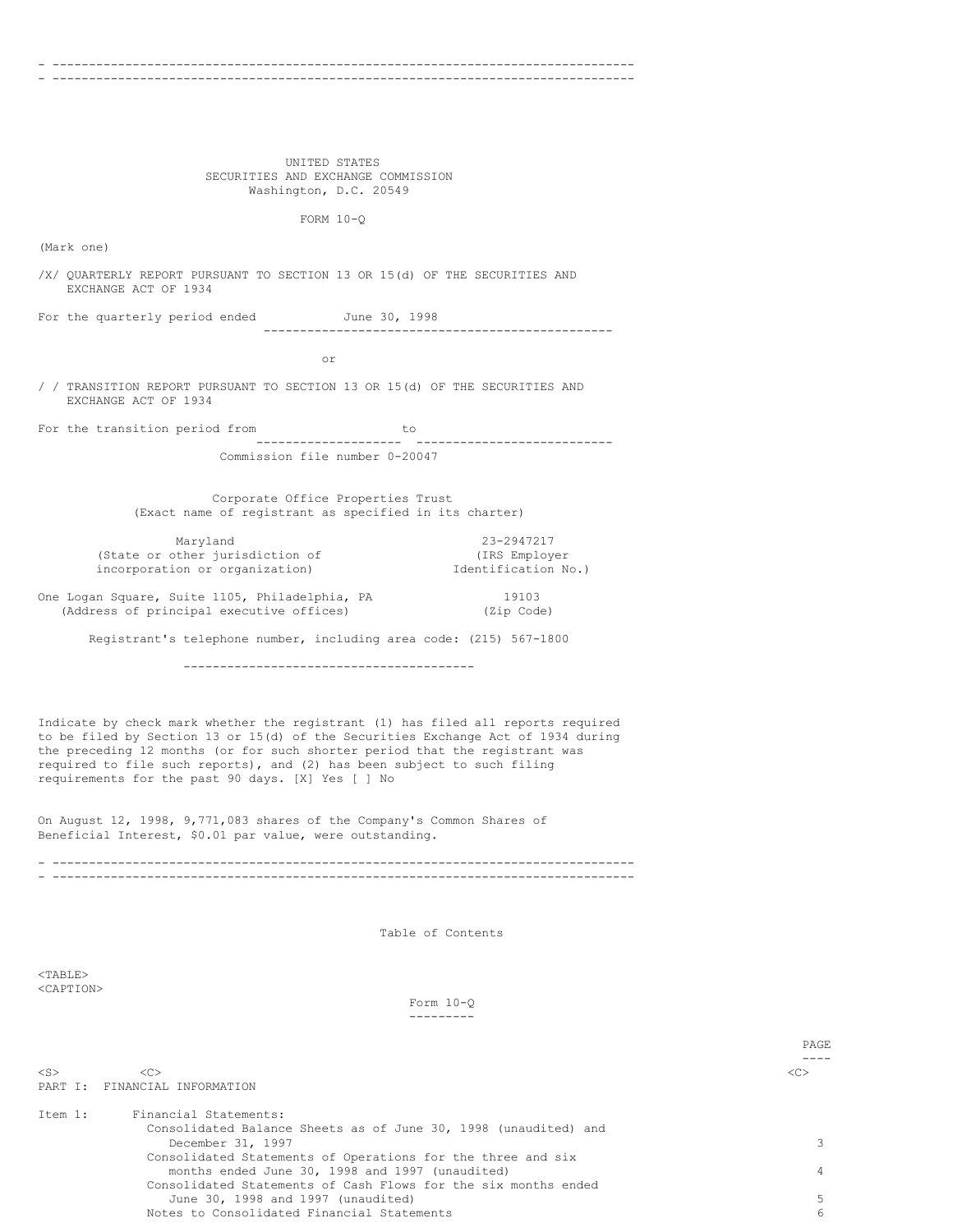#### - -------------------------------------------------------------------------------- - --------------------------------------------------------------------------------

UNITED STATES SECURITIES AND EXCHANGE COMMISSION Washington, D.C. 20549

FORM 10-Q

(Mark one)

/X/ QUARTERLY REPORT PURSUANT TO SECTION 13 OR 15(d) OF THE SECURITIES AND EXCHANGE ACT OF 1934

For the quarterly period ended June 30, 1998 ------------------------------------------------

or

/ / TRANSITION REPORT PURSUANT TO SECTION 13 OR 15(d) OF THE SECURITIES AND EXCHANGE ACT OF 1934

For the transition period from to -------------------- --------------------------- Commission file number 0-20047

> Corporate Office Properties Trust (Exact name of registrant as specified in its charter)

| Maryland                        | 23-2947217          |
|---------------------------------|---------------------|
| (State or other jurisdiction of | (IRS Employer       |
| incorporation or organization)  | Identification No.) |

One Logan Square, Suite 1105, Philadelphia, PA 19103 (Address of principal executive offices) (Zip Code)

Registrant's telephone number, including area code: (215) 567-1800

----------------------------------------

Indicate by check mark whether the registrant (1) has filed all reports required to be filed by Section 13 or 15(d) of the Securities Exchange Act of 1934 during the preceding 12 months (or for such shorter period that the registrant was required to file such reports), and (2) has been subject to such filing requirements for the past 90 days. [X] Yes [ ] No

On August 12, 1998, 9,771,083 shares of the Company's Common Shares of Beneficial Interest, \$0.01 par value, were outstanding.

- -------------------------------------------------------------------------------- - --------------------------------------------------------------------------------

Table of Contents

 $<$ TABLE $>$ <CAPTION>

> Form 10-Q ---------

> > PAGE

|           |                                                                 | PAGE    |
|-----------|-----------------------------------------------------------------|---------|
|           |                                                                 |         |
| $<$ S $>$ | < <sub></sub>                                                   | <c></c> |
| PART T:   | FINANCIAL INFORMATION                                           |         |
| Item 1:   | Financial Statements:                                           |         |
|           |                                                                 |         |
|           | Consolidated Balance Sheets as of June 30, 1998 (unaudited) and |         |
|           | December 31, 1997                                               |         |
|           | Consolidated Statements of Operations for the three and six     |         |
|           | months ended June 30, 1998 and 1997 (unaudited)                 |         |
|           | Consolidated Statements of Cash Flows for the six months ended  |         |
|           | June 30, 1998 and 1997 (unaudited)                              |         |
|           | Notes to Consolidated Financial Statements                      |         |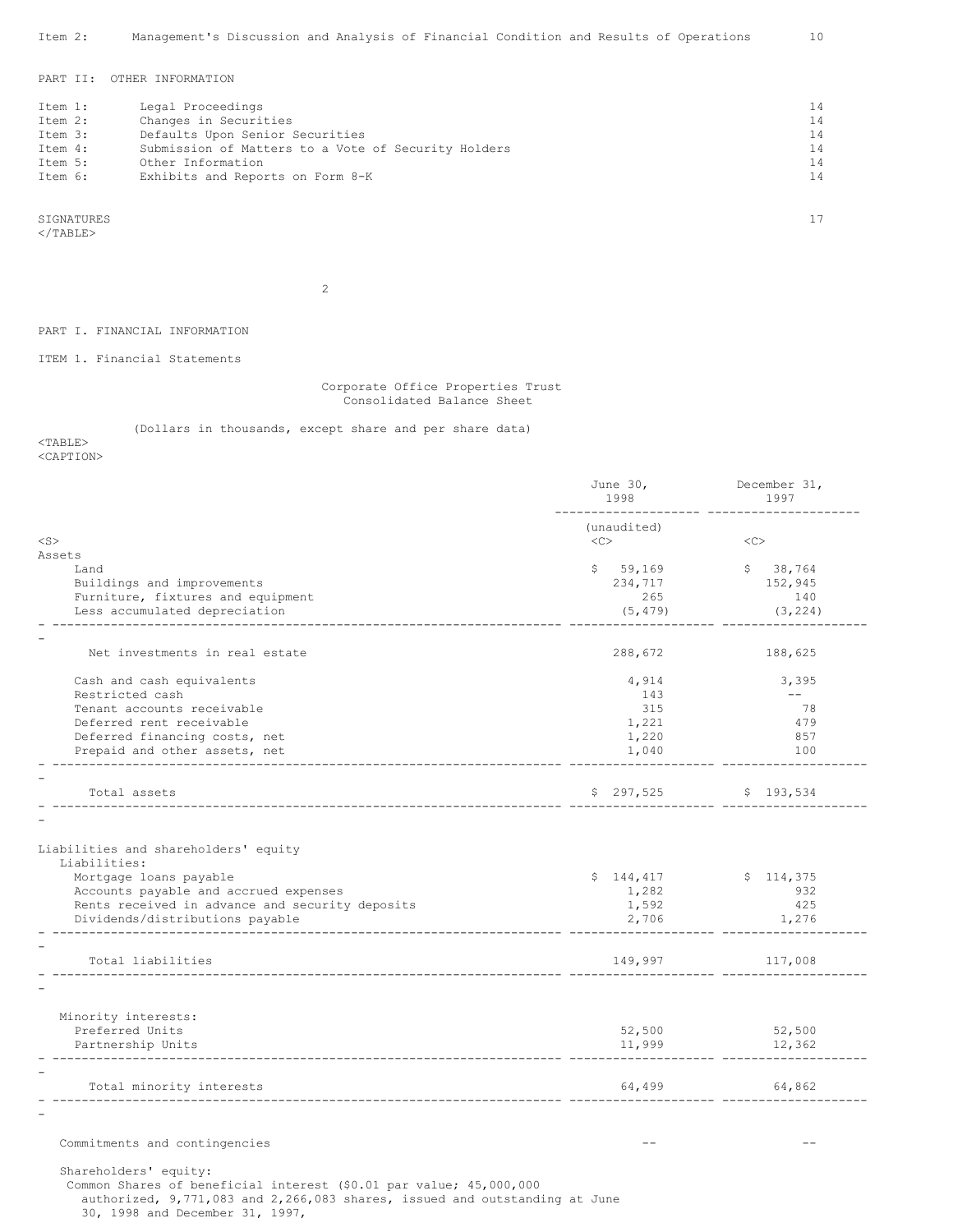PART II: OTHER INFORMATION

| Item 1: | Legal Proceedings                                   | 14 |
|---------|-----------------------------------------------------|----|
| Item 2: | Changes in Securities                               | 14 |
| Item 3: | Defaults Upon Senior Securities                     | 14 |
| Item 4: | Submission of Matters to a Vote of Security Holders | 14 |
| Item 5: | Other Information                                   | 14 |
| Item 6: | Exhibits and Reports on Form 8-K                    | 14 |
|         |                                                     |    |

SIGNATURES 17  $<$ /TABLE>

2

PART I. FINANCIAL INFORMATION

ITEM 1. Financial Statements

Corporate Office Properties Trust Consolidated Balance Sheet

(Dollars in thousands, except share and per share data)

<TABLE>

<CAPTION>

| 1998                                 | December 31,<br>1997             |
|--------------------------------------|----------------------------------|
| (unaudited)<br>$<<$ $<$ $>$          | <<                               |
|                                      |                                  |
| \$59,169                             | \$38,764                         |
| 234,717                              | 152,945                          |
| 265                                  | 140                              |
| (5, 479)                             | (3, 224)                         |
|                                      |                                  |
| 288,672                              | 188,625                          |
| 4,914                                | 3,395                            |
| 143                                  | $---$                            |
| 315                                  | 78                               |
| 1,221                                | 479                              |
| 1,220                                | 857                              |
| 1,040                                | 100                              |
|                                      | \$ 297,525 \$ 193,534            |
| \$144,417<br>1,282<br>1,592<br>2,706 | \$114,375<br>932<br>425<br>1,276 |
| 149,997                              | 117,008                          |
|                                      |                                  |
|                                      |                                  |
| 52,500                               | 52,500                           |
| 11,999                               | 12,362                           |
| 64,499                               | 64,862                           |
|                                      |                                  |
|                                      |                                  |
|                                      |                                  |

authorized, 9,771,083 and 2,266,083 shares, issued and outstanding at June

30, 1998 and December 31, 1997,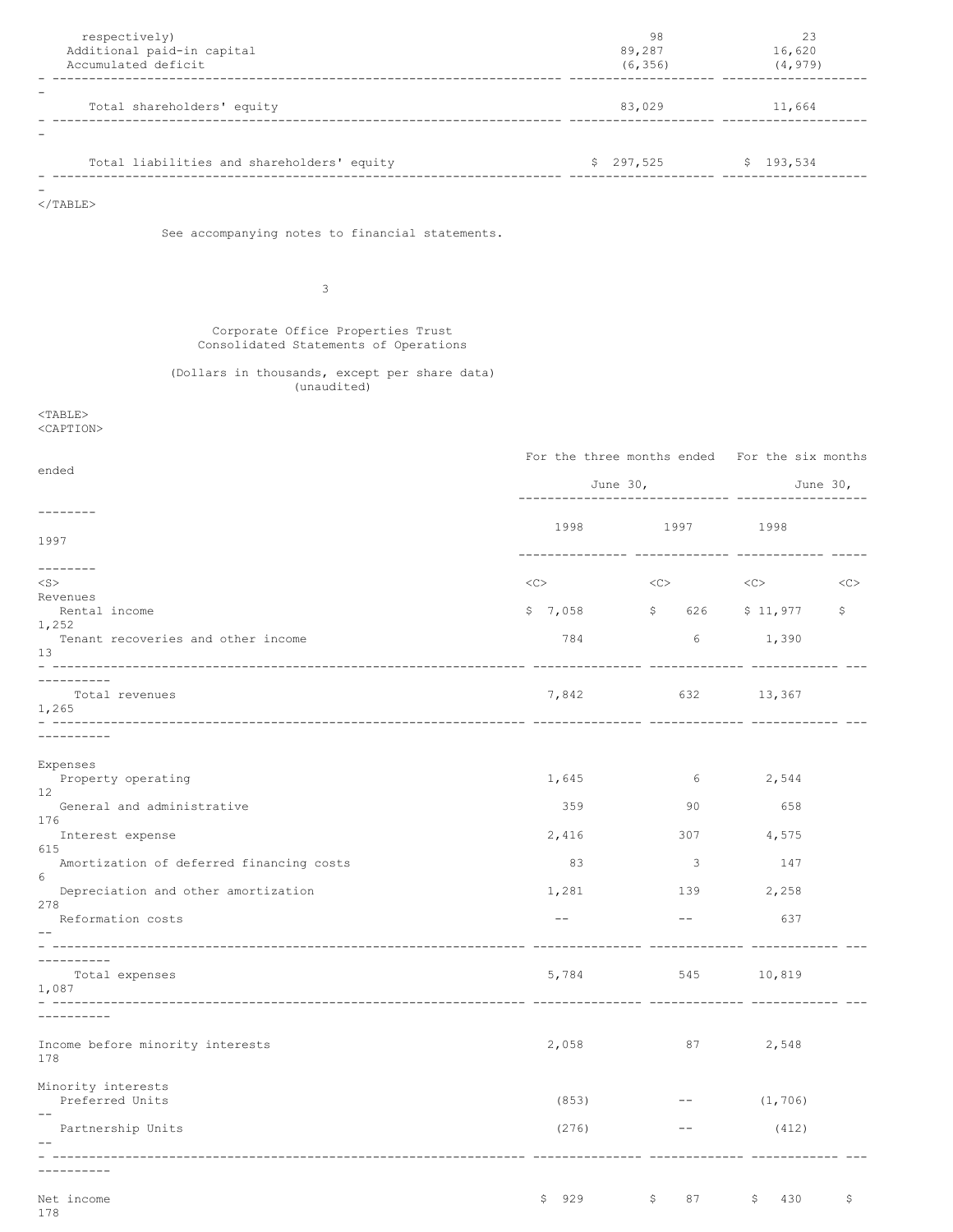| respectively)<br>Additional paid-in capital<br>Accumulated deficit         |                     | 98<br>89,287<br>(6, 356)                                    | 23<br>16,620<br>(4, 979) |            |
|----------------------------------------------------------------------------|---------------------|-------------------------------------------------------------|--------------------------|------------|
| Total shareholders' equity                                                 |                     | 83,029 11,664                                               |                          |            |
|                                                                            |                     |                                                             |                          |            |
| Total liabilities and shareholders' equity                                 |                     | $$297,525$ $$193,534$                                       |                          |            |
| $\langle$ /TABLE>                                                          |                     |                                                             |                          |            |
|                                                                            |                     |                                                             |                          |            |
| See accompanying notes to financial statements.                            |                     |                                                             |                          |            |
| 3                                                                          |                     |                                                             |                          |            |
| Corporate Office Properties Trust<br>Consolidated Statements of Operations |                     |                                                             |                          |            |
| (Dollars in thousands, except per share data)<br>(unaudited)               |                     |                                                             |                          |            |
| $<$ TABLE><br><caption></caption>                                          |                     |                                                             |                          |            |
|                                                                            |                     | For the three months ended For the six months               |                          |            |
| ended                                                                      |                     | June $301$                                                  |                          | June $30l$ |
|                                                                            |                     | ------------------------- --------                          |                          |            |
| 1997                                                                       |                     | 1998 1997 1998                                              |                          |            |
|                                                                            |                     |                                                             |                          |            |
| $<$ S $>$<br>Revenues                                                      | $\langle C \rangle$ | $\langle C \rangle$ $\langle C \rangle$ $\langle C \rangle$ |                          |            |
| Rental income<br>1,252                                                     |                     | $$7,058$ $$626$ $$11,977$                                   |                          | Ş.         |
| Tenant recoveries and other income<br>13                                   | 784                 |                                                             | 6 1,390                  |            |
| ----------<br>Total revenues                                               |                     | 7,842 632 13,367                                            |                          |            |
| 1,265                                                                      |                     |                                                             |                          |            |
| ----------                                                                 |                     |                                                             |                          |            |
| Expenses<br>Property operating                                             | 1,645               | 6                                                           | 2,544                    |            |
| 12<br>General and administrative                                           | 359                 | 90                                                          | 658                      |            |
| 176<br>Interest expense                                                    | 2,416               | 307                                                         | 4,575                    |            |
| 615<br>Amortization of deferred financing costs                            | 83                  | 3                                                           | 147                      |            |
| 6<br>Depreciation and other amortization                                   | 1,281               | 139                                                         | 2,258                    |            |
| 278<br>Reformation costs                                                   | $- -$               | $--$                                                        | 637                      |            |
|                                                                            |                     |                                                             |                          |            |
| Total expenses                                                             | 5,784               | 545                                                         | 10,819                   |            |
| 1,087                                                                      |                     |                                                             |                          |            |
|                                                                            |                     |                                                             |                          |            |
| Income before minority interests<br>178                                    | 2,058               | 87                                                          | 2,548                    |            |
| Minority interests<br>Preferred Units                                      | (853)               | $--$                                                        | (1, 706)                 |            |
| $ -$<br>Partnership Units                                                  | (276)               | $--$                                                        | (412)                    |            |
|                                                                            |                     |                                                             |                          |            |
| --------                                                                   |                     |                                                             |                          |            |
| Net income<br>178                                                          | 929<br>\$           | 87<br>\$                                                    | 430<br>\$                | \$         |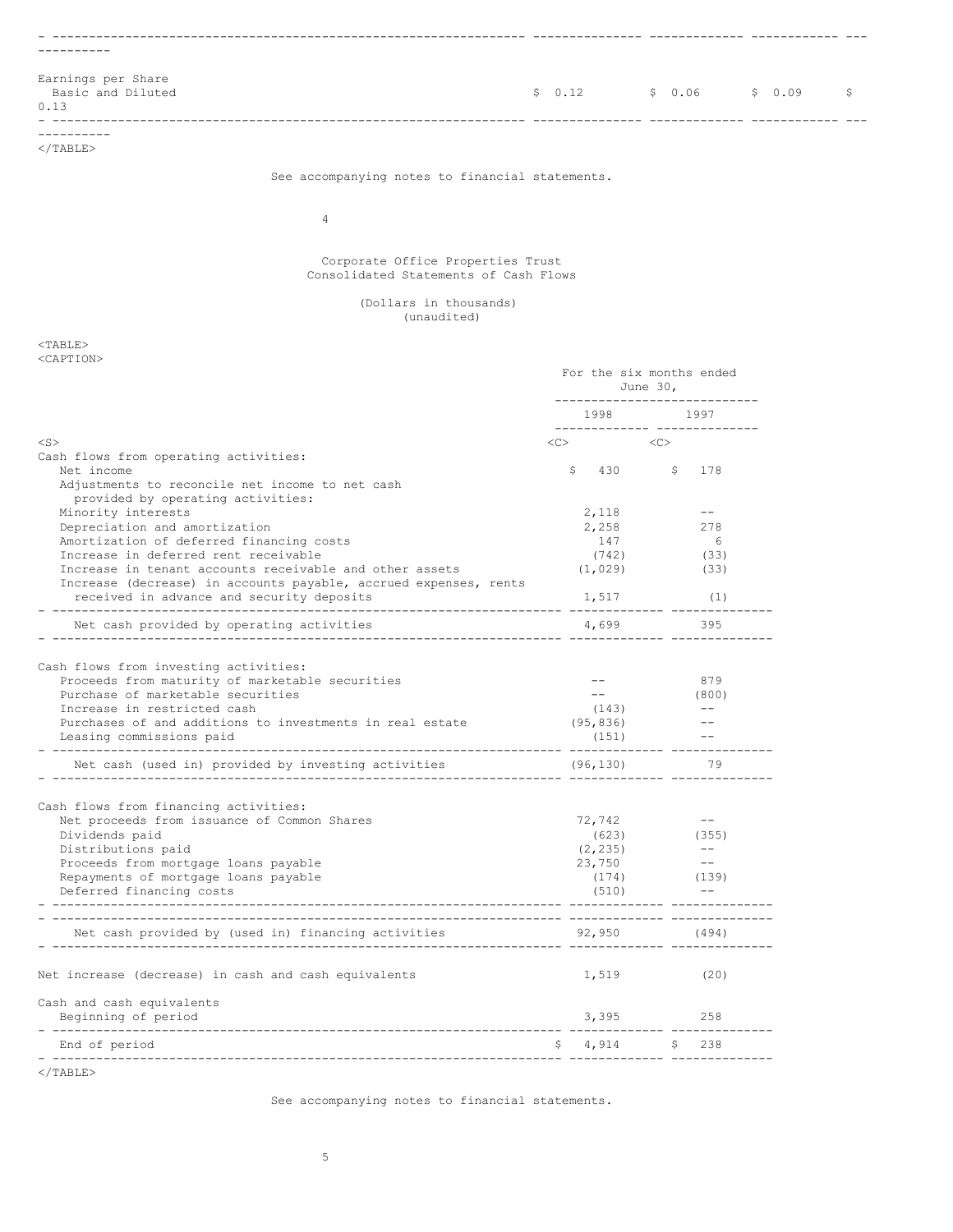| Earnings per Share<br>Basic and Diluted<br>0.13 | \$0.12 | $$0.06$ $$0.09$ | $\sim$ $\sim$ $\sim$ |  |
|-------------------------------------------------|--------|-----------------|----------------------|--|
| ------                                          |        |                 |                      |  |

</TABLE>

See accompanying notes to financial statements.

4

# Corporate Office Properties Trust Consolidated Statements of Cash Flows

# (Dollars in thousands) (unaudited)

<TABLE> <CAPTION>

|                                                                  | For the six months ended<br>June 30,<br>----------------------------- |                                 |  |
|------------------------------------------------------------------|-----------------------------------------------------------------------|---------------------------------|--|
|                                                                  |                                                                       | 1998 1997                       |  |
| $<$ S $>$                                                        | $\langle C \rangle$ $\langle C \rangle$                               | ------------- --------------    |  |
| Cash flows from operating activities:                            |                                                                       |                                 |  |
| Net income                                                       |                                                                       | $$430$ $$178$                   |  |
| Adjustments to reconcile net income to net cash                  |                                                                       |                                 |  |
| provided by operating activities:                                |                                                                       | $--$                            |  |
| Minority interests<br>Depreciation and amortization              | 2,118<br>2,258                                                        | 278                             |  |
| Amortization of deferred financing costs                         | 147                                                                   | 6                               |  |
| Increase in deferred rent receivable                             | (742)                                                                 | (33)                            |  |
| Increase in tenant accounts receivable and other assets          | (1, 029)                                                              | (33)                            |  |
| Increase (decrease) in accounts payable, accrued expenses, rents |                                                                       |                                 |  |
| received in advance and security deposits                        | 1,517                                                                 | (1)                             |  |
|                                                                  |                                                                       |                                 |  |
| Net cash provided by operating activities                        | 4,699                                                                 | 395                             |  |
| Cash flows from investing activities:                            |                                                                       |                                 |  |
| Proceeds from maturity of marketable securities                  |                                                                       | 879                             |  |
| Purchase of marketable securities                                |                                                                       | (800)                           |  |
| Increase in restricted cash                                      | (143)                                                                 | $ -$                            |  |
| Purchases of and additions to investments in real estate         | (95, 836)                                                             | $- -$                           |  |
| Leasing commissions paid                                         | (151)                                                                 |                                 |  |
| Net cash (used in) provided by investing activities              | (96, 130)                                                             | -------------- ----------<br>79 |  |
| Cash flows from financing activities:                            |                                                                       |                                 |  |
| Net proceeds from issuance of Common Shares                      | 72,742                                                                | $ -$                            |  |
| Dividends paid                                                   | (623)                                                                 | (355)                           |  |
| Distributions paid                                               | (2, 235)                                                              | $- -$                           |  |
| Proceeds from mortgage loans payable                             | 23,750                                                                | $- -$                           |  |
| Repayments of mortgage loans payable                             | (174)                                                                 | (139)                           |  |
| Deferred financing costs<br>--------------------------------     | (510)                                                                 |                                 |  |
|                                                                  |                                                                       |                                 |  |
| Net cash provided by (used in) financing activities              | 92,950                                                                | (494)                           |  |
| Net increase (decrease) in cash and cash equivalents             |                                                                       | $1,519$ (20)                    |  |
| Cash and cash equivalents                                        |                                                                       |                                 |  |
| Beginning of period<br>-------------------------------------     |                                                                       | 3,395<br>258                    |  |
| End of period                                                    |                                                                       | $$4,914$ $$238$                 |  |
| $\langle$ /TABLE>                                                |                                                                       |                                 |  |

See accompanying notes to financial statements.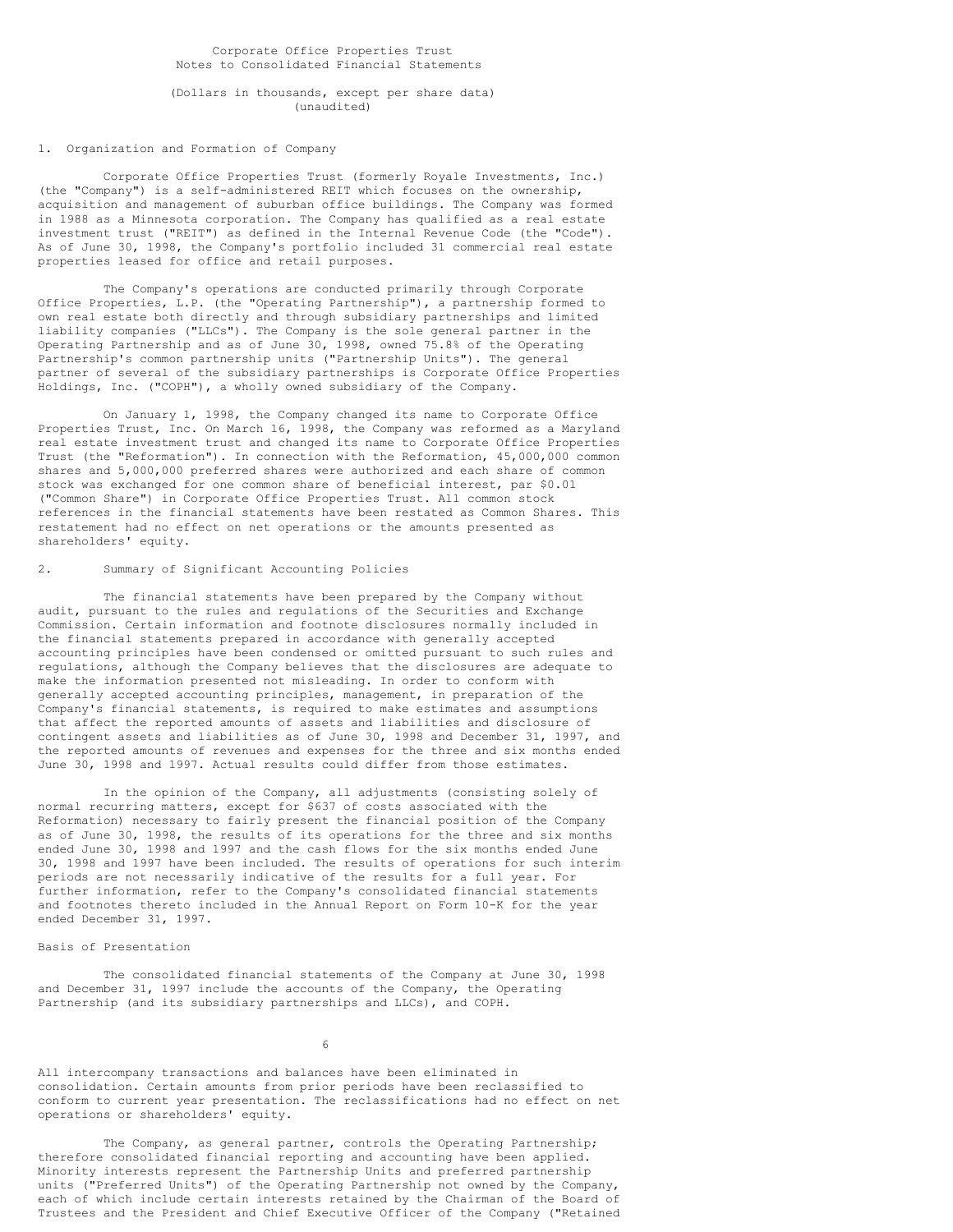### Corporate Office Properties Trust Notes to Consolidated Financial Statements

(Dollars in thousands, except per share data) (unaudited)

# 1. Organization and Formation of Company

Corporate Office Properties Trust (formerly Royale Investments, Inc.) (the "Company") is a self-administered REIT which focuses on the ownership, acquisition and management of suburban office buildings. The Company was formed in 1988 as a Minnesota corporation. The Company has qualified as a real estate investment trust ("REIT") as defined in the Internal Revenue Code (the "Code"). As of June 30, 1998, the Company's portfolio included 31 commercial real estate properties leased for office and retail purposes.

The Company's operations are conducted primarily through Corporate Office Properties, L.P. (the "Operating Partnership"), a partnership formed to own real estate both directly and through subsidiary partnerships and limited liability companies ("LLCs"). The Company is the sole general partner in the Operating Partnership and as of June 30, 1998, owned 75.8% of the Operating Partnership's common partnership units ("Partnership Units"). The general partner of several of the subsidiary partnerships is Corporate Office Properties Holdings, Inc. ("COPH"), a wholly owned subsidiary of the Company.

On January 1, 1998, the Company changed its name to Corporate Office Properties Trust, Inc. On March 16, 1998, the Company was reformed as a Maryland real estate investment trust and changed its name to Corporate Office Properties Trust (the "Reformation"). In connection with the Reformation, 45,000,000 common shares and 5,000,000 preferred shares were authorized and each share of common stock was exchanged for one common share of beneficial interest, par \$0.01 ("Common Share") in Corporate Office Properties Trust. All common stock references in the financial statements have been restated as Common Shares. This restatement had no effect on net operations or the amounts presented as shareholders' equity.

### 2. Summary of Significant Accounting Policies

The financial statements have been prepared by the Company without audit, pursuant to the rules and regulations of the Securities and Exchange Commission. Certain information and footnote disclosures normally included in the financial statements prepared in accordance with generally accepted accounting principles have been condensed or omitted pursuant to such rules and regulations, although the Company believes that the disclosures are adequate to make the information presented not misleading. In order to conform with generally accepted accounting principles, management, in preparation of the Company's financial statements, is required to make estimates and assumptions that affect the reported amounts of assets and liabilities and disclosure of contingent assets and liabilities as of June 30, 1998 and December 31, 1997, and the reported amounts of revenues and expenses for the three and six months ended June 30, 1998 and 1997. Actual results could differ from those estimates.

In the opinion of the Company, all adjustments (consisting solely of normal recurring matters, except for \$637 of costs associated with the Reformation) necessary to fairly present the financial position of the Company as of June 30, 1998, the results of its operations for the three and six months ended June 30, 1998 and 1997 and the cash flows for the six months ended June 30, 1998 and 1997 have been included. The results of operations for such interim periods are not necessarily indicative of the results for a full year. For further information, refer to the Company's consolidated financial statements and footnotes thereto included in the Annual Report on Form 10-K for the year ended December 31, 1997.

# Basis of Presentation

The consolidated financial statements of the Company at June 30, 1998 and December 31, 1997 include the accounts of the Company, the Operating Partnership (and its subsidiary partnerships and LLCs), and COPH.

6

All intercompany transactions and balances have been eliminated in consolidation. Certain amounts from prior periods have been reclassified to conform to current year presentation. The reclassifications had no effect on net operations or shareholders' equity.

The Company, as general partner, controls the Operating Partnership; therefore consolidated financial reporting and accounting have been applied. Minority interests represent the Partnership Units and preferred partnership units ("Preferred Units") of the Operating Partnership not owned by the Company, each of which include certain interests retained by the Chairman of the Board of Trustees and the President and Chief Executive Officer of the Company ("Retained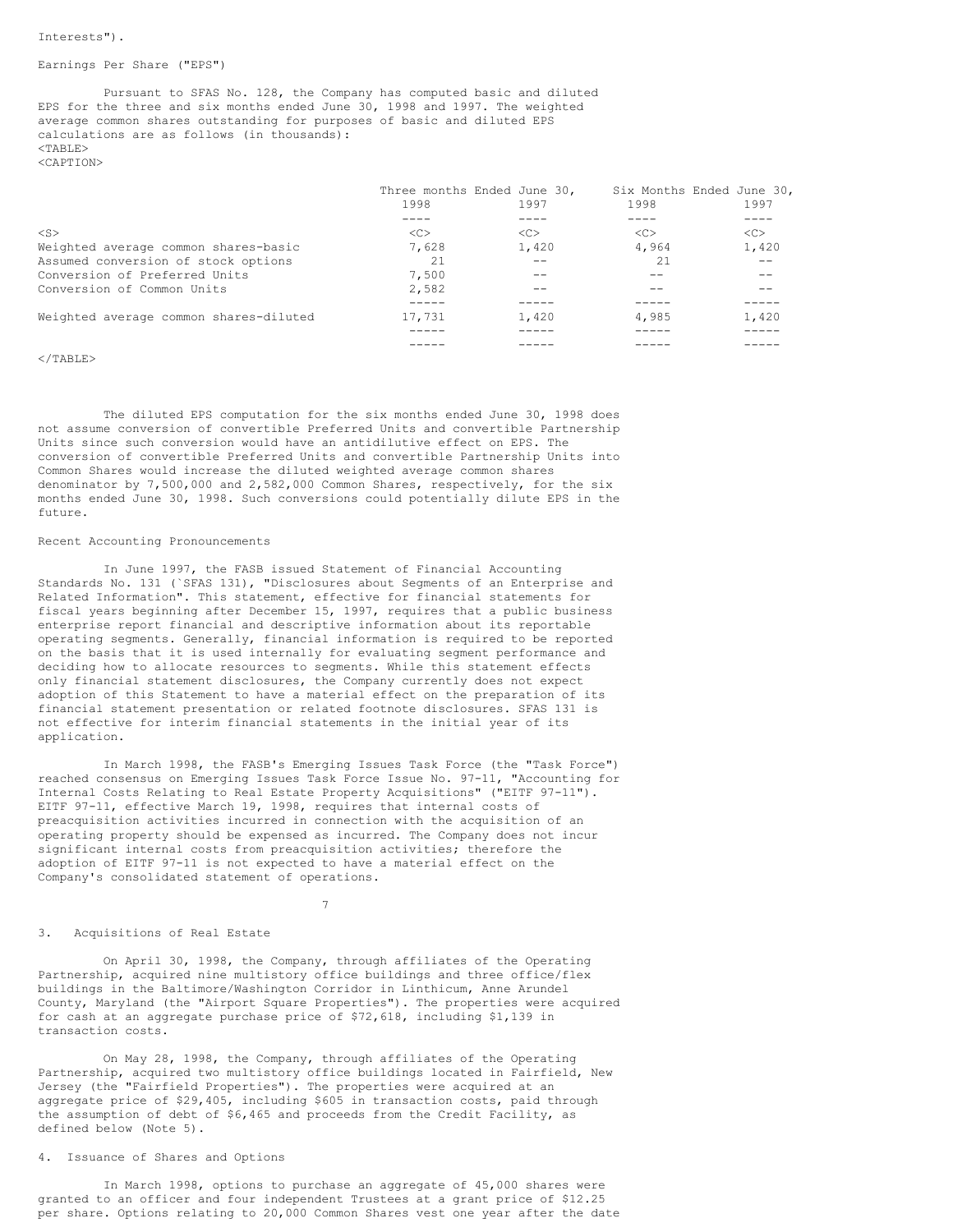#### Earnings Per Share ("EPS")

Pursuant to SFAS No. 128, the Company has computed basic and diluted EPS for the three and six months ended June 30, 1998 and 1997. The weighted average common shares outstanding for purposes of basic and diluted EPS calculations are as follows (in thousands):  $<$ TABLE $>$ <CAPTION>

| $<$ S><br>< <sub><br/>&lt;<sub><br/>&lt;<sub><br/>&lt;<sub></sub></sub></sub></sub> |       |
|-------------------------------------------------------------------------------------|-------|
| 4,964<br>Weighted average common shares-basic<br>7,628<br>1,420                     | 1,420 |
| Assumed conversion of stock options<br>-21<br>21                                    |       |
| Conversion of Preferred Units<br>7.500                                              |       |
| Conversion of Common Units<br>2,582                                                 |       |
|                                                                                     |       |
| Weighted average common shares-diluted<br>17,731<br>4,985<br>1,420                  | 1,420 |
|                                                                                     |       |
|                                                                                     |       |

## $\langle$ /TABLE>

The diluted EPS computation for the six months ended June 30, 1998 does not assume conversion of convertible Preferred Units and convertible Partnership Units since such conversion would have an antidilutive effect on EPS. The conversion of convertible Preferred Units and convertible Partnership Units into Common Shares would increase the diluted weighted average common shares denominator by 7,500,000 and 2,582,000 Common Shares, respectively, for the six months ended June 30, 1998. Such conversions could potentially dilute EPS in the future.

#### Recent Accounting Pronouncements

In June 1997, the FASB issued Statement of Financial Accounting Standards No. 131 (`SFAS 131), "Disclosures about Segments of an Enterprise and Related Information". This statement, effective for financial statements for fiscal years beginning after December 15, 1997, requires that a public business enterprise report financial and descriptive information about its reportable operating segments. Generally, financial information is required to be reported on the basis that it is used internally for evaluating segment performance and deciding how to allocate resources to segments. While this statement effects only financial statement disclosures, the Company currently does not expect adoption of this Statement to have a material effect on the preparation of its financial statement presentation or related footnote disclosures. SFAS 131 is not effective for interim financial statements in the initial year of its application.

In March 1998, the FASB's Emerging Issues Task Force (the "Task Force") reached consensus on Emerging Issues Task Force Issue No. 97-11, "Accounting for Internal Costs Relating to Real Estate Property Acquisitions" ("EITF 97-11"). EITF 97-11, effective March 19, 1998, requires that internal costs of preacquisition activities incurred in connection with the acquisition of an operating property should be expensed as incurred. The Company does not incur significant internal costs from preacquisition activities; therefore the adoption of EITF 97-11 is not expected to have a material effect on the Company's consolidated statement of operations.

#### 7

## 3. Acquisitions of Real Estate

On April 30, 1998, the Company, through affiliates of the Operating Partnership, acquired nine multistory office buildings and three office/flex buildings in the Baltimore/Washington Corridor in Linthicum, Anne Arundel County, Maryland (the "Airport Square Properties"). The properties were acquired for cash at an aggregate purchase price of \$72,618, including \$1,139 in transaction costs.

On May 28, 1998, the Company, through affiliates of the Operating Partnership, acquired two multistory office buildings located in Fairfield, New Jersey (the "Fairfield Properties"). The properties were acquired at an aggregate price of \$29,405, including \$605 in transaction costs, paid through the assumption of debt of \$6,465 and proceeds from the Credit Facility, as defined below (Note 5).

## 4. Issuance of Shares and Options

In March 1998, options to purchase an aggregate of 45,000 shares were granted to an officer and four independent Trustees at a grant price of \$12.25 per share. Options relating to 20,000 Common Shares vest one year after the date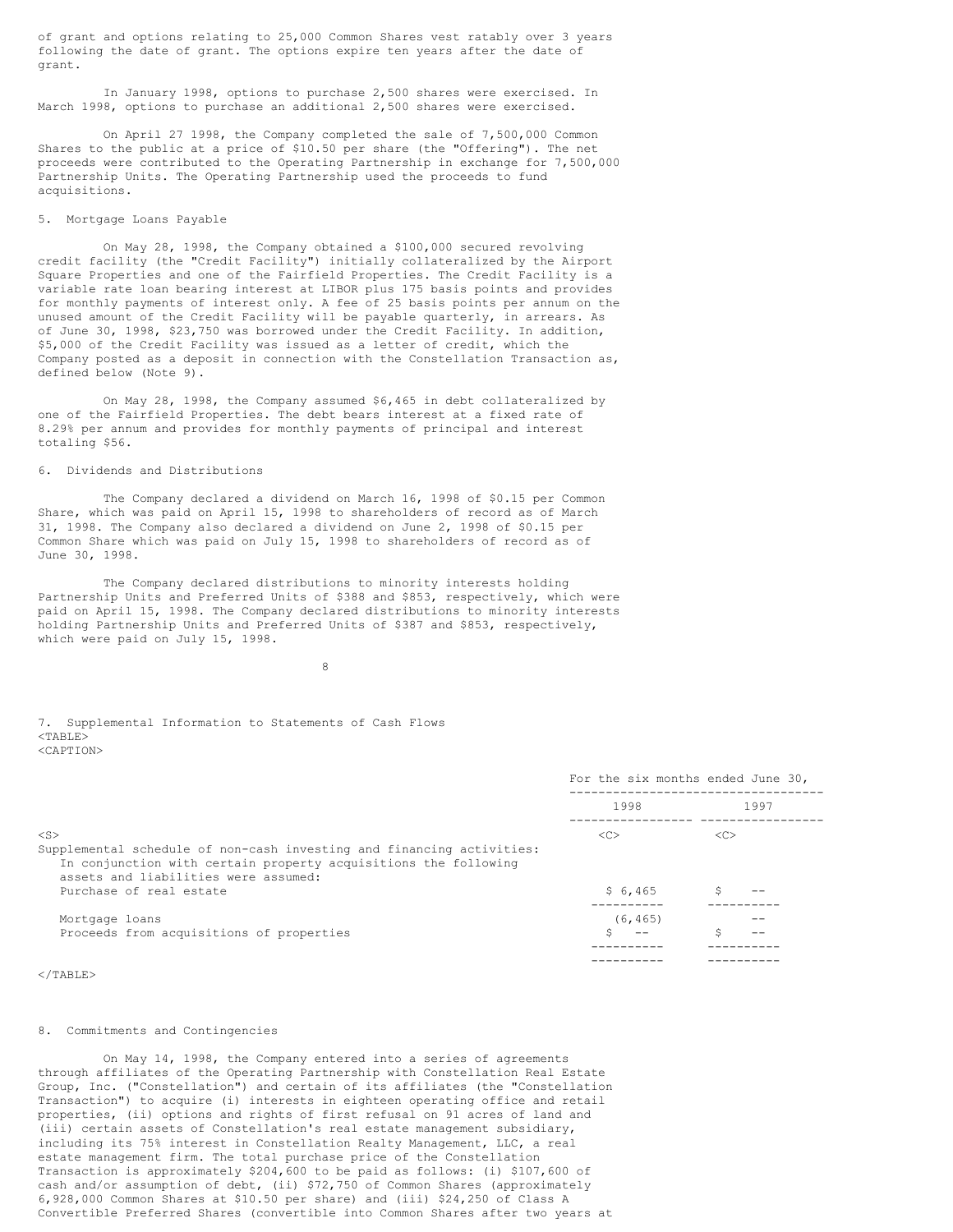of grant and options relating to 25,000 Common Shares vest ratably over 3 years following the date of grant. The options expire ten years after the date of grant.

In January 1998, options to purchase 2,500 shares were exercised. In March 1998, options to purchase an additional 2,500 shares were exercised.

On April 27 1998, the Company completed the sale of 7,500,000 Common Shares to the public at a price of \$10.50 per share (the "Offering"). The net proceeds were contributed to the Operating Partnership in exchange for 7,500,000 Partnership Units. The Operating Partnership used the proceeds to fund acquisitions.

### 5. Mortgage Loans Payable

On May 28, 1998, the Company obtained a \$100,000 secured revolving credit facility (the "Credit Facility") initially collateralized by the Airport Square Properties and one of the Fairfield Properties. The Credit Facility is a variable rate loan bearing interest at LIBOR plus 175 basis points and provides for monthly payments of interest only. A fee of 25 basis points per annum on the unused amount of the Credit Facility will be payable quarterly, in arrears. As of June 30, 1998, \$23,750 was borrowed under the Credit Facility. In addition, \$5,000 of the Credit Facility was issued as a letter of credit, which the Company posted as a deposit in connection with the Constellation Transaction as, defined below (Note 9).

On May 28, 1998, the Company assumed \$6,465 in debt collateralized by one of the Fairfield Properties. The debt bears interest at a fixed rate of 8.29% per annum and provides for monthly payments of principal and interest totaling \$56.

#### 6. Dividends and Distributions

The Company declared a dividend on March 16, 1998 of \$0.15 per Common Share, which was paid on April 15, 1998 to shareholders of record as of March 31, 1998. The Company also declared a dividend on June 2, 1998 of \$0.15 per Common Share which was paid on July 15, 1998 to shareholders of record as of June 30, 1998.

The Company declared distributions to minority interests holding Partnership Units and Preferred Units of \$388 and \$853, respectively, which were paid on April 15, 1998. The Company declared distributions to minority interests holding Partnership Units and Preferred Units of \$387 and \$853, respectively, which were paid on July 15, 1998.

8

#### 7. Supplemental Information to Statements of Cash Flows  $<$ TABLE $>$ <CAPTION>

|                                                                                                                                                                                                                          |               | For the six months ended June 30, |
|--------------------------------------------------------------------------------------------------------------------------------------------------------------------------------------------------------------------------|---------------|-----------------------------------|
|                                                                                                                                                                                                                          | 1998          | 1997                              |
| $<$ S $>$<br>Supplemental schedule of non-cash investing and financing activities:<br>In conjunction with certain property acquisitions the following<br>assets and liabilities were assumed:<br>Purchase of real estate | <<<br>\$6,465 | < <sub></sub>                     |
| Mortgage loans<br>Proceeds from acquisitions of properties                                                                                                                                                               | (6, 465)      | --                                |
| $\langle$ /TARLE $\rangle$                                                                                                                                                                                               |               |                                   |

#### 8. Commitments and Contingencies

On May 14, 1998, the Company entered into a series of agreements through affiliates of the Operating Partnership with Constellation Real Estate Group, Inc. ("Constellation") and certain of its affiliates (the "Constellation Transaction") to acquire (i) interests in eighteen operating office and retail properties, (ii) options and rights of first refusal on 91 acres of land and (iii) certain assets of Constellation's real estate management subsidiary, including its 75% interest in Constellation Realty Management, LLC, a real estate management firm. The total purchase price of the Constellation Transaction is approximately \$204,600 to be paid as follows: (i) \$107,600 of cash and/or assumption of debt, (ii) \$72,750 of Common Shares (approximately 6,928,000 Common Shares at \$10.50 per share) and (iii) \$24,250 of Class A Convertible Preferred Shares (convertible into Common Shares after two years at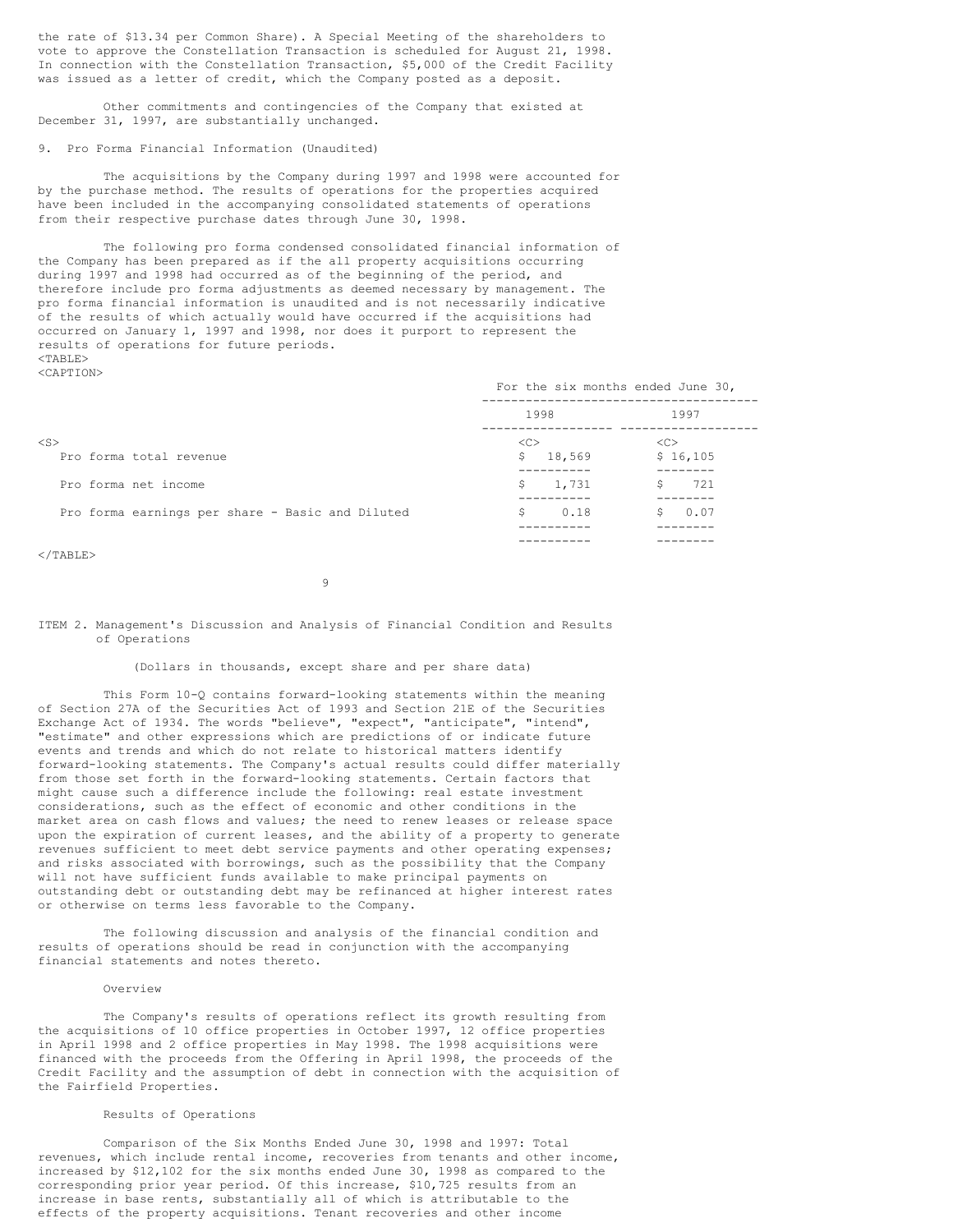the rate of \$13.34 per Common Share). A Special Meeting of the shareholders to vote to approve the Constellation Transaction is scheduled for August 21, 1998. In connection with the Constellation Transaction, \$5,000 of the Credit Facility was issued as a letter of credit, which the Company posted as a deposit.

Other commitments and contingencies of the Company that existed at December 31, 1997, are substantially unchanged.

# 9. Pro Forma Financial Information (Unaudited)

The acquisitions by the Company during 1997 and 1998 were accounted for by the purchase method. The results of operations for the properties acquired have been included in the accompanying consolidated statements of operations from their respective purchase dates through June 30, 1998.

The following pro forma condensed consolidated financial information of the Company has been prepared as if the all property acquisitions occurring during 1997 and 1998 had occurred as of the beginning of the period, and therefore include pro forma adjustments as deemed necessary by management. The pro forma financial information is unaudited and is not necessarily indicative of the results of which actually would have occurred if the acquisitions had occurred on January 1, 1997 and 1998, nor does it purport to represent the results of operations for future periods.  $<$ TABLE $>$ <CAPTION>

|                                                  | For the six months ended June 30, |                |
|--------------------------------------------------|-----------------------------------|----------------|
|                                                  | 1998                              | 1997           |
| $<$ S $>$<br>Pro forma total revenue             | < <sub><br/>18,569<br/>S.</sub>   | <<<br>\$16,105 |
| Pro forma net income                             | 1,731<br>\$                       | 721            |
| Pro forma earnings per share - Basic and Diluted | 0.18<br>S.                        | 0.07           |
|                                                  |                                   |                |

 $\langle$ /TABLE>

9

ITEM 2. Management's Discussion and Analysis of Financial Condition and Results of Operations

# (Dollars in thousands, except share and per share data)

This Form 10-Q contains forward-looking statements within the meaning of Section 27A of the Securities Act of 1993 and Section 21E of the Securities Exchange Act of 1934. The words "believe", "expect", "anticipate", "intend", "estimate" and other expressions which are predictions of or indicate future events and trends and which do not relate to historical matters identify forward-looking statements. The Company's actual results could differ materially from those set forth in the forward-looking statements. Certain factors that might cause such a difference include the following: real estate investment considerations, such as the effect of economic and other conditions in the market area on cash flows and values; the need to renew leases or release space upon the expiration of current leases, and the ability of a property to generate revenues sufficient to meet debt service payments and other operating expenses; and risks associated with borrowings, such as the possibility that the Company will not have sufficient funds available to make principal payments on outstanding debt or outstanding debt may be refinanced at higher interest rates or otherwise on terms less favorable to the Company.

The following discussion and analysis of the financial condition and results of operations should be read in conjunction with the accompanying financial statements and notes thereto.

## Overview

The Company's results of operations reflect its growth resulting from the acquisitions of 10 office properties in October 1997, 12 office properties in April 1998 and 2 office properties in May 1998. The 1998 acquisitions were financed with the proceeds from the Offering in April 1998, the proceeds of the Credit Facility and the assumption of debt in connection with the acquisition of the Fairfield Properties.

#### Results of Operations

Comparison of the Six Months Ended June 30, 1998 and 1997: Total revenues, which include rental income, recoveries from tenants and other income, increased by \$12,102 for the six months ended June 30, 1998 as compared to the corresponding prior year period. Of this increase, \$10,725 results from an increase in base rents, substantially all of which is attributable to the effects of the property acquisitions. Tenant recoveries and other income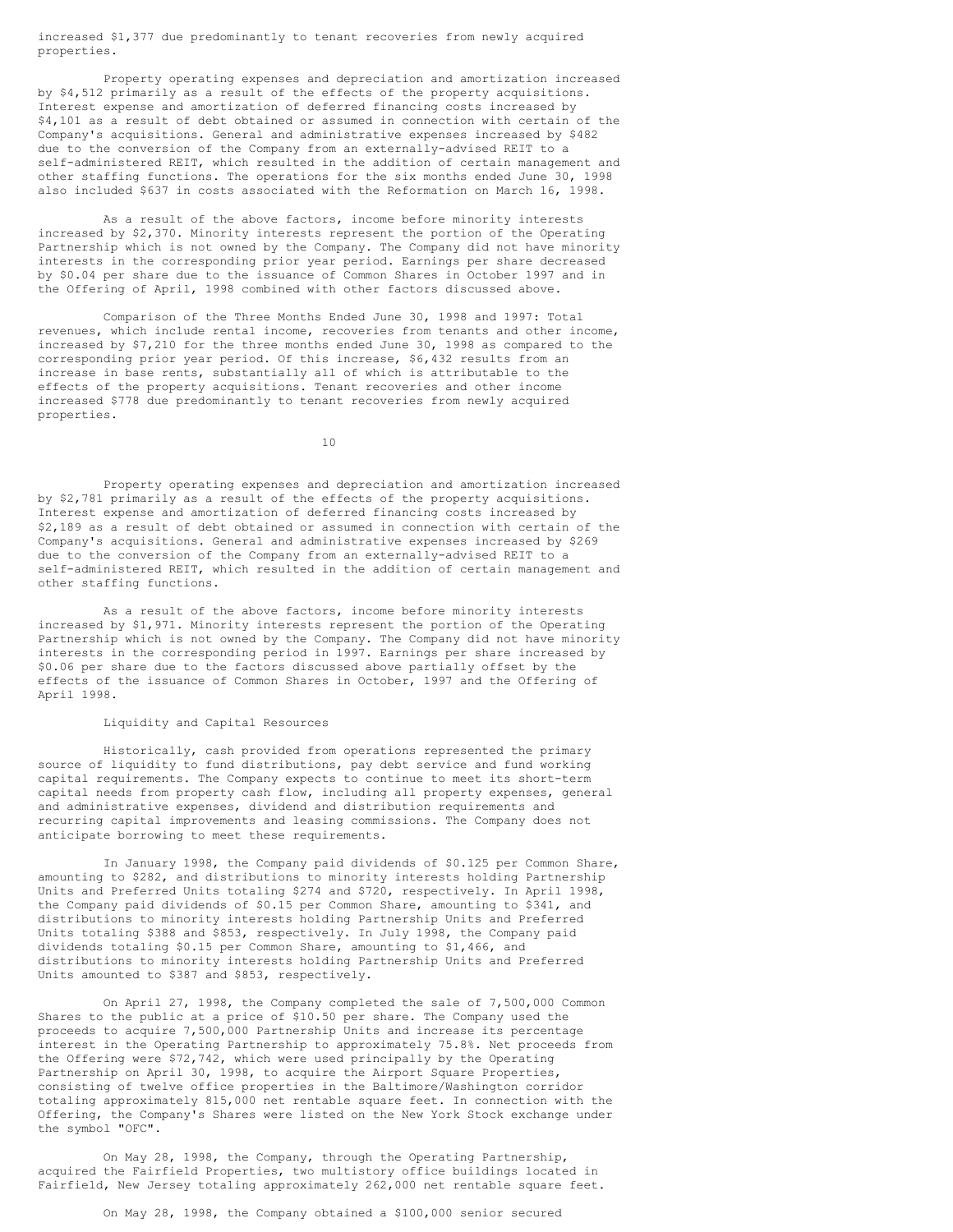increased \$1,377 due predominantly to tenant recoveries from newly acquired properties.

Property operating expenses and depreciation and amortization increased by \$4,512 primarily as a result of the effects of the property acquisitions. Interest expense and amortization of deferred financing costs increased by \$4,101 as a result of debt obtained or assumed in connection with certain of the Company's acquisitions. General and administrative expenses increased by \$482 due to the conversion of the Company from an externally-advised REIT to a self-administered REIT, which resulted in the addition of certain management and other staffing functions. The operations for the six months ended June 30, 1998 also included \$637 in costs associated with the Reformation on March 16, 1998.

As a result of the above factors, income before minority interests increased by \$2,370. Minority interests represent the portion of the Operating Partnership which is not owned by the Company. The Company did not have minority interests in the corresponding prior year period. Earnings per share decreased by \$0.04 per share due to the issuance of Common Shares in October 1997 and in the Offering of April, 1998 combined with other factors discussed above.

Comparison of the Three Months Ended June 30, 1998 and 1997: Total revenues, which include rental income, recoveries from tenants and other income, increased by \$7,210 for the three months ended June 30, 1998 as compared to the corresponding prior year period. Of this increase, \$6,432 results from an increase in base rents, substantially all of which is attributable to the effects of the property acquisitions. Tenant recoveries and other income increased \$778 due predominantly to tenant recoveries from newly acquired properties.

10

Property operating expenses and depreciation and amortization increased by \$2,781 primarily as a result of the effects of the property acquisitions. Interest expense and amortization of deferred financing costs increased by \$2,189 as a result of debt obtained or assumed in connection with certain of the Company's acquisitions. General and administrative expenses increased by \$269 due to the conversion of the Company from an externally-advised REIT to a self-administered REIT, which resulted in the addition of certain management and other staffing functions.

As a result of the above factors, income before minority interests increased by \$1,971. Minority interests represent the portion of the Operating Partnership which is not owned by the Company. The Company did not have minority interests in the corresponding period in 1997. Earnings per share increased by \$0.06 per share due to the factors discussed above partially offset by the effects of the issuance of Common Shares in October, 1997 and the Offering of April 1998.

## Liquidity and Capital Resources

Historically, cash provided from operations represented the primary source of liquidity to fund distributions, pay debt service and fund working capital requirements. The Company expects to continue to meet its short-term capital needs from property cash flow, including all property expenses, general and administrative expenses, dividend and distribution requirements and recurring capital improvements and leasing commissions. The Company does not anticipate borrowing to meet these requirements.

In January 1998, the Company paid dividends of \$0.125 per Common Share, amounting to \$282, and distributions to minority interests holding Partnership Units and Preferred Units totaling \$274 and \$720, respectively. In April 1998, the Company paid dividends of \$0.15 per Common Share, amounting to \$341, and distributions to minority interests holding Partnership Units and Preferred Units totaling \$388 and \$853, respectively. In July 1998, the Company paid dividends totaling \$0.15 per Common Share, amounting to \$1,466, and distributions to minority interests holding Partnership Units and Preferred Units amounted to \$387 and \$853, respectively.

On April 27, 1998, the Company completed the sale of 7,500,000 Common Shares to the public at a price of \$10.50 per share. The Company used the proceeds to acquire 7,500,000 Partnership Units and increase its percentage interest in the Operating Partnership to approximately 75.8%. Net proceeds from the Offering were \$72,742, which were used principally by the Operating Partnership on April 30, 1998, to acquire the Airport Square Properties, consisting of twelve office properties in the Baltimore/Washington corridor totaling approximately 815,000 net rentable square feet. In connection with the Offering, the Company's Shares were listed on the New York Stock exchange under the symbol "OFC".

On May 28, 1998, the Company, through the Operating Partnership, acquired the Fairfield Properties, two multistory office buildings located in Fairfield, New Jersey totaling approximately 262,000 net rentable square feet.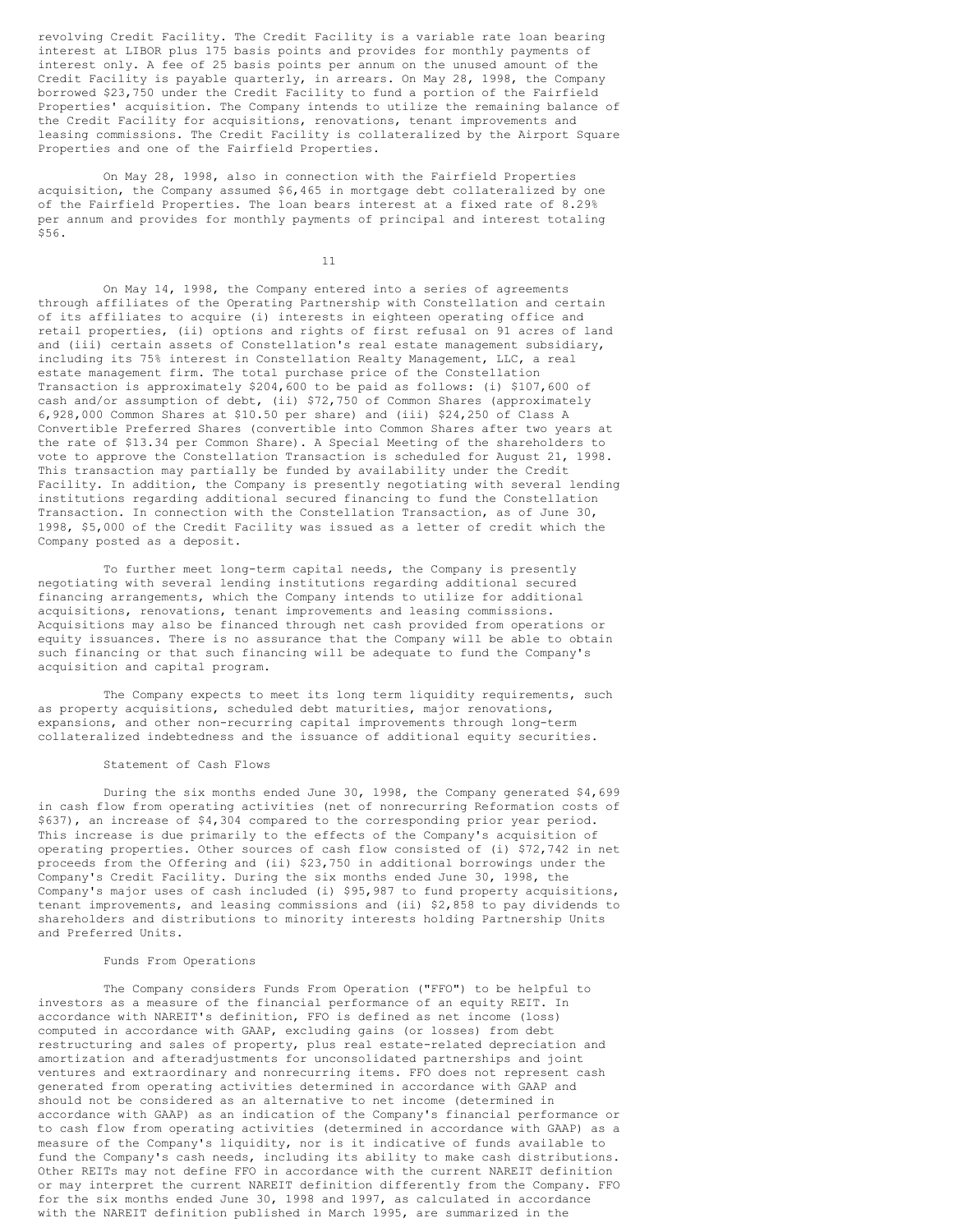revolving Credit Facility. The Credit Facility is a variable rate loan bearing interest at LIBOR plus 175 basis points and provides for monthly payments of interest only. A fee of 25 basis points per annum on the unused amount of the Credit Facility is payable quarterly, in arrears. On May 28, 1998, the Company borrowed \$23,750 under the Credit Facility to fund a portion of the Fairfield Properties' acquisition. The Company intends to utilize the remaining balance of the Credit Facility for acquisitions, renovations, tenant improvements and leasing commissions. The Credit Facility is collateralized by the Airport Square Properties and one of the Fairfield Properties.

On May 28, 1998, also in connection with the Fairfield Properties acquisition, the Company assumed \$6,465 in mortgage debt collateralized by one of the Fairfield Properties. The loan bears interest at a fixed rate of 8.29% per annum and provides for monthly payments of principal and interest totaling \$56.

11

On May 14, 1998, the Company entered into a series of agreements through affiliates of the Operating Partnership with Constellation and certain of its affiliates to acquire (i) interests in eighteen operating office and retail properties, (ii) options and rights of first refusal on 91 acres of land and (iii) certain assets of Constellation's real estate management subsidiary, including its 75% interest in Constellation Realty Management, LLC, a real estate management firm. The total purchase price of the Constellation Transaction is approximately \$204,600 to be paid as follows: (i) \$107,600 of cash and/or assumption of debt, (ii) \$72,750 of Common Shares (approximately 6,928,000 Common Shares at \$10.50 per share) and (iii) \$24,250 of Class A Convertible Preferred Shares (convertible into Common Shares after two years at the rate of \$13.34 per Common Share). A Special Meeting of the shareholders to vote to approve the Constellation Transaction is scheduled for August 21, 1998. This transaction may partially be funded by availability under the Credit Facility. In addition, the Company is presently negotiating with several lending institutions regarding additional secured financing to fund the Constellation Transaction. In connection with the Constellation Transaction, as of June 30, 1998, \$5,000 of the Credit Facility was issued as a letter of credit which the Company posted as a deposit.

To further meet long-term capital needs, the Company is presently negotiating with several lending institutions regarding additional secured financing arrangements, which the Company intends to utilize for additional acquisitions, renovations, tenant improvements and leasing commissions. Acquisitions may also be financed through net cash provided from operations or equity issuances. There is no assurance that the Company will be able to obtain such financing or that such financing will be adequate to fund the Company's acquisition and capital program.

The Company expects to meet its long term liquidity requirements, such as property acquisitions, scheduled debt maturities, major renovations, expansions, and other non-recurring capital improvements through long-term collateralized indebtedness and the issuance of additional equity securities.

# Statement of Cash Flows

During the six months ended June 30, 1998, the Company generated \$4,699 in cash flow from operating activities (net of nonrecurring Reformation costs of \$637), an increase of \$4,304 compared to the corresponding prior year period. This increase is due primarily to the effects of the Company's acquisition of operating properties. Other sources of cash flow consisted of (i) \$72,742 in net proceeds from the Offering and (ii) \$23,750 in additional borrowings under the Company's Credit Facility. During the six months ended June 30, 1998, the Company's major uses of cash included (i) \$95,987 to fund property acquisitions, tenant improvements, and leasing commissions and (ii) \$2,858 to pay dividends to shareholders and distributions to minority interests holding Partnership Units and Preferred Units.

#### Funds From Operations

The Company considers Funds From Operation ("FFO") to be helpful to investors as a measure of the financial performance of an equity REIT. In accordance with NAREIT's definition, FFO is defined as net income (loss) computed in accordance with GAAP, excluding gains (or losses) from debt restructuring and sales of property, plus real estate-related depreciation and amortization and afteradjustments for unconsolidated partnerships and joint ventures and extraordinary and nonrecurring items. FFO does not represent cash generated from operating activities determined in accordance with GAAP and should not be considered as an alternative to net income (determined in accordance with GAAP) as an indication of the Company's financial performance or to cash flow from operating activities (determined in accordance with GAAP) as a measure of the Company's liquidity, nor is it indicative of funds available to fund the Company's cash needs, including its ability to make cash distributions. Other REITs may not define FFO in accordance with the current NAREIT definition or may interpret the current NAREIT definition differently from the Company. FFO for the six months ended June 30, 1998 and 1997, as calculated in accordance with the NAREIT definition published in March 1995, are summarized in the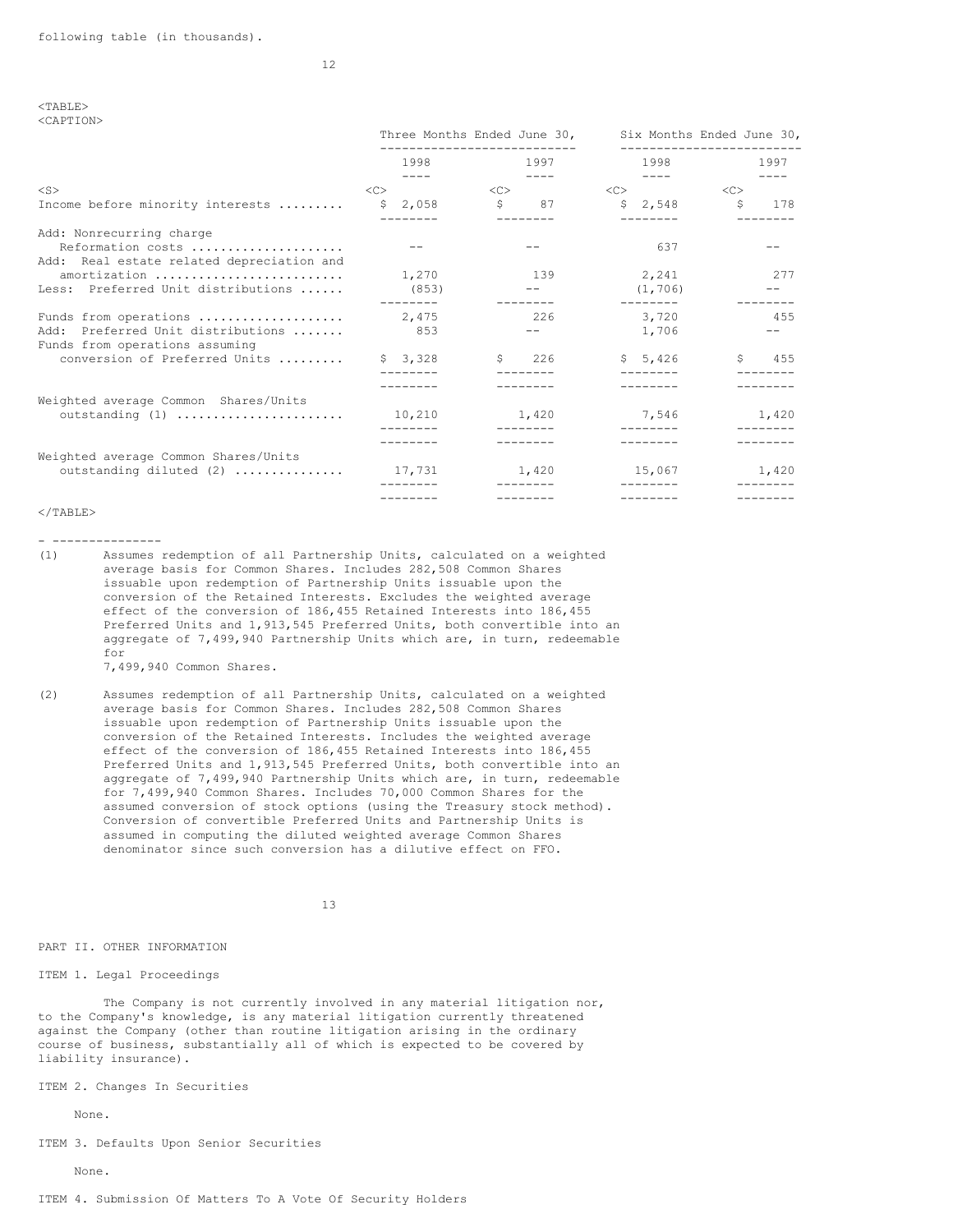#### <TABLE> <CAPTION>

|                                                                                                 | Three Months Ended June 30,<br>--------------------- |                          |                                        | Six Months Ended June 30,<br>------------------- |  |  |
|-------------------------------------------------------------------------------------------------|------------------------------------------------------|--------------------------|----------------------------------------|--------------------------------------------------|--|--|
|                                                                                                 | 1998                                                 | 1997                     | 1998                                   | 1997                                             |  |  |
| $<$ S $>$                                                                                       | $- - - - -$<br>$\langle C \rangle$                   | $<\infty$                | $- - - -$<br><<                        | < <c></c>                                        |  |  |
| Income before minority interests                                                                | \$2,058                                              | Ŝ.<br>87                 | \$2,548                                | $\mathsf{S}$<br>178                              |  |  |
| Add: Nonrecurring charge<br>Reformation costs                                                   |                                                      |                          | 637                                    |                                                  |  |  |
| Add: Real estate related depreciation and<br>amortization<br>Less: Preferred Unit distributions | 1,270<br>(853)<br>--------                           | 139<br>$- - - - - - - -$ | 2,241<br>(1, 706)<br>$- - - - - - - -$ | 277                                              |  |  |
| Funds from operations<br>Add: Preferred Unit distributions<br>Funds from operations assuming    | 2,475<br>8.53                                        | 226                      | 3,720<br>1,706                         | 455                                              |  |  |
| conversion of Preferred Units                                                                   | \$3,328                                              | $\sqrt{5}$ 226           | 5,426                                  | \$ 455                                           |  |  |
| Weighted average Common Shares/Units                                                            |                                                      |                          |                                        |                                                  |  |  |
| outstanding (1)                                                                                 | 10,210                                               | 1,420<br>$- - - - - - -$ | 7,546<br>$- - - - - - - -$             | 1,420                                            |  |  |
| Weighted average Common Shares/Units                                                            |                                                      |                          |                                        |                                                  |  |  |
| outstanding diluted (2)                                                                         | 17,731                                               | 1,420                    | 15,067                                 | 1,420                                            |  |  |
|                                                                                                 |                                                      |                          |                                        |                                                  |  |  |
| $<$ /TABLE>                                                                                     |                                                      |                          |                                        |                                                  |  |  |

- ---------------

(1) Assumes redemption of all Partnership Units, calculated on a weighted average basis for Common Shares. Includes 282,508 Common Shares issuable upon redemption of Partnership Units issuable upon the conversion of the Retained Interests. Excludes the weighted average effect of the conversion of 186,455 Retained Interests into 186,455 Preferred Units and 1,913,545 Preferred Units, both convertible into an aggregate of 7,499,940 Partnership Units which are, in turn, redeemable for

7,499,940 Common Shares.

(2) Assumes redemption of all Partnership Units, calculated on a weighted average basis for Common Shares. Includes 282,508 Common Shares issuable upon redemption of Partnership Units issuable upon the conversion of the Retained Interests. Includes the weighted average effect of the conversion of 186,455 Retained Interests into 186,455 Preferred Units and 1,913,545 Preferred Units, both convertible into an aggregate of 7,499,940 Partnership Units which are, in turn, redeemable for 7,499,940 Common Shares. Includes 70,000 Common Shares for the assumed conversion of stock options (using the Treasury stock method). Conversion of convertible Preferred Units and Partnership Units is assumed in computing the diluted weighted average Common Shares denominator since such conversion has a dilutive effect on FFO.

13

PART II. OTHER INFORMATION

ITEM 1. Legal Proceedings

The Company is not currently involved in any material litigation nor, to the Company's knowledge, is any material litigation currently threatened against the Company (other than routine litigation arising in the ordinary course of business, substantially all of which is expected to be covered by liability insurance).

ITEM 2. Changes In Securities

None.

ITEM 3. Defaults Upon Senior Securities

None.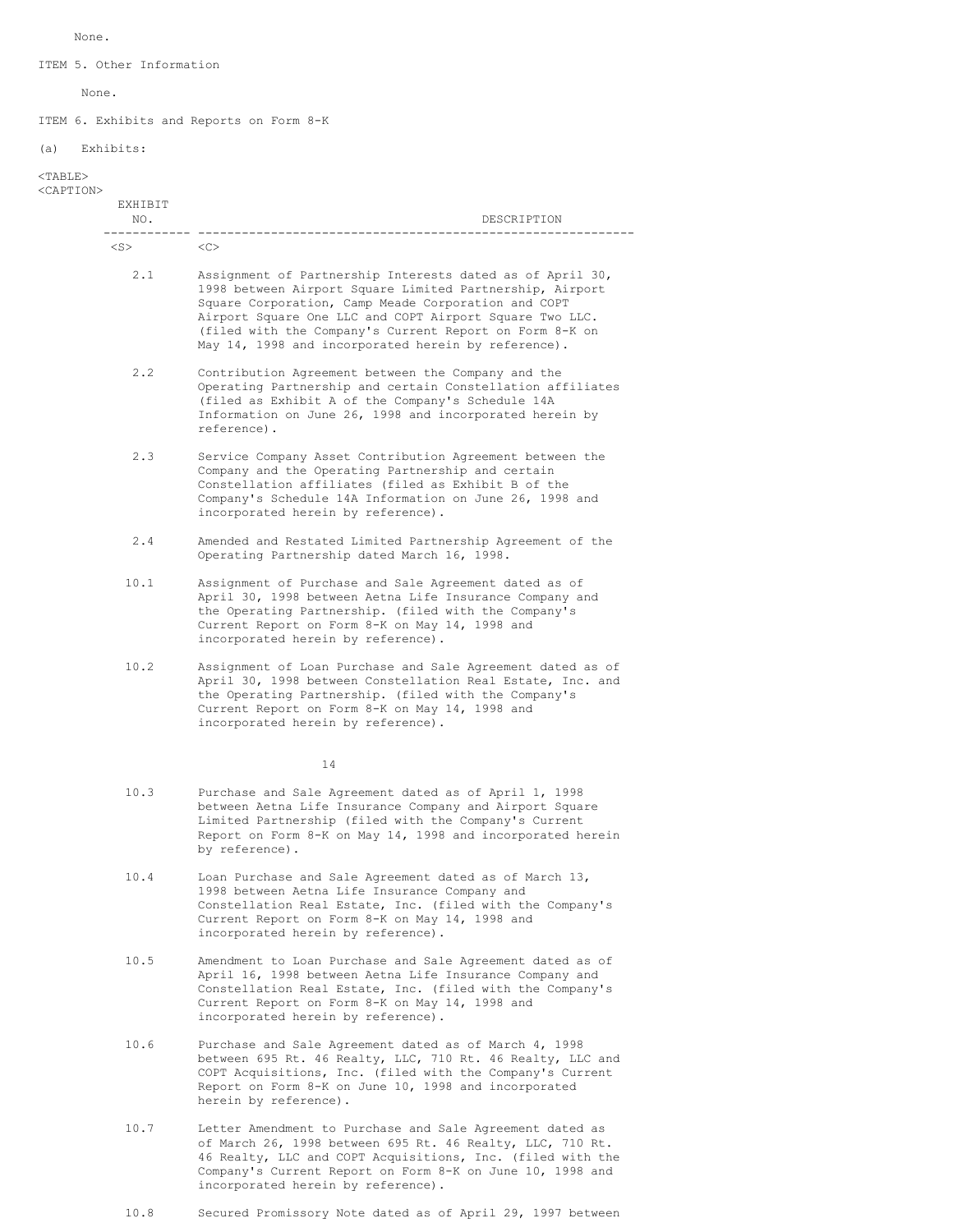None.

ITEM 5. Other Information

None.

ITEM 6. Exhibits and Reports on Form 8-K

(a) Exhibits:

# <TABLE>

# <CAPTION>

| EXHIBIT<br>NO. | DESCRIPTION                                                                                                                                                                                                                                                                                                                                               |
|----------------|-----------------------------------------------------------------------------------------------------------------------------------------------------------------------------------------------------------------------------------------------------------------------------------------------------------------------------------------------------------|
| $<$ S $>$      | < <sub></sub>                                                                                                                                                                                                                                                                                                                                             |
| 2.1            | Assignment of Partnership Interests dated as of April 30,<br>1998 between Airport Square Limited Partnership, Airport<br>Square Corporation, Camp Meade Corporation and COPT<br>Airport Square One LLC and COPT Airport Square Two LLC.<br>(filed with the Company's Current Report on Form 8-K on<br>May 14, 1998 and incorporated herein by reference). |
| 2, 2           | Contribution Agreement between the Company and the<br>Operating Partnership and certain Constellation affiliates<br>(filed as Exhibit A of the Company's Schedule 14A<br>Information on June 26, 1998 and incorporated herein by<br>reference).                                                                                                           |
| 2.3            | Service Company Asset Contribution Agreement between the<br>Company and the Operating Partnership and certain<br>Constellation affiliates (filed as Exhibit B of the<br>Company's Schedule 14A Information on June 26, 1998 and<br>incorporated herein by reference).                                                                                     |
| 2.4            | Amended and Restated Limited Partnership Agreement of the<br>Operating Partnership dated March 16, 1998.                                                                                                                                                                                                                                                  |
| 10.1           | Assignment of Purchase and Sale Agreement dated as of<br>April 30, 1998 between Aetna Life Insurance Company and<br>the Operating Partnership. (filed with the Company's<br>Current Report on Form 8-K on May 14, 1998 and<br>incorporated herein by reference).                                                                                          |
| 10.2           | Assignment of Loan Purchase and Sale Agreement dated as of<br>April 30, 1998 between Constellation Real Estate, Inc. and<br>the Operating Partnership. (filed with the Company's<br>Current Report on Form 8-K on May 14, 1998 and<br>incorporated herein by reference).                                                                                  |
|                | 14                                                                                                                                                                                                                                                                                                                                                        |
| 10.3           | Purchase and Sale Agreement dated as of April 1, 1998<br>between Aetna Life Insurance Company and Airport Square<br>Limited Partnership (filed with the Company's Current<br>Report on Form 8-K on May 14, 1998 and incorporated herein<br>by reference).                                                                                                 |
| 10.4           | Loan Purchase and Sale Agreement dated as of March 13,<br>1998 between Aetna Life Insurance Company and<br>Constellation Real Estate, Inc. (filed with the Company's<br>Current Report on Form 8-K on May 14, 1998 and<br>incorporated herein by reference).                                                                                              |
| 10.5           | Amendment to Loan Purchase and Sale Agreement dated as of<br>April 16, 1998 between Aetna Life Insurance Company and<br>Constellation Real Estate, Inc. (filed with the Company's<br>Current Report on Form 8-K on May 14, 1998 and<br>incorporated herein by reference).                                                                                 |
| 10.6           | Purchase and Sale Agreement dated as of March 4, 1998<br>between 695 Rt. 46 Realty, LLC, 710 Rt. 46 Realty, LLC and<br>COPT Acquisitions, Inc. (filed with the Company's Current<br>Report on Form 8-K on June 10, 1998 and incorporated<br>herein by reference).                                                                                         |

- 10.7 Letter Amendment to Purchase and Sale Agreement dated as of March 26, 1998 between 695 Rt. 46 Realty, LLC, 710 Rt. 46 Realty, LLC and COPT Acquisitions, Inc. (filed with the Company's Current Report on Form 8-K on June 10, 1998 and incorporated herein by reference).
- 10.8 Secured Promissory Note dated as of April 29, 1997 between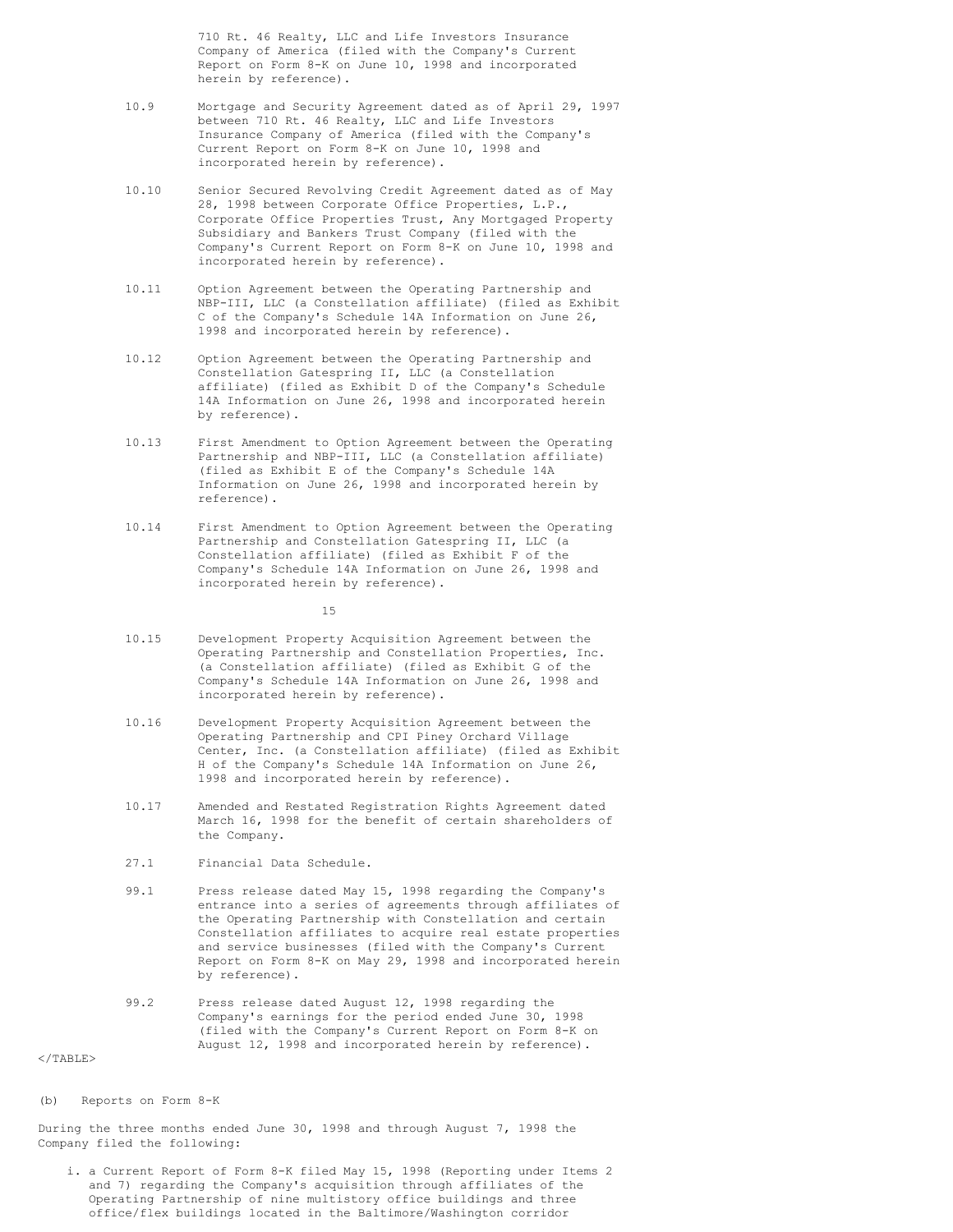710 Rt. 46 Realty, LLC and Life Investors Insurance Company of America (filed with the Company's Current Report on Form 8-K on June 10, 1998 and incorporated herein by reference).

- 10.9 Mortgage and Security Agreement dated as of April 29, 1997 between 710 Rt. 46 Realty, LLC and Life Investors Insurance Company of America (filed with the Company's Current Report on Form 8-K on June 10, 1998 and incorporated herein by reference).
- 10.10 Senior Secured Revolving Credit Agreement dated as of May 28, 1998 between Corporate Office Properties, L.P., Corporate Office Properties Trust, Any Mortgaged Property Subsidiary and Bankers Trust Company (filed with the Company's Current Report on Form 8-K on June 10, 1998 and incorporated herein by reference).
- 10.11 Option Agreement between the Operating Partnership and NBP-III, LLC (a Constellation affiliate) (filed as Exhibit C of the Company's Schedule 14A Information on June 26, 1998 and incorporated herein by reference).
- 10.12 Option Agreement between the Operating Partnership and Constellation Gatespring II, LLC (a Constellation affiliate) (filed as Exhibit D of the Company's Schedule 14A Information on June 26, 1998 and incorporated herein by reference).
- 10.13 First Amendment to Option Agreement between the Operating Partnership and NBP-III, LLC (a Constellation affiliate) (filed as Exhibit E of the Company's Schedule 14A Information on June 26, 1998 and incorporated herein by reference).
- 10.14 First Amendment to Option Agreement between the Operating Partnership and Constellation Gatespring II, LLC (a Constellation affiliate) (filed as Exhibit F of the Company's Schedule 14A Information on June 26, 1998 and incorporated herein by reference).

15

- 10.15 Development Property Acquisition Agreement between the Operating Partnership and Constellation Properties, Inc. (a Constellation affiliate) (filed as Exhibit G of the Company's Schedule 14A Information on June 26, 1998 and incorporated herein by reference).
- 10.16 Development Property Acquisition Agreement between the Operating Partnership and CPI Piney Orchard Village Center, Inc. (a Constellation affiliate) (filed as Exhibit H of the Company's Schedule 14A Information on June 26, 1998 and incorporated herein by reference).
- 10.17 Amended and Restated Registration Rights Agreement dated March 16, 1998 for the benefit of certain shareholders of the Company.
- 27.1 Financial Data Schedule.
- 99.1 Press release dated May 15, 1998 regarding the Company's entrance into a series of agreements through affiliates of the Operating Partnership with Constellation and certain Constellation affiliates to acquire real estate properties and service businesses (filed with the Company's Current Report on Form 8-K on May 29, 1998 and incorporated herein by reference).
- 99.2 Press release dated August 12, 1998 regarding the Company's earnings for the period ended June 30, 1998 (filed with the Company's Current Report on Form 8-K on August 12, 1998 and incorporated herein by reference).

 $\langle$ /TABLE>

(b) Reports on Form 8-K

During the three months ended June 30, 1998 and through August 7, 1998 the Company filed the following:

i. a Current Report of Form 8-K filed May 15, 1998 (Reporting under Items 2 and 7) regarding the Company's acquisition through affiliates of the Operating Partnership of nine multistory office buildings and three office/flex buildings located in the Baltimore/Washington corridor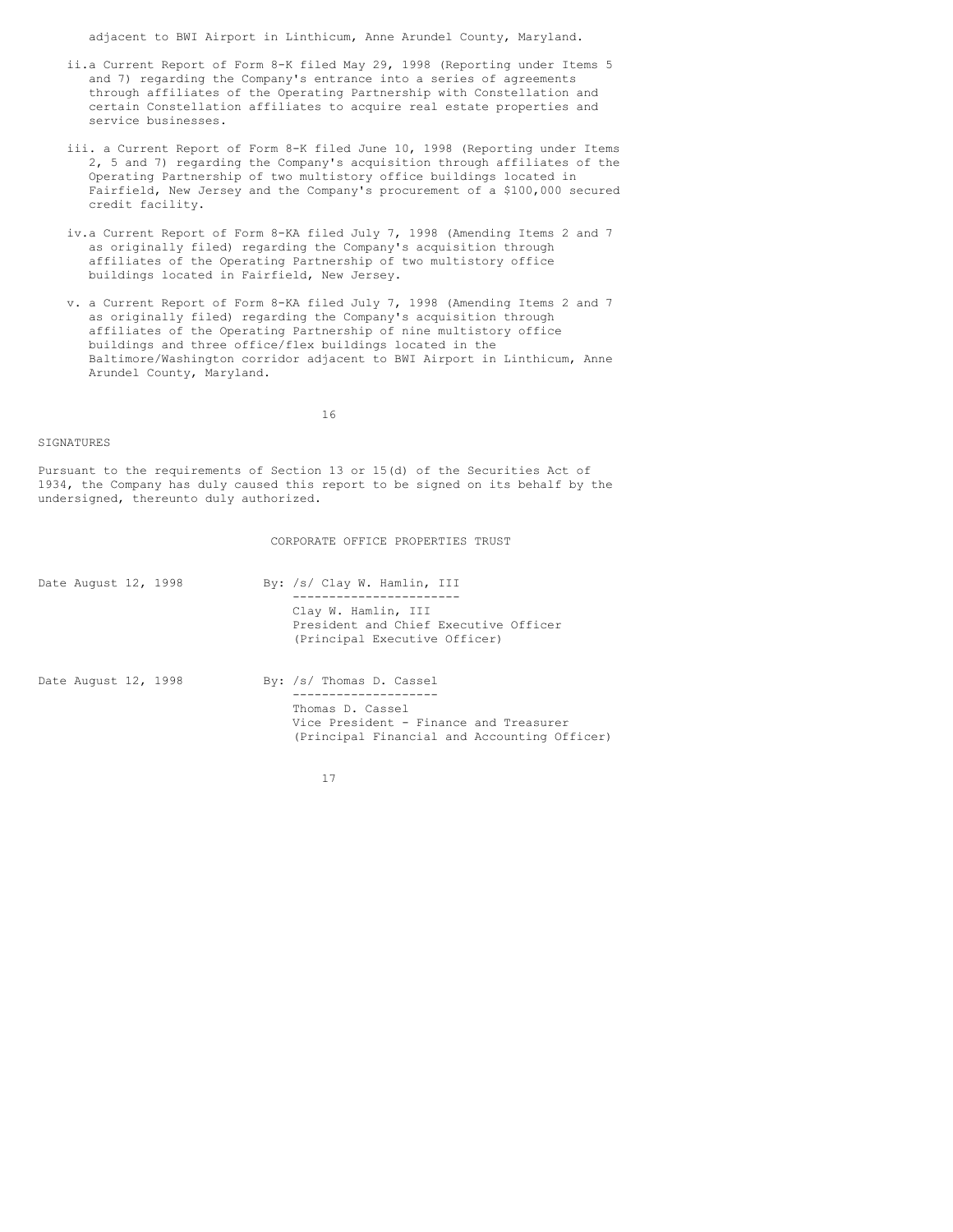adjacent to BWI Airport in Linthicum, Anne Arundel County, Maryland.

- ii.a Current Report of Form 8-K filed May 29, 1998 (Reporting under Items 5 and 7) regarding the Company's entrance into a series of agreements through affiliates of the Operating Partnership with Constellation and certain Constellation affiliates to acquire real estate properties and service businesses.
- iii. a Current Report of Form 8-K filed June 10, 1998 (Reporting under Items 2, 5 and 7) regarding the Company's acquisition through affiliates of the Operating Partnership of two multistory office buildings located in Fairfield, New Jersey and the Company's procurement of a \$100,000 secured credit facility.
- iv.a Current Report of Form 8-KA filed July 7, 1998 (Amending Items 2 and 7 as originally filed) regarding the Company's acquisition through affiliates of the Operating Partnership of two multistory office buildings located in Fairfield, New Jersey.
- v. a Current Report of Form 8-KA filed July 7, 1998 (Amending Items 2 and 7 as originally filed) regarding the Company's acquisition through affiliates of the Operating Partnership of nine multistory office buildings and three office/flex buildings located in the Baltimore/Washington corridor adjacent to BWI Airport in Linthicum, Anne Arundel County, Maryland.

16

## SIGNATURES

Pursuant to the requirements of Section 13 or 15(d) of the Securities Act of 1934, the Company has duly caused this report to be signed on its behalf by the undersigned, thereunto duly authorized.

CORPORATE OFFICE PROPERTIES TRUST

| Date August 12, 1998 |  | By: /s/ Clay W. Hamlin, III                                                                                |
|----------------------|--|------------------------------------------------------------------------------------------------------------|
|                      |  | Clay W. Hamlin, III<br>President and Chief Executive Officer<br>(Principal Executive Officer)              |
| Date August 12, 1998 |  | By: /s/ Thomas D. Cassel                                                                                   |
|                      |  | Thomas D. Cassel<br>Vice President - Finance and Treasurer<br>(Principal Financial and Accounting Officer) |

17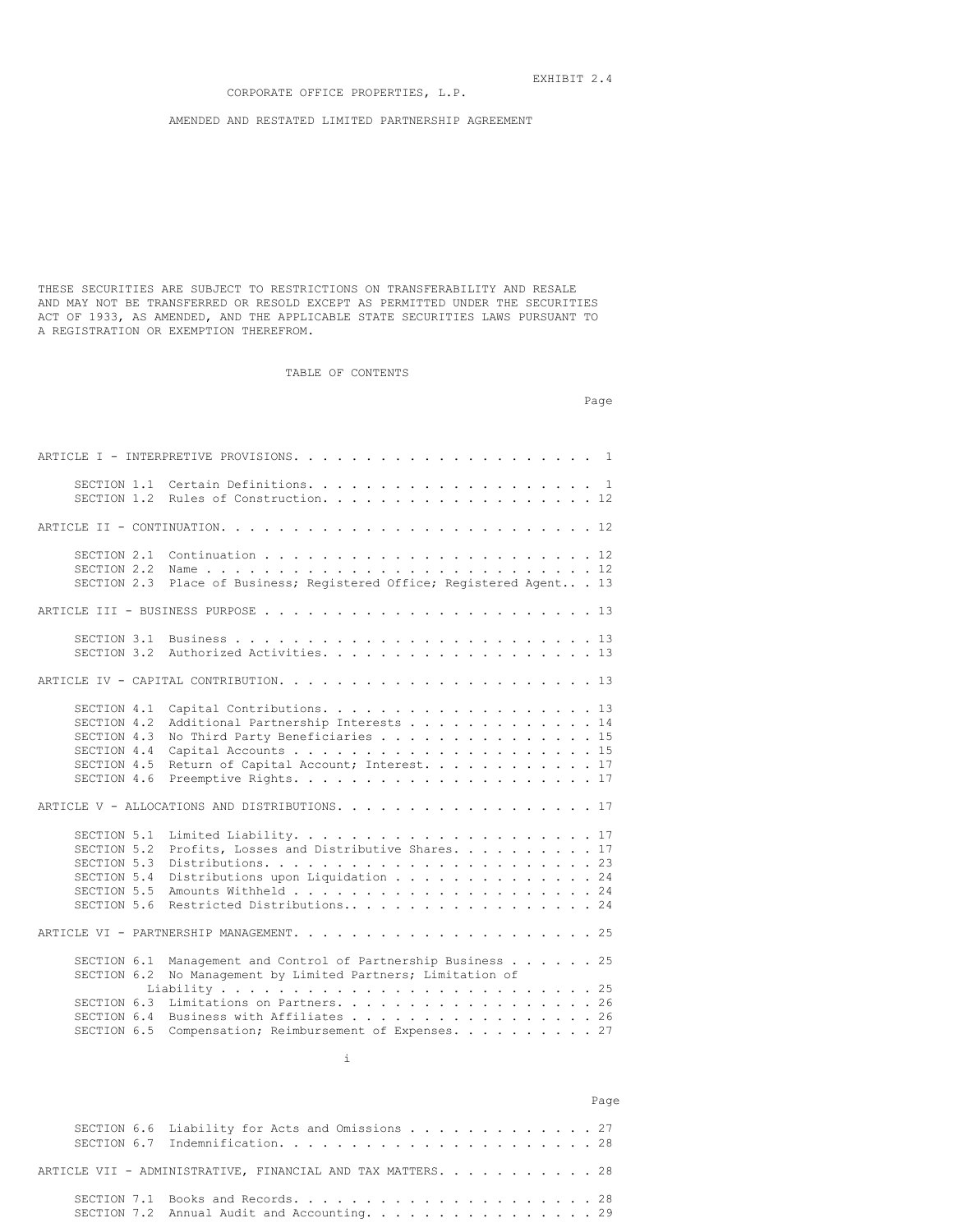AMENDED AND RESTATED LIMITED PARTNERSHIP AGREEMENT

THESE SECURITIES ARE SUBJECT TO RESTRICTIONS ON TRANSFERABILITY AND RESALE AND MAY NOT BE TRANSFERRED OR RESOLD EXCEPT AS PERMITTED UNDER THE SECURITIES ACT OF 1933, AS AMENDED, AND THE APPLICABLE STATE SECURITIES LAWS PURSUANT TO A REGISTRATION OR EXEMPTION THEREFROM.

# TABLE OF CONTENTS

Page

|                                                                                        | SECTION 1.2 Rules of Construction. 12                                                                                                          |
|----------------------------------------------------------------------------------------|------------------------------------------------------------------------------------------------------------------------------------------------|
|                                                                                        |                                                                                                                                                |
| SECTION 2.2<br>SECTION 2.3                                                             | Place of Business; Registered Office; Registered Agent 13                                                                                      |
|                                                                                        |                                                                                                                                                |
| SECTION 3.2                                                                            | Authorized Activities. 13                                                                                                                      |
|                                                                                        |                                                                                                                                                |
| SECTION 4.1<br>SECTION 4.2<br>SECTION 4.3<br>SECTION 4.4<br>SECTION 4.5<br>SECTION 4.6 | Capital Contributions. 13<br>Additional Partnership Interests 14<br>No Third Party Beneficiaries 15<br>Return of Capital Account; Interest. 17 |
|                                                                                        | ARTICLE V - ALLOCATIONS AND DISTRIBUTIONS. 17                                                                                                  |
| SECTION 5.1<br>SECTION 5.2<br>SECTION 5.3<br>SECTION 5.4<br>SECTION 5.5<br>SECTION 5.6 | Profits, Losses and Distributive Shares. 17<br>Distributions upon Liquidation 24<br>Restricted Distributions 24                                |
|                                                                                        |                                                                                                                                                |
| SECTION 6.1<br>SECTION 6.2                                                             | Management and Control of Partnership Business 25<br>No Management by Limited Partners; Limitation of                                          |
| SECTION 6.3<br>SECTION 6.4<br>SECTION 6.5                                              | Limitations on Partners. 26<br>Business with Affiliates 26<br>Compensation; Reimbursement of Expenses. 27                                      |



|                                                             | Page |
|-------------------------------------------------------------|------|
| SECTION 6.6 Liability for Acts and Omissions 27             |      |
| ARTICLE VII - ADMINISTRATIVE, FINANCIAL AND TAX MATTERS. 28 |      |
| SECTION 7.2 Annual Audit and Accounting. 29                 |      |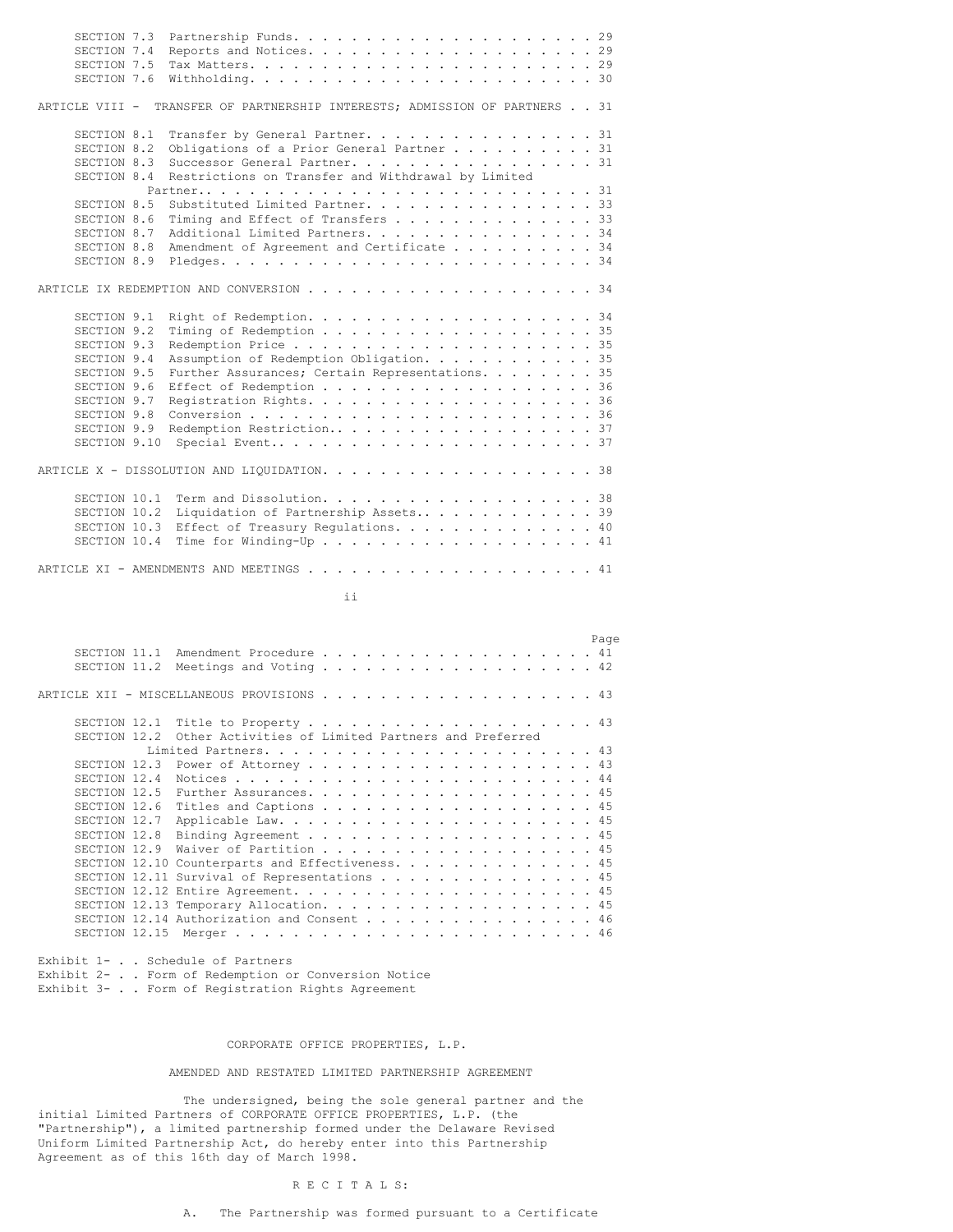| SECTION 7.3<br>SECTION 7.4<br>SECTION 7.5<br>SECTION 7.6                                                                                            |                                                                                                                                                                                                         |
|-----------------------------------------------------------------------------------------------------------------------------------------------------|---------------------------------------------------------------------------------------------------------------------------------------------------------------------------------------------------------|
| ARTICLE VIII -                                                                                                                                      | TRANSFER OF PARTNERSHIP INTERESTS; ADMISSION OF PARTNERS 31                                                                                                                                             |
| SECTION 8.1<br>SECTION 8.2<br>SECTION 8.3<br>SECTION 8.4                                                                                            | Transfer by General Partner. 31<br>Obligations of a Prior General Partner 31<br>Successor General Partner. 31<br>Restrictions on Transfer and Withdrawal by Limited                                     |
| SECTION 8.5<br>SECTION 8.6<br>SECTION 8.7<br>SECTION 8.8<br>SECTION 8.9                                                                             | Substituted Limited Partner. 33<br>Timing and Effect of Transfers 33<br>Additional Limited Partners. 34<br>Amendment of Agreement and Certificate 34                                                    |
|                                                                                                                                                     |                                                                                                                                                                                                         |
| SECTION 9.1<br>SECTION 9.2<br>SECTION 9.3<br>SECTION 9.4<br>SECTION 9.5<br>SECTION 9.6<br>SECTION 9.7<br>SECTION 9.8<br>SECTION 9.9<br>SECTION 9.10 | Right of Redemption. 34<br>Timing of Redemption 35<br>Assumption of Redemption Obligation. 35<br>Further Assurances; Certain Representations. 35<br>Effect of Redemption 36<br>Redemption Restriction37 |
|                                                                                                                                                     |                                                                                                                                                                                                         |
| SECTION 10.1<br>SECTION 10.2<br>SECTION 10.3<br>SECTION 10.4                                                                                        | Term and Dissolution. 38<br>Liquidation of Partnership Assets39<br>Effect of Treasury Regulations. 40<br>Time for Winding-Up 41                                                                         |

ii

|               |                                                       |  |  |  |  |  |  |  |  |  | Page |
|---------------|-------------------------------------------------------|--|--|--|--|--|--|--|--|--|------|
| SECTION 11.1  | Amendment Procedure 41                                |  |  |  |  |  |  |  |  |  |      |
| SECTION 11.2  | Meetings and Voting $\ldots$ 42                       |  |  |  |  |  |  |  |  |  |      |
|               | ARTICLE XII - MISCELLANEOUS PROVISIONS 43             |  |  |  |  |  |  |  |  |  |      |
| SECTION 12.1  | Title to Property 43                                  |  |  |  |  |  |  |  |  |  |      |
| SECTION 12.2  | Other Activities of Limited Partners and Preferred    |  |  |  |  |  |  |  |  |  |      |
|               |                                                       |  |  |  |  |  |  |  |  |  |      |
| SECTION 12.3  | Power of Attorney 43                                  |  |  |  |  |  |  |  |  |  |      |
| SECTION 12.4  |                                                       |  |  |  |  |  |  |  |  |  |      |
| SECTION 12.5  | Further Assurances. 45                                |  |  |  |  |  |  |  |  |  |      |
| SECTION 12.6  | Titles and Captions 45                                |  |  |  |  |  |  |  |  |  |      |
| SECTION 12.7  |                                                       |  |  |  |  |  |  |  |  |  |      |
| SECTION 12.8  | Binding Agreement 45                                  |  |  |  |  |  |  |  |  |  |      |
| SECTION 12.9  | Waiver of Partition 45                                |  |  |  |  |  |  |  |  |  |      |
|               | SECTION 12.10 Counterparts and Effectiveness. 45      |  |  |  |  |  |  |  |  |  |      |
|               | SECTION 12.11 Survival of Representations $\ldots$ 45 |  |  |  |  |  |  |  |  |  |      |
|               |                                                       |  |  |  |  |  |  |  |  |  |      |
|               |                                                       |  |  |  |  |  |  |  |  |  |      |
|               | SECTION 12.14 Authorization and Consent 46            |  |  |  |  |  |  |  |  |  |      |
| SECTION 12.15 |                                                       |  |  |  |  |  |  |  |  |  |      |
|               |                                                       |  |  |  |  |  |  |  |  |  |      |

Exhibit 1- . . Schedule of Partners Exhibit 2- . . Form of Redemption or Conversion Notice Exhibit 3- . . Form of Registration Rights Agreement

# CORPORATE OFFICE PROPERTIES, L.P.

# AMENDED AND RESTATED LIMITED PARTNERSHIP AGREEMENT

The undersigned, being the sole general partner and the initial Limited Partners of CORPORATE OFFICE PROPERTIES, L.P. (the "Partnership"), a limited partnership formed under the Delaware Revised Uniform Limited Partnership Act, do hereby enter into this Partnership Agreement as of this 16th day of March 1998.

# R E C I T A L S:

# A. The Partnership was formed pursuant to a Certificate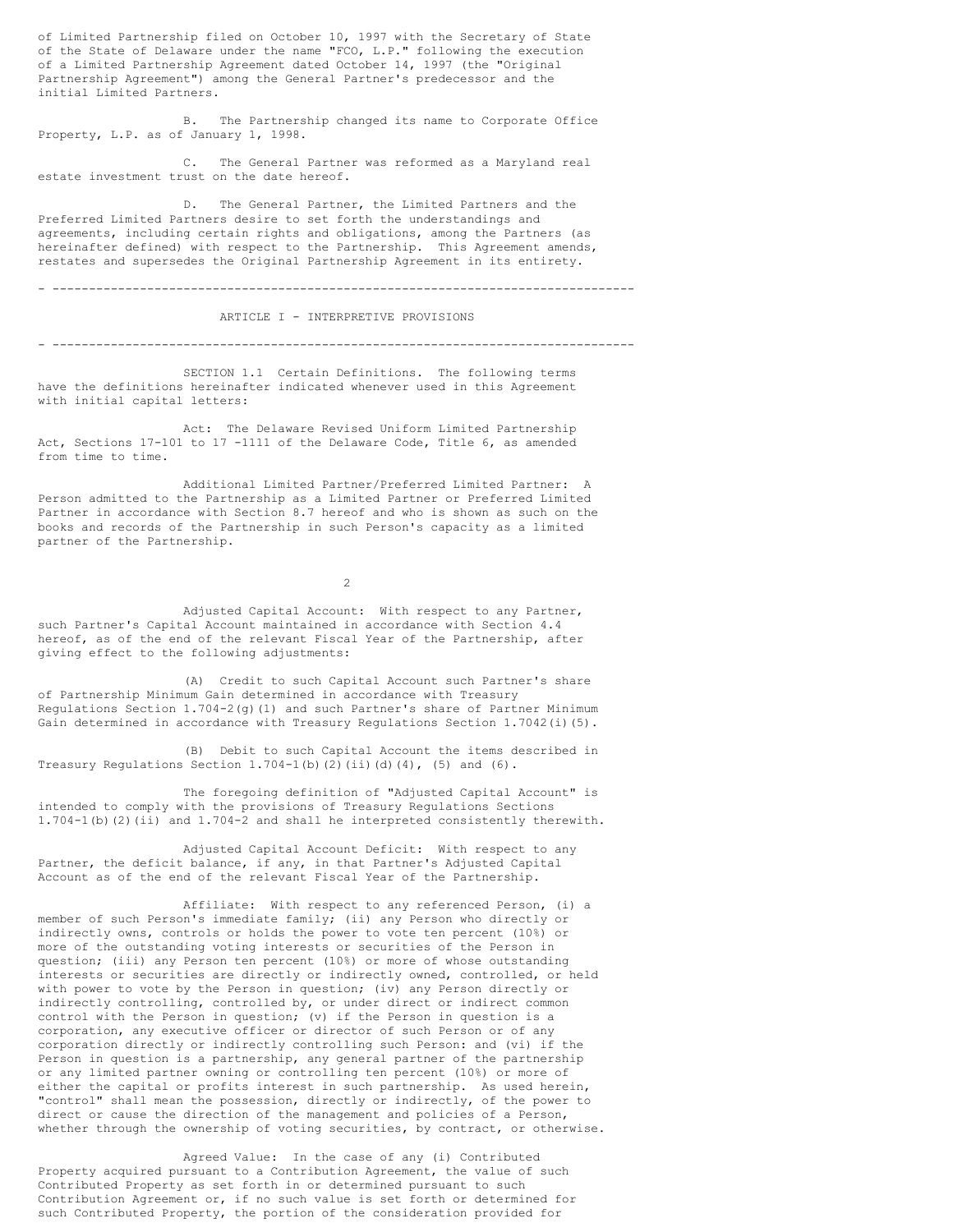of Limited Partnership filed on October 10, 1997 with the Secretary of State of the State of Delaware under the name "FCO, L.P." following the execution of a Limited Partnership Agreement dated October 14, 1997 (the "Original Partnership Agreement") among the General Partner's predecessor and the initial Limited Partners.

B. The Partnership changed its name to Corporate Office Property, L.P. as of January 1, 1998.

C. The General Partner was reformed as a Maryland real estate investment trust on the date hereof.

D. The General Partner, the Limited Partners and the Preferred Limited Partners desire to set forth the understandings and agreements, including certain rights and obligations, among the Partners (as hereinafter defined) with respect to the Partnership. This Agreement amends, restates and supersedes the Original Partnership Agreement in its entirety.

- --------------------------------------------------------------------------------

ARTICLE I - INTERPRETIVE PROVISIONS

- --------------------------------------------------------------------------------

SECTION 1.1 Certain Definitions. The following terms have the definitions hereinafter indicated whenever used in this Agreement with initial capital letters:

Act: The Delaware Revised Uniform Limited Partnership Act, Sections 17-101 to 17 -1111 of the Delaware Code, Title 6, as amended from time to time.

Additional Limited Partner/Preferred Limited Partner: A Person admitted to the Partnership as a Limited Partner or Preferred Limited Partner in accordance with Section 8.7 hereof and who is shown as such on the books and records of the Partnership in such Person's capacity as a limited partner of the Partnership.

2

Adjusted Capital Account: With respect to any Partner, such Partner's Capital Account maintained in accordance with Section 4.4 hereof, as of the end of the relevant Fiscal Year of the Partnership, after giving effect to the following adjustments:

(A) Credit to such Capital Account such Partner's share of Partnership Minimum Gain determined in accordance with Treasury Regulations Section 1.704-2(g)(1) and such Partner's share of Partner Minimum Gain determined in accordance with Treasury Regulations Section 1.7042(i)(5).

(B) Debit to such Capital Account the items described in Treasury Regulations Section  $1.704-1$  (b)(2)(ii)(d)(4), (5) and (6).

The foregoing definition of "Adjusted Capital Account" is intended to comply with the provisions of Treasury Regulations Sections 1.704-1(b)(2)(ii) and 1.704-2 and shall he interpreted consistently therewith.

Adjusted Capital Account Deficit: With respect to any Partner, the deficit balance, if any, in that Partner's Adjusted Capital Account as of the end of the relevant Fiscal Year of the Partnership.

Affiliate: With respect to any referenced Person, (i) a member of such Person's immediate family; (ii) any Person who directly or indirectly owns, controls or holds the power to vote ten percent (10%) or more of the outstanding voting interests or securities of the Person in question; (iii) any Person ten percent (10%) or more of whose outstanding interests or securities are directly or indirectly owned, controlled, or held with power to vote by the Person in question; (iv) any Person directly or indirectly controlling, controlled by, or under direct or indirect common control with the Person in question; (v) if the Person in question is a corporation, any executive officer or director of such Person or of any corporation directly or indirectly controlling such Person: and (vi) if the Person in question is a partnership, any general partner of the partnership or any limited partner owning or controlling ten percent (10%) or more of either the capital or profits interest in such partnership. As used herein, "control" shall mean the possession, directly or indirectly, of the power to direct or cause the direction of the management and policies of a Person, whether through the ownership of voting securities, by contract, or otherwise.

Agreed Value: In the case of any (i) Contributed Property acquired pursuant to a Contribution Agreement, the value of such Contributed Property as set forth in or determined pursuant to such Contribution Agreement or, if no such value is set forth or determined for such Contributed Property, the portion of the consideration provided for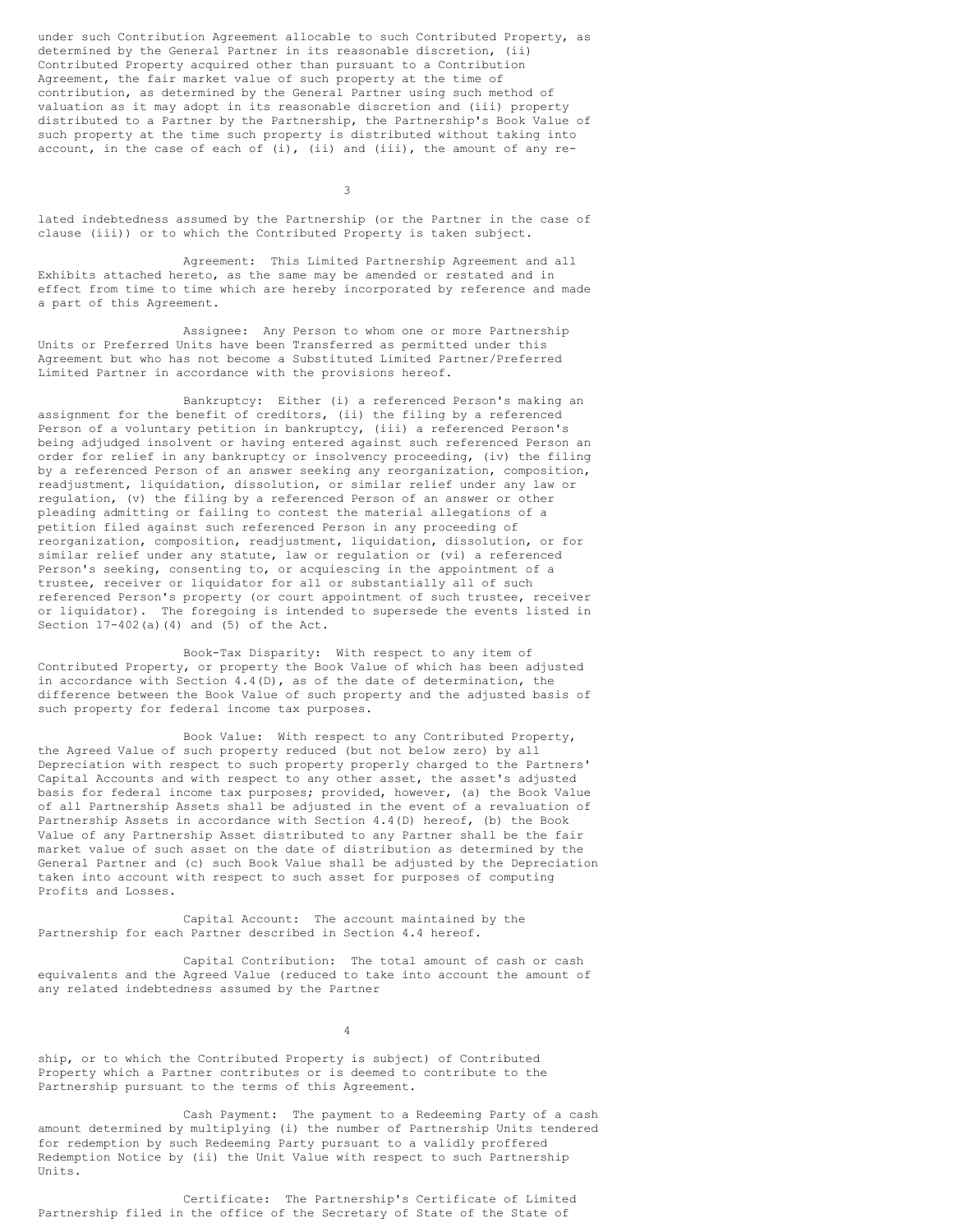under such Contribution Agreement allocable to such Contributed Property, as determined by the General Partner in its reasonable discretion, (ii) Contributed Property acquired other than pursuant to a Contribution Agreement, the fair market value of such property at the time of contribution, as determined by the General Partner using such method of valuation as it may adopt in its reasonable discretion and (iii) property distributed to a Partner by the Partnership, the Partnership's Book Value of such property at the time such property is distributed without taking into account, in the case of each of (i), (ii) and (iii), the amount of any re-

3

lated indebtedness assumed by the Partnership (or the Partner in the case of clause (iii)) or to which the Contributed Property is taken subject.

Agreement: This Limited Partnership Agreement and all Exhibits attached hereto, as the same may be amended or restated and in effect from time to time which are hereby incorporated by reference and made a part of this Agreement.

Assignee: Any Person to whom one or more Partnership Units or Preferred Units have been Transferred as permitted under this Agreement but who has not become a Substituted Limited Partner/Preferred Limited Partner in accordance with the provisions hereof.

Bankruptcy: Either (i) a referenced Person's making an assignment for the benefit of creditors, (ii) the filing by a referenced Person of a voluntary petition in bankruptcy, (iii) a referenced Person's being adjudged insolvent or having entered against such referenced Person an order for relief in any bankruptcy or insolvency proceeding, (iv) the filing by a referenced Person of an answer seeking any reorganization, composition, readjustment, liquidation, dissolution, or similar relief under any law or regulation, (v) the filing by a referenced Person of an answer or other pleading admitting or failing to contest the material allegations of a petition filed against such referenced Person in any proceeding of reorganization, composition, readjustment, liquidation, dissolution, or for similar relief under any statute, law or regulation or (vi) a referenced Person's seeking, consenting to, or acquiescing in the appointment of a trustee, receiver or liquidator for all or substantially all of such referenced Person's property (or court appointment of such trustee, receiver or liquidator). The foregoing is intended to supersede the events listed in Section  $17-402(a)(4)$  and  $(5)$  of the Act.

Book-Tax Disparity: With respect to any item of Contributed Property, or property the Book Value of which has been adjusted in accordance with Section  $4.4(D)$ , as of the date of determination, the difference between the Book Value of such property and the adjusted basis of such property for federal income tax purposes.

Book Value: With respect to any Contributed Property, the Agreed Value of such property reduced (but not below zero) by all Depreciation with respect to such property properly charged to the Partners' Capital Accounts and with respect to any other asset, the asset's adjusted basis for federal income tax purposes; provided, however, (a) the Book Value of all Partnership Assets shall be adjusted in the event of a revaluation of Partnership Assets in accordance with Section 4.4(D) hereof, (b) the Book Value of any Partnership Asset distributed to any Partner shall be the fair market value of such asset on the date of distribution as determined by the General Partner and (c) such Book Value shall be adjusted by the Depreciation taken into account with respect to such asset for purposes of computing Profits and Losses.

Capital Account: The account maintained by the Partnership for each Partner described in Section 4.4 hereof.

Capital Contribution: The total amount of cash or cash equivalents and the Agreed Value (reduced to take into account the amount of any related indebtedness assumed by the Partner

4

ship, or to which the Contributed Property is subject) of Contributed Property which a Partner contributes or is deemed to contribute to the Partnership pursuant to the terms of this Agreement.

Cash Payment: The payment to a Redeeming Party of a cash amount determined by multiplying (i) the number of Partnership Units tendered for redemption by such Redeeming Party pursuant to a validly proffered Redemption Notice by (ii) the Unit Value with respect to such Partnership Units.

Certificate: The Partnership's Certificate of Limited Partnership filed in the office of the Secretary of State of the State of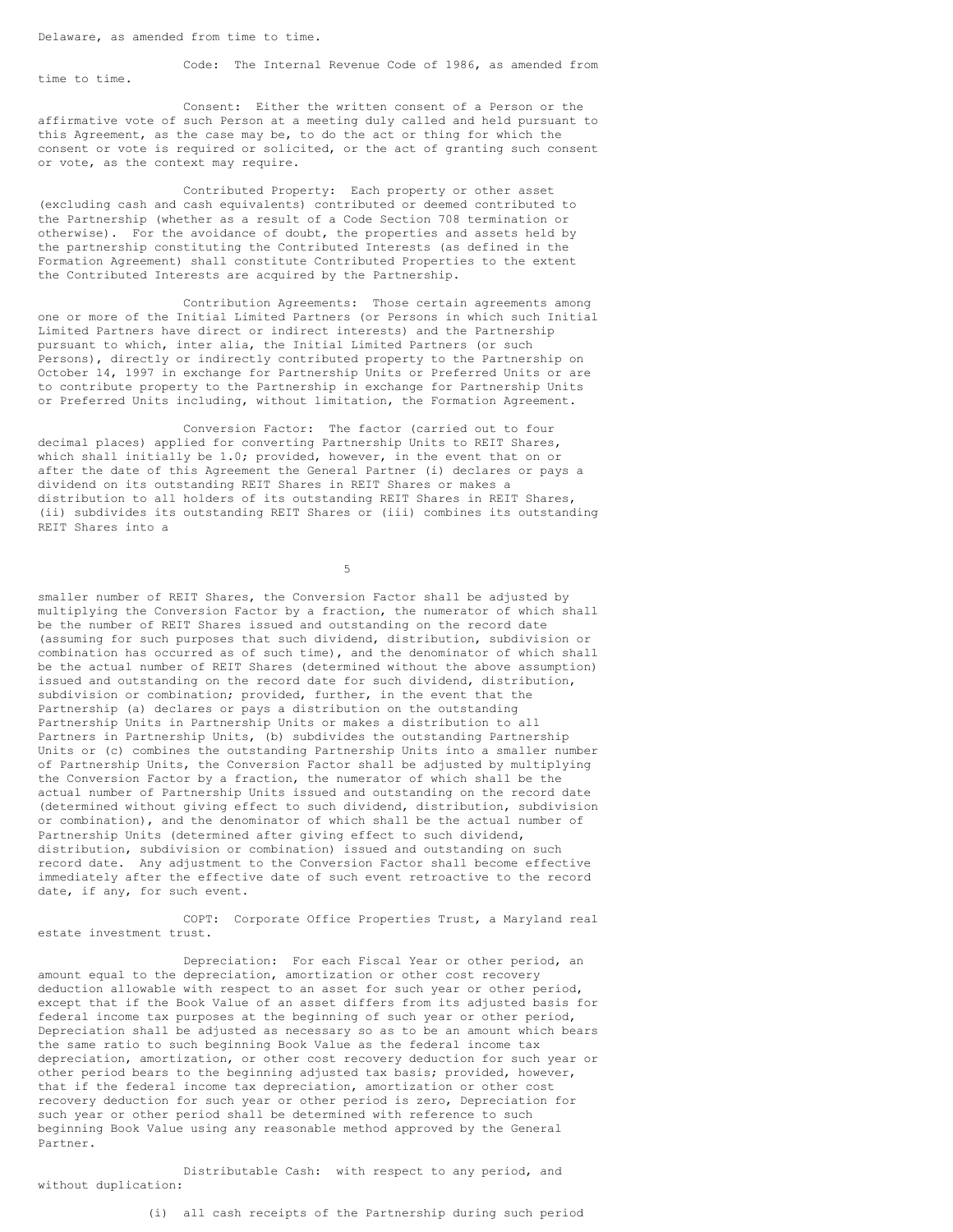Code: The Internal Revenue Code of 1986, as amended from time to time.

Consent: Either the written consent of a Person or the affirmative vote of such Person at a meeting duly called and held pursuant to this Agreement, as the case may be, to do the act or thing for which the consent or vote is required or solicited, or the act of granting such consent or vote, as the context may require.

Contributed Property: Each property or other asset (excluding cash and cash equivalents) contributed or deemed contributed to the Partnership (whether as a result of a Code Section 708 termination or otherwise). For the avoidance of doubt, the properties and assets held by the partnership constituting the Contributed Interests (as defined in the Formation Agreement) shall constitute Contributed Properties to the extent the Contributed Interests are acquired by the Partnership.

Contribution Agreements: Those certain agreements among one or more of the Initial Limited Partners (or Persons in which such Initial Limited Partners have direct or indirect interests) and the Partnership pursuant to which, inter alia, the Initial Limited Partners (or such Persons), directly or indirectly contributed property to the Partnership on October 14, 1997 in exchange for Partnership Units or Preferred Units or are to contribute property to the Partnership in exchange for Partnership Units or Preferred Units including, without limitation, the Formation Agreement.

Conversion Factor: The factor (carried out to four decimal places) applied for converting Partnership Units to REIT Shares, which shall initially be 1.0; provided, however, in the event that on or after the date of this Agreement the General Partner (i) declares or pays a dividend on its outstanding REIT Shares in REIT Shares or makes a distribution to all holders of its outstanding REIT Shares in REIT Shares, (ii) subdivides its outstanding REIT Shares or (iii) combines its outstanding REIT Shares into a

5

smaller number of REIT Shares, the Conversion Factor shall be adjusted by multiplying the Conversion Factor by a fraction, the numerator of which shall be the number of REIT Shares issued and outstanding on the record date (assuming for such purposes that such dividend, distribution, subdivision or combination has occurred as of such time), and the denominator of which shall be the actual number of REIT Shares (determined without the above assumption) issued and outstanding on the record date for such dividend, distribution, subdivision or combination; provided, further, in the event that the Partnership (a) declares or pays a distribution on the outstanding Partnership Units in Partnership Units or makes a distribution to all Partners in Partnership Units, (b) subdivides the outstanding Partnership Units or (c) combines the outstanding Partnership Units into a smaller number of Partnership Units, the Conversion Factor shall be adjusted by multiplying the Conversion Factor by a fraction, the numerator of which shall be the actual number of Partnership Units issued and outstanding on the record date (determined without giving effect to such dividend, distribution, subdivision or combination), and the denominator of which shall be the actual number of Partnership Units (determined after giving effect to such dividend, distribution, subdivision or combination) issued and outstanding on such record date. Any adjustment to the Conversion Factor shall become effective immediately after the effective date of such event retroactive to the record date, if any, for such event.

COPT: Corporate Office Properties Trust, a Maryland real estate investment trust.

Depreciation: For each Fiscal Year or other period, an amount equal to the depreciation, amortization or other cost recovery deduction allowable with respect to an asset for such year or other period, except that if the Book Value of an asset differs from its adjusted basis for federal income tax purposes at the beginning of such year or other period, Depreciation shall be adjusted as necessary so as to be an amount which bears the same ratio to such beginning Book Value as the federal income tax depreciation, amortization, or other cost recovery deduction for such year or other period bears to the beginning adjusted tax basis; provided, however, that if the federal income tax depreciation, amortization or other cost recovery deduction for such year or other period is zero, Depreciation for such year or other period shall be determined with reference to such beginning Book Value using any reasonable method approved by the General Partner.

Distributable Cash: with respect to any period, and without duplication:

(i) all cash receipts of the Partnership during such period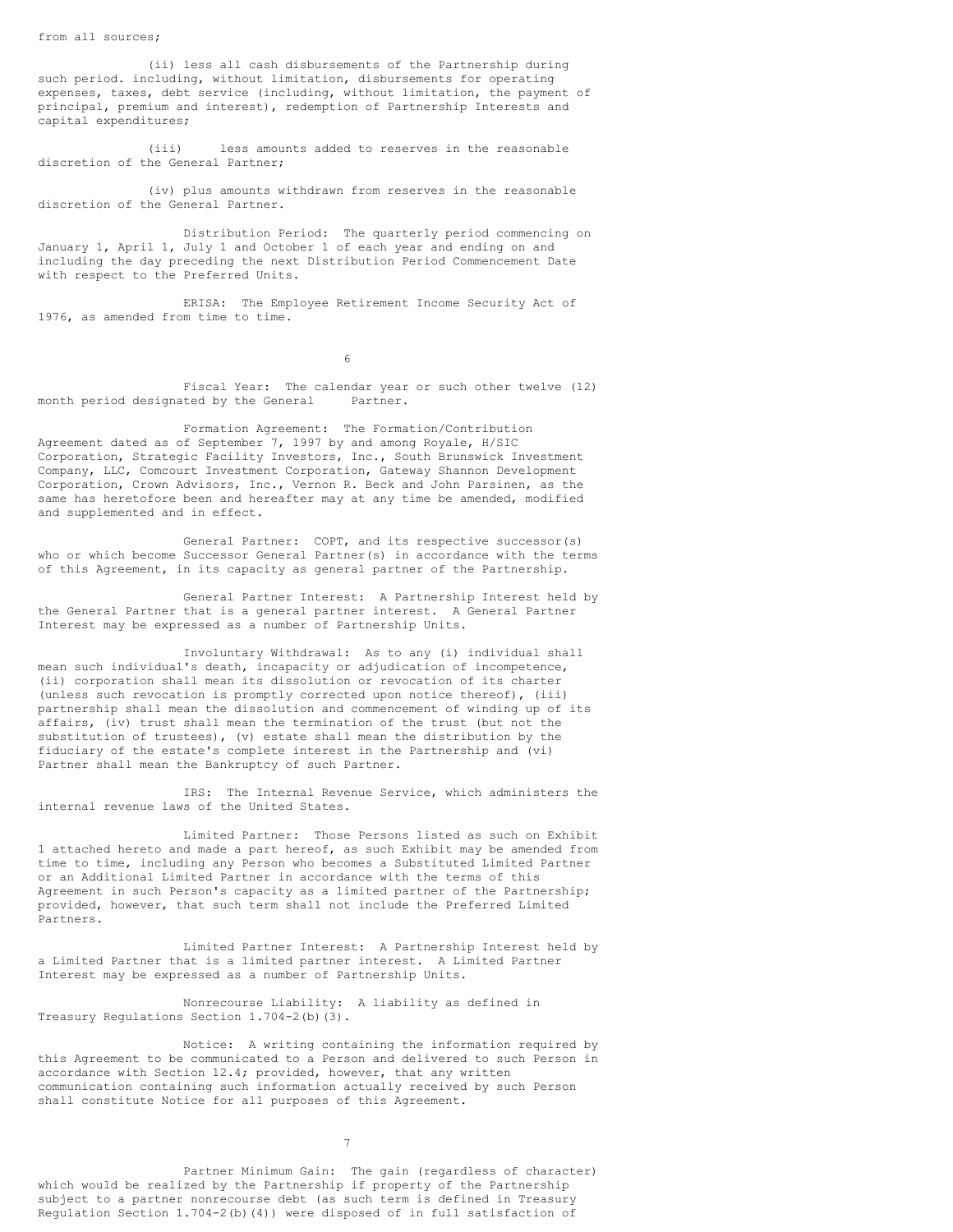from all sources;

(ii) less all cash disbursements of the Partnership during such period. including, without limitation, disbursements for operating expenses, taxes, debt service (including, without limitation, the payment of principal, premium and interest), redemption of Partnership Interests and capital expenditures;

(iii) less amounts added to reserves in the reasonable discretion of the General Partner;

(iv) plus amounts withdrawn from reserves in the reasonable discretion of the General Partner.

Distribution Period: The quarterly period commencing on January 1, April 1, July 1 and October 1 of each year and ending on and including the day preceding the next Distribution Period Commencement Date with respect to the Preferred Units.

ERISA: The Employee Retirement Income Security Act of 1976, as amended from time to time.

6

Fiscal Year: The calendar year or such other twelve (12) month period designated by the General Partner.

Formation Agreement: The Formation/Contribution Agreement dated as of September 7, 1997 by and among Royale, H/SIC Corporation, Strategic Facility Investors, Inc., South Brunswick Investment Company, LLC, Comcourt Investment Corporation, Gateway Shannon Development Corporation, Crown Advisors, Inc., Vernon R. Beck and John Parsinen, as the same has heretofore been and hereafter may at any time be amended, modified and supplemented and in effect.

General Partner: COPT, and its respective successor(s) who or which become Successor General Partner(s) in accordance with the terms of this Agreement, in its capacity as general partner of the Partnership.

General Partner Interest: A Partnership Interest held by the General Partner that is a general partner interest. A General Partner Interest may be expressed as a number of Partnership Units.

Involuntary Withdrawal: As to any (i) individual shall mean such individual's death, incapacity or adjudication of incompetence, (ii) corporation shall mean its dissolution or revocation of its charter (unless such revocation is promptly corrected upon notice thereof), (iii) partnership shall mean the dissolution and commencement of winding up of its affairs, (iv) trust shall mean the termination of the trust (but not the substitution of trustees), (v) estate shall mean the distribution by the fiduciary of the estate's complete interest in the Partnership and (vi) Partner shall mean the Bankruptcy of such Partner.

IRS: The Internal Revenue Service, which administers the internal revenue laws of the United States.

Limited Partner: Those Persons listed as such on Exhibit 1 attached hereto and made a part hereof, as such Exhibit may be amended from time to time, including any Person who becomes a Substituted Limited Partner or an Additional Limited Partner in accordance with the terms of this Agreement in such Person's capacity as a limited partner of the Partnership; provided, however, that such term shall not include the Preferred Limited Partners.

Limited Partner Interest: A Partnership Interest held by a Limited Partner that is a limited partner interest. A Limited Partner Interest may be expressed as a number of Partnership Units.

Nonrecourse Liability: A liability as defined in Treasury Regulations Section 1.704-2(b)(3).

Notice: A writing containing the information required by this Agreement to be communicated to a Person and delivered to such Person in accordance with Section 12.4; provided, however, that any written communication containing such information actually received by such Person shall constitute Notice for all purposes of this Agreement.

7

Partner Minimum Gain: The gain (regardless of character) which would be realized by the Partnership if property of the Partnership subject to a partner nonrecourse debt (as such term is defined in Treasury Regulation Section 1.704-2(b)(4)) were disposed of in full satisfaction of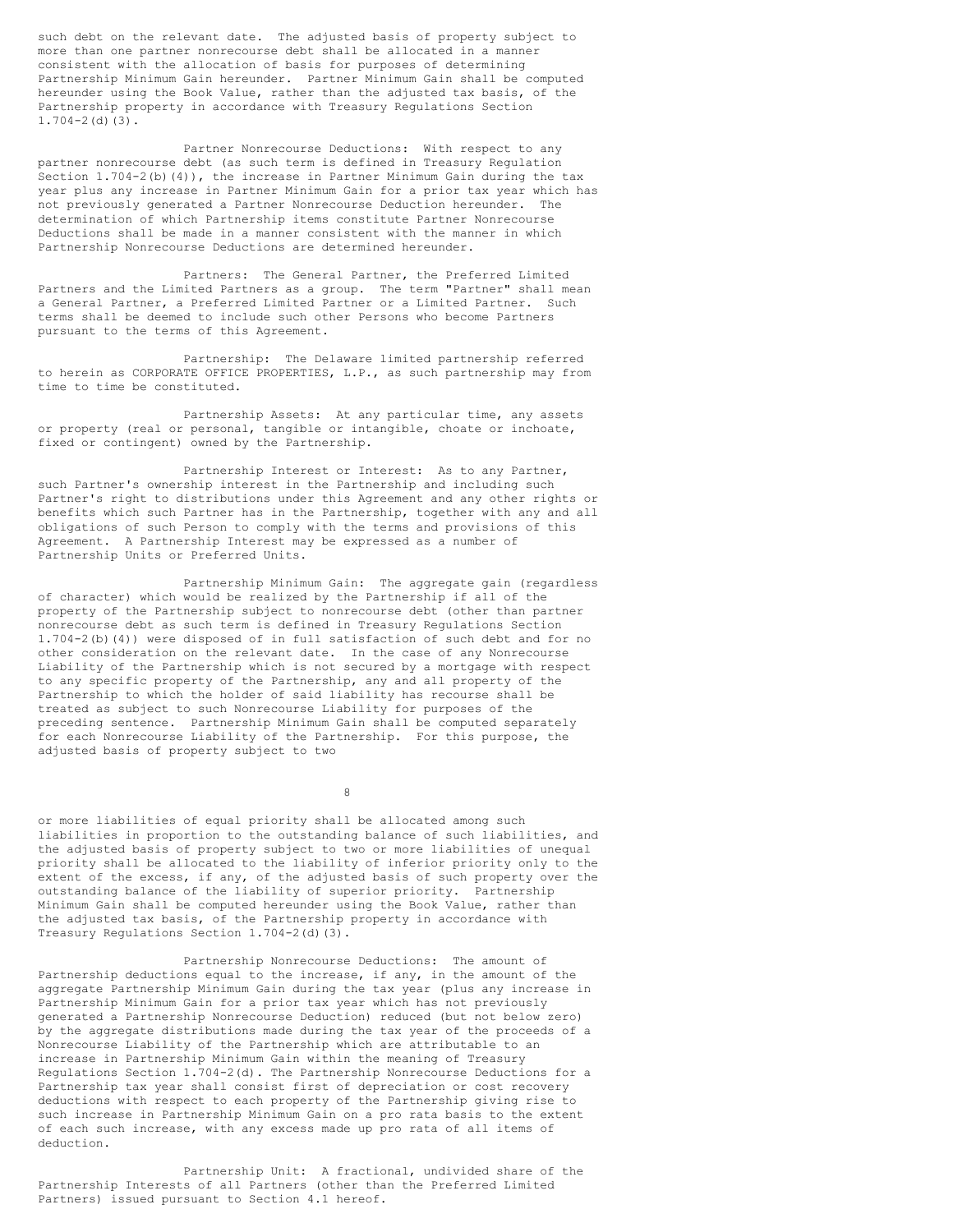such debt on the relevant date. The adjusted basis of property subject to more than one partner nonrecourse debt shall be allocated in a manner consistent with the allocation of basis for purposes of determining Partnership Minimum Gain hereunder. Partner Minimum Gain shall be computed hereunder using the Book Value, rather than the adjusted tax basis, of the Partnership property in accordance with Treasury Regulations Section  $1.704-2$  (d)(3).

Partner Nonrecourse Deductions: With respect to any partner nonrecourse debt (as such term is defined in Treasury Regulation Section 1.704-2(b)(4)), the increase in Partner Minimum Gain during the tax year plus any increase in Partner Minimum Gain for a prior tax year which has not previously generated a Partner Nonrecourse Deduction hereunder. The determination of which Partnership items constitute Partner Nonrecourse Deductions shall be made in a manner consistent with the manner in which Partnership Nonrecourse Deductions are determined hereunder.

Partners: The General Partner, the Preferred Limited Partners and the Limited Partners as a group. The term "Partner" shall mean a General Partner, a Preferred Limited Partner or a Limited Partner. Such terms shall be deemed to include such other Persons who become Partners pursuant to the terms of this Agreement.

Partnership: The Delaware limited partnership referred to herein as CORPORATE OFFICE PROPERTIES, L.P., as such partnership may from time to time be constituted.

Partnership Assets: At any particular time, any assets or property (real or personal, tangible or intangible, choate or inchoate, fixed or contingent) owned by the Partnership.

Partnership Interest or Interest: As to any Partner, such Partner's ownership interest in the Partnership and including such Partner's right to distributions under this Agreement and any other rights or benefits which such Partner has in the Partnership, together with any and all obligations of such Person to comply with the terms and provisions of this Agreement. A Partnership Interest may be expressed as a number of Partnership Units or Preferred Units.

Partnership Minimum Gain: The aggregate gain (regardless of character) which would be realized by the Partnership if all of the property of the Partnership subject to nonrecourse debt (other than partner nonrecourse debt as such term is defined in Treasury Regulations Section 1.704-2(b)(4)) were disposed of in full satisfaction of such debt and for no other consideration on the relevant date. In the case of any Nonrecourse Liability of the Partnership which is not secured by a mortgage with respect to any specific property of the Partnership, any and all property of the Partnership to which the holder of said liability has recourse shall be treated as subject to such Nonrecourse Liability for purposes of the preceding sentence. Partnership Minimum Gain shall be computed separately for each Nonrecourse Liability of the Partnership. For this purpose, the adjusted basis of property subject to two

8

or more liabilities of equal priority shall be allocated among such liabilities in proportion to the outstanding balance of such liabilities, and the adjusted basis of property subject to two or more liabilities of unequal priority shall be allocated to the liability of inferior priority only to the extent of the excess, if any, of the adjusted basis of such property over the outstanding balance of the liability of superior priority. Partnership Minimum Gain shall be computed hereunder using the Book Value, rather than the adjusted tax basis, of the Partnership property in accordance with Treasury Regulations Section 1.704-2(d)(3).

Partnership Nonrecourse Deductions: The amount of Partnership deductions equal to the increase, if any, in the amount of the aggregate Partnership Minimum Gain during the tax year (plus any increase in Partnership Minimum Gain for a prior tax year which has not previously generated a Partnership Nonrecourse Deduction) reduced (but not below zero) by the aggregate distributions made during the tax year of the proceeds of a Nonrecourse Liability of the Partnership which are attributable to an increase in Partnership Minimum Gain within the meaning of Treasury Regulations Section 1.704-2(d). The Partnership Nonrecourse Deductions for a Partnership tax year shall consist first of depreciation or cost recovery deductions with respect to each property of the Partnership giving rise to such increase in Partnership Minimum Gain on a pro rata basis to the extent of each such increase, with any excess made up pro rata of all items of deduction.

Partnership Unit: A fractional, undivided share of the Partnership Interests of all Partners (other than the Preferred Limited Partners) issued pursuant to Section 4.1 hereof.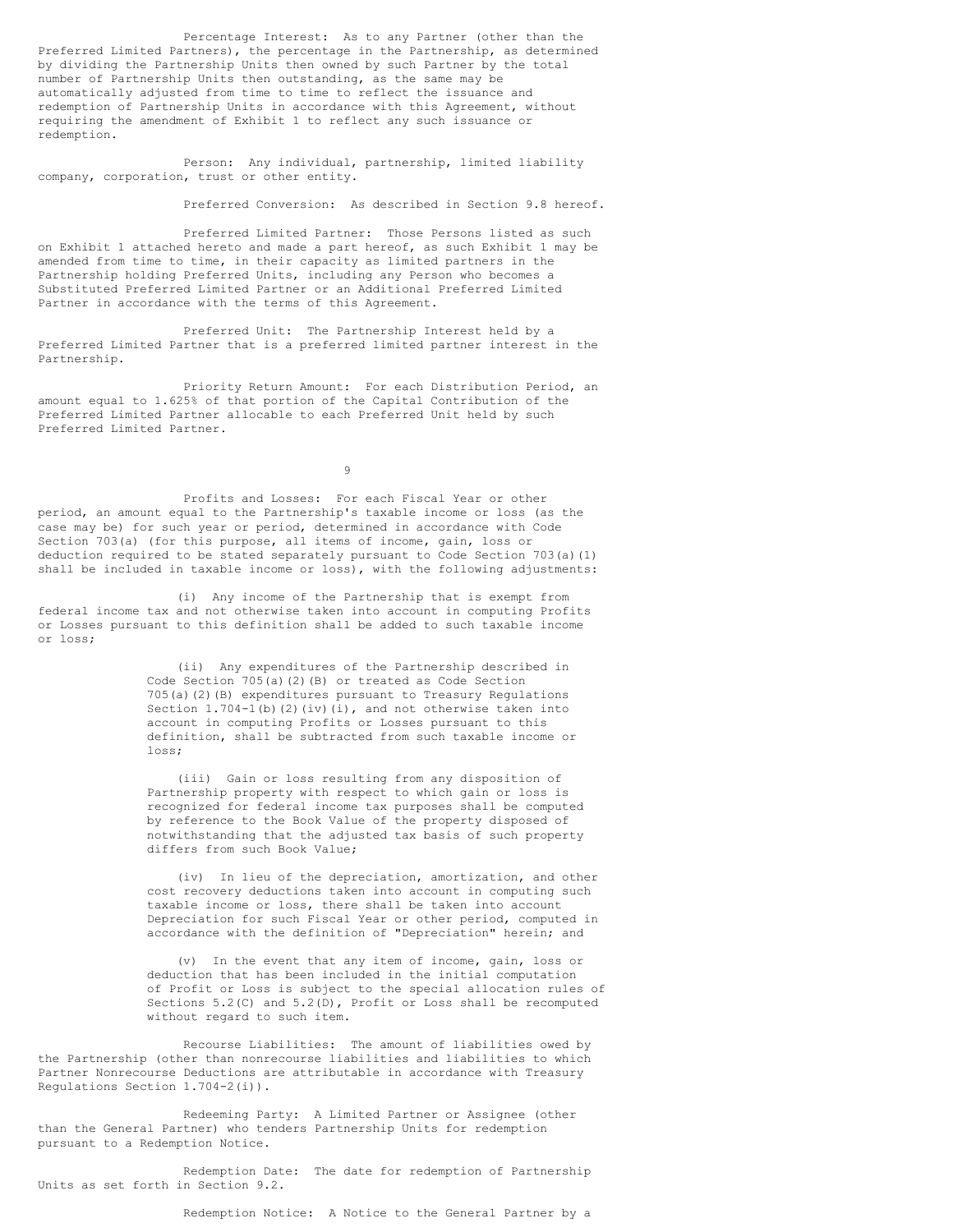Percentage Interest: As to any Partner (other than the Preferred Limited Partners), the percentage in the Partnership, as determined by dividing the Partnership Units then owned by such Partner by the total number of Partnership Units then outstanding, as the same may be automatically adjusted from time to time to reflect the issuance and redemption of Partnership Units in accordance with this Agreement, without requiring the amendment of Exhibit 1 to reflect any such issuance or redemption.

Person: Any individual, partnership, limited liability company, corporation, trust or other entity.

Preferred Conversion: As described in Section 9.8 hereof.

Preferred Limited Partner: Those Persons listed as such on Exhibit 1 attached hereto and made a part hereof, as such Exhibit 1 may be amended from time to time, in their capacity as limited partners in the Partnership holding Preferred Units, including any Person who becomes a Substituted Preferred Limited Partner or an Additional Preferred Limited Partner in accordance with the terms of this Agreement.

Preferred Unit: The Partnership Interest held by a Preferred Limited Partner that is a preferred limited partner interest in the Partnership.

Priority Return Amount: For each Distribution Period, an amount equal to 1.625% of that portion of the Capital Contribution of the Preferred Limited Partner allocable to each Preferred Unit held by such Preferred Limited Partner.

 $\alpha$ 

Profits and Losses: For each Fiscal Year or other period, an amount equal to the Partnership's taxable income or loss (as the case may be) for such year or period, determined in accordance with Code Section 703(a) (for this purpose, all items of income, gain, loss or deduction required to be stated separately pursuant to Code Section 703(a)(1) shall be included in taxable income or loss), with the following adjustments:

(i) Any income of the Partnership that is exempt from federal income tax and not otherwise taken into account in computing Profits or Losses pursuant to this definition shall be added to such taxable income or loss;

> (ii) Any expenditures of the Partnership described in Code Section 705(a)(2)(B) or treated as Code Section 705(a)(2)(B) expenditures pursuant to Treasury Regulations Section 1.704-1(b)(2)(iv)(i), and not otherwise taken into account in computing Profits or Losses pursuant to this definition, shall be subtracted from such taxable income or loss;

(iii) Gain or loss resulting from any disposition of Partnership property with respect to which gain or loss is recognized for federal income tax purposes shall be computed by reference to the Book Value of the property disposed of notwithstanding that the adjusted tax basis of such property differs from such Book Value;

(iv) In lieu of the depreciation, amortization, and other cost recovery deductions taken into account in computing such taxable income or loss, there shall be taken into account Depreciation for such Fiscal Year or other period, computed in accordance with the definition of "Depreciation" herein; and

(v) In the event that any item of income, gain, loss or deduction that has been included in the initial computation of Profit or Loss is subject to the special allocation rules of Sections 5.2(C) and 5.2(D), Profit or Loss shall be recomputed without regard to such item.

Recourse Liabilities: The amount of liabilities owed by the Partnership (other than nonrecourse liabilities and liabilities to which Partner Nonrecourse Deductions are attributable in accordance with Treasury Regulations Section 1.704-2(i)).

Redeeming Party: A Limited Partner or Assignee (other than the General Partner) who tenders Partnership Units for redemption pursuant to a Redemption Notice.

Redemption Date: The date for redemption of Partnership Units as set forth in Section 9.2.

Redemption Notice: A Notice to the General Partner by a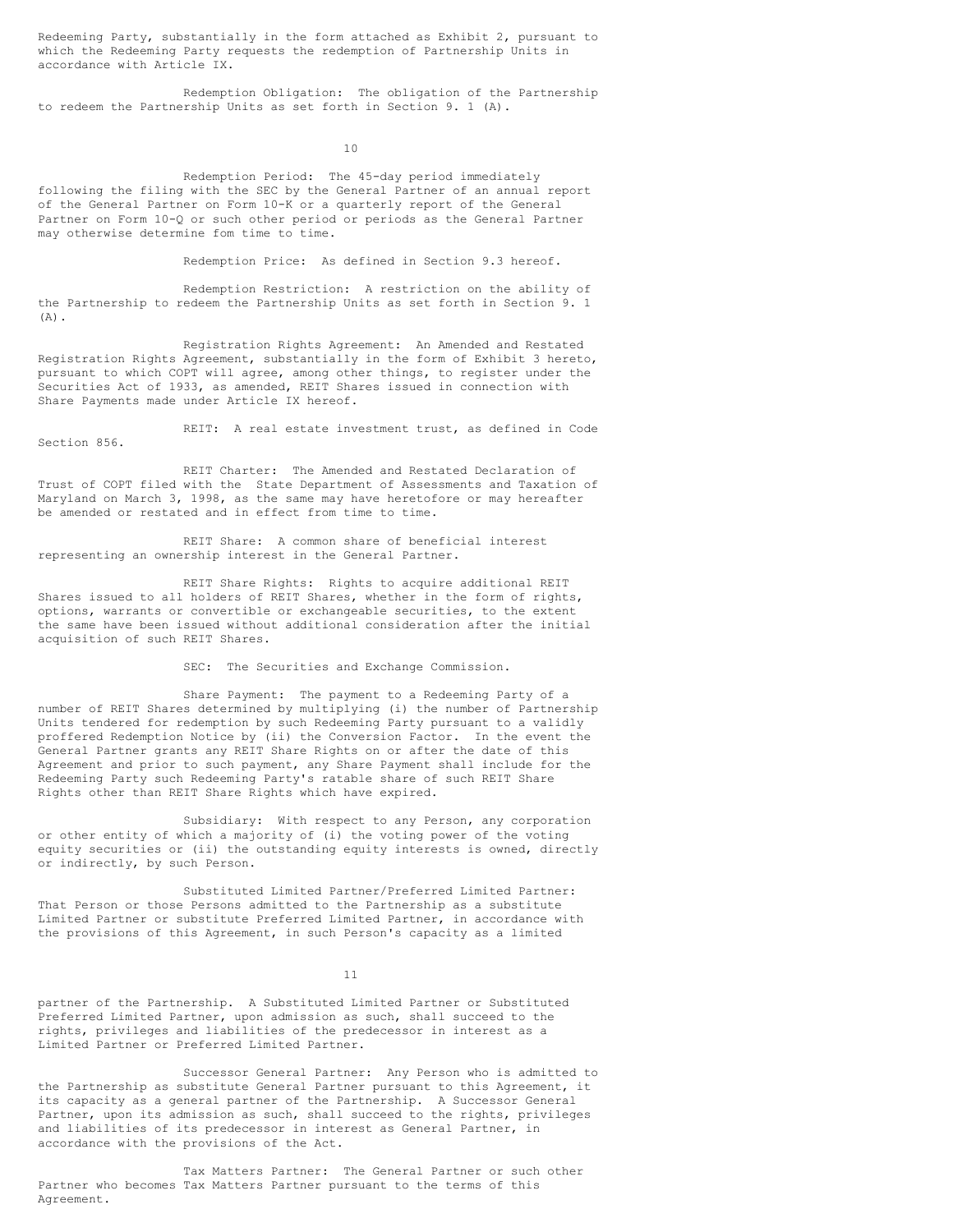Redeeming Party, substantially in the form attached as Exhibit 2, pursuant to which the Redeeming Party requests the redemption of Partnership Units in accordance with Article IX.

Redemption Obligation: The obligation of the Partnership to redeem the Partnership Units as set forth in Section 9. 1 (A).

10

Redemption Period: The 45-day period immediately following the filing with the SEC by the General Partner of an annual report of the General Partner on Form 10-K or a quarterly report of the General Partner on Form 10-Q or such other period or periods as the General Partner may otherwise determine fom time to time.

Redemption Price: As defined in Section 9.3 hereof.

Redemption Restriction: A restriction on the ability of the Partnership to redeem the Partnership Units as set forth in Section 9. 1  $(A)$ .

Registration Rights Agreement: An Amended and Restated Registration Rights Agreement, substantially in the form of Exhibit 3 hereto, pursuant to which COPT will agree, among other things, to register under the Securities Act of 1933, as amended, REIT Shares issued in connection with Share Payments made under Article IX hereof.

REIT: A real estate investment trust, as defined in Code Section 856.

REIT Charter: The Amended and Restated Declaration of Trust of COPT filed with the State Department of Assessments and Taxation of Maryland on March 3, 1998, as the same may have heretofore or may hereafter be amended or restated and in effect from time to time.

REIT Share: A common share of beneficial interest representing an ownership interest in the General Partner.

REIT Share Rights: Rights to acquire additional REIT Shares issued to all holders of REIT Shares, whether in the form of rights, options, warrants or convertible or exchangeable securities, to the extent the same have been issued without additional consideration after the initial acquisition of such REIT Shares.

SEC: The Securities and Exchange Commission.

Share Payment: The payment to a Redeeming Party of a number of REIT Shares determined by multiplying (i) the number of Partnership Units tendered for redemption by such Redeeming Party pursuant to a validly proffered Redemption Notice by (ii) the Conversion Factor. In the event the General Partner grants any REIT Share Rights on or after the date of this Agreement and prior to such payment, any Share Payment shall include for the Redeeming Party such Redeeming Party's ratable share of such REIT Share Rights other than REIT Share Rights which have expired.

Subsidiary: With respect to any Person, any corporation or other entity of which a majority of (i) the voting power of the voting equity securities or (ii) the outstanding equity interests is owned, directly or indirectly, by such Person.

Substituted Limited Partner/Preferred Limited Partner: That Person or those Persons admitted to the Partnership as a substitute Limited Partner or substitute Preferred Limited Partner, in accordance with the provisions of this Agreement, in such Person's capacity as a limited

11

partner of the Partnership. A Substituted Limited Partner or Substituted Preferred Limited Partner, upon admission as such, shall succeed to the rights, privileges and liabilities of the predecessor in interest as a Limited Partner or Preferred Limited Partner.

Successor General Partner: Any Person who is admitted to the Partnership as substitute General Partner pursuant to this Agreement, it its capacity as a general partner of the Partnership. A Successor General Partner, upon its admission as such, shall succeed to the rights, privileges and liabilities of its predecessor in interest as General Partner, in accordance with the provisions of the Act.

Tax Matters Partner: The General Partner or such other Partner who becomes Tax Matters Partner pursuant to the terms of this Agreement.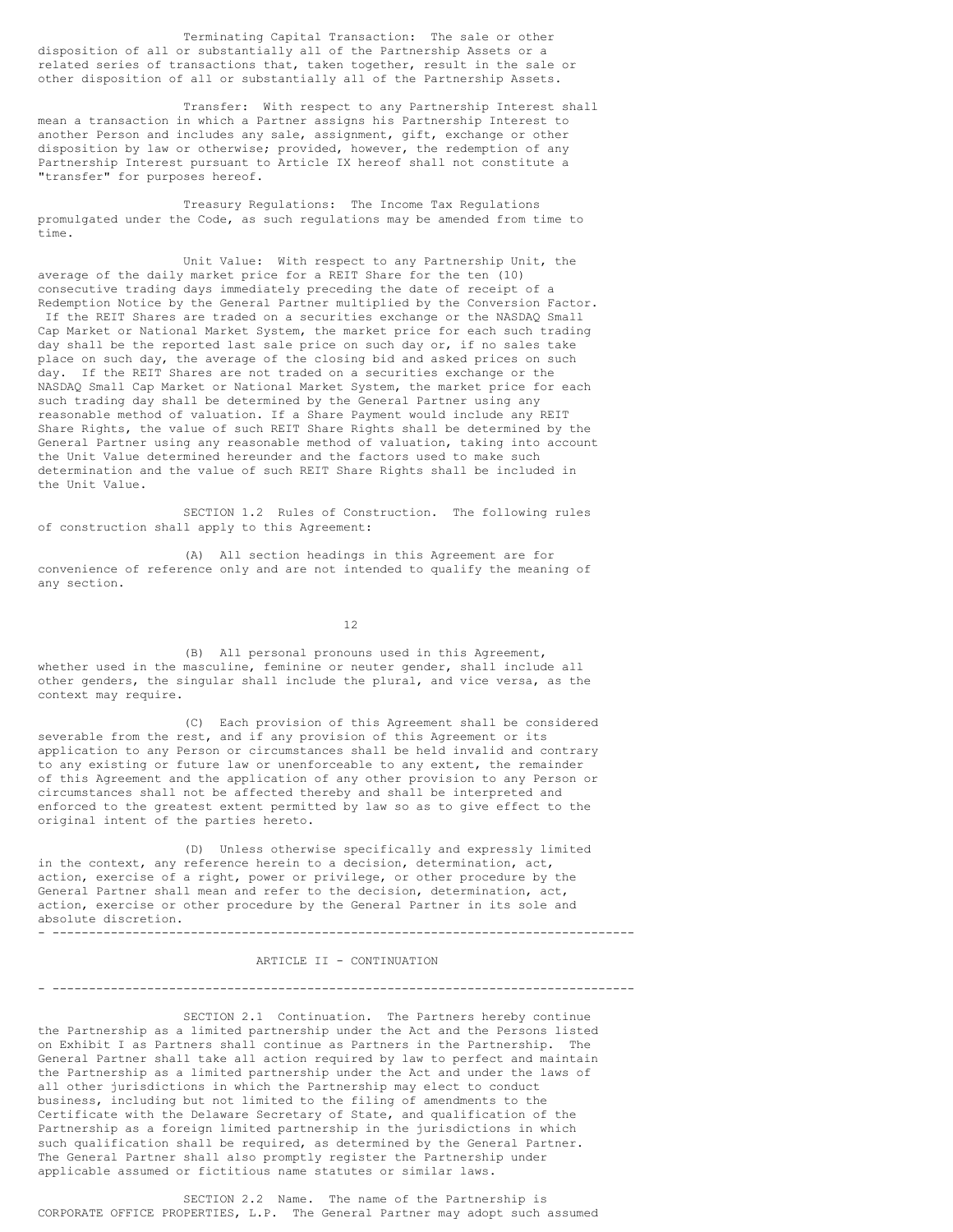Terminating Capital Transaction: The sale or other disposition of all or substantially all of the Partnership Assets or a related series of transactions that, taken together, result in the sale or other disposition of all or substantially all of the Partnership Assets.

Transfer: With respect to any Partnership Interest shall mean a transaction in which a Partner assigns his Partnership Interest to another Person and includes any sale, assignment, gift, exchange or other disposition by law or otherwise; provided, however, the redemption of any Partnership Interest pursuant to Article IX hereof shall not constitute a "transfer" for purposes hereof.

Treasury Regulations: The Income Tax Regulations promulgated under the Code, as such regulations may be amended from time to time.

Unit Value: With respect to any Partnership Unit, the average of the daily market price for a REIT Share for the ten (10) consecutive trading days immediately preceding the date of receipt of a Redemption Notice by the General Partner multiplied by the Conversion Factor. If the REIT Shares are traded on a securities exchange or the NASDAQ Small Cap Market or National Market System, the market price for each such trading day shall be the reported last sale price on such day or, if no sales take place on such day, the average of the closing bid and asked prices on such day. If the REIT Shares are not traded on a securities exchange or the NASDAQ Small Cap Market or National Market System, the market price for each such trading day shall be determined by the General Partner using any reasonable method of valuation. If a Share Payment would include any REIT Share Rights, the value of such REIT Share Rights shall be determined by the General Partner using any reasonable method of valuation, taking into account the Unit Value determined hereunder and the factors used to make such determination and the value of such REIT Share Rights shall be included in the Unit Value.

SECTION 1.2 Rules of Construction. The following rules of construction shall apply to this Agreement:

(A) All section headings in this Agreement are for convenience of reference only and are not intended to qualify the meaning of any section.

12

(B) All personal pronouns used in this Agreement, whether used in the masculine, feminine or neuter gender, shall include all other genders, the singular shall include the plural, and vice versa, as the context may require.

(C) Each provision of this Agreement shall be considered severable from the rest, and if any provision of this Agreement or its application to any Person or circumstances shall be held invalid and contrary to any existing or future law or unenforceable to any extent, the remainder of this Agreement and the application of any other provision to any Person or circumstances shall not be affected thereby and shall be interpreted and enforced to the greatest extent permitted by law so as to give effect to the original intent of the parties hereto.

(D) Unless otherwise specifically and expressly limited in the context, any reference herein to a decision, determination, act, action, exercise of a right, power or privilege, or other procedure by the General Partner shall mean and refer to the decision, determination, act, action, exercise or other procedure by the General Partner in its sole and absolute discretion. - --------------------------------------------------------------------------------

ARTICLE II - CONTINUATION

- --------------------------------------------------------------------------------

SECTION 2.1 Continuation. The Partners hereby continue the Partnership as a limited partnership under the Act and the Persons listed on Exhibit I as Partners shall continue as Partners in the Partnership. The General Partner shall take all action required by law to perfect and maintain the Partnership as a limited partnership under the Act and under the laws of all other jurisdictions in which the Partnership may elect to conduct business, including but not limited to the filing of amendments to the Certificate with the Delaware Secretary of State, and qualification of the Partnership as a foreign limited partnership in the jurisdictions in which such qualification shall be required, as determined by the General Partner. The General Partner shall also promptly register the Partnership under applicable assumed or fictitious name statutes or similar laws.

SECTION 2.2 Name. The name of the Partnership is CORPORATE OFFICE PROPERTIES, L.P. The General Partner may adopt such assumed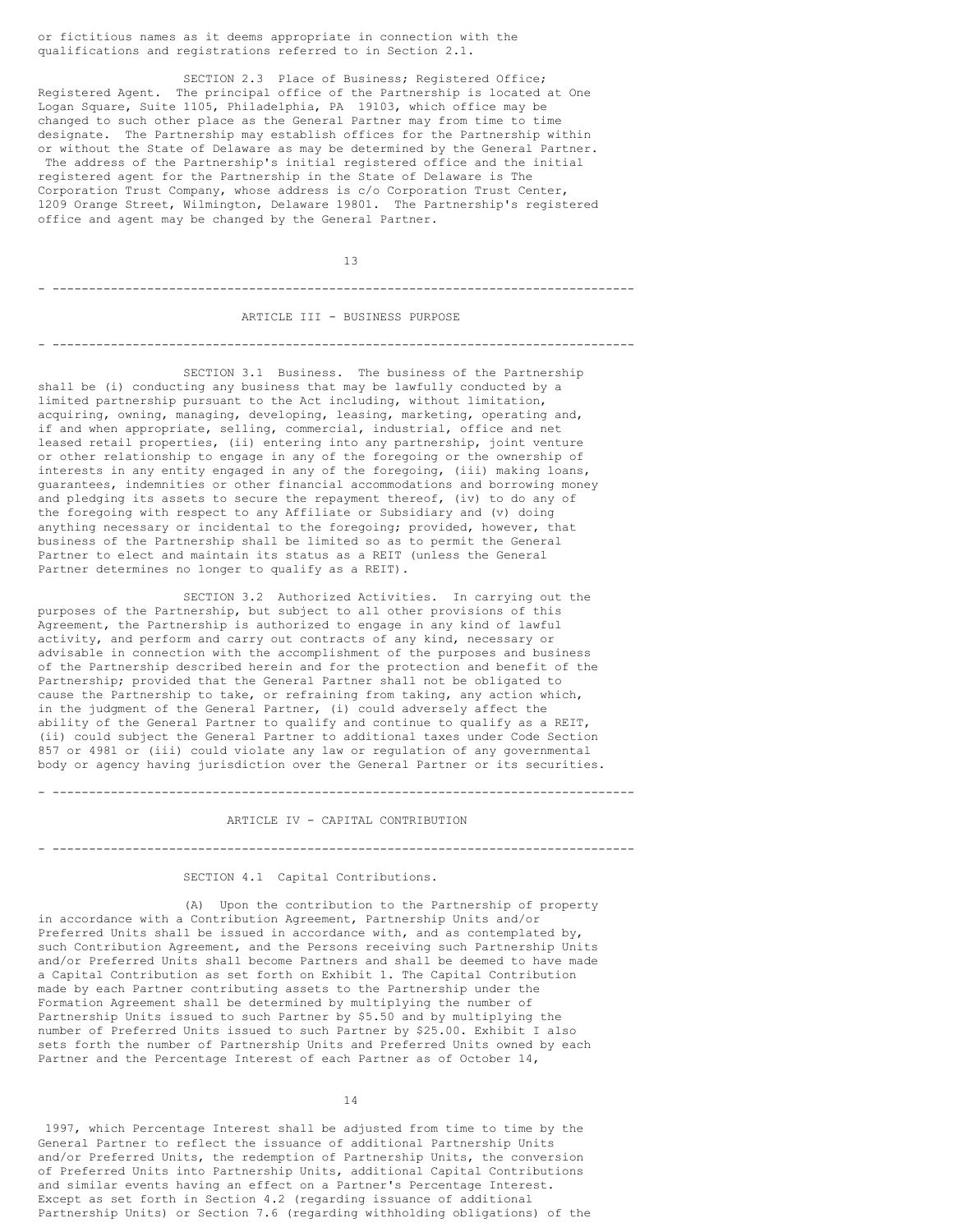or fictitious names as it deems appropriate in connection with the qualifications and registrations referred to in Section 2.1.

SECTION 2.3 Place of Business; Registered Office; Registered Agent. The principal office of the Partnership is located at One Logan Square, Suite 1105, Philadelphia, PA 19103, which office may be changed to such other place as the General Partner may from time to time designate. The Partnership may establish offices for the Partnership within or without the State of Delaware as may be determined by the General Partner. The address of the Partnership's initial registered office and the initial registered agent for the Partnership in the State of Delaware is The Corporation Trust Company, whose address is c/o Corporation Trust Center, 1209 Orange Street, Wilmington, Delaware 19801. The Partnership's registered office and agent may be changed by the General Partner.

13 - --------------------------------------------------------------------------------

ARTICLE III - BUSINESS PURPOSE

- --------------------------------------------------------------------------------

SECTION 3.1 Business. The business of the Partnership shall be (i) conducting any business that may be lawfully conducted by a limited partnership pursuant to the Act including, without limitation, acquiring, owning, managing, developing, leasing, marketing, operating and, if and when appropriate, selling, commercial, industrial, office and net leased retail properties, (ii) entering into any partnership, joint venture or other relationship to engage in any of the foregoing or the ownership of interests in any entity engaged in any of the foregoing, (iii) making loans, guarantees, indemnities or other financial accommodations and borrowing money and pledging its assets to secure the repayment thereof, (iv) to do any of the foregoing with respect to any Affiliate or Subsidiary and (v) doing anything necessary or incidental to the foregoing; provided, however, that business of the Partnership shall be limited so as to permit the General Partner to elect and maintain its status as a REIT (unless the General Partner determines no longer to qualify as a REIT).

SECTION 3.2 Authorized Activities. In carrying out the purposes of the Partnership, but subject to all other provisions of this Agreement, the Partnership is authorized to engage in any kind of lawful activity, and perform and carry out contracts of any kind, necessary or advisable in connection with the accomplishment of the purposes and business of the Partnership described herein and for the protection and benefit of the Partnership; provided that the General Partner shall not be obligated to cause the Partnership to take, or refraining from taking, any action which, in the judgment of the General Partner, (i) could adversely affect the ability of the General Partner to qualify and continue to qualify as a REIT, (ii) could subject the General Partner to additional taxes under Code Section 857 or 4981 or (iii) could violate any law or regulation of any governmental body or agency having jurisdiction over the General Partner or its securities.

ARTICLE IV - CAPITAL CONTRIBUTION

- --------------------------------------------------------------------------------

- --------------------------------------------------------------------------------

### SECTION 4.1 Capital Contributions.

(A) Upon the contribution to the Partnership of property in accordance with a Contribution Agreement, Partnership Units and/or Preferred Units shall be issued in accordance with, and as contemplated by, such Contribution Agreement, and the Persons receiving such Partnership Units and/or Preferred Units shall become Partners and shall be deemed to have made a Capital Contribution as set forth on Exhibit 1. The Capital Contribution made by each Partner contributing assets to the Partnership under the Formation Agreement shall be determined by multiplying the number of Partnership Units issued to such Partner by \$5.50 and by multiplying the number of Preferred Units issued to such Partner by \$25.00. Exhibit I also sets forth the number of Partnership Units and Preferred Units owned by each Partner and the Percentage Interest of each Partner as of October 14,

14

1997, which Percentage Interest shall be adjusted from time to time by the General Partner to reflect the issuance of additional Partnership Units and/or Preferred Units, the redemption of Partnership Units, the conversion of Preferred Units into Partnership Units, additional Capital Contributions and similar events having an effect on a Partner's Percentage Interest. Except as set forth in Section 4.2 (regarding issuance of additional Partnership Units) or Section 7.6 (regarding withholding obligations) of the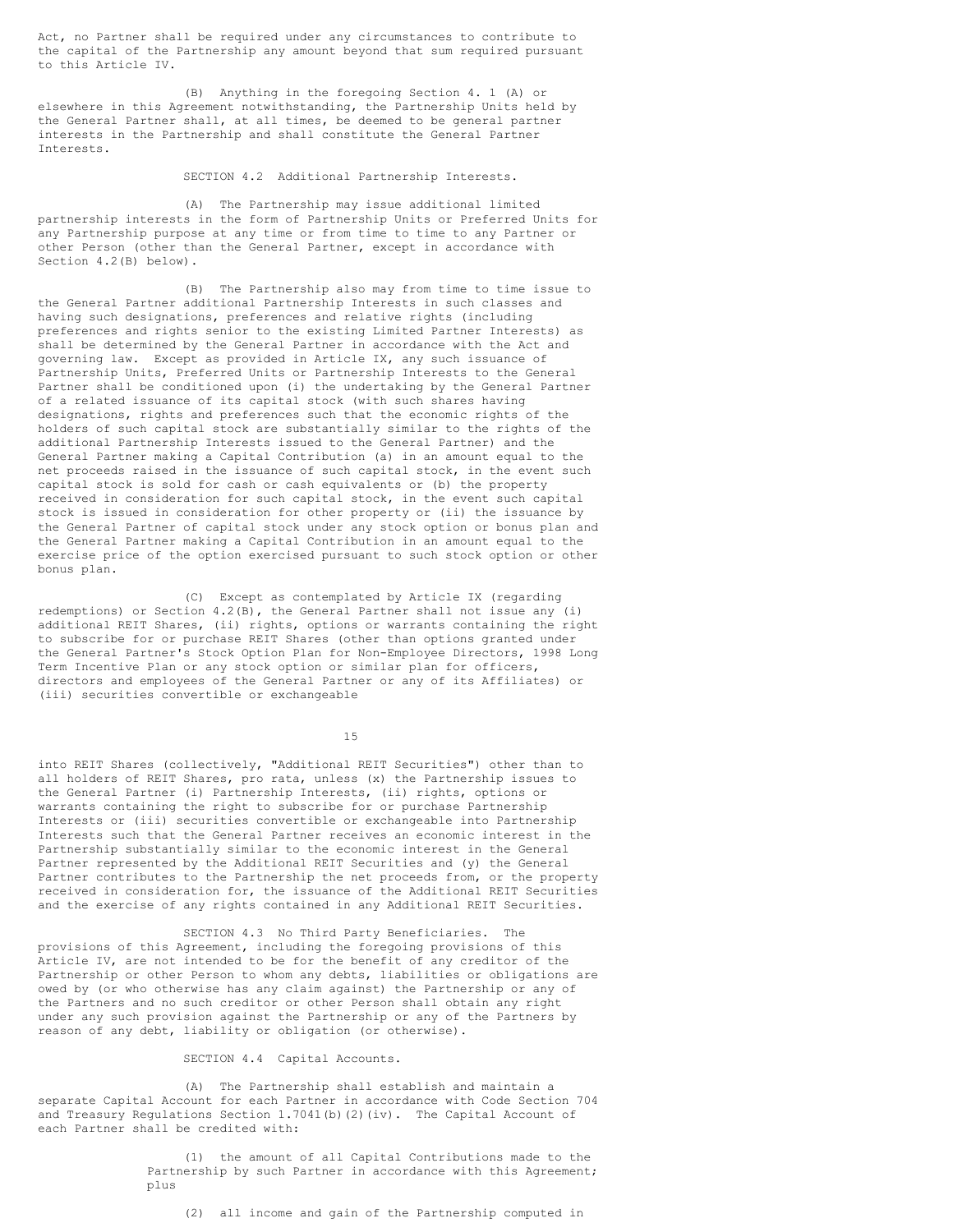Act, no Partner shall be required under any circumstances to contribute to the capital of the Partnership any amount beyond that sum required pursuant to this Article IV.

(B) Anything in the foregoing Section 4. 1 (A) or elsewhere in this Agreement notwithstanding, the Partnership Units held by the General Partner shall, at all times, be deemed to be general partner interests in the Partnership and shall constitute the General Partner Interests.

# SECTION 4.2 Additional Partnership Interests.

(A) The Partnership may issue additional limited partnership interests in the form of Partnership Units or Preferred Units for any Partnership purpose at any time or from time to time to any Partner or other Person (other than the General Partner, except in accordance with Section 4.2(B) below).

(B) The Partnership also may from time to time issue to the General Partner additional Partnership Interests in such classes and having such designations, preferences and relative rights (including preferences and rights senior to the existing Limited Partner Interests) as shall be determined by the General Partner in accordance with the Act and governing law. Except as provided in Article IX, any such issuance of Partnership Units, Preferred Units or Partnership Interests to the General Partner shall be conditioned upon (i) the undertaking by the General Partner of a related issuance of its capital stock (with such shares having designations, rights and preferences such that the economic rights of the holders of such capital stock are substantially similar to the rights of the additional Partnership Interests issued to the General Partner) and the General Partner making a Capital Contribution (a) in an amount equal to the net proceeds raised in the issuance of such capital stock, in the event such capital stock is sold for cash or cash equivalents or (b) the property received in consideration for such capital stock, in the event such capital stock is issued in consideration for other property or (ii) the issuance by the General Partner of capital stock under any stock option or bonus plan and the General Partner making a Capital Contribution in an amount equal to the exercise price of the option exercised pursuant to such stock option or other bonus plan.

(C) Except as contemplated by Article IX (regarding redemptions) or Section 4.2(B), the General Partner shall not issue any (i) additional REIT Shares, (ii) rights, options or warrants containing the right to subscribe for or purchase REIT Shares (other than options granted under the General Partner's Stock Option Plan for Non-Employee Directors, 1998 Long Term Incentive Plan or any stock option or similar plan for officers, directors and employees of the General Partner or any of its Affiliates) or (iii) securities convertible or exchangeable

15

into REIT Shares (collectively, "Additional REIT Securities") other than to all holders of REIT Shares, pro rata, unless (x) the Partnership issues to the General Partner (i) Partnership Interests, (ii) rights, options or warrants containing the right to subscribe for or purchase Partnership Interests or (iii) securities convertible or exchangeable into Partnership Interests such that the General Partner receives an economic interest in the Partnership substantially similar to the economic interest in the General Partner represented by the Additional REIT Securities and (y) the General Partner contributes to the Partnership the net proceeds from, or the property received in consideration for, the issuance of the Additional REIT Securities and the exercise of any rights contained in any Additional REIT Securities.

SECTION 4.3 No Third Party Beneficiaries. The provisions of this Agreement, including the foregoing provisions of this Article IV, are not intended to be for the benefit of any creditor of the Partnership or other Person to whom any debts, liabilities or obligations are owed by (or who otherwise has any claim against) the Partnership or any of the Partners and no such creditor or other Person shall obtain any right under any such provision against the Partnership or any of the Partners by reason of any debt, liability or obligation (or otherwise).

# SECTION 4.4 Capital Accounts.

(A) The Partnership shall establish and maintain a separate Capital Account for each Partner in accordance with Code Section 704 and Treasury Regulations Section 1.7041(b)(2)(iv). The Capital Account of each Partner shall be credited with:

> (1) the amount of all Capital Contributions made to the Partnership by such Partner in accordance with this Agreement; plus

(2) all income and gain of the Partnership computed in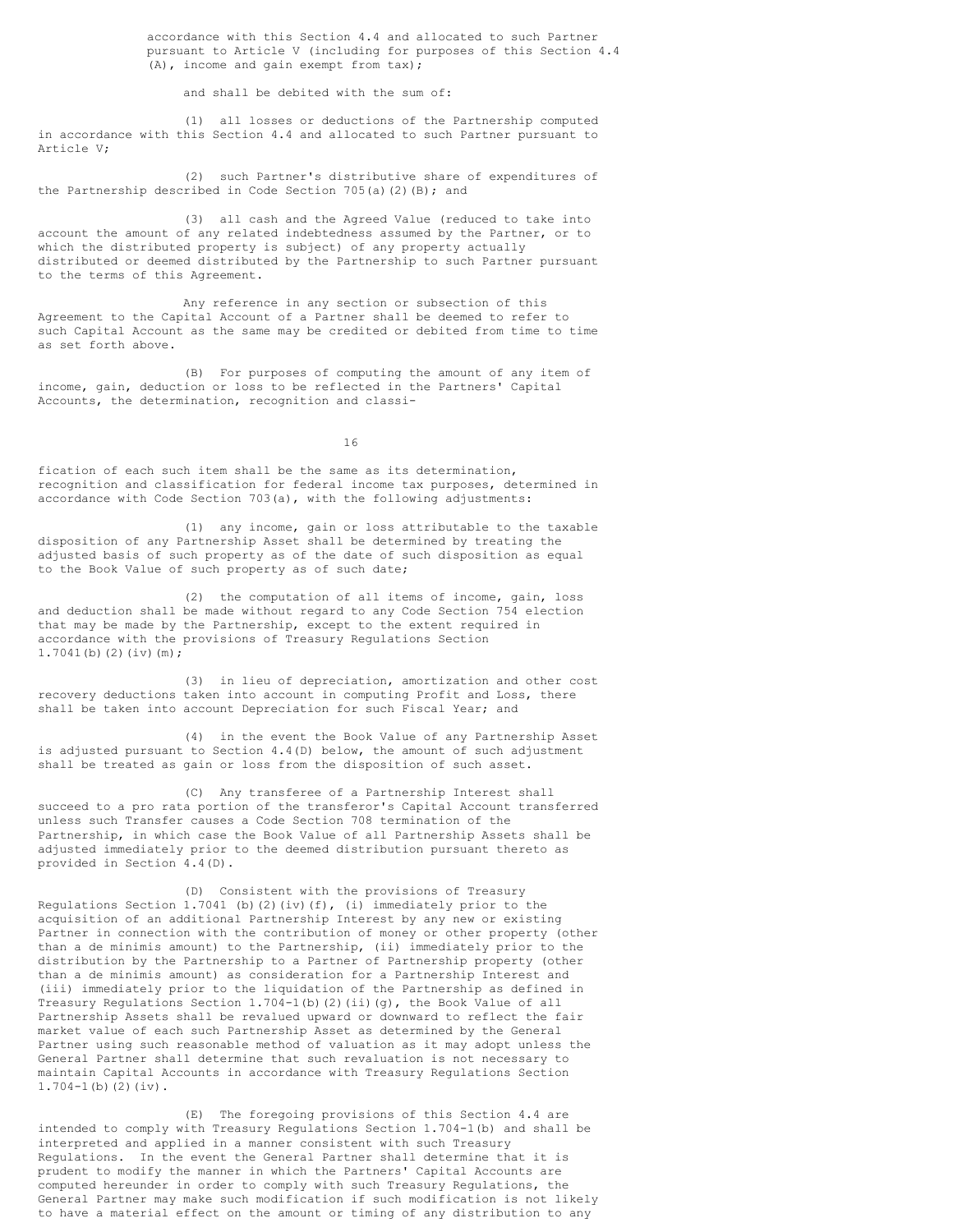accordance with this Section 4.4 and allocated to such Partner pursuant to Article V (including for purposes of this Section 4.4 (A), income and gain exempt from tax);

and shall be debited with the sum of:

(1) all losses or deductions of the Partnership computed in accordance with this Section 4.4 and allocated to such Partner pursuant to Article V;

(2) such Partner's distributive share of expenditures of the Partnership described in Code Section 705(a)(2)(B); and

(3) all cash and the Agreed Value (reduced to take into account the amount of any related indebtedness assumed by the Partner, or to which the distributed property is subject) of any property actually distributed or deemed distributed by the Partnership to such Partner pursuant to the terms of this Agreement.

Any reference in any section or subsection of this Agreement to the Capital Account of a Partner shall be deemed to refer to such Capital Account as the same may be credited or debited from time to time as set forth above.

(B) For purposes of computing the amount of any item of income, gain, deduction or loss to be reflected in the Partners' Capital Accounts, the determination, recognition and classi-

16

fication of each such item shall be the same as its determination, recognition and classification for federal income tax purposes, determined in accordance with Code Section 703(a), with the following adjustments:

(1) any income, gain or loss attributable to the taxable disposition of any Partnership Asset shall be determined by treating the adjusted basis of such property as of the date of such disposition as equal to the Book Value of such property as of such date;

(2) the computation of all items of income, gain, loss and deduction shall be made without regard to any Code Section 754 election that may be made by the Partnership, except to the extent required in accordance with the provisions of Treasury Regulations Section  $1.7041(b)(2)(iv)(m);$ 

(3) in lieu of depreciation, amortization and other cost recovery deductions taken into account in computing Profit and Loss, there shall be taken into account Depreciation for such Fiscal Year; and

(4) in the event the Book Value of any Partnership Asset is adjusted pursuant to Section 4.4(D) below, the amount of such adjustment shall be treated as gain or loss from the disposition of such asset.

(C) Any transferee of a Partnership Interest shall succeed to a pro rata portion of the transferor's Capital Account transferred unless such Transfer causes a Code Section 708 termination of the Partnership, in which case the Book Value of all Partnership Assets shall be adjusted immediately prior to the deemed distribution pursuant thereto as provided in Section 4.4(D).

(D) Consistent with the provisions of Treasury Regulations Section 1.7041 (b)(2)(iv)(f), (i) immediately prior to the acquisition of an additional Partnership Interest by any new or existing Partner in connection with the contribution of money or other property (other than a de minimis amount) to the Partnership, (ii) immediately prior to the distribution by the Partnership to a Partner of Partnership property (other than a de minimis amount) as consideration for a Partnership Interest and (iii) immediately prior to the liquidation of the Partnership as defined in Treasury Regulations Section  $1.704-1$  (b)(2)(ii)(g), the Book Value of all Partnership Assets shall be revalued upward or downward to reflect the fair market value of each such Partnership Asset as determined by the General Partner using such reasonable method of valuation as it may adopt unless the General Partner shall determine that such revaluation is not necessary to maintain Capital Accounts in accordance with Treasury Regulations Section 1.704-1(b)(2)(iv).

(E) The foregoing provisions of this Section 4.4 are intended to comply with Treasury Regulations Section 1.704-1(b) and shall be interpreted and applied in a manner consistent with such Treasury Regulations. In the event the General Partner shall determine that it is prudent to modify the manner in which the Partners' Capital Accounts are computed hereunder in order to comply with such Treasury Regulations, the General Partner may make such modification if such modification is not likely to have a material effect on the amount or timing of any distribution to any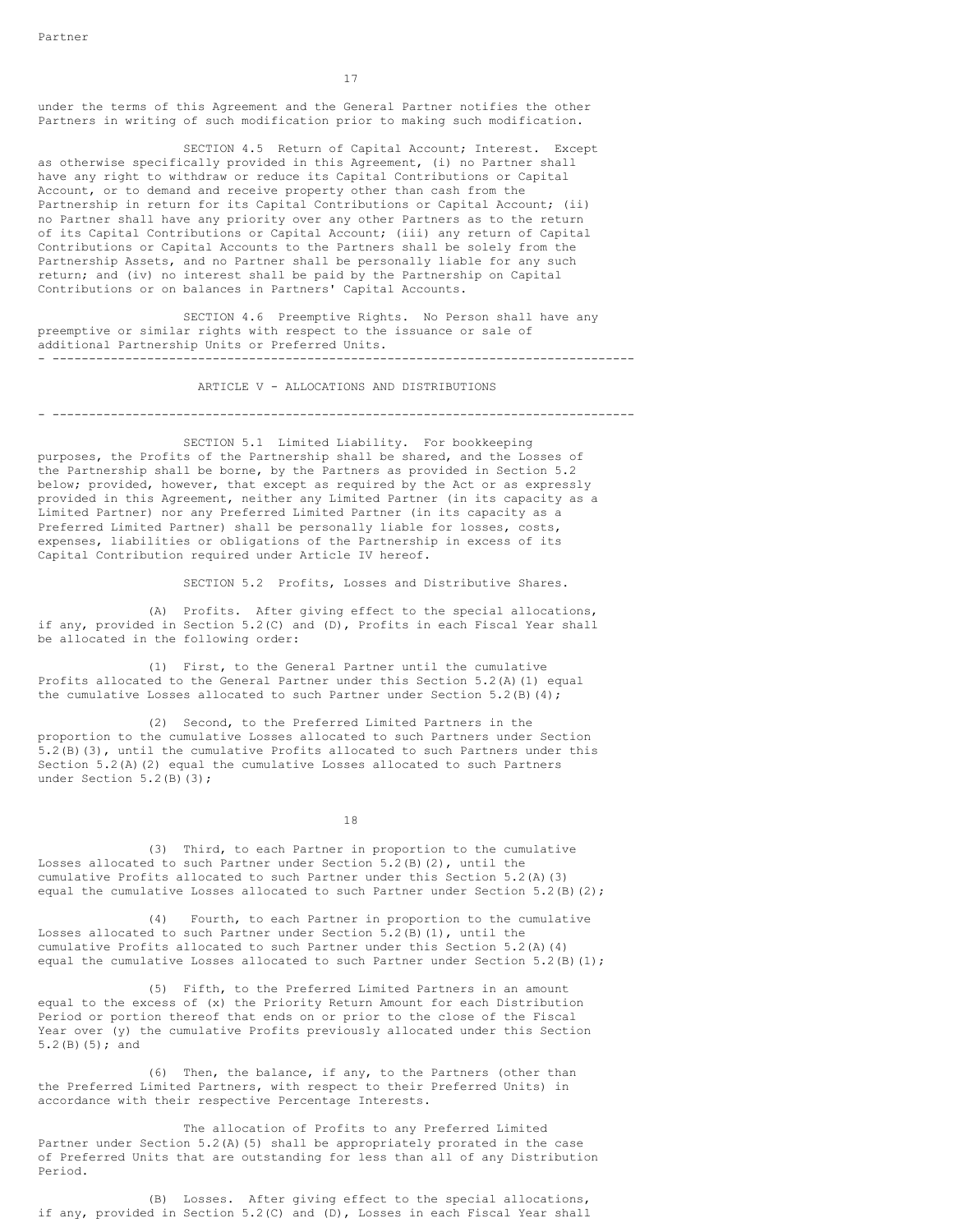17

under the terms of this Agreement and the General Partner notifies the other Partners in writing of such modification prior to making such modification.

SECTION 4.5 Return of Capital Account; Interest. Except as otherwise specifically provided in this Agreement, (i) no Partner shall have any right to withdraw or reduce its Capital Contributions or Capital Account, or to demand and receive property other than cash from the Partnership in return for its Capital Contributions or Capital Account; (ii) no Partner shall have any priority over any other Partners as to the return of its Capital Contributions or Capital Account; (iii) any return of Capital Contributions or Capital Accounts to the Partners shall be solely from the Partnership Assets, and no Partner shall be personally liable for any such return; and (iv) no interest shall be paid by the Partnership on Capital Contributions or on balances in Partners' Capital Accounts.

SECTION 4.6 Preemptive Rights. No Person shall have any preemptive or similar rights with respect to the issuance or sale of additional Partnership Units or Preferred Units. - --------------------------------------------------------------------------------

ARTICLE V - ALLOCATIONS AND DISTRIBUTIONS

- --------------------------------------------------------------------------------

SECTION 5.1 Limited Liability. For bookkeeping purposes, the Profits of the Partnership shall be shared, and the Losses of the Partnership shall be borne, by the Partners as provided in Section 5.2 below; provided, however, that except as required by the Act or as expressly provided in this Agreement, neither any Limited Partner (in its capacity as a Limited Partner) nor any Preferred Limited Partner (in its capacity as a Preferred Limited Partner) shall be personally liable for losses, costs, expenses, liabilities or obligations of the Partnership in excess of its Capital Contribution required under Article IV hereof.

SECTION 5.2 Profits, Losses and Distributive Shares.

(A) Profits. After giving effect to the special allocations, if any, provided in Section 5.2(C) and (D), Profits in each Fiscal Year shall be allocated in the following order:

(1) First, to the General Partner until the cumulative Profits allocated to the General Partner under this Section 5.2(A)(1) equal the cumulative Losses allocated to such Partner under Section 5.2(B)(4);

(2) Second, to the Preferred Limited Partners in the proportion to the cumulative Losses allocated to such Partners under Section 5.2(B)(3), until the cumulative Profits allocated to such Partners under this Section 5.2(A)(2) equal the cumulative Losses allocated to such Partners under Section 5.2(B)(3);

18

(3) Third, to each Partner in proportion to the cumulative Losses allocated to such Partner under Section 5.2(B)(2), until the cumulative Profits allocated to such Partner under this Section 5.2(A)(3) equal the cumulative Losses allocated to such Partner under Section  $5.2(B)(2)$ ;

(4) Fourth, to each Partner in proportion to the cumulative Losses allocated to such Partner under Section 5.2(B)(1), until the cumulative Profits allocated to such Partner under this Section 5.2(A)(4) equal the cumulative Losses allocated to such Partner under Section 5.2(B)(1);

(5) Fifth, to the Preferred Limited Partners in an amount equal to the excess of (x) the Priority Return Amount for each Distribution Period or portion thereof that ends on or prior to the close of the Fiscal Year over (y) the cumulative Profits previously allocated under this Section 5.2(B)(5); and

(6) Then, the balance, if any, to the Partners (other than the Preferred Limited Partners, with respect to their Preferred Units) in accordance with their respective Percentage Interests.

The allocation of Profits to any Preferred Limited Partner under Section 5.2(A)(5) shall be appropriately prorated in the case of Preferred Units that are outstanding for less than all of any Distribution Period.

(B) Losses. After giving effect to the special allocations, if any, provided in Section 5.2(C) and (D), Losses in each Fiscal Year shall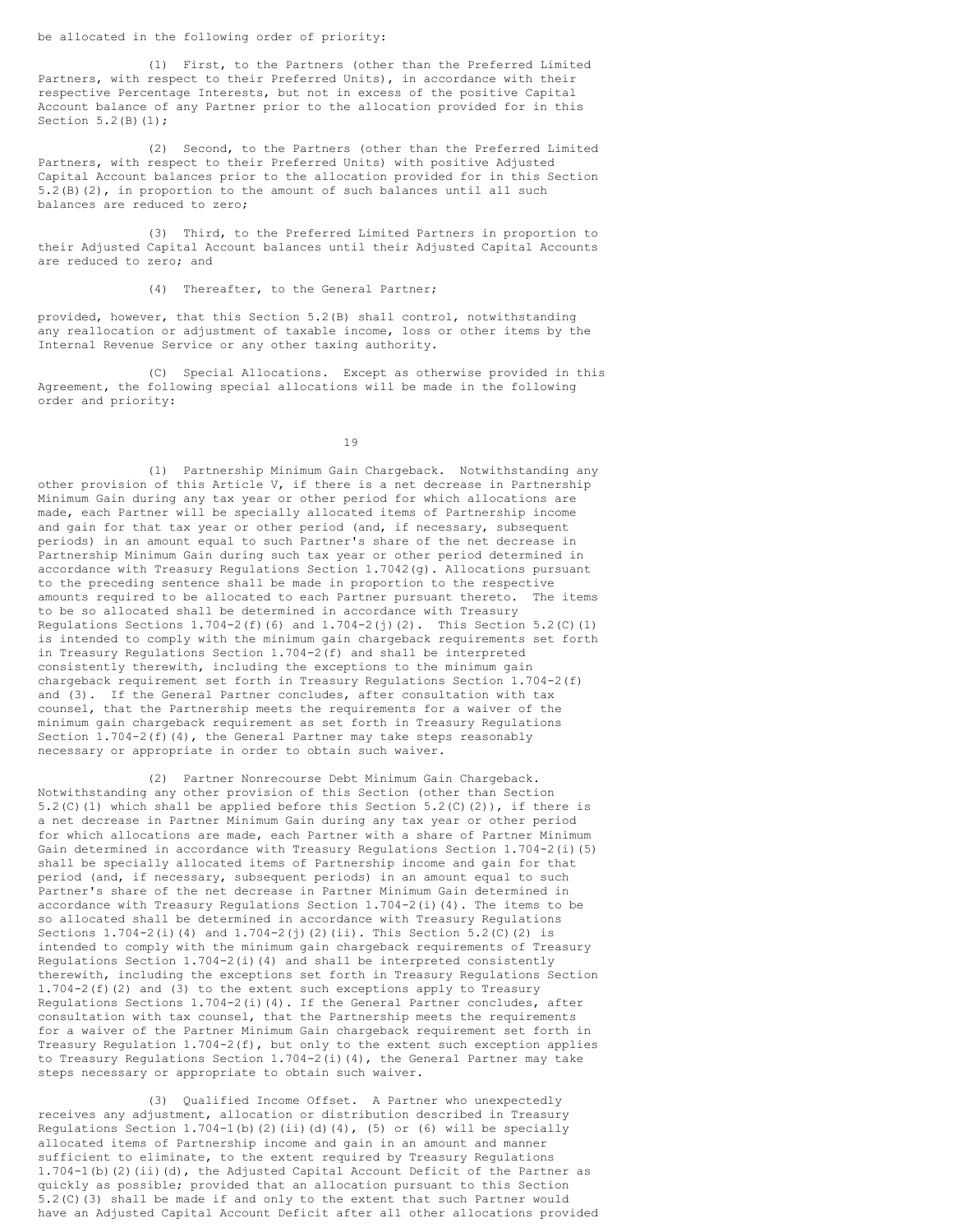be allocated in the following order of priority:

(1) First, to the Partners (other than the Preferred Limited Partners, with respect to their Preferred Units), in accordance with their respective Percentage Interests, but not in excess of the positive Capital Account balance of any Partner prior to the allocation provided for in this Section 5.2(B)(1);

(2) Second, to the Partners (other than the Preferred Limited Partners, with respect to their Preferred Units) with positive Adjusted Capital Account balances prior to the allocation provided for in this Section 5.2(B)(2), in proportion to the amount of such balances until all such balances are reduced to zero;

(3) Third, to the Preferred Limited Partners in proportion to their Adjusted Capital Account balances until their Adjusted Capital Accounts are reduced to zero; and

(4) Thereafter, to the General Partner;

provided, however, that this Section 5.2(B) shall control, notwithstanding any reallocation or adjustment of taxable income, loss or other items by the Internal Revenue Service or any other taxing authority.

(C) Special Allocations. Except as otherwise provided in this Agreement, the following special allocations will be made in the following order and priority:

19

(1) Partnership Minimum Gain Chargeback. Notwithstanding any other provision of this Article V, if there is a net decrease in Partnership Minimum Gain during any tax year or other period for which allocations are made, each Partner will be specially allocated items of Partnership income and gain for that tax year or other period (and, if necessary, subsequent periods) in an amount equal to such Partner's share of the net decrease in Partnership Minimum Gain during such tax year or other period determined in accordance with Treasury Regulations Section 1.7042(g). Allocations pursuant to the preceding sentence shall be made in proportion to the respective amounts required to be allocated to each Partner pursuant thereto. The items to be so allocated shall be determined in accordance with Treasury Regulations Sections  $1.704-2(f)(6)$  and  $1.704-2(j)(2)$ . This Section 5.2(C)(1) is intended to comply with the minimum gain chargeback requirements set forth in Treasury Regulations Section 1.704-2(f) and shall be interpreted consistently therewith, including the exceptions to the minimum gain chargeback requirement set forth in Treasury Regulations Section 1.704-2(f) and (3). If the General Partner concludes, after consultation with tax counsel, that the Partnership meets the requirements for a waiver of the minimum gain chargeback requirement as set forth in Treasury Regulations Section 1.704-2(f)(4), the General Partner may take steps reasonably necessary or appropriate in order to obtain such waiver.

(2) Partner Nonrecourse Debt Minimum Gain Chargeback. Notwithstanding any other provision of this Section (other than Section 5.2(C)(1) which shall be applied before this Section 5.2(C)(2)), if there is a net decrease in Partner Minimum Gain during any tax year or other period for which allocations are made, each Partner with a share of Partner Minimum Gain determined in accordance with Treasury Regulations Section 1.704-2(i)(5) shall be specially allocated items of Partnership income and gain for that period (and, if necessary, subsequent periods) in an amount equal to such Partner's share of the net decrease in Partner Minimum Gain determined in accordance with Treasury Regulations Section  $1.704-2$  (i)(4). The items to be so allocated shall be determined in accordance with Treasury Regulations Sections  $1.704-2$  (i)(4) and  $1.704-2$  (j)(2)(ii). This Section 5.2(C)(2) is intended to comply with the minimum gain chargeback requirements of Treasury Regulations Section  $1.704-2$  (i)(4) and shall be interpreted consistently therewith, including the exceptions set forth in Treasury Regulations Section 1.704-2(f)(2) and (3) to the extent such exceptions apply to Treasury Regulations Sections 1.704-2(i)(4). If the General Partner concludes, after consultation with tax counsel, that the Partnership meets the requirements for a waiver of the Partner Minimum Gain chargeback requirement set forth in Treasury Regulation 1.704-2(f), but only to the extent such exception applies to Treasury Regulations Section  $1.704-2$  (i)(4), the General Partner may take steps necessary or appropriate to obtain such waiver.

(3) Qualified Income Offset. A Partner who unexpectedly receives any adjustment, allocation or distribution described in Treasury Regulations Section  $1.704-1$  (b)(2)(ii)(d)(4), (5) or (6) will be specially allocated items of Partnership income and gain in an amount and manner sufficient to eliminate, to the extent required by Treasury Regulations 1.704-1(b)(2)(ii)(d), the Adjusted Capital Account Deficit of the Partner as quickly as possible; provided that an allocation pursuant to this Section 5.2(C)(3) shall be made if and only to the extent that such Partner would have an Adjusted Capital Account Deficit after all other allocations provided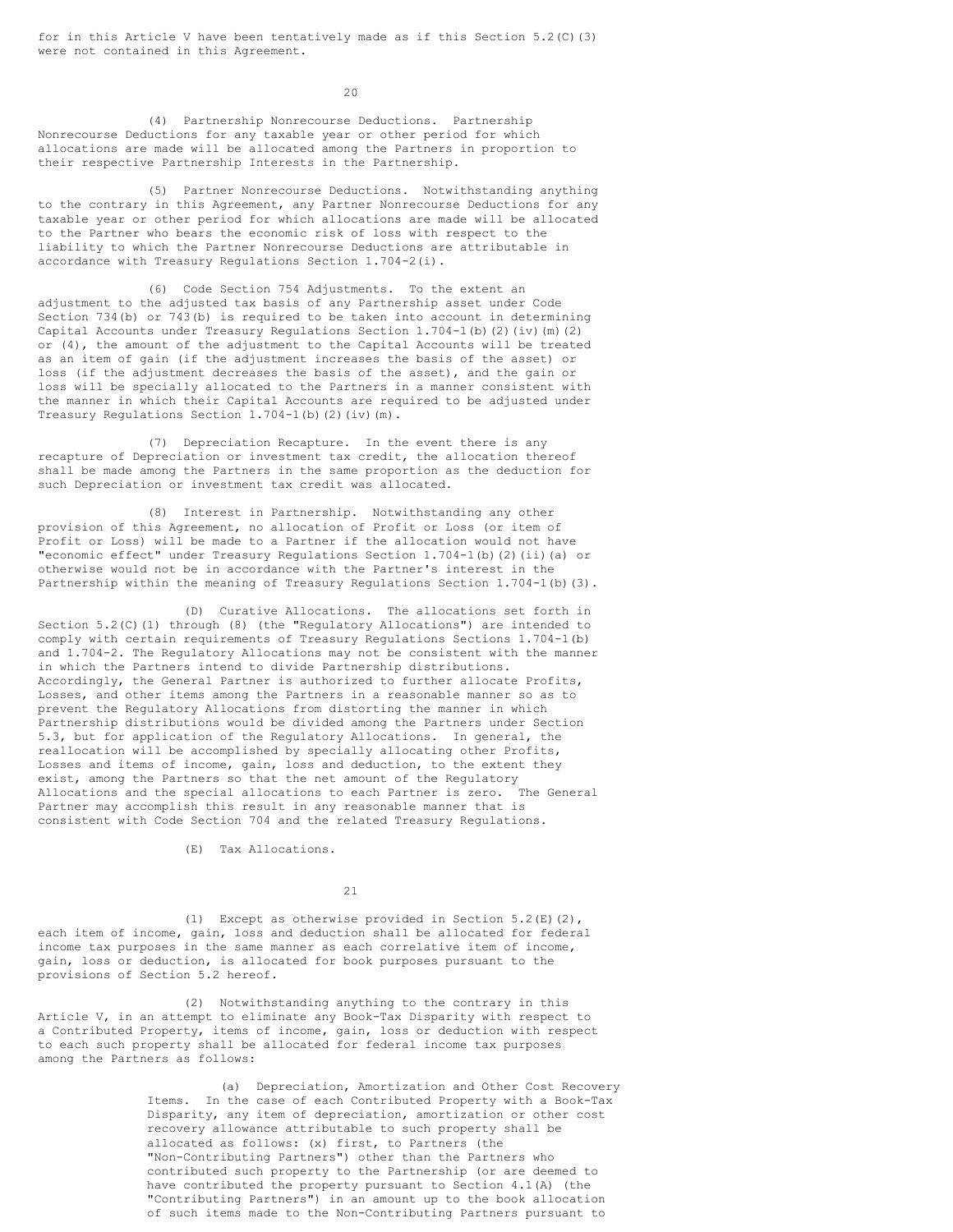for in this Article V have been tentatively made as if this Section 5.2(C)(3) were not contained in this Agreement.

 $20$ 

(4) Partnership Nonrecourse Deductions. Partnership Nonrecourse Deductions for any taxable year or other period for which allocations are made will be allocated among the Partners in proportion to their respective Partnership Interests in the Partnership.

(5) Partner Nonrecourse Deductions. Notwithstanding anything to the contrary in this Agreement, any Partner Nonrecourse Deductions for any taxable year or other period for which allocations are made will be allocated to the Partner who bears the economic risk of loss with respect to the liability to which the Partner Nonrecourse Deductions are attributable in accordance with Treasury Regulations Section 1.704-2(i).

(6) Code Section 754 Adjustments. To the extent an adjustment to the adjusted tax basis of any Partnership asset under Code Section 734(b) or 743(b) is required to be taken into account in determining Capital Accounts under Treasury Regulations Section 1.704-1(b)(2)(iv)(m)(2) or (4), the amount of the adjustment to the Capital Accounts will be treated as an item of gain (if the adjustment increases the basis of the asset) or loss (if the adjustment decreases the basis of the asset), and the gain or loss will be specially allocated to the Partners in a manner consistent with the manner in which their Capital Accounts are required to be adjusted under Treasury Regulations Section 1.704-1(b)(2)(iv)(m).

(7) Depreciation Recapture. In the event there is any recapture of Depreciation or investment tax credit, the allocation thereof shall be made among the Partners in the same proportion as the deduction for such Depreciation or investment tax credit was allocated.

(8) Interest in Partnership. Notwithstanding any other provision of this Agreement, no allocation of Profit or Loss (or item of Profit or Loss) will be made to a Partner if the allocation would not have "economic effect" under Treasury Regulations Section 1.704-1(b)(2)(ii)(a) or otherwise would not be in accordance with the Partner's interest in the Partnership within the meaning of Treasury Regulations Section 1.704-1(b)(3).

(D) Curative Allocations. The allocations set forth in Section 5.2(C)(1) through (8) (the "Regulatory Allocations") are intended to comply with certain requirements of Treasury Regulations Sections 1.704-1(b) and 1.704-2. The Regulatory Allocations may not be consistent with the manner in which the Partners intend to divide Partnership distributions. Accordingly, the General Partner is authorized to further allocate Profits, Losses, and other items among the Partners in a reasonable manner so as to prevent the Regulatory Allocations from distorting the manner in which Partnership distributions would be divided among the Partners under Section 5.3, but for application of the Regulatory Allocations. In general, the reallocation will be accomplished by specially allocating other Profits, Losses and items of income, gain, loss and deduction, to the extent they exist, among the Partners so that the net amount of the Regulatory Allocations and the special allocations to each Partner is zero. The General Partner may accomplish this result in any reasonable manner that is consistent with Code Section 704 and the related Treasury Regulations.

(E) Tax Allocations.

21

(1) Except as otherwise provided in Section 5.2(E)(2), each item of income, gain, loss and deduction shall be allocated for federal income tax purposes in the same manner as each correlative item of income, gain, loss or deduction, is allocated for book purposes pursuant to the provisions of Section 5.2 hereof.

(2) Notwithstanding anything to the contrary in this Article V, in an attempt to eliminate any Book-Tax Disparity with respect to a Contributed Property, items of income, gain, loss or deduction with respect to each such property shall be allocated for federal income tax purposes among the Partners as follows:

> (a) Depreciation, Amortization and Other Cost Recovery Items. In the case of each Contributed Property with a Book-Tax Disparity, any item of depreciation, amortization or other cost recovery allowance attributable to such property shall be allocated as follows: (x) first, to Partners (the "Non-Contributing Partners") other than the Partners who contributed such property to the Partnership (or are deemed to have contributed the property pursuant to Section 4.1(A) (the "Contributing Partners") in an amount up to the book allocation of such items made to the Non-Contributing Partners pursuant to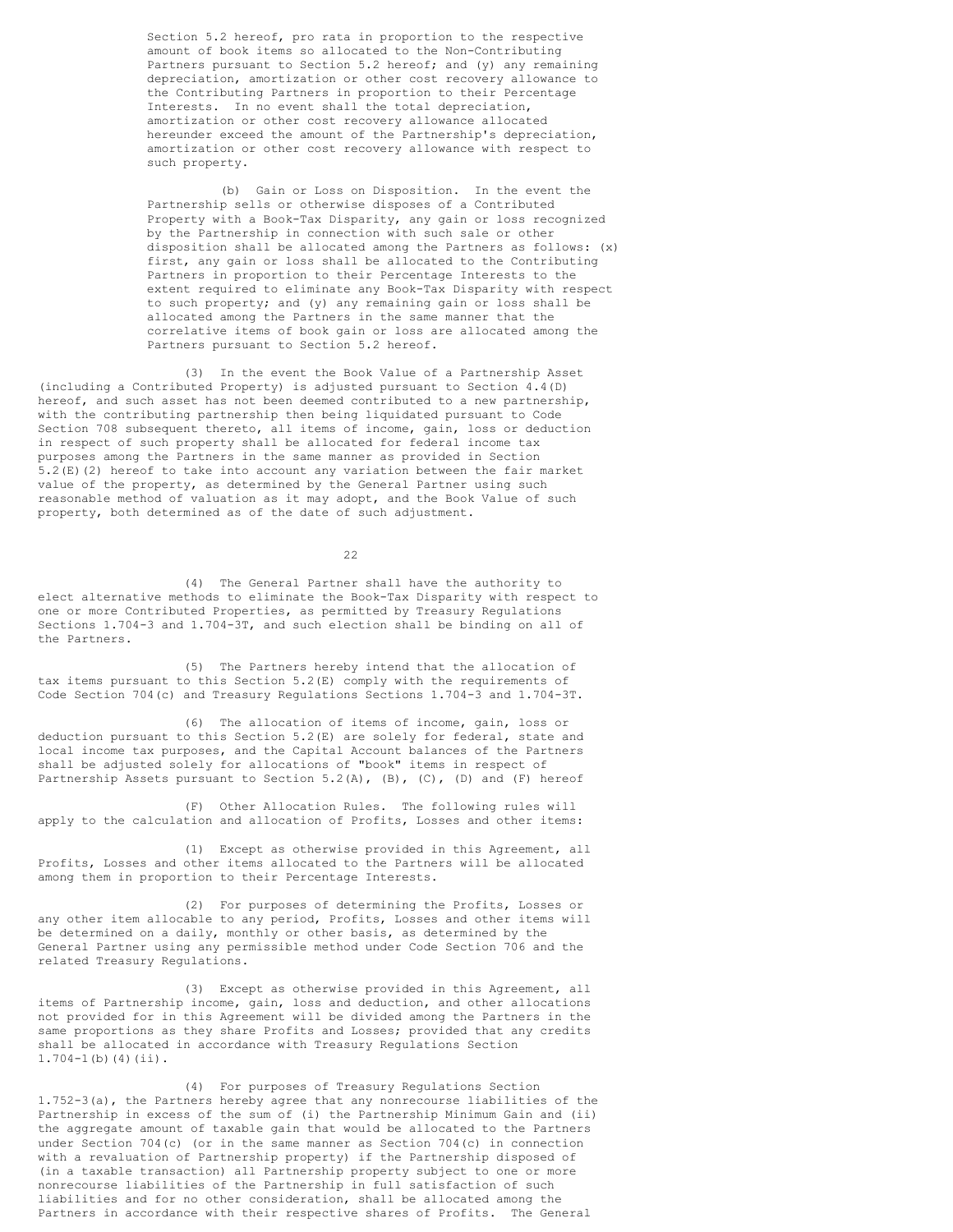Section 5.2 hereof, pro rata in proportion to the respective amount of book items so allocated to the Non-Contributing Partners pursuant to Section 5.2 hereof; and (y) any remaining depreciation, amortization or other cost recovery allowance to the Contributing Partners in proportion to their Percentage Interests. In no event shall the total depreciation, amortization or other cost recovery allowance allocated hereunder exceed the amount of the Partnership's depreciation, amortization or other cost recovery allowance with respect to such property.

(b) Gain or Loss on Disposition. In the event the Partnership sells or otherwise disposes of a Contributed Property with a Book-Tax Disparity, any gain or loss recognized by the Partnership in connection with such sale or other disposition shall be allocated among the Partners as follows: (x) first, any gain or loss shall be allocated to the Contributing Partners in proportion to their Percentage Interests to the extent required to eliminate any Book-Tax Disparity with respect to such property; and (y) any remaining gain or loss shall be allocated among the Partners in the same manner that the correlative items of book gain or loss are allocated among the Partners pursuant to Section 5.2 hereof.

(3) In the event the Book Value of a Partnership Asset (including a Contributed Property) is adjusted pursuant to Section 4.4(D) hereof, and such asset has not been deemed contributed to a new partnership, with the contributing partnership then being liquidated pursuant to Code Section 708 subsequent thereto, all items of income, gain, loss or deduction in respect of such property shall be allocated for federal income tax purposes among the Partners in the same manner as provided in Section 5.2(E)(2) hereof to take into account any variation between the fair market value of the property, as determined by the General Partner using such reasonable method of valuation as it may adopt, and the Book Value of such property, both determined as of the date of such adjustment.

22

(4) The General Partner shall have the authority to elect alternative methods to eliminate the Book-Tax Disparity with respect to one or more Contributed Properties, as permitted by Treasury Regulations Sections 1.704-3 and 1.704-3T, and such election shall be binding on all of the Partners.

(5) The Partners hereby intend that the allocation of tax items pursuant to this Section 5.2(E) comply with the requirements of Code Section 704(c) and Treasury Regulations Sections 1.704-3 and 1.704-3T.

(6) The allocation of items of income, gain, loss or deduction pursuant to this Section 5.2(E) are solely for federal, state and local income tax purposes, and the Capital Account balances of the Partners shall be adjusted solely for allocations of "book" items in respect of Partnership Assets pursuant to Section 5.2(A), (B), (C), (D) and (F) hereof

(F) Other Allocation Rules. The following rules will apply to the calculation and allocation of Profits, Losses and other items:

(1) Except as otherwise provided in this Agreement, all Profits, Losses and other items allocated to the Partners will be allocated among them in proportion to their Percentage Interests.

(2) For purposes of determining the Profits, Losses or any other item allocable to any period, Profits, Losses and other items will be determined on a daily, monthly or other basis, as determined by the General Partner using any permissible method under Code Section 706 and the related Treasury Regulations.

(3) Except as otherwise provided in this Agreement, all items of Partnership income, gain, loss and deduction, and other allocations not provided for in this Agreement will be divided among the Partners in the same proportions as they share Profits and Losses; provided that any credits shall be allocated in accordance with Treasury Regulations Section  $1.704-1$  (b) (4) (ii).

(4) For purposes of Treasury Regulations Section 1.752-3(a), the Partners hereby agree that any nonrecourse liabilities of the Partnership in excess of the sum of (i) the Partnership Minimum Gain and (ii) the aggregate amount of taxable gain that would be allocated to the Partners under Section 704(c) (or in the same manner as Section 704(c) in connection with a revaluation of Partnership property) if the Partnership disposed of (in a taxable transaction) all Partnership property subject to one or more nonrecourse liabilities of the Partnership in full satisfaction of such liabilities and for no other consideration, shall be allocated among the Partners in accordance with their respective shares of Profits. The General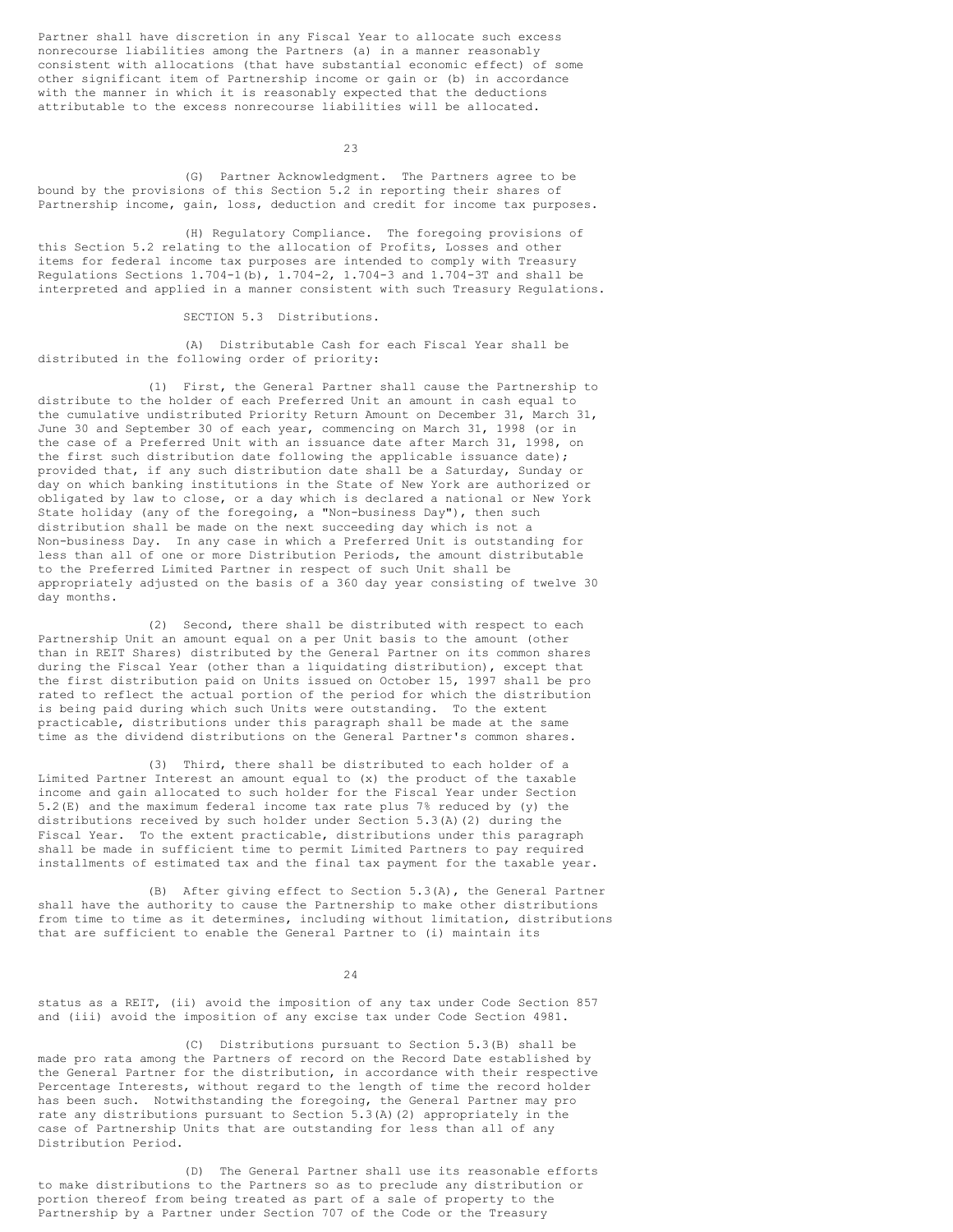Partner shall have discretion in any Fiscal Year to allocate such excess nonrecourse liabilities among the Partners (a) in a manner reasonably consistent with allocations (that have substantial economic effect) of some other significant item of Partnership income or gain or (b) in accordance with the manner in which it is reasonably expected that the deductions attributable to the excess nonrecourse liabilities will be allocated.

23

(G) Partner Acknowledgment. The Partners agree to be bound by the provisions of this Section 5.2 in reporting their shares of Partnership income, gain, loss, deduction and credit for income tax purposes.

(H) Regulatory Compliance. The foregoing provisions of this Section 5.2 relating to the allocation of Profits, Losses and other items for federal income tax purposes are intended to comply with Treasury Regulations Sections  $1.704-1$  (b),  $1.704-2$ ,  $1.704-3$  and  $1.704-3$ T and shall be interpreted and applied in a manner consistent with such Treasury Regulations.

## SECTION 5.3 Distributions.

(A) Distributable Cash for each Fiscal Year shall be distributed in the following order of priority:

(1) First, the General Partner shall cause the Partnership to distribute to the holder of each Preferred Unit an amount in cash equal to the cumulative undistributed Priority Return Amount on December 31, March 31, June 30 and September 30 of each year, commencing on March 31, 1998 (or in the case of a Preferred Unit with an issuance date after March 31, 1998, on the first such distribution date following the applicable issuance date); provided that, if any such distribution date shall be a Saturday, Sunday or day on which banking institutions in the State of New York are authorized or obligated by law to close, or a day which is declared a national or New York State holiday (any of the foregoing, a "Non-business Day"), then such distribution shall be made on the next succeeding day which is not a Non-business Day. In any case in which a Preferred Unit is outstanding for less than all of one or more Distribution Periods, the amount distributable to the Preferred Limited Partner in respect of such Unit shall be appropriately adjusted on the basis of a 360 day year consisting of twelve 30 day months.

(2) Second, there shall be distributed with respect to each Partnership Unit an amount equal on a per Unit basis to the amount (other than in REIT Shares) distributed by the General Partner on its common shares during the Fiscal Year (other than a liquidating distribution), except that the first distribution paid on Units issued on October 15, 1997 shall be pro rated to reflect the actual portion of the period for which the distribution is being paid during which such Units were outstanding. To the extent practicable, distributions under this paragraph shall be made at the same time as the dividend distributions on the General Partner's common shares.

(3) Third, there shall be distributed to each holder of a Limited Partner Interest an amount equal to (x) the product of the taxable income and gain allocated to such holder for the Fiscal Year under Section 5.2(E) and the maximum federal income tax rate plus 7% reduced by (y) the distributions received by such holder under Section 5.3(A)(2) during the Fiscal Year. To the extent practicable, distributions under this paragraph shall be made in sufficient time to permit Limited Partners to pay required installments of estimated tax and the final tax payment for the taxable year.

(B) After giving effect to Section 5.3(A), the General Partner shall have the authority to cause the Partnership to make other distributions from time to time as it determines, including without limitation, distributions that are sufficient to enable the General Partner to (i) maintain its

#### 24

status as a REIT, (ii) avoid the imposition of any tax under Code Section 857 and (iii) avoid the imposition of any excise tax under Code Section 4981.

(C) Distributions pursuant to Section 5.3(B) shall be made pro rata among the Partners of record on the Record Date established by the General Partner for the distribution, in accordance with their respective Percentage Interests, without regard to the length of time the record holder has been such. Notwithstanding the foregoing, the General Partner may pro rate any distributions pursuant to Section 5.3(A)(2) appropriately in the case of Partnership Units that are outstanding for less than all of any Distribution Period.

(D) The General Partner shall use its reasonable efforts to make distributions to the Partners so as to preclude any distribution or portion thereof from being treated as part of a sale of property to the Partnership by a Partner under Section 707 of the Code or the Treasury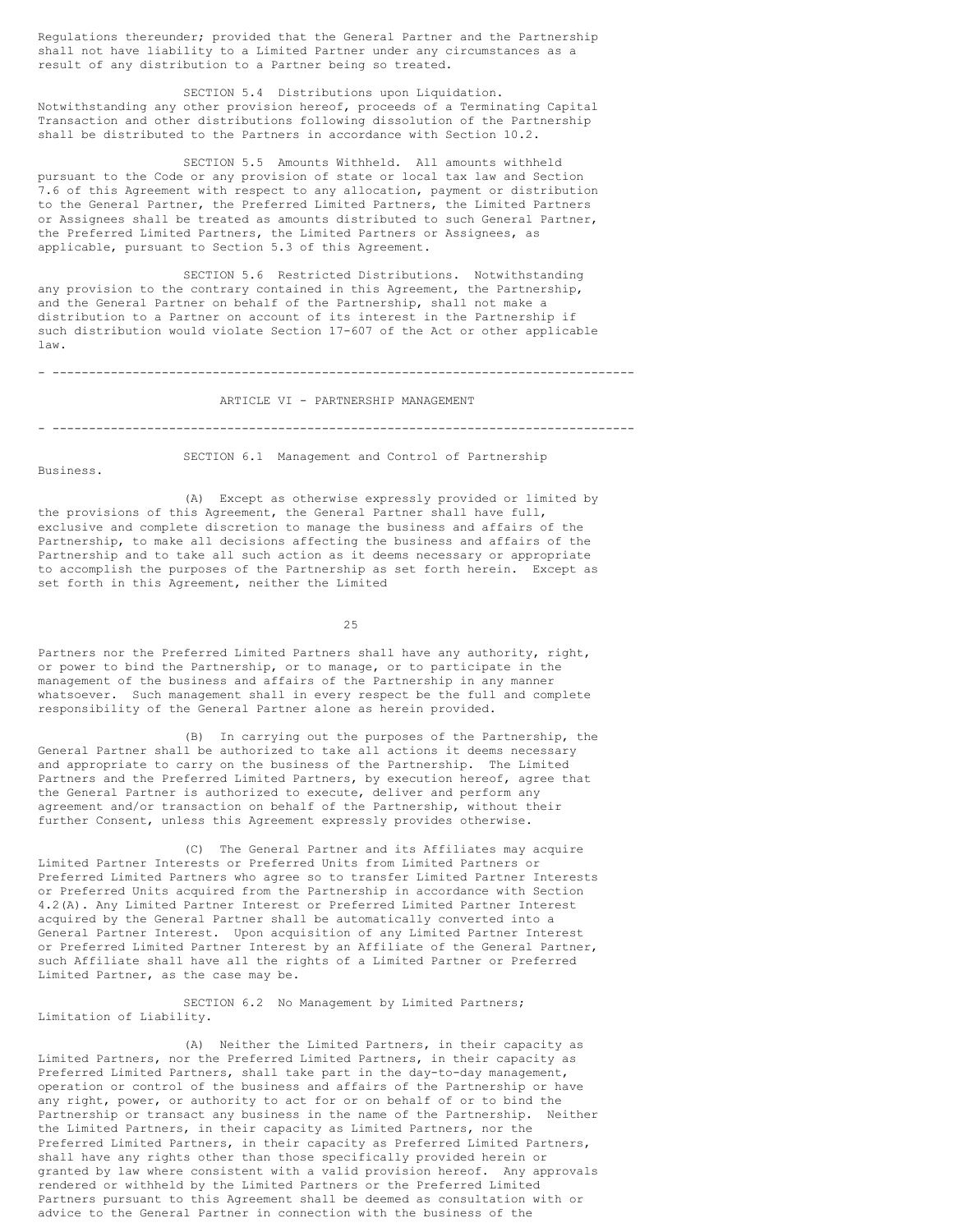Regulations thereunder; provided that the General Partner and the Partnership shall not have liability to a Limited Partner under any circumstances as a result of any distribution to a Partner being so treated.

SECTION 5.4 Distributions upon Liquidation. Notwithstanding any other provision hereof, proceeds of a Terminating Capital Transaction and other distributions following dissolution of the Partnership shall be distributed to the Partners in accordance with Section 10.2.

SECTION 5.5 Amounts Withheld. All amounts withheld pursuant to the Code or any provision of state or local tax law and Section 7.6 of this Agreement with respect to any allocation, payment or distribution to the General Partner, the Preferred Limited Partners, the Limited Partners or Assignees shall be treated as amounts distributed to such General Partner, the Preferred Limited Partners, the Limited Partners or Assignees, as applicable, pursuant to Section 5.3 of this Agreement.

SECTION 5.6 Restricted Distributions. Notwithstanding any provision to the contrary contained in this Agreement, the Partnership, and the General Partner on behalf of the Partnership, shall not make a distribution to a Partner on account of its interest in the Partnership if such distribution would violate Section 17-607 of the Act or other applicable law.

- --------------------------------------------------------------------------------

#### ARTICLE VI - PARTNERSHIP MANAGEMENT

- --------------------------------------------------------------------------------

Business.

SECTION 6.1 Management and Control of Partnership

(A) Except as otherwise expressly provided or limited by the provisions of this Agreement, the General Partner shall have full, exclusive and complete discretion to manage the business and affairs of the Partnership, to make all decisions affecting the business and affairs of the Partnership and to take all such action as it deems necessary or appropriate to accomplish the purposes of the Partnership as set forth herein. Except as set forth in this Agreement, neither the Limited

25

Partners nor the Preferred Limited Partners shall have any authority, right, or power to bind the Partnership, or to manage, or to participate in the management of the business and affairs of the Partnership in any manner whatsoever. Such management shall in every respect be the full and complete responsibility of the General Partner alone as herein provided.

(B) In carrying out the purposes of the Partnership, the General Partner shall be authorized to take all actions it deems necessary and appropriate to carry on the business of the Partnership. The Limited Partners and the Preferred Limited Partners, by execution hereof, agree that the General Partner is authorized to execute, deliver and perform any agreement and/or transaction on behalf of the Partnership, without their further Consent, unless this Agreement expressly provides otherwise.

(C) The General Partner and its Affiliates may acquire Limited Partner Interests or Preferred Units from Limited Partners or Preferred Limited Partners who agree so to transfer Limited Partner Interests or Preferred Units acquired from the Partnership in accordance with Section 4.2(A). Any Limited Partner Interest or Preferred Limited Partner Interest acquired by the General Partner shall be automatically converted into a General Partner Interest. Upon acquisition of any Limited Partner Interest or Preferred Limited Partner Interest by an Affiliate of the General Partner, such Affiliate shall have all the rights of a Limited Partner or Preferred Limited Partner, as the case may be.

SECTION 6.2 No Management by Limited Partners; Limitation of Liability.

(A) Neither the Limited Partners, in their capacity as Limited Partners, nor the Preferred Limited Partners, in their capacity as Preferred Limited Partners, shall take part in the day-to-day management, operation or control of the business and affairs of the Partnership or have any right, power, or authority to act for or on behalf of or to bind the Partnership or transact any business in the name of the Partnership. Neither the Limited Partners, in their capacity as Limited Partners, nor the Preferred Limited Partners, in their capacity as Preferred Limited Partners, shall have any rights other than those specifically provided herein or granted by law where consistent with a valid provision hereof. Any approvals rendered or withheld by the Limited Partners or the Preferred Limited Partners pursuant to this Agreement shall be deemed as consultation with or advice to the General Partner in connection with the business of the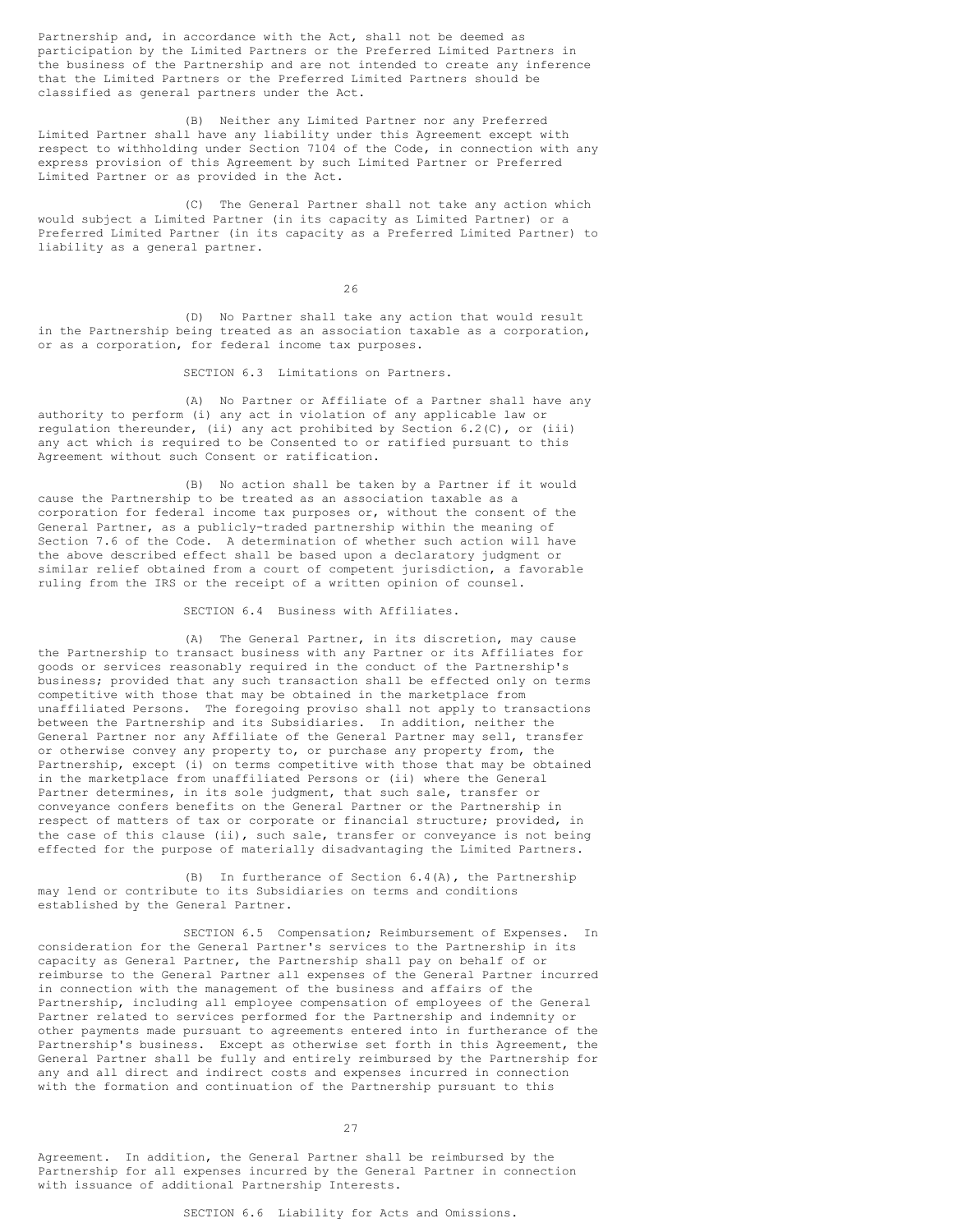Partnership and, in accordance with the Act, shall not be deemed as participation by the Limited Partners or the Preferred Limited Partners in the business of the Partnership and are not intended to create any inference that the Limited Partners or the Preferred Limited Partners should be classified as general partners under the Act.

(B) Neither any Limited Partner nor any Preferred Limited Partner shall have any liability under this Agreement except with respect to withholding under Section 7104 of the Code, in connection with any express provision of this Agreement by such Limited Partner or Preferred Limited Partner or as provided in the Act.

(C) The General Partner shall not take any action which would subject a Limited Partner (in its capacity as Limited Partner) or a Preferred Limited Partner (in its capacity as a Preferred Limited Partner) to liability as a general partner.

26

(D) No Partner shall take any action that would result in the Partnership being treated as an association taxable as a corporation, or as a corporation, for federal income tax purposes.

SECTION 6.3 Limitations on Partners.

(A) No Partner or Affiliate of a Partner shall have any authority to perform (i) any act in violation of any applicable law or regulation thereunder, (ii) any act prohibited by Section 6.2(C), or (iii) any act which is required to be Consented to or ratified pursuant to this Agreement without such Consent or ratification.

(B) No action shall be taken by a Partner if it would cause the Partnership to be treated as an association taxable as a corporation for federal income tax purposes or, without the consent of the General Partner, as a publicly-traded partnership within the meaning of Section 7.6 of the Code. A determination of whether such action will have the above described effect shall be based upon a declaratory judgment or similar relief obtained from a court of competent jurisdiction, a favorable ruling from the IRS or the receipt of a written opinion of counsel.

SECTION 6.4 Business with Affiliates.

(A) The General Partner, in its discretion, may cause the Partnership to transact business with any Partner or its Affiliates for goods or services reasonably required in the conduct of the Partnership's business; provided that any such transaction shall be effected only on terms competitive with those that may be obtained in the marketplace from unaffiliated Persons. The foregoing proviso shall not apply to transactions between the Partnership and its Subsidiaries. In addition, neither the General Partner nor any Affiliate of the General Partner may sell, transfer or otherwise convey any property to, or purchase any property from, the Partnership, except (i) on terms competitive with those that may be obtained in the marketplace from unaffiliated Persons or (ii) where the General Partner determines, in its sole judgment, that such sale, transfer or conveyance confers benefits on the General Partner or the Partnership in respect of matters of tax or corporate or financial structure; provided, in the case of this clause (ii), such sale, transfer or conveyance is not being effected for the purpose of materially disadvantaging the Limited Partners.

(B) In furtherance of Section 6.4(A), the Partnership may lend or contribute to its Subsidiaries on terms and conditions established by the General Partner.

SECTION 6.5 Compensation; Reimbursement of Expenses. In consideration for the General Partner's services to the Partnership in its capacity as General Partner, the Partnership shall pay on behalf of or reimburse to the General Partner all expenses of the General Partner incurred in connection with the management of the business and affairs of the Partnership, including all employee compensation of employees of the General Partner related to services performed for the Partnership and indemnity or other payments made pursuant to agreements entered into in furtherance of the Partnership's business. Except as otherwise set forth in this Agreement, the General Partner shall be fully and entirely reimbursed by the Partnership for any and all direct and indirect costs and expenses incurred in connection with the formation and continuation of the Partnership pursuant to this

27

Agreement. In addition, the General Partner shall be reimbursed by the Partnership for all expenses incurred by the General Partner in connection with issuance of additional Partnership Interests.

SECTION 6.6 Liability for Acts and Omissions.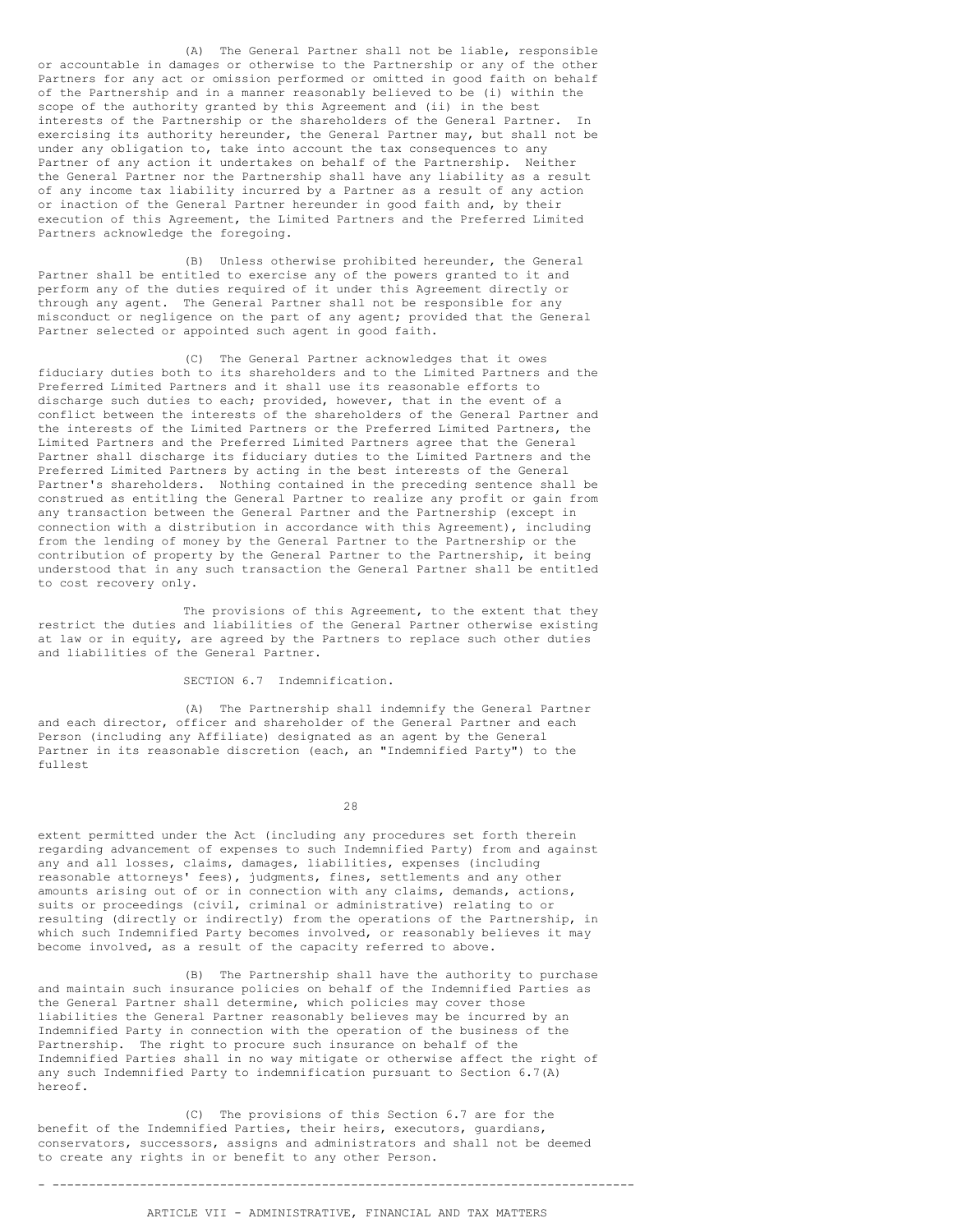(A) The General Partner shall not be liable, responsible or accountable in damages or otherwise to the Partnership or any of the other Partners for any act or omission performed or omitted in good faith on behalf of the Partnership and in a manner reasonably believed to be (i) within the scope of the authority granted by this Agreement and (ii) in the best interests of the Partnership or the shareholders of the General Partner. In exercising its authority hereunder, the General Partner may, but shall not be under any obligation to, take into account the tax consequences to any Partner of any action it undertakes on behalf of the Partnership. Neither the General Partner nor the Partnership shall have any liability as a result of any income tax liability incurred by a Partner as a result of any action or inaction of the General Partner hereunder in good faith and, by their execution of this Agreement, the Limited Partners and the Preferred Limited Partners acknowledge the foregoing.

(B) Unless otherwise prohibited hereunder, the General Partner shall be entitled to exercise any of the powers granted to it and perform any of the duties required of it under this Agreement directly or through any agent. The General Partner shall not be responsible for any misconduct or negligence on the part of any agent; provided that the General Partner selected or appointed such agent in good faith.

(C) The General Partner acknowledges that it owes fiduciary duties both to its shareholders and to the Limited Partners and the Preferred Limited Partners and it shall use its reasonable efforts to discharge such duties to each; provided, however, that in the event of a conflict between the interests of the shareholders of the General Partner and the interests of the Limited Partners or the Preferred Limited Partners, the Limited Partners and the Preferred Limited Partners agree that the General Partner shall discharge its fiduciary duties to the Limited Partners and the Preferred Limited Partners by acting in the best interests of the General Partner's shareholders. Nothing contained in the preceding sentence shall be construed as entitling the General Partner to realize any profit or gain from any transaction between the General Partner and the Partnership (except in connection with a distribution in accordance with this Agreement), including from the lending of money by the General Partner to the Partnership or the contribution of property by the General Partner to the Partnership, it being understood that in any such transaction the General Partner shall be entitled to cost recovery only.

The provisions of this Agreement, to the extent that they restrict the duties and liabilities of the General Partner otherwise existing at law or in equity, are agreed by the Partners to replace such other duties and liabilities of the General Partner.

### SECTION 6.7 Indemnification.

(A) The Partnership shall indemnify the General Partner and each director, officer and shareholder of the General Partner and each Person (including any Affiliate) designated as an agent by the General Partner in its reasonable discretion (each, an "Indemnified Party") to the fullest

28

extent permitted under the Act (including any procedures set forth therein regarding advancement of expenses to such Indemnified Party) from and against any and all losses, claims, damages, liabilities, expenses (including reasonable attorneys' fees), judgments, fines, settlements and any other amounts arising out of or in connection with any claims, demands, actions, suits or proceedings (civil, criminal or administrative) relating to or resulting (directly or indirectly) from the operations of the Partnership, in which such Indemnified Party becomes involved, or reasonably believes it may become involved, as a result of the capacity referred to above.

(B) The Partnership shall have the authority to purchase and maintain such insurance policies on behalf of the Indemnified Parties as the General Partner shall determine, which policies may cover those liabilities the General Partner reasonably believes may be incurred by an Indemnified Party in connection with the operation of the business of the Partnership. The right to procure such insurance on behalf of the Indemnified Parties shall in no way mitigate or otherwise affect the right of any such Indemnified Party to indemnification pursuant to Section 6.7(A) hereof.

(C) The provisions of this Section 6.7 are for the benefit of the Indemnified Parties, their heirs, executors, guardians, conservators, successors, assigns and administrators and shall not be deemed to create any rights in or benefit to any other Person.

- --------------------------------------------------------------------------------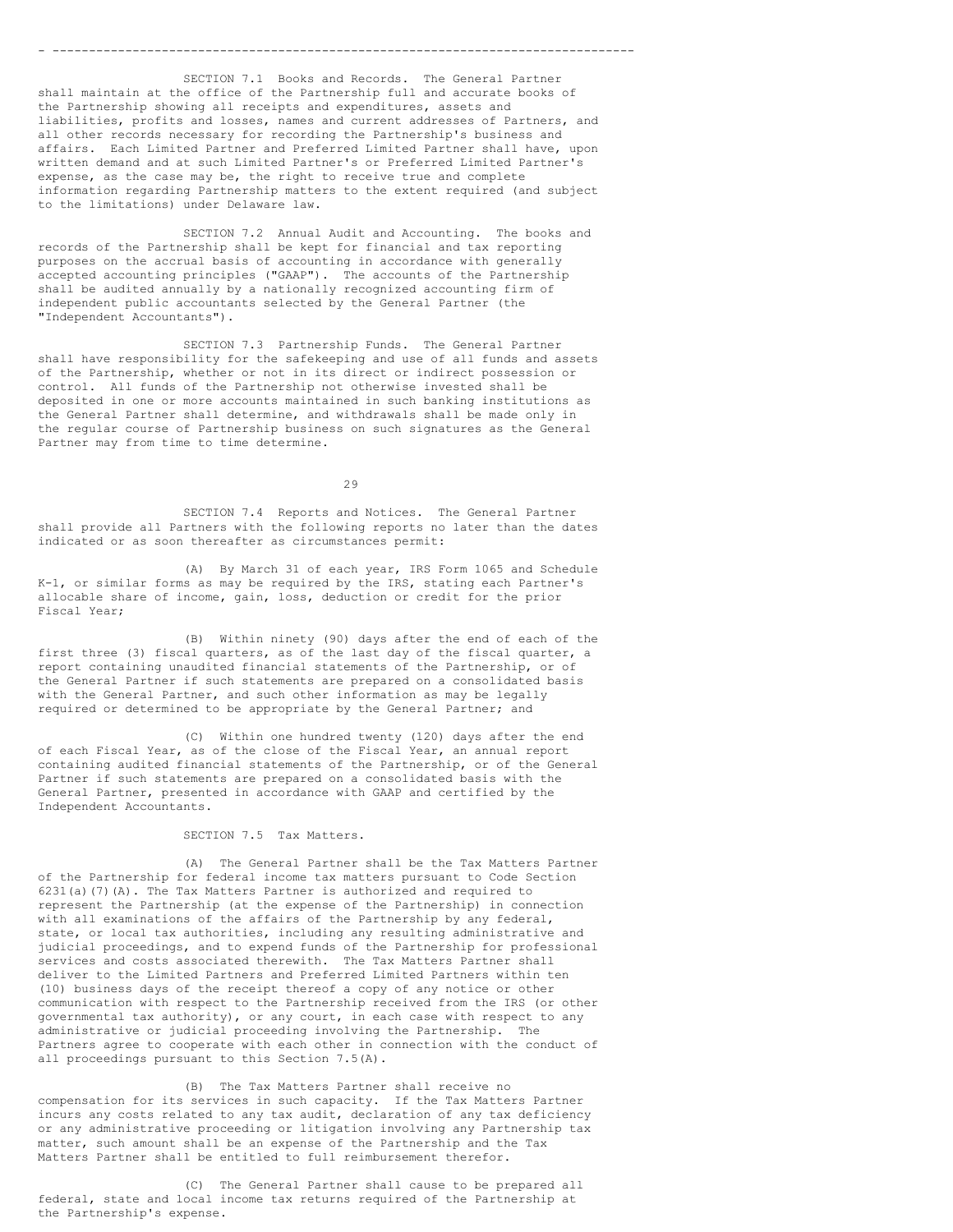SECTION 7.1 Books and Records. The General Partner shall maintain at the office of the Partnership full and accurate books of the Partnership showing all receipts and expenditures, assets and liabilities, profits and losses, names and current addresses of Partners, and all other records necessary for recording the Partnership's business and affairs. Each Limited Partner and Preferred Limited Partner shall have, upon written demand and at such Limited Partner's or Preferred Limited Partner's expense, as the case may be, the right to receive true and complete information regarding Partnership matters to the extent required (and subject to the limitations) under Delaware law.

- --------------------------------------------------------------------------------

SECTION 7.2 Annual Audit and Accounting. The books and records of the Partnership shall be kept for financial and tax reporting purposes on the accrual basis of accounting in accordance with generally accepted accounting principles ("GAAP"). The accounts of the Partnership shall be audited annually by a nationally recognized accounting firm of independent public accountants selected by the General Partner (the "Independent Accountants").

SECTION 7.3 Partnership Funds. The General Partner shall have responsibility for the safekeeping and use of all funds and assets of the Partnership, whether or not in its direct or indirect possession or control. All funds of the Partnership not otherwise invested shall be deposited in one or more accounts maintained in such banking institutions as the General Partner shall determine, and withdrawals shall be made only in the regular course of Partnership business on such signatures as the General Partner may from time to time determine.

29

SECTION 7.4 Reports and Notices. The General Partner shall provide all Partners with the following reports no later than the dates indicated or as soon thereafter as circumstances permit:

(A) By March 31 of each year, IRS Form 1065 and Schedule K-1, or similar forms as may be required by the IRS, stating each Partner's allocable share of income, gain, loss, deduction or credit for the prior Fiscal Year;

(B) Within ninety (90) days after the end of each of the first three (3) fiscal quarters, as of the last day of the fiscal quarter, a report containing unaudited financial statements of the Partnership, or of the General Partner if such statements are prepared on a consolidated basis with the General Partner, and such other information as may be legally required or determined to be appropriate by the General Partner; and

(C) Within one hundred twenty (120) days after the end of each Fiscal Year, as of the close of the Fiscal Year, an annual report containing audited financial statements of the Partnership, or of the General Partner if such statements are prepared on a consolidated basis with the General Partner, presented in accordance with GAAP and certified by the Independent Accountants.

## SECTION 7.5 Tax Matters.

(A) The General Partner shall be the Tax Matters Partner of the Partnership for federal income tax matters pursuant to Code Section 6231(a)(7)(A). The Tax Matters Partner is authorized and required to represent the Partnership (at the expense of the Partnership) in connection with all examinations of the affairs of the Partnership by any federal, state, or local tax authorities, including any resulting administrative and judicial proceedings, and to expend funds of the Partnership for professional services and costs associated therewith. The Tax Matters Partner shall deliver to the Limited Partners and Preferred Limited Partners within ten (10) business days of the receipt thereof a copy of any notice or other communication with respect to the Partnership received from the IRS (or other governmental tax authority), or any court, in each case with respect to any administrative or judicial proceeding involving the Partnership. The Partners agree to cooperate with each other in connection with the conduct of all proceedings pursuant to this Section 7.5(A).

(B) The Tax Matters Partner shall receive no compensation for its services in such capacity. If the Tax Matters Partner incurs any costs related to any tax audit, declaration of any tax deficiency or any administrative proceeding or litigation involving any Partnership tax matter, such amount shall be an expense of the Partnership and the Tax Matters Partner shall be entitled to full reimbursement therefor.

(C) The General Partner shall cause to be prepared all federal, state and local income tax returns required of the Partnership at the Partnership's expense.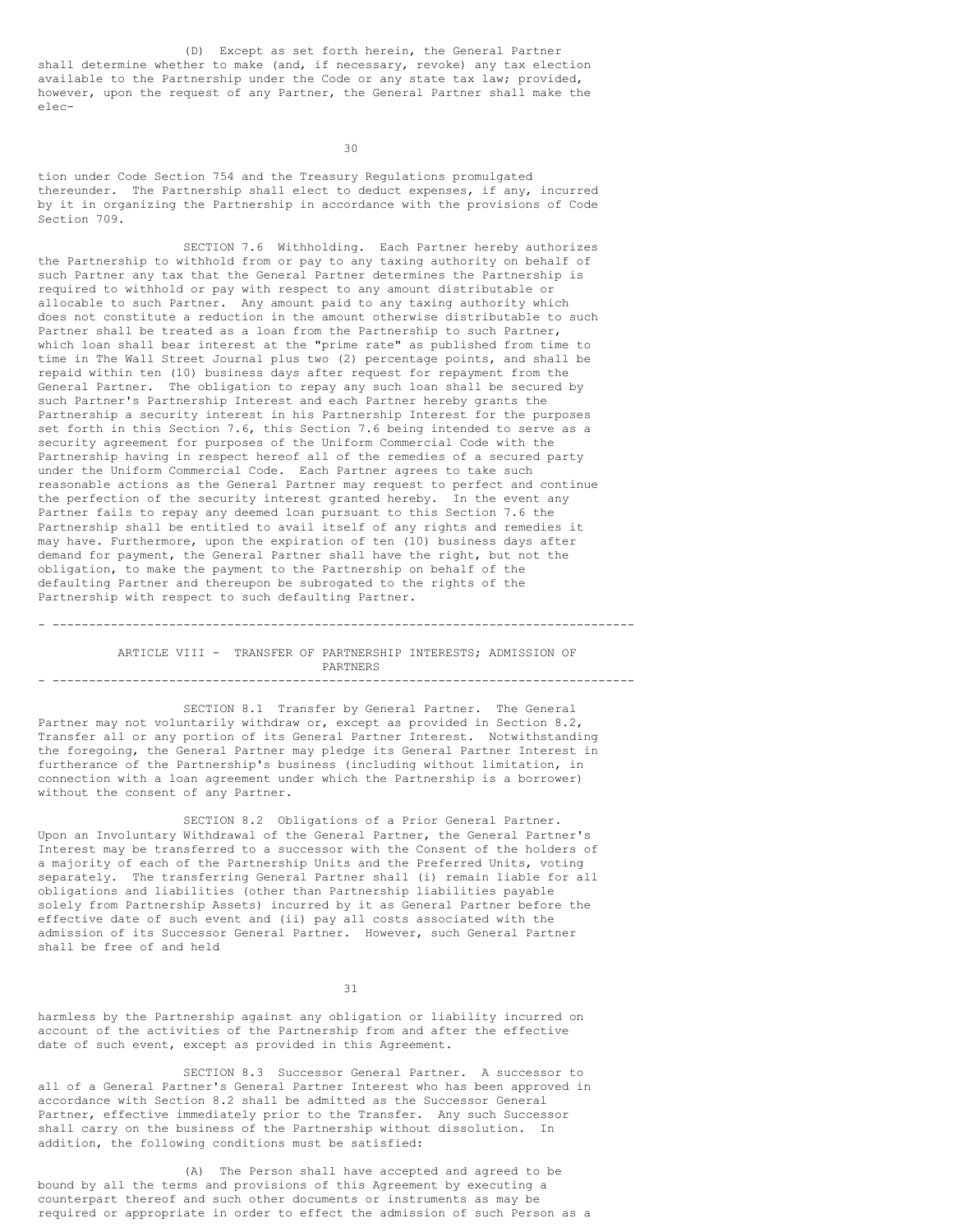(D) Except as set forth herein, the General Partner shall determine whether to make (and, if necessary, revoke) any tax election available to the Partnership under the Code or any state tax law; provided, however, upon the request of any Partner, the General Partner shall make the elec-

30

tion under Code Section 754 and the Treasury Regulations promulgated thereunder. The Partnership shall elect to deduct expenses, if any, incurred by it in organizing the Partnership in accordance with the provisions of Code Section 709.

SECTION 7.6 Withholding. Each Partner hereby authorizes the Partnership to withhold from or pay to any taxing authority on behalf of such Partner any tax that the General Partner determines the Partnership is required to withhold or pay with respect to any amount distributable or allocable to such Partner. Any amount paid to any taxing authority which does not constitute a reduction in the amount otherwise distributable to such Partner shall be treated as a loan from the Partnership to such Partner, which loan shall bear interest at the "prime rate" as published from time to time in The Wall Street Journal plus two (2) percentage points, and shall be repaid within ten (10) business days after request for repayment from the General Partner. The obligation to repay any such loan shall be secured by such Partner's Partnership Interest and each Partner hereby grants the Partnership a security interest in his Partnership Interest for the purposes set forth in this Section 7.6, this Section 7.6 being intended to serve as a security agreement for purposes of the Uniform Commercial Code with the Partnership having in respect hereof all of the remedies of a secured party under the Uniform Commercial Code. Each Partner agrees to take such reasonable actions as the General Partner may request to perfect and continue the perfection of the security interest granted hereby. In the event any Partner fails to repay any deemed loan pursuant to this Section 7.6 the Partnership shall be entitled to avail itself of any rights and remedies it may have. Furthermore, upon the expiration of ten (10) business days after demand for payment, the General Partner shall have the right, but not the obligation, to make the payment to the Partnership on behalf of the defaulting Partner and thereupon be subrogated to the rights of the Partnership with respect to such defaulting Partner.

ARTICLE VIII - TRANSFER OF PARTNERSHIP INTERESTS; ADMISSION OF PARTNERS - --------------------------------------------------------------------------------

- --------------------------------------------------------------------------------

SECTION 8.1 Transfer by General Partner. The General Partner may not voluntarily withdraw or, except as provided in Section 8.2, Transfer all or any portion of its General Partner Interest. Notwithstanding the foregoing, the General Partner may pledge its General Partner Interest in furtherance of the Partnership's business (including without limitation, in connection with a loan agreement under which the Partnership is a borrower) without the consent of any Partner.

SECTION 8.2 Obligations of a Prior General Partner. Upon an Involuntary Withdrawal of the General Partner, the General Partner's Interest may be transferred to a successor with the Consent of the holders of a majority of each of the Partnership Units and the Preferred Units, voting separately. The transferring General Partner shall (i) remain liable for all obligations and liabilities (other than Partnership liabilities payable solely from Partnership Assets) incurred by it as General Partner before the effective date of such event and (ii) pay all costs associated with the admission of its Successor General Partner. However, such General Partner shall be free of and held

31

harmless by the Partnership against any obligation or liability incurred on account of the activities of the Partnership from and after the effective date of such event, except as provided in this Agreement.

SECTION 8.3 Successor General Partner. A successor to all of a General Partner's General Partner Interest who has been approved in accordance with Section 8.2 shall be admitted as the Successor General Partner, effective immediately prior to the Transfer. Any such Successor shall carry on the business of the Partnership without dissolution. In addition, the following conditions must be satisfied:

(A) The Person shall have accepted and agreed to be bound by all the terms and provisions of this Agreement by executing a counterpart thereof and such other documents or instruments as may be required or appropriate in order to effect the admission of such Person as a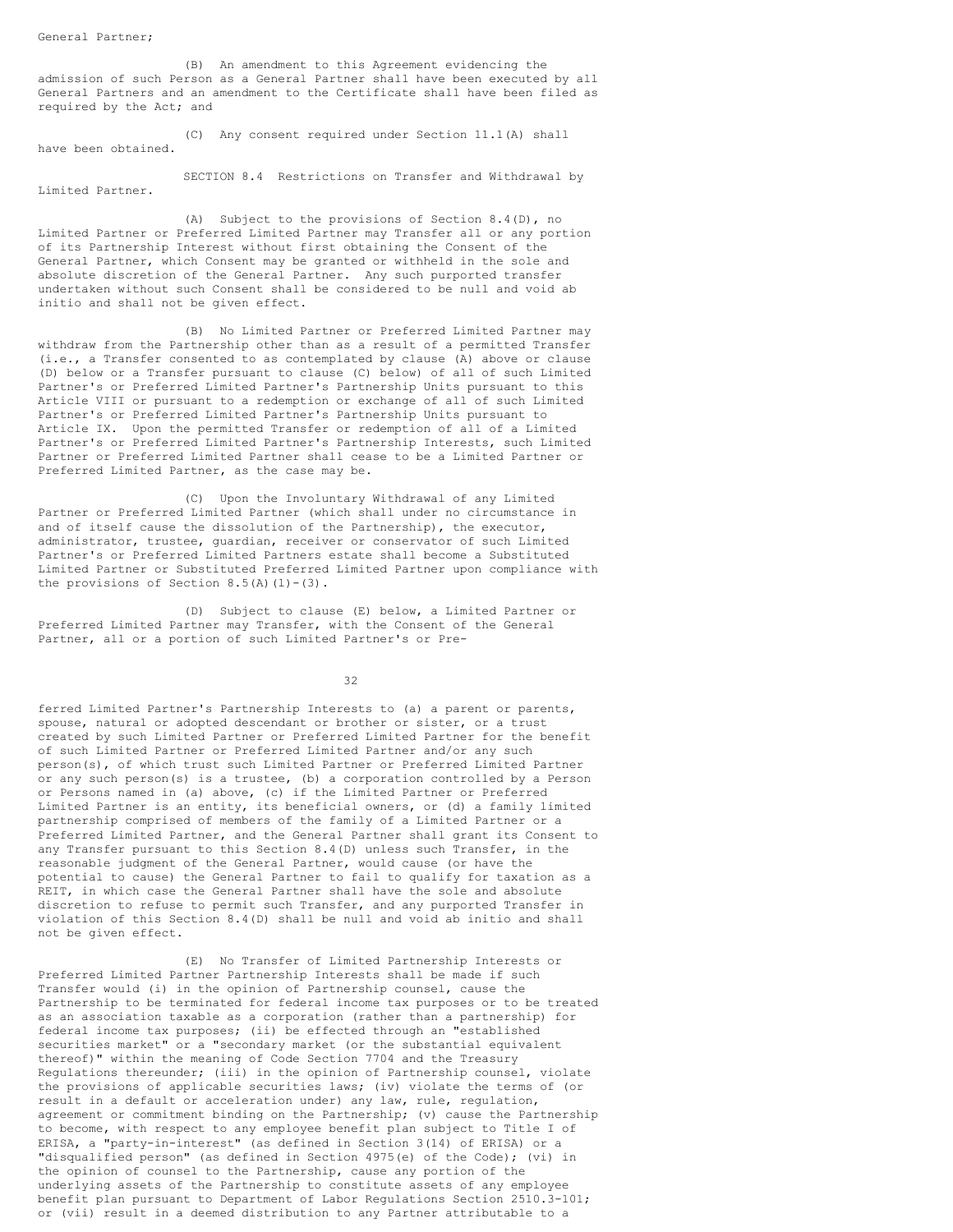(B) An amendment to this Agreement evidencing the admission of such Person as a General Partner shall have been executed by all General Partners and an amendment to the Certificate shall have been filed as required by the Act; and

(C) Any consent required under Section 11.1(A) shall have been obtained.

Limited Partner.

SECTION 8.4 Restrictions on Transfer and Withdrawal by

(A) Subject to the provisions of Section 8.4(D), no Limited Partner or Preferred Limited Partner may Transfer all or any portion of its Partnership Interest without first obtaining the Consent of the General Partner, which Consent may be granted or withheld in the sole and absolute discretion of the General Partner. Any such purported transfer undertaken without such Consent shall be considered to be null and void ab initio and shall not be given effect.

(B) No Limited Partner or Preferred Limited Partner may withdraw from the Partnership other than as a result of a permitted Transfer (i.e., a Transfer consented to as contemplated by clause (A) above or clause (D) below or a Transfer pursuant to clause (C) below) of all of such Limited Partner's or Preferred Limited Partner's Partnership Units pursuant to this Article VIII or pursuant to a redemption or exchange of all of such Limited Partner's or Preferred Limited Partner's Partnership Units pursuant to Article IX. Upon the permitted Transfer or redemption of all of a Limited Partner's or Preferred Limited Partner's Partnership Interests, such Limited Partner or Preferred Limited Partner shall cease to be a Limited Partner or Preferred Limited Partner, as the case may be.

(C) Upon the Involuntary Withdrawal of any Limited Partner or Preferred Limited Partner (which shall under no circumstance in and of itself cause the dissolution of the Partnership), the executor, administrator, trustee, guardian, receiver or conservator of such Limited Partner's or Preferred Limited Partners estate shall become a Substituted Limited Partner or Substituted Preferred Limited Partner upon compliance with the provisions of Section  $8.5(A)(1)-(3)$ .

(D) Subject to clause (E) below, a Limited Partner or Preferred Limited Partner may Transfer, with the Consent of the General Partner, all or a portion of such Limited Partner's or Pre-

32

ferred Limited Partner's Partnership Interests to (a) a parent or parents, spouse, natural or adopted descendant or brother or sister, or a trust created by such Limited Partner or Preferred Limited Partner for the benefit of such Limited Partner or Preferred Limited Partner and/or any such person(s), of which trust such Limited Partner or Preferred Limited Partner or any such person(s) is a trustee, (b) a corporation controlled by a Person or Persons named in (a) above, (c) if the Limited Partner or Preferred Limited Partner is an entity, its beneficial owners, or (d) a family limited partnership comprised of members of the family of a Limited Partner or a Preferred Limited Partner, and the General Partner shall grant its Consent to any Transfer pursuant to this Section 8.4(D) unless such Transfer, in the reasonable judgment of the General Partner, would cause (or have the potential to cause) the General Partner to fail to qualify for taxation as a REIT, in which case the General Partner shall have the sole and absolute discretion to refuse to permit such Transfer, and any purported Transfer in violation of this Section 8.4(D) shall be null and void ab initio and shall not be given effect.

(E) No Transfer of Limited Partnership Interests or Preferred Limited Partner Partnership Interests shall be made if such Transfer would (i) in the opinion of Partnership counsel, cause the Partnership to be terminated for federal income tax purposes or to be treated as an association taxable as a corporation (rather than a partnership) for federal income tax purposes; (ii) be effected through an "established securities market" or a "secondary market (or the substantial equivalent thereof)" within the meaning of Code Section 7704 and the Treasury Regulations thereunder; (iii) in the opinion of Partnership counsel, violate the provisions of applicable securities laws; (iv) violate the terms of (or result in a default or acceleration under) any law, rule, regulation, agreement or commitment binding on the Partnership; (v) cause the Partnership to become, with respect to any employee benefit plan subject to Title I of ERISA, a "party-in-interest" (as defined in Section 3(14) of ERISA) or a "disqualified person" (as defined in Section 4975(e) of the Code); (vi) in the opinion of counsel to the Partnership, cause any portion of the underlying assets of the Partnership to constitute assets of any employee benefit plan pursuant to Department of Labor Regulations Section 2510.3-101; or (vii) result in a deemed distribution to any Partner attributable to a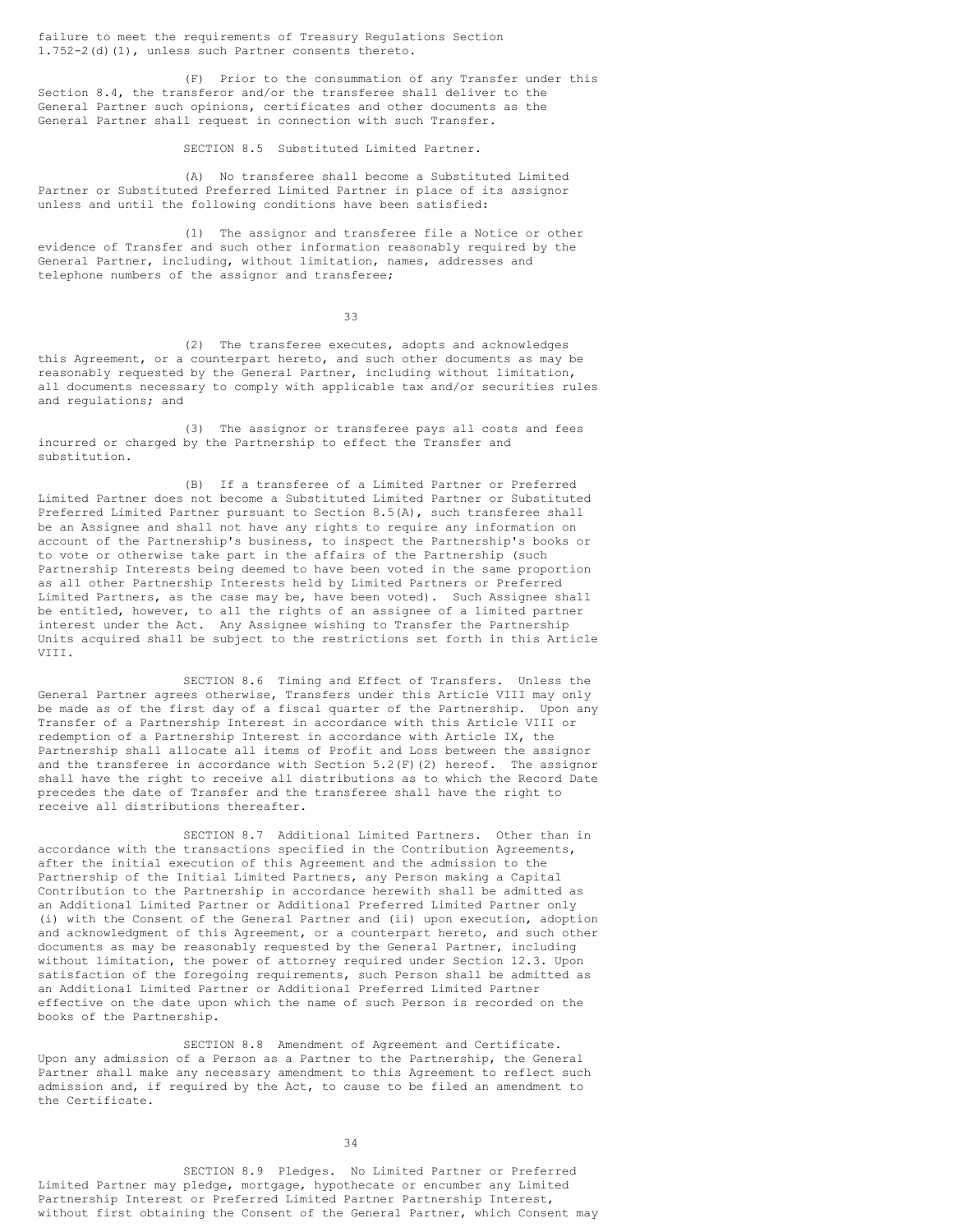failure to meet the requirements of Treasury Regulations Section 1.752-2(d)(1), unless such Partner consents thereto.

(F) Prior to the consummation of any Transfer under this Section 8.4, the transferor and/or the transferee shall deliver to the General Partner such opinions, certificates and other documents as the General Partner shall request in connection with such Transfer.

## SECTION 8.5 Substituted Limited Partner.

(A) No transferee shall become a Substituted Limited Partner or Substituted Preferred Limited Partner in place of its assignor unless and until the following conditions have been satisfied:

(1) The assignor and transferee file a Notice or other evidence of Transfer and such other information reasonably required by the General Partner, including, without limitation, names, addresses and telephone numbers of the assignor and transferee;

33

(2) The transferee executes, adopts and acknowledges this Agreement, or a counterpart hereto, and such other documents as may be reasonably requested by the General Partner, including without limitation, all documents necessary to comply with applicable tax and/or securities rules and regulations; and

(3) The assignor or transferee pays all costs and fees incurred or charged by the Partnership to effect the Transfer and substitution.

(B) If a transferee of a Limited Partner or Preferred Limited Partner does not become a Substituted Limited Partner or Substituted Preferred Limited Partner pursuant to Section 8.5(A), such transferee shall be an Assignee and shall not have any rights to require any information on account of the Partnership's business, to inspect the Partnership's books or to vote or otherwise take part in the affairs of the Partnership (such Partnership Interests being deemed to have been voted in the same proportion as all other Partnership Interests held by Limited Partners or Preferred Limited Partners, as the case may be, have been voted). Such Assignee shall be entitled, however, to all the rights of an assignee of a limited partner interest under the Act. Any Assignee wishing to Transfer the Partnership Units acquired shall be subject to the restrictions set forth in this Article VIII.

SECTION 8.6 Timing and Effect of Transfers. Unless the General Partner agrees otherwise, Transfers under this Article VIII may only be made as of the first day of a fiscal quarter of the Partnership. Upon any Transfer of a Partnership Interest in accordance with this Article VIII or redemption of a Partnership Interest in accordance with Article IX, the Partnership shall allocate all items of Profit and Loss between the assignor and the transferee in accordance with Section 5.2(F)(2) hereof. The assignor shall have the right to receive all distributions as to which the Record Date precedes the date of Transfer and the transferee shall have the right to receive all distributions thereafter.

SECTION 8.7 Additional Limited Partners. Other than in accordance with the transactions specified in the Contribution Agreements, after the initial execution of this Agreement and the admission to the Partnership of the Initial Limited Partners, any Person making a Capital Contribution to the Partnership in accordance herewith shall be admitted as an Additional Limited Partner or Additional Preferred Limited Partner only (i) with the Consent of the General Partner and (ii) upon execution, adoption and acknowledgment of this Agreement, or a counterpart hereto, and such other documents as may be reasonably requested by the General Partner, including without limitation, the power of attorney required under Section 12.3. Upon satisfaction of the foregoing requirements, such Person shall be admitted as an Additional Limited Partner or Additional Preferred Limited Partner effective on the date upon which the name of such Person is recorded on the books of the Partnership.

SECTION 8.8 Amendment of Agreement and Certificate. Upon any admission of a Person as a Partner to the Partnership, the General Partner shall make any necessary amendment to this Agreement to reflect such admission and, if required by the Act, to cause to be filed an amendment to the Certificate.

34

SECTION 8.9 Pledges. No Limited Partner or Preferred Limited Partner may pledge, mortgage, hypothecate or encumber any Limited Partnership Interest or Preferred Limited Partner Partnership Interest, without first obtaining the Consent of the General Partner, which Consent may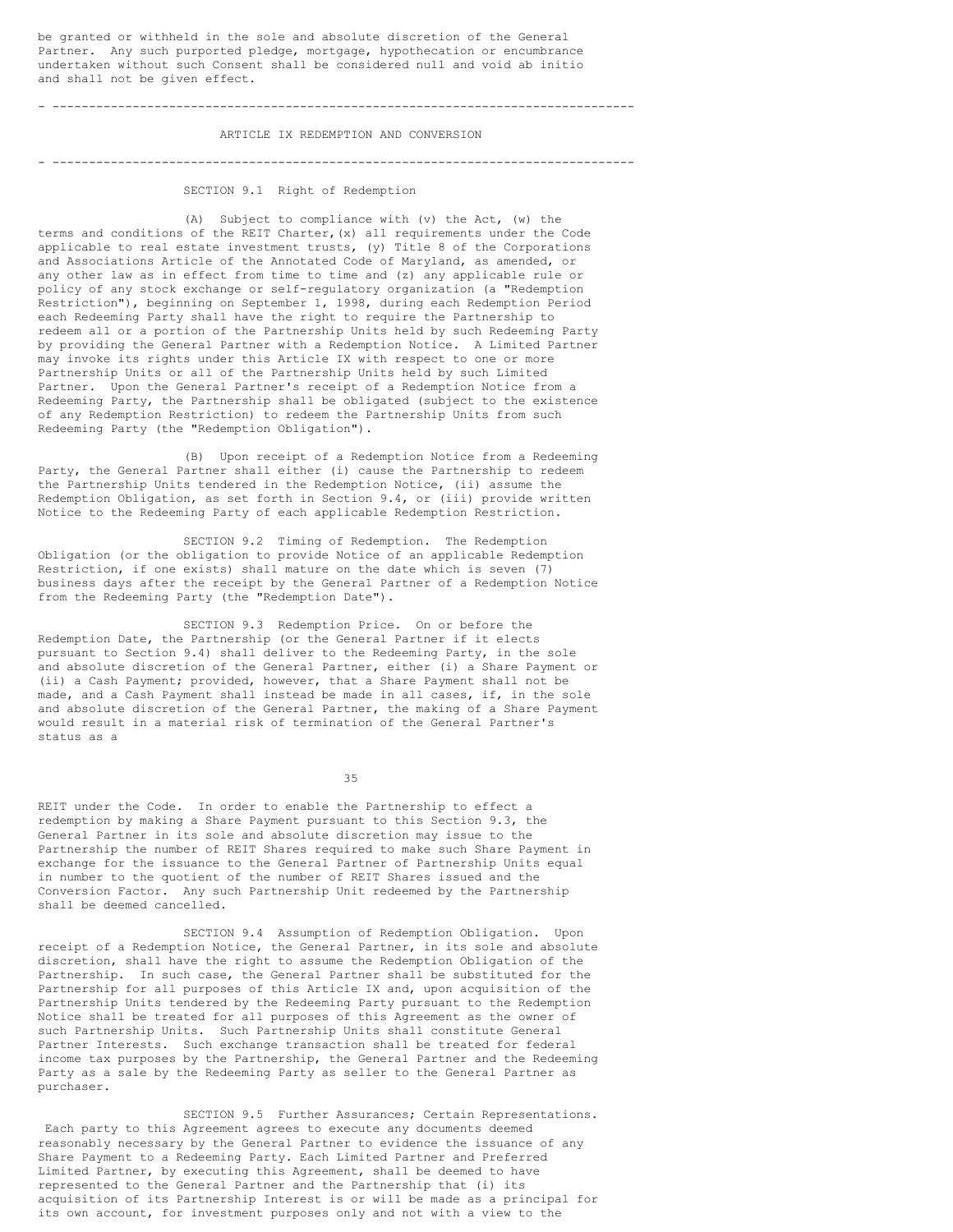be granted or withheld in the sole and absolute discretion of the General Partner. Any such purported pledge, mortgage, hypothecation or encumbrance undertaken without such Consent shall be considered null and void ab initio and shall not be given effect.

# - --------------------------------------------------------------------------------

# ARTICLE IX REDEMPTION AND CONVERSION

- --------------------------------------------------------------------------------

# SECTION 9.1 Right of Redemption

(A) Subject to compliance with (v) the Act, (w) the terms and conditions of the REIT Charter,(x) all requirements under the Code applicable to real estate investment trusts, (y) Title 8 of the Corporations and Associations Article of the Annotated Code of Maryland, as amended, or any other law as in effect from time to time and (z) any applicable rule or policy of any stock exchange or self-regulatory organization (a "Redemption Restriction"), beginning on September 1, 1998, during each Redemption Period each Redeeming Party shall have the right to require the Partnership to redeem all or a portion of the Partnership Units held by such Redeeming Party by providing the General Partner with a Redemption Notice. A Limited Partner may invoke its rights under this Article IX with respect to one or more Partnership Units or all of the Partnership Units held by such Limited Partner. Upon the General Partner's receipt of a Redemption Notice from a Redeeming Party, the Partnership shall be obligated (subject to the existence of any Redemption Restriction) to redeem the Partnership Units from such Redeeming Party (the "Redemption Obligation").

(B) Upon receipt of a Redemption Notice from a Redeeming Party, the General Partner shall either (i) cause the Partnership to redeem the Partnership Units tendered in the Redemption Notice, (ii) assume the Redemption Obligation, as set forth in Section 9.4, or (iii) provide written Notice to the Redeeming Party of each applicable Redemption Restriction.

SECTION 9.2 Timing of Redemption. The Redemption Obligation (or the obligation to provide Notice of an applicable Redemption Restriction, if one exists) shall mature on the date which is seven (7) business days after the receipt by the General Partner of a Redemption Notice from the Redeeming Party (the "Redemption Date").

SECTION 9.3 Redemption Price. On or before the Redemption Date, the Partnership (or the General Partner if it elects pursuant to Section 9.4) shall deliver to the Redeeming Party, in the sole and absolute discretion of the General Partner, either (i) a Share Payment or (ii) a Cash Payment; provided, however, that a Share Payment shall not be made, and a Cash Payment shall instead be made in all cases, if, in the sole and absolute discretion of the General Partner, the making of a Share Payment would result in a material risk of termination of the General Partner's status as a

35

REIT under the Code. In order to enable the Partnership to effect a redemption by making a Share Payment pursuant to this Section 9.3, the General Partner in its sole and absolute discretion may issue to the Partnership the number of REIT Shares required to make such Share Payment in exchange for the issuance to the General Partner of Partnership Units equal in number to the quotient of the number of REIT Shares issued and the Conversion Factor. Any such Partnership Unit redeemed by the Partnership shall be deemed cancelled.

SECTION 9.4 Assumption of Redemption Obligation. Upon receipt of a Redemption Notice, the General Partner, in its sole and absolute discretion, shall have the right to assume the Redemption Obligation of the Partnership. In such case, the General Partner shall be substituted for the Partnership for all purposes of this Article IX and, upon acquisition of the Partnership Units tendered by the Redeeming Party pursuant to the Redemption Notice shall be treated for all purposes of this Agreement as the owner of such Partnership Units. Such Partnership Units shall constitute General Partner Interests. Such exchange transaction shall be treated for federal income tax purposes by the Partnership, the General Partner and the Redeeming Party as a sale by the Redeeming Party as seller to the General Partner as purchaser.

SECTION 9.5 Further Assurances; Certain Representations. Each party to this Agreement agrees to execute any documents deemed reasonably necessary by the General Partner to evidence the issuance of any Share Payment to a Redeeming Party. Each Limited Partner and Preferred Limited Partner, by executing this Agreement, shall be deemed to have represented to the General Partner and the Partnership that (i) its acquisition of its Partnership Interest is or will be made as a principal for its own account, for investment purposes only and not with a view to the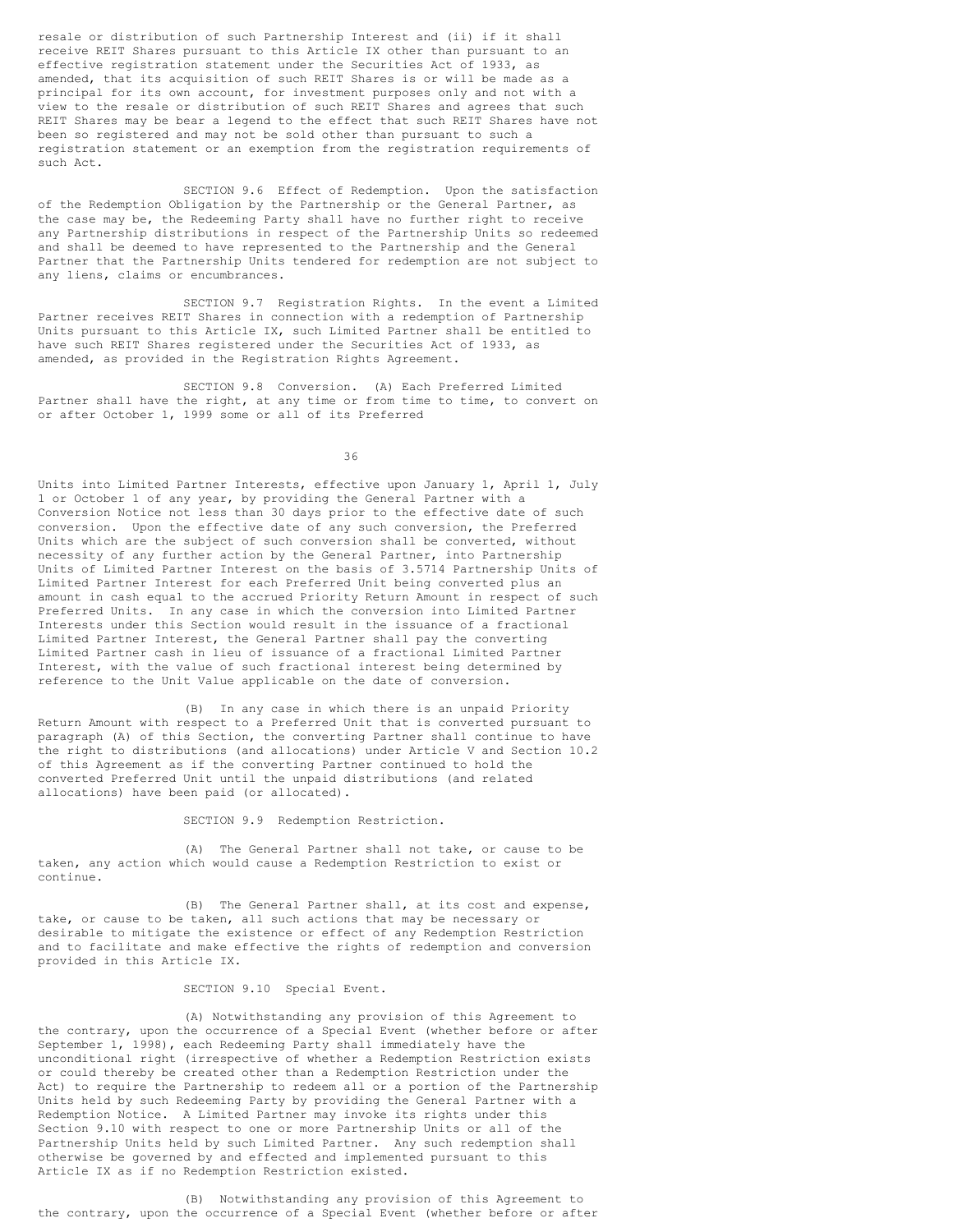resale or distribution of such Partnership Interest and (ii) if it shall receive REIT Shares pursuant to this Article IX other than pursuant to an effective registration statement under the Securities Act of 1933, as amended, that its acquisition of such REIT Shares is or will be made as a principal for its own account, for investment purposes only and not with a view to the resale or distribution of such REIT Shares and agrees that such REIT Shares may be bear a legend to the effect that such REIT Shares have not been so registered and may not be sold other than pursuant to such a registration statement or an exemption from the registration requirements of such Act.

SECTION 9.6 Effect of Redemption. Upon the satisfaction of the Redemption Obligation by the Partnership or the General Partner, as the case may be, the Redeeming Party shall have no further right to receive any Partnership distributions in respect of the Partnership Units so redeemed and shall be deemed to have represented to the Partnership and the General Partner that the Partnership Units tendered for redemption are not subject to any liens, claims or encumbrances.

SECTION 9.7 Registration Rights. In the event a Limited Partner receives REIT Shares in connection with a redemption of Partnership Units pursuant to this Article IX, such Limited Partner shall be entitled to have such REIT Shares registered under the Securities Act of 1933, as amended, as provided in the Registration Rights Agreement.

SECTION 9.8 Conversion. (A) Each Preferred Limited Partner shall have the right, at any time or from time to time, to convert on or after October 1, 1999 some or all of its Preferred

36

Units into Limited Partner Interests, effective upon January 1, April 1, July 1 or October 1 of any year, by providing the General Partner with a Conversion Notice not less than 30 days prior to the effective date of such conversion. Upon the effective date of any such conversion, the Preferred Units which are the subject of such conversion shall be converted, without necessity of any further action by the General Partner, into Partnership Units of Limited Partner Interest on the basis of 3.5714 Partnership Units of Limited Partner Interest for each Preferred Unit being converted plus an amount in cash equal to the accrued Priority Return Amount in respect of such Preferred Units. In any case in which the conversion into Limited Partner Interests under this Section would result in the issuance of a fractional Limited Partner Interest, the General Partner shall pay the converting Limited Partner cash in lieu of issuance of a fractional Limited Partner Interest, with the value of such fractional interest being determined by reference to the Unit Value applicable on the date of conversion.

(B) In any case in which there is an unpaid Priority Return Amount with respect to a Preferred Unit that is converted pursuant to paragraph (A) of this Section, the converting Partner shall continue to have the right to distributions (and allocations) under Article V and Section 10.2 of this Agreement as if the converting Partner continued to hold the converted Preferred Unit until the unpaid distributions (and related allocations) have been paid (or allocated).

SECTION 9.9 Redemption Restriction.

(A) The General Partner shall not take, or cause to be taken, any action which would cause a Redemption Restriction to exist or continue.

(B) The General Partner shall, at its cost and expense, take, or cause to be taken, all such actions that may be necessary or desirable to mitigate the existence or effect of any Redemption Restriction and to facilitate and make effective the rights of redemption and conversion provided in this Article IX.

#### SECTION 9.10 Special Event.

(A) Notwithstanding any provision of this Agreement to the contrary, upon the occurrence of a Special Event (whether before or after September 1, 1998), each Redeeming Party shall immediately have the unconditional right (irrespective of whether a Redemption Restriction exists or could thereby be created other than a Redemption Restriction under the Act) to require the Partnership to redeem all or a portion of the Partnership Units held by such Redeeming Party by providing the General Partner with a Redemption Notice. A Limited Partner may invoke its rights under this Section 9.10 with respect to one or more Partnership Units or all of the Partnership Units held by such Limited Partner. Any such redemption shall otherwise be governed by and effected and implemented pursuant to this Article IX as if no Redemption Restriction existed.

(B) Notwithstanding any provision of this Agreement to the contrary, upon the occurrence of a Special Event (whether before or after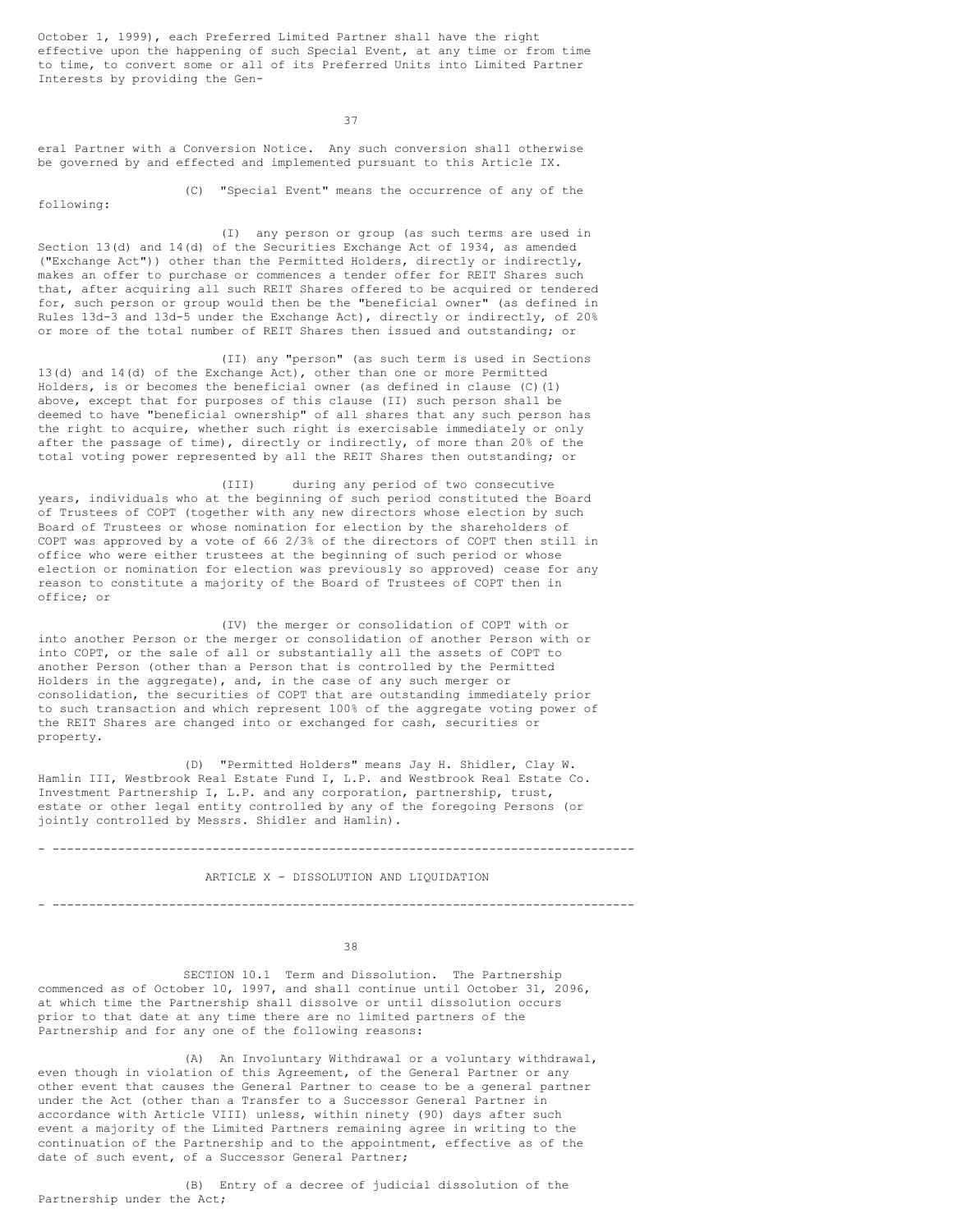October 1, 1999), each Preferred Limited Partner shall have the right effective upon the happening of such Special Event, at any time or from time to time, to convert some or all of its Preferred Units into Limited Partner Interests by providing the Gen-

37

eral Partner with a Conversion Notice. Any such conversion shall otherwise be governed by and effected and implemented pursuant to this Article IX.

following:

(C) "Special Event" means the occurrence of any of the

(I) any person or group (as such terms are used in Section 13(d) and 14(d) of the Securities Exchange Act of 1934, as amended ("Exchange Act")) other than the Permitted Holders, directly or indirectly, makes an offer to purchase or commences a tender offer for REIT Shares such that, after acquiring all such REIT Shares offered to be acquired or tendered for, such person or group would then be the "beneficial owner" (as defined in Rules 13d-3 and 13d-5 under the Exchange Act), directly or indirectly, of 20% or more of the total number of REIT Shares then issued and outstanding; or

(II) any "person" (as such term is used in Sections 13(d) and 14(d) of the Exchange Act), other than one or more Permitted Holders, is or becomes the beneficial owner (as defined in clause (C)(1) above, except that for purposes of this clause (II) such person shall be deemed to have "beneficial ownership" of all shares that any such person has the right to acquire, whether such right is exercisable immediately or only after the passage of time), directly or indirectly, of more than 20% of the total voting power represented by all the REIT Shares then outstanding; or

(III) during any period of two consecutive years, individuals who at the beginning of such period constituted the Board of Trustees of COPT (together with any new directors whose election by such Board of Trustees or whose nomination for election by the shareholders of COPT was approved by a vote of 66 2/3% of the directors of COPT then still in office who were either trustees at the beginning of such period or whose election or nomination for election was previously so approved) cease for any reason to constitute a majority of the Board of Trustees of COPT then in office; or

(IV) the merger or consolidation of COPT with or into another Person or the merger or consolidation of another Person with or into COPT, or the sale of all or substantially all the assets of COPT to another Person (other than a Person that is controlled by the Permitted Holders in the aggregate), and, in the case of any such merger or consolidation, the securities of COPT that are outstanding immediately prior to such transaction and which represent 100% of the aggregate voting power of the REIT Shares are changed into or exchanged for cash, securities or property.

(D) "Permitted Holders" means Jay H. Shidler, Clay W. Hamlin III, Westbrook Real Estate Fund I, L.P. and Westbrook Real Estate Co. Investment Partnership I, L.P. and any corporation, partnership, trust, estate or other legal entity controlled by any of the foregoing Persons (or jointly controlled by Messrs. Shidler and Hamlin).

#### - --------------------------------------------------------------------------------

#### ARTICLE X - DISSOLUTION AND LIQUIDATION

- --------------------------------------------------------------------------------

38

SECTION 10.1 Term and Dissolution. The Partnership commenced as of October 10, 1997, and shall continue until October 31, 2096, at which time the Partnership shall dissolve or until dissolution occurs prior to that date at any time there are no limited partners of the Partnership and for any one of the following reasons:

(A) An Involuntary Withdrawal or a voluntary withdrawal, even though in violation of this Agreement, of the General Partner or any other event that causes the General Partner to cease to be a general partner under the Act (other than a Transfer to a Successor General Partner in accordance with Article VIII) unless, within ninety (90) days after such event a majority of the Limited Partners remaining agree in writing to the continuation of the Partnership and to the appointment, effective as of the date of such event, of a Successor General Partner;

(B) Entry of a decree of judicial dissolution of the Partnership under the Act;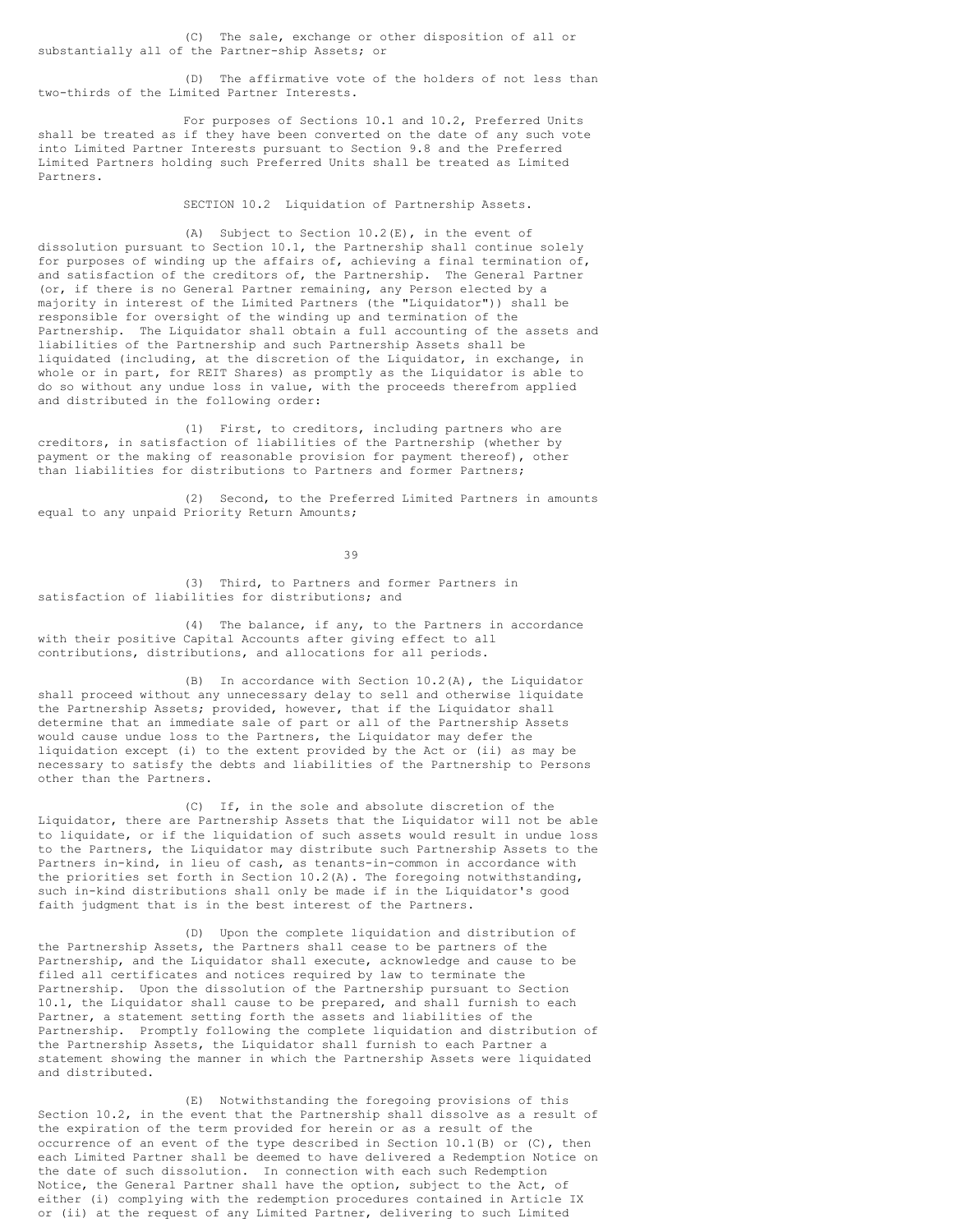(C) The sale, exchange or other disposition of all or substantially all of the Partner-ship Assets; or

(D) The affirmative vote of the holders of not less than two-thirds of the Limited Partner Interests.

For purposes of Sections 10.1 and 10.2, Preferred Units shall be treated as if they have been converted on the date of any such vote into Limited Partner Interests pursuant to Section 9.8 and the Preferred Limited Partners holding such Preferred Units shall be treated as Limited Partners.

SECTION 10.2 Liquidation of Partnership Assets.

(A) Subject to Section 10.2(E), in the event of dissolution pursuant to Section 10.1, the Partnership shall continue solely for purposes of winding up the affairs of, achieving a final termination of, and satisfaction of the creditors of, the Partnership. The General Partner (or, if there is no General Partner remaining, any Person elected by a majority in interest of the Limited Partners (the "Liquidator")) shall be responsible for oversight of the winding up and termination of the Partnership. The Liquidator shall obtain a full accounting of the assets and liabilities of the Partnership and such Partnership Assets shall be liquidated (including, at the discretion of the Liquidator, in exchange, in whole or in part, for REIT Shares) as promptly as the Liquidator is able to do so without any undue loss in value, with the proceeds therefrom applied and distributed in the following order:

(1) First, to creditors, including partners who are creditors, in satisfaction of liabilities of the Partnership (whether by payment or the making of reasonable provision for payment thereof), other than liabilities for distributions to Partners and former Partners;

(2) Second, to the Preferred Limited Partners in amounts equal to any unpaid Priority Return Amounts;

39

(3) Third, to Partners and former Partners in satisfaction of liabilities for distributions; and

(4) The balance, if any, to the Partners in accordance with their positive Capital Accounts after giving effect to all contributions, distributions, and allocations for all periods.

(B) In accordance with Section 10.2(A), the Liquidator shall proceed without any unnecessary delay to sell and otherwise liquidate the Partnership Assets; provided, however, that if the Liquidator shall determine that an immediate sale of part or all of the Partnership Assets would cause undue loss to the Partners, the Liquidator may defer the liquidation except (i) to the extent provided by the Act or (ii) as may be necessary to satisfy the debts and liabilities of the Partnership to Persons other than the Partners.

(C) If, in the sole and absolute discretion of the Liquidator, there are Partnership Assets that the Liquidator will not be able to liquidate, or if the liquidation of such assets would result in undue loss to the Partners, the Liquidator may distribute such Partnership Assets to the Partners in-kind, in lieu of cash, as tenants-in-common in accordance with the priorities set forth in Section 10.2(A). The foregoing notwithstanding, such in-kind distributions shall only be made if in the Liquidator's good faith judgment that is in the best interest of the Partners.

(D) Upon the complete liquidation and distribution of the Partnership Assets, the Partners shall cease to be partners of the Partnership, and the Liquidator shall execute, acknowledge and cause to be filed all certificates and notices required by law to terminate the Partnership. Upon the dissolution of the Partnership pursuant to Section 10.1, the Liquidator shall cause to be prepared, and shall furnish to each Partner, a statement setting forth the assets and liabilities of the Partnership. Promptly following the complete liquidation and distribution of the Partnership Assets, the Liquidator shall furnish to each Partner a statement showing the manner in which the Partnership Assets were liquidated and distributed.

(E) Notwithstanding the foregoing provisions of this Section 10.2, in the event that the Partnership shall dissolve as a result of the expiration of the term provided for herein or as a result of the occurrence of an event of the type described in Section  $10.1(B)$  or (C), then each Limited Partner shall be deemed to have delivered a Redemption Notice on the date of such dissolution. In connection with each such Redemption Notice, the General Partner shall have the option, subject to the Act, of either (i) complying with the redemption procedures contained in Article IX or (ii) at the request of any Limited Partner, delivering to such Limited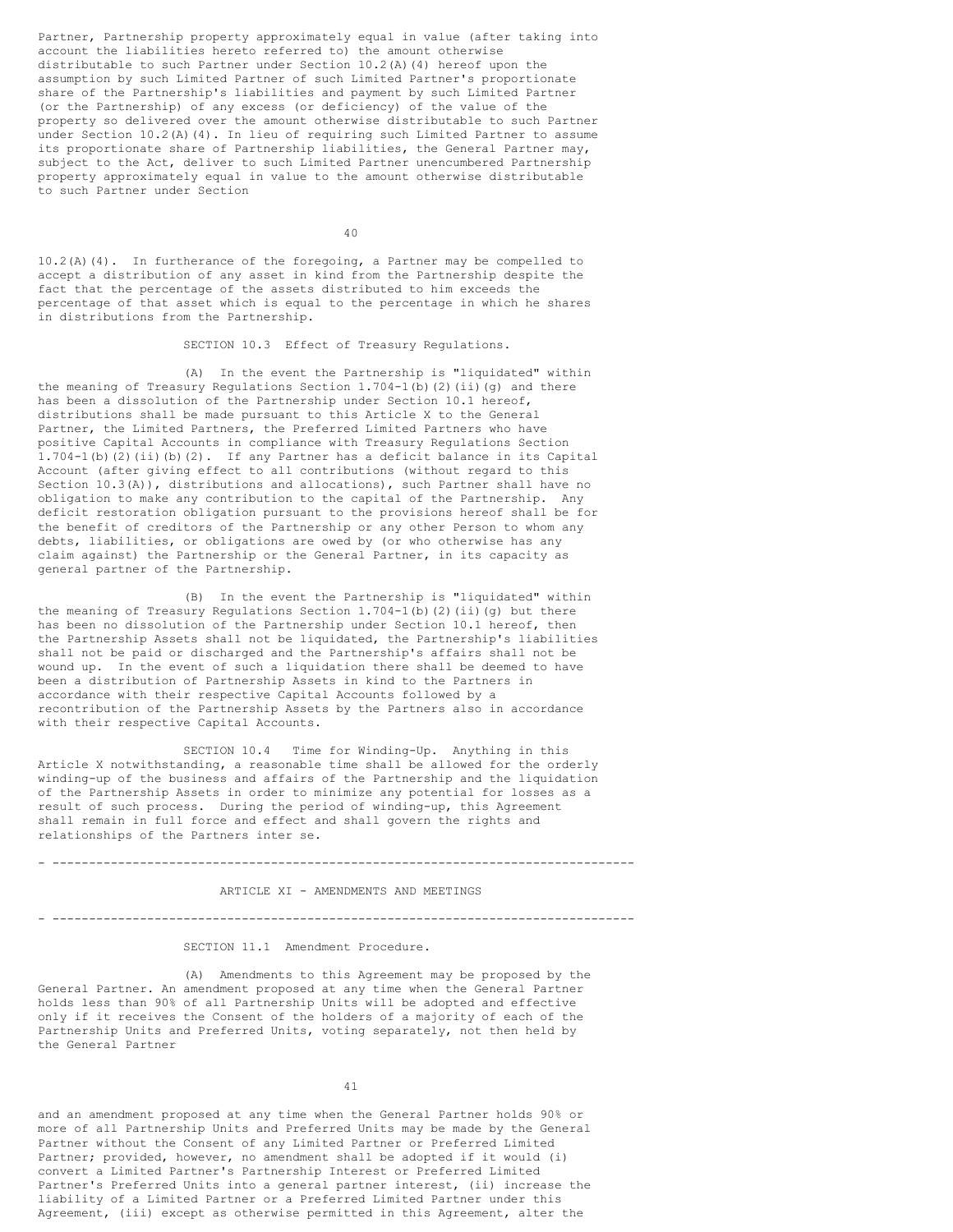Partner, Partnership property approximately equal in value (after taking into account the liabilities hereto referred to) the amount otherwise distributable to such Partner under Section  $10.2$  (A)(4) hereof upon the assumption by such Limited Partner of such Limited Partner's proportionate share of the Partnership's liabilities and payment by such Limited Partner (or the Partnership) of any excess (or deficiency) of the value of the property so delivered over the amount otherwise distributable to such Partner under Section 10.2(A)(4). In lieu of requiring such Limited Partner to assume its proportionate share of Partnership liabilities, the General Partner may, subject to the Act, deliver to such Limited Partner unencumbered Partnership property approximately equal in value to the amount otherwise distributable to such Partner under Section

 $40$ 

10.2(A)(4). In furtherance of the foregoing, a Partner may be compelled to accept a distribution of any asset in kind from the Partnership despite the fact that the percentage of the assets distributed to him exceeds the percentage of that asset which is equal to the percentage in which he shares in distributions from the Partnership.

SECTION 10.3 Effect of Treasury Regulations.

(A) In the event the Partnership is "liquidated" within the meaning of Treasury Regulations Section 1.704-1(b)(2)(ii)(g) and there has been a dissolution of the Partnership under Section 10.1 hereof, distributions shall be made pursuant to this Article X to the General Partner, the Limited Partners, the Preferred Limited Partners who have positive Capital Accounts in compliance with Treasury Regulations Section 1.704-1(b)(2)(ii)(b)(2). If any Partner has a deficit balance in its Capital Account (after giving effect to all contributions (without regard to this Section 10.3(A)), distributions and allocations), such Partner shall have no obligation to make any contribution to the capital of the Partnership. Any deficit restoration obligation pursuant to the provisions hereof shall be for the benefit of creditors of the Partnership or any other Person to whom any debts, liabilities, or obligations are owed by (or who otherwise has any claim against) the Partnership or the General Partner, in its capacity as general partner of the Partnership.

(B) In the event the Partnership is "liquidated" within the meaning of Treasury Regulations Section  $1.704-1$  (b) (2) (ii)(g) but there has been no dissolution of the Partnership under Section 10.1 hereof, then the Partnership Assets shall not be liquidated, the Partnership's liabilities shall not be paid or discharged and the Partnership's affairs shall not be wound up. In the event of such a liquidation there shall be deemed to have been a distribution of Partnership Assets in kind to the Partners in accordance with their respective Capital Accounts followed by a recontribution of the Partnership Assets by the Partners also in accordance with their respective Capital Accounts.

SECTION 10.4 Time for Winding-Up. Anything in this Article X notwithstanding, a reasonable time shall be allowed for the orderly winding-up of the business and affairs of the Partnership and the liquidation of the Partnership Assets in order to minimize any potential for losses as a result of such process. During the period of winding-up, this Agreement shall remain in full force and effect and shall govern the rights and relationships of the Partners inter se.

# - --------------------------------------------------------------------------------

#### ARTICLE XI - AMENDMENTS AND MEETINGS

#### - --------------------------------------------------------------------------------

#### SECTION 11.1 Amendment Procedure.

(A) Amendments to this Agreement may be proposed by the General Partner. An amendment proposed at any time when the General Partner holds less than 90% of all Partnership Units will be adopted and effective only if it receives the Consent of the holders of a majority of each of the Partnership Units and Preferred Units, voting separately, not then held by the General Partner

41

and an amendment proposed at any time when the General Partner holds 90% or more of all Partnership Units and Preferred Units may be made by the General Partner without the Consent of any Limited Partner or Preferred Limited Partner; provided, however, no amendment shall be adopted if it would (i) convert a Limited Partner's Partnership Interest or Preferred Limited Partner's Preferred Units into a general partner interest, (ii) increase the liability of a Limited Partner or a Preferred Limited Partner under this Agreement, (iii) except as otherwise permitted in this Agreement, alter the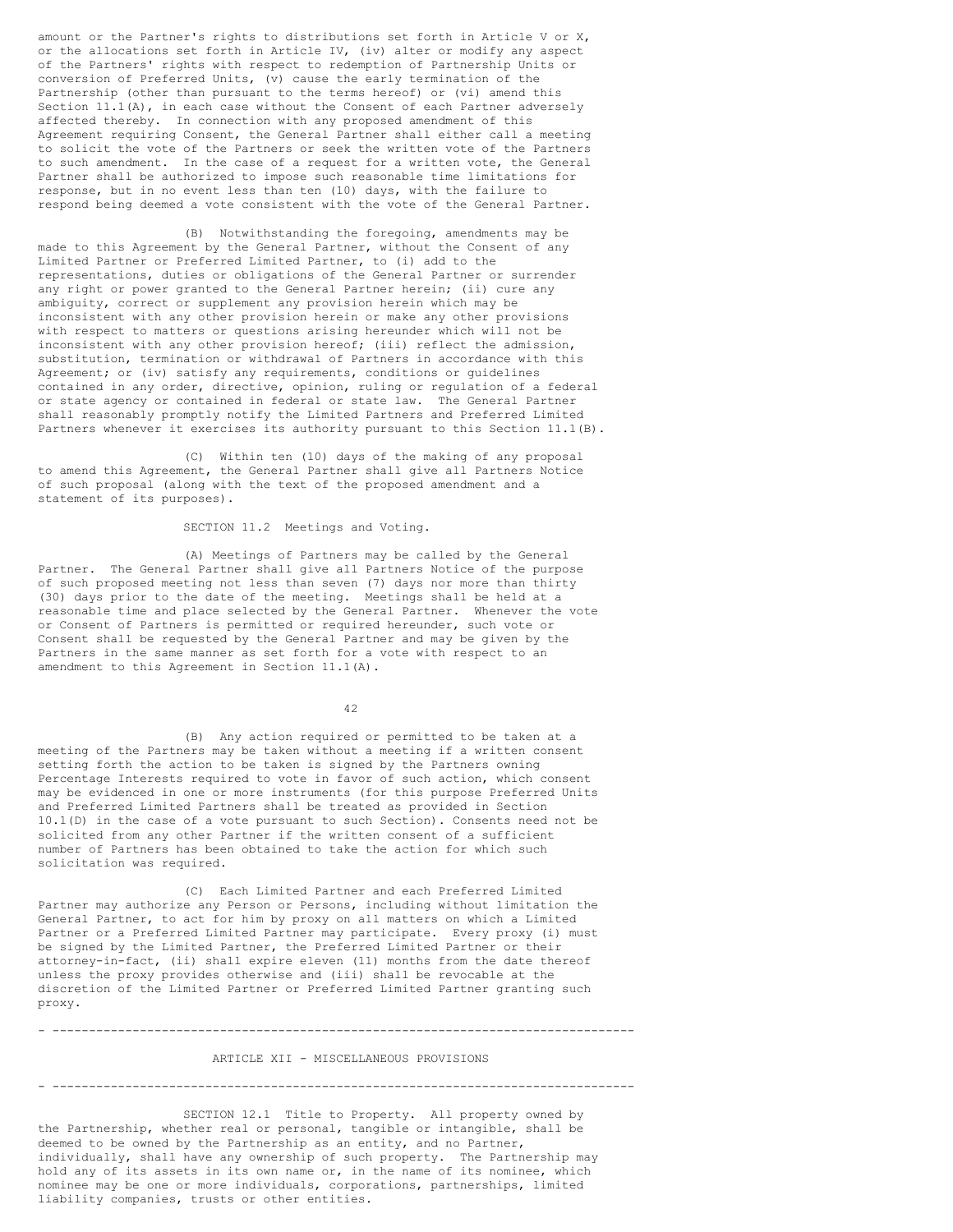amount or the Partner's rights to distributions set forth in Article V or X, or the allocations set forth in Article IV, (iv) alter or modify any aspect of the Partners' rights with respect to redemption of Partnership Units or conversion of Preferred Units, (v) cause the early termination of the Partnership (other than pursuant to the terms hereof) or (vi) amend this Section  $11.1(A)$ , in each case without the Consent of each Partner adversely affected thereby. In connection with any proposed amendment of this Agreement requiring Consent, the General Partner shall either call a meeting to solicit the vote of the Partners or seek the written vote of the Partners to such amendment. In the case of a request for a written vote, the General Partner shall be authorized to impose such reasonable time limitations for response, but in no event less than ten (10) days, with the failure to respond being deemed a vote consistent with the vote of the General Partner.

(B) Notwithstanding the foregoing, amendments may be made to this Agreement by the General Partner, without the Consent of any Limited Partner or Preferred Limited Partner, to (i) add to the representations, duties or obligations of the General Partner or surrender any right or power granted to the General Partner herein; (ii) cure any ambiguity, correct or supplement any provision herein which may be inconsistent with any other provision herein or make any other provisions with respect to matters or questions arising hereunder which will not be inconsistent with any other provision hereof; (iii) reflect the admission, substitution, termination or withdrawal of Partners in accordance with this Agreement; or (iv) satisfy any requirements, conditions or guidelines contained in any order, directive, opinion, ruling or regulation of a federal or state agency or contained in federal or state law. The General Partner shall reasonably promptly notify the Limited Partners and Preferred Limited Partners whenever it exercises its authority pursuant to this Section 11.1(B).

(C) Within ten (10) days of the making of any proposal to amend this Agreement, the General Partner shall give all Partners Notice of such proposal (along with the text of the proposed amendment and a statement of its purposes).

SECTION 11.2 Meetings and Voting.

(A) Meetings of Partners may be called by the General Partner. The General Partner shall give all Partners Notice of the purpose of such proposed meeting not less than seven (7) days nor more than thirty (30) days prior to the date of the meeting. Meetings shall be held at a reasonable time and place selected by the General Partner. Whenever the vote or Consent of Partners is permitted or required hereunder, such vote or Consent shall be requested by the General Partner and may be given by the Partners in the same manner as set forth for a vote with respect to an amendment to this Agreement in Section 11.1(A).

42

(B) Any action required or permitted to be taken at a meeting of the Partners may be taken without a meeting if a written consent setting forth the action to be taken is signed by the Partners owning Percentage Interests required to vote in favor of such action, which consent may be evidenced in one or more instruments (for this purpose Preferred Units and Preferred Limited Partners shall be treated as provided in Section 10.1(D) in the case of a vote pursuant to such Section). Consents need not be solicited from any other Partner if the written consent of a sufficient number of Partners has been obtained to take the action for which such solicitation was required.

(C) Each Limited Partner and each Preferred Limited Partner may authorize any Person or Persons, including without limitation the General Partner, to act for him by proxy on all matters on which a Limited Partner or a Preferred Limited Partner may participate. Every proxy (i) must be signed by the Limited Partner, the Preferred Limited Partner or their attorney-in-fact, (ii) shall expire eleven (11) months from the date thereof unless the proxy provides otherwise and (iii) shall be revocable at the discretion of the Limited Partner or Preferred Limited Partner granting such proxy.

#### ARTICLE XII - MISCELLANEOUS PROVISIONS

- --------------------------------------------------------------------------------

- --------------------------------------------------------------------------------

SECTION 12.1 Title to Property. All property owned by the Partnership, whether real or personal, tangible or intangible, shall be deemed to be owned by the Partnership as an entity, and no Partner, individually, shall have any ownership of such property. The Partnership may hold any of its assets in its own name or, in the name of its nominee, which nominee may be one or more individuals, corporations, partnerships, limited liability companies, trusts or other entities.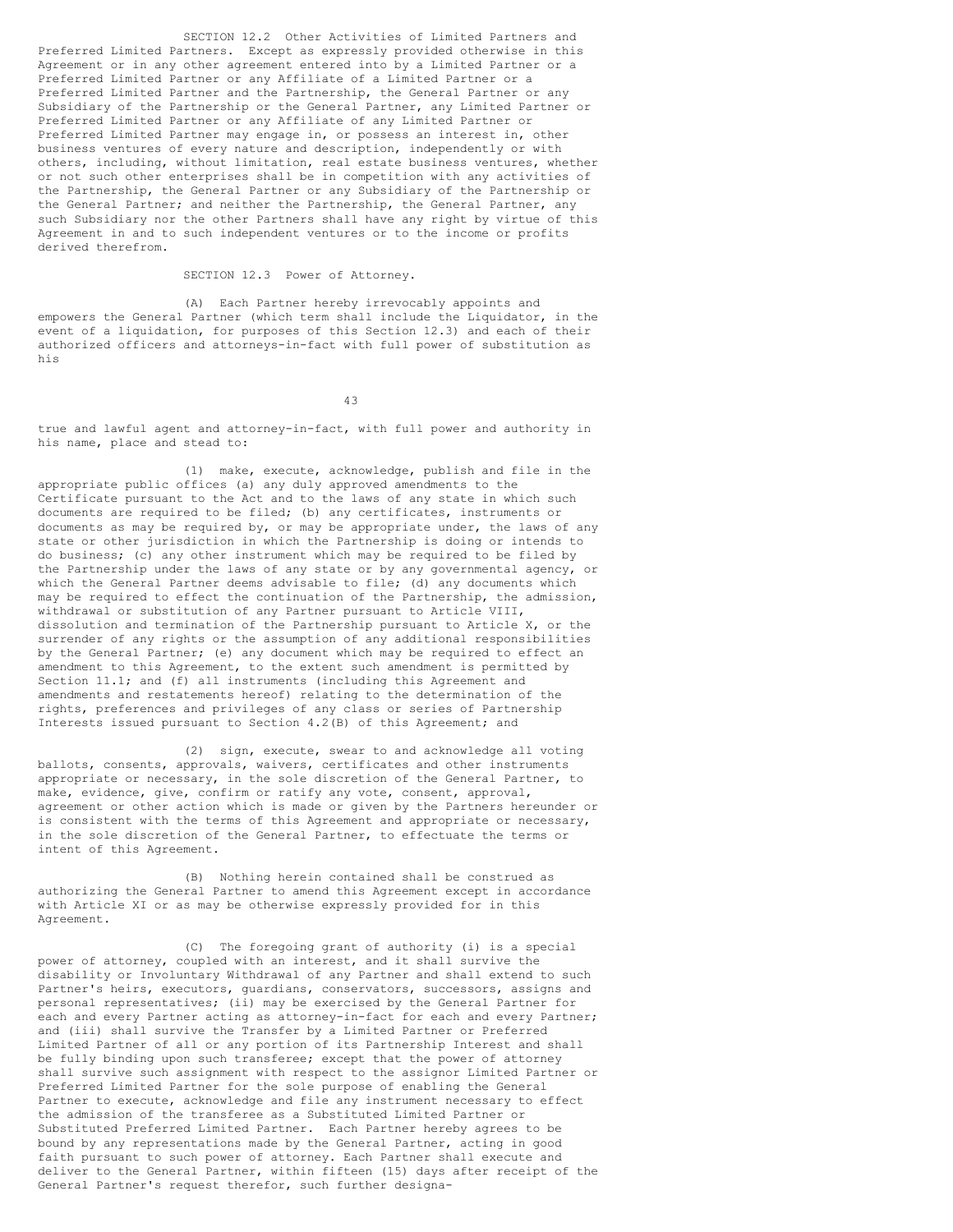SECTION 12.2 Other Activities of Limited Partners and Preferred Limited Partners. Except as expressly provided otherwise in this Agreement or in any other agreement entered into by a Limited Partner or a Preferred Limited Partner or any Affiliate of a Limited Partner or a Preferred Limited Partner and the Partnership, the General Partner or any Subsidiary of the Partnership or the General Partner, any Limited Partner or Preferred Limited Partner or any Affiliate of any Limited Partner or Preferred Limited Partner may engage in, or possess an interest in, other business ventures of every nature and description, independently or with others, including, without limitation, real estate business ventures, whether or not such other enterprises shall be in competition with any activities of the Partnership, the General Partner or any Subsidiary of the Partnership or the General Partner; and neither the Partnership, the General Partner, any such Subsidiary nor the other Partners shall have any right by virtue of this Agreement in and to such independent ventures or to the income or profits derived therefrom.

SECTION 12.3 Power of Attorney.

(A) Each Partner hereby irrevocably appoints and empowers the General Partner (which term shall include the Liquidator, in the event of a liquidation, for purposes of this Section 12.3) and each of their authorized officers and attorneys-in-fact with full power of substitution as his

43

true and lawful agent and attorney-in-fact, with full power and authority in his name, place and stead to:

(1) make, execute, acknowledge, publish and file in the appropriate public offices (a) any duly approved amendments to the Certificate pursuant to the Act and to the laws of any state in which such documents are required to be filed; (b) any certificates, instruments or documents as may be required by, or may be appropriate under, the laws of any state or other jurisdiction in which the Partnership is doing or intends to do business; (c) any other instrument which may be required to be filed by the Partnership under the laws of any state or by any governmental agency, or which the General Partner deems advisable to file; (d) any documents which may be required to effect the continuation of the Partnership, the admission, withdrawal or substitution of any Partner pursuant to Article VIII, dissolution and termination of the Partnership pursuant to Article X, or the surrender of any rights or the assumption of any additional responsibilities by the General Partner; (e) any document which may be required to effect an amendment to this Agreement, to the extent such amendment is permitted by Section 11.1; and (f) all instruments (including this Agreement and amendments and restatements hereof) relating to the determination of the rights, preferences and privileges of any class or series of Partnership Interests issued pursuant to Section 4.2(B) of this Agreement; and

(2) sign, execute, swear to and acknowledge all voting ballots, consents, approvals, waivers, certificates and other instruments appropriate or necessary, in the sole discretion of the General Partner, to make, evidence, give, confirm or ratify any vote, consent, approval, agreement or other action which is made or given by the Partners hereunder or is consistent with the terms of this Agreement and appropriate or necessary, in the sole discretion of the General Partner, to effectuate the terms or intent of this Agreement.

(B) Nothing herein contained shall be construed as authorizing the General Partner to amend this Agreement except in accordance with Article XI or as may be otherwise expressly provided for in this Agreement.

(C) The foregoing grant of authority (i) is a special power of attorney, coupled with an interest, and it shall survive the disability or Involuntary Withdrawal of any Partner and shall extend to such Partner's heirs, executors, guardians, conservators, successors, assigns and personal representatives; (ii) may be exercised by the General Partner for each and every Partner acting as attorney-in-fact for each and every Partner; and (iii) shall survive the Transfer by a Limited Partner or Preferred Limited Partner of all or any portion of its Partnership Interest and shall be fully binding upon such transferee; except that the power of attorney shall survive such assignment with respect to the assignor Limited Partner or Preferred Limited Partner for the sole purpose of enabling the General Partner to execute, acknowledge and file any instrument necessary to effect the admission of the transferee as a Substituted Limited Partner or Substituted Preferred Limited Partner. Each Partner hereby agrees to be bound by any representations made by the General Partner, acting in good faith pursuant to such power of attorney. Each Partner shall execute and deliver to the General Partner, within fifteen (15) days after receipt of the General Partner's request therefor, such further designa-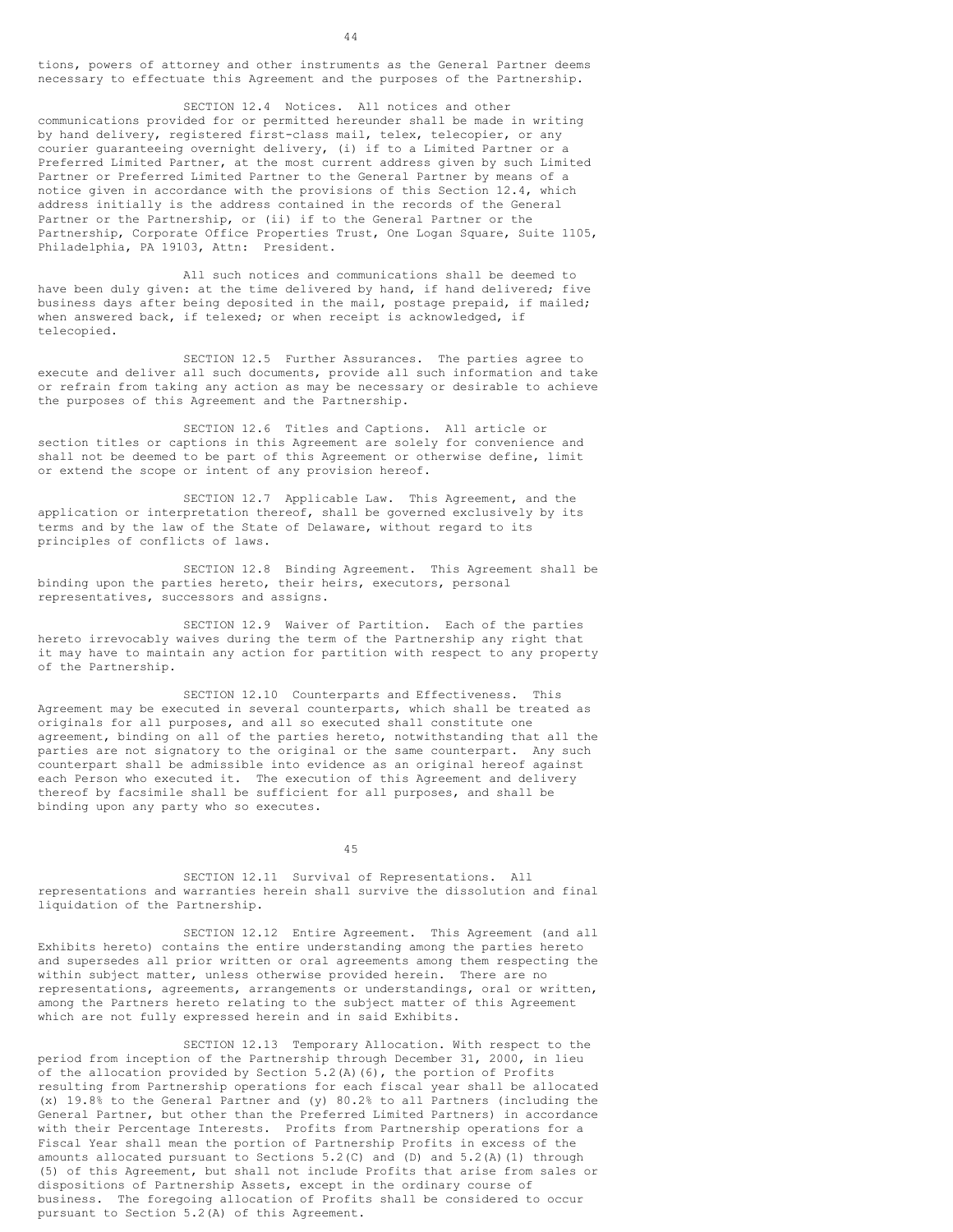tions, powers of attorney and other instruments as the General Partner deems necessary to effectuate this Agreement and the purposes of the Partnership.

SECTION 12.4 Notices. All notices and other communications provided for or permitted hereunder shall be made in writing by hand delivery, registered first-class mail, telex, telecopier, or any courier guaranteeing overnight delivery, (i) if to a Limited Partner or a Preferred Limited Partner, at the most current address given by such Limited Partner or Preferred Limited Partner to the General Partner by means of a notice given in accordance with the provisions of this Section 12.4, which address initially is the address contained in the records of the General Partner or the Partnership, or (ii) if to the General Partner or the Partnership, Corporate Office Properties Trust, One Logan Square, Suite 1105, Philadelphia, PA 19103, Attn: President.

All such notices and communications shall be deemed to have been duly given: at the time delivered by hand, if hand delivered; five business days after being deposited in the mail, postage prepaid, if mailed; when answered back, if telexed; or when receipt is acknowledged, if telecopied.

SECTION 12.5 Further Assurances. The parties agree to execute and deliver all such documents, provide all such information and take or refrain from taking any action as may be necessary or desirable to achieve the purposes of this Agreement and the Partnership.

SECTION 12.6 Titles and Captions. All article or section titles or captions in this Agreement are solely for convenience and shall not be deemed to be part of this Agreement or otherwise define, limit or extend the scope or intent of any provision hereof.

SECTION 12.7 Applicable Law. This Agreement, and the application or interpretation thereof, shall be governed exclusively by its terms and by the law of the State of Delaware, without regard to its principles of conflicts of laws.

SECTION 12.8 Binding Agreement. This Agreement shall be binding upon the parties hereto, their heirs, executors, personal representatives, successors and assigns.

SECTION 12.9 Waiver of Partition. Each of the parties hereto irrevocably waives during the term of the Partnership any right that it may have to maintain any action for partition with respect to any property of the Partnership.

SECTION 12.10 Counterparts and Effectiveness. This Agreement may be executed in several counterparts, which shall be treated as originals for all purposes, and all so executed shall constitute one agreement, binding on all of the parties hereto, notwithstanding that all the parties are not signatory to the original or the same counterpart. Any such counterpart shall be admissible into evidence as an original hereof against each Person who executed it. The execution of this Agreement and delivery thereof by facsimile shall be sufficient for all purposes, and shall be binding upon any party who so executes.

45

SECTION 12.11 Survival of Representations. All representations and warranties herein shall survive the dissolution and final liquidation of the Partnership.

SECTION 12.12 Entire Agreement. This Agreement (and all Exhibits hereto) contains the entire understanding among the parties hereto and supersedes all prior written or oral agreements among them respecting the within subject matter, unless otherwise provided herein. There are no representations, agreements, arrangements or understandings, oral or written, among the Partners hereto relating to the subject matter of this Agreement which are not fully expressed herein and in said Exhibits.

SECTION 12.13 Temporary Allocation. With respect to the period from inception of the Partnership through December 31, 2000, in lieu of the allocation provided by Section 5.2(A)(6), the portion of Profits resulting from Partnership operations for each fiscal year shall be allocated (x) 19.8% to the General Partner and (y) 80.2% to all Partners (including the General Partner, but other than the Preferred Limited Partners) in accordance with their Percentage Interests. Profits from Partnership operations for a Fiscal Year shall mean the portion of Partnership Profits in excess of the amounts allocated pursuant to Sections 5.2(C) and (D) and 5.2(A)(1) through (5) of this Agreement, but shall not include Profits that arise from sales or dispositions of Partnership Assets, except in the ordinary course of business. The foregoing allocation of Profits shall be considered to occur pursuant to Section 5.2(A) of this Agreement.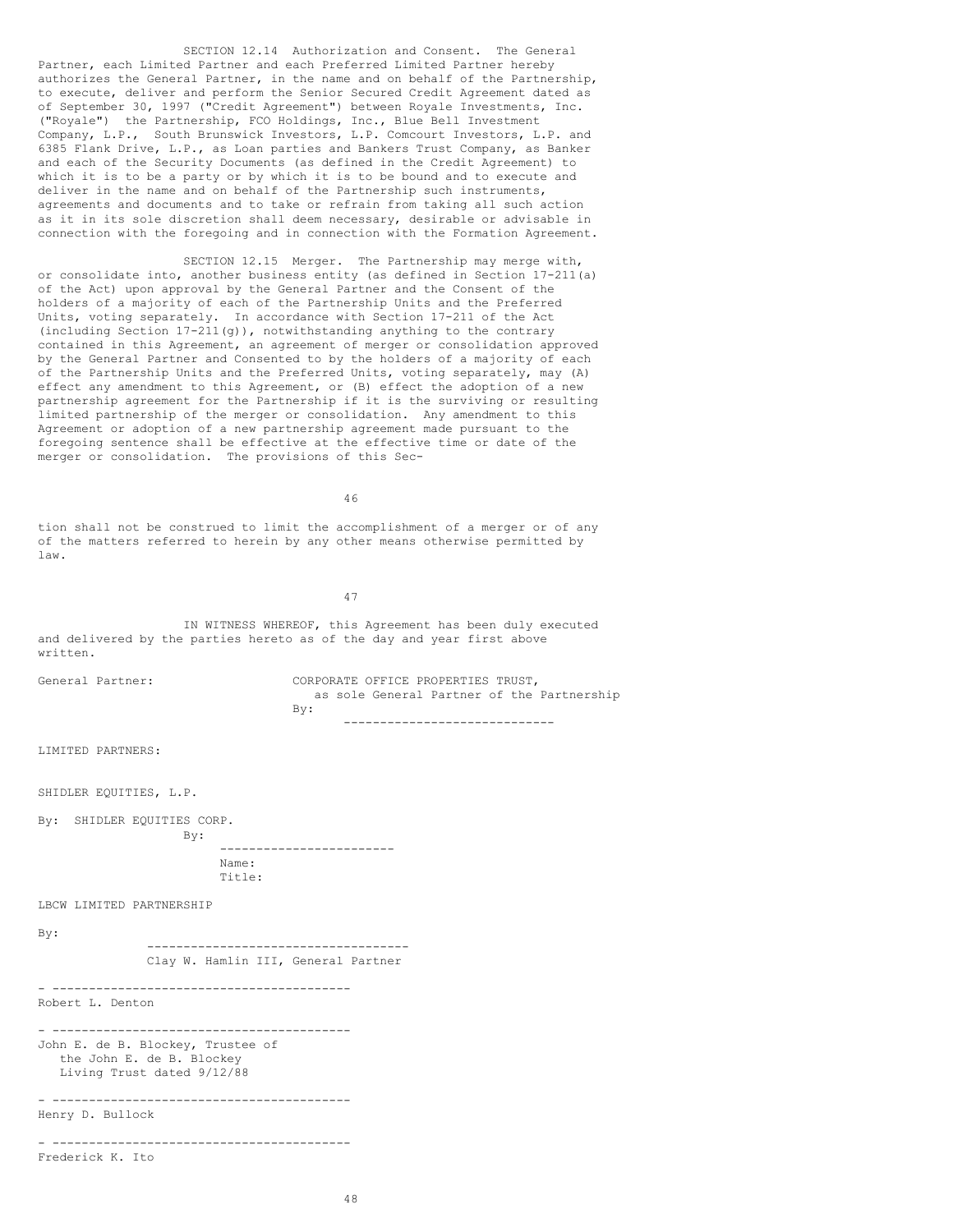SECTION 12.14 Authorization and Consent. The General Partner, each Limited Partner and each Preferred Limited Partner hereby authorizes the General Partner, in the name and on behalf of the Partnership, to execute, deliver and perform the Senior Secured Credit Agreement dated as of September 30, 1997 ("Credit Agreement") between Royale Investments, Inc. ("Royale") the Partnership, FCO Holdings, Inc., Blue Bell Investment Company, L.P., South Brunswick Investors, L.P. Comcourt Investors, L.P. and 6385 Flank Drive, L.P., as Loan parties and Bankers Trust Company, as Banker and each of the Security Documents (as defined in the Credit Agreement) to which it is to be a party or by which it is to be bound and to execute and deliver in the name and on behalf of the Partnership such instruments, agreements and documents and to take or refrain from taking all such action as it in its sole discretion shall deem necessary, desirable or advisable in connection with the foregoing and in connection with the Formation Agreement.

SECTION 12.15 Merger. The Partnership may merge with, or consolidate into, another business entity (as defined in Section 17-211(a) of the Act) upon approval by the General Partner and the Consent of the holders of a majority of each of the Partnership Units and the Preferred Units, voting separately. In accordance with Section 17-211 of the Act (including Section 17-211(g)), notwithstanding anything to the contrary contained in this Agreement, an agreement of merger or consolidation approved by the General Partner and Consented to by the holders of a majority of each of the Partnership Units and the Preferred Units, voting separately, may (A) effect any amendment to this Agreement, or (B) effect the adoption of a new partnership agreement for the Partnership if it is the surviving or resulting limited partnership of the merger or consolidation. Any amendment to this Agreement or adoption of a new partnership agreement made pursuant to the foregoing sentence shall be effective at the effective time or date of the merger or consolidation. The provisions of this Sec-

46

tion shall not be construed to limit the accomplishment of a merger or of any of the matters referred to herein by any other means otherwise permitted by law.

47

IN WITNESS WHEREOF, this Agreement has been duly executed and delivered by the parties hereto as of the day and year first above written.

| General Partner: |     |  | CORPORATE OFFICE PROPERTIES TRUST, |  |                                            |
|------------------|-----|--|------------------------------------|--|--------------------------------------------|
|                  |     |  |                                    |  | as sole General Partner of the Partnership |
|                  | Bv: |  |                                    |  |                                            |
|                  |     |  |                                    |  |                                            |

LIMITED PARTNERS:

SHIDLER EQUITIES, L.P.

By: SHIDLER EQUITIES CORP. By:

> ------------------------ Name: Title:

LBCW LIMITED PARTNERSHIP

By:

------------------------------------ Clay W. Hamlin III, General Partner

- ----------------------------------------- Robert L. Denton

- ----------------------------------------- John E. de B. Blockey, Trustee of the John E. de B. Blockey Living Trust dated 9/12/88 - -----------------------------------------

Henry D. Bullock

- ----------------------------------------- Frederick K. Ito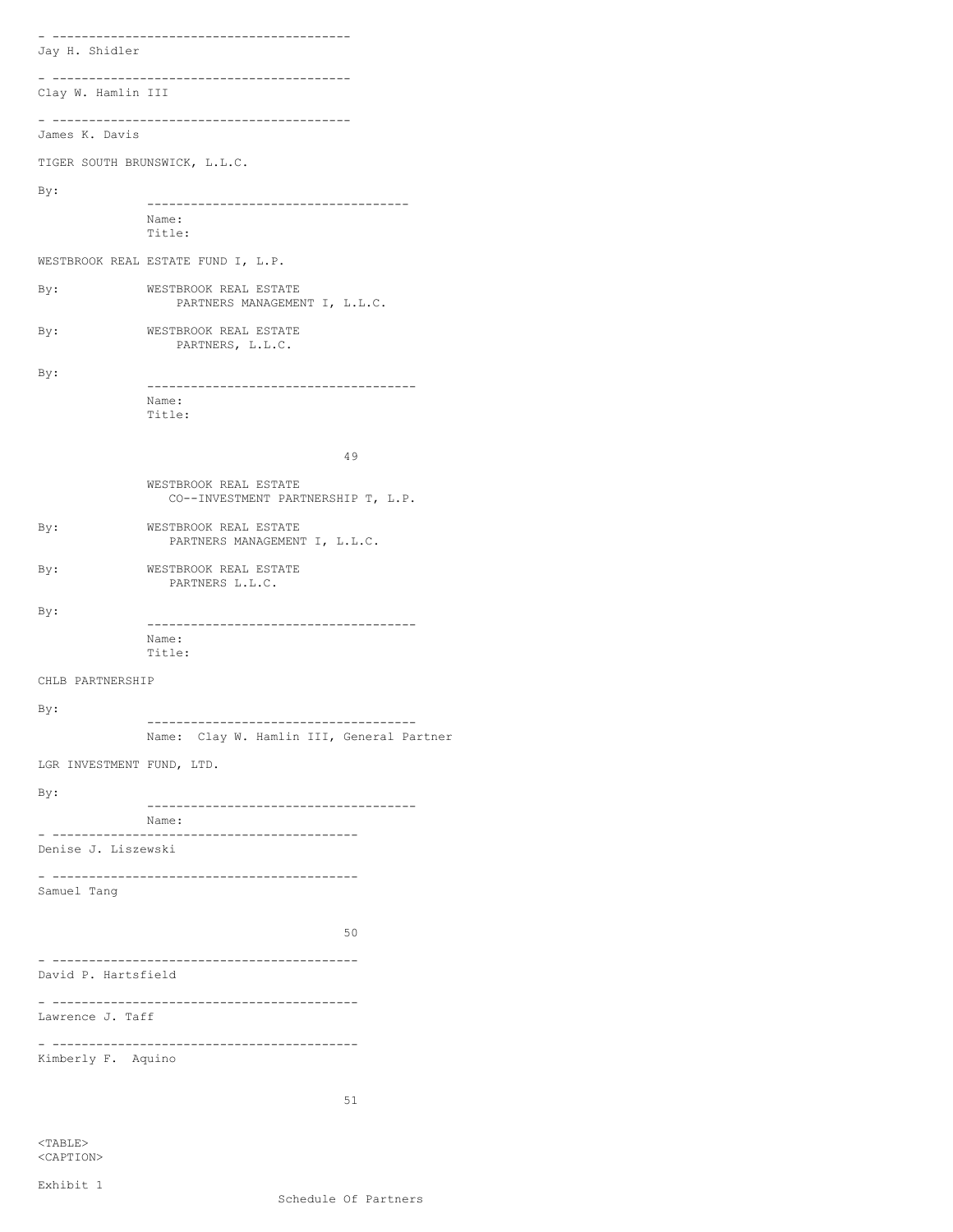- ----------------------------------------- Jay H. Shidler - ----------------------------------------- Clay W. Hamlin III - ----------------------------------------- James K. Davis TIGER SOUTH BRUNSWICK, L.L.C. By: ------------------------------------ Name: Title: WESTBROOK REAL ESTATE FUND I, L.P. By: WESTBROOK REAL ESTATE PARTNERS MANAGEMENT I, L.L.C. By: WESTBROOK REAL ESTATE PARTNERS, L.L.C. By: ------------------------------------- Name: Title: 49 WESTBROOK REAL ESTATE CO--INVESTMENT PARTNERSHIP T, L.P. By: WESTBROOK REAL ESTATE PARTNERS MANAGEMENT I, L.L.C. By: WESTBROOK REAL ESTATE PARTNERS L.L.C. By: ------------------------------------- Name: Title: CHLB PARTNERSHIP By: ------------------------------------- Name: Clay W. Hamlin III, General Partner LGR INVESTMENT FUND, LTD. By: ------------------------------------- Name: - ------------------------------------------ Denise J. Liszewski - ------------------------------------------ Samuel Tang 50 - ------------------------------------------ David P. Hartsfield - ------------------------------------------ Lawrence J. Taff - ------------------------------------------ Kimberly F. Aquino 51

<TABLE> <CAPTION>

Exhibit 1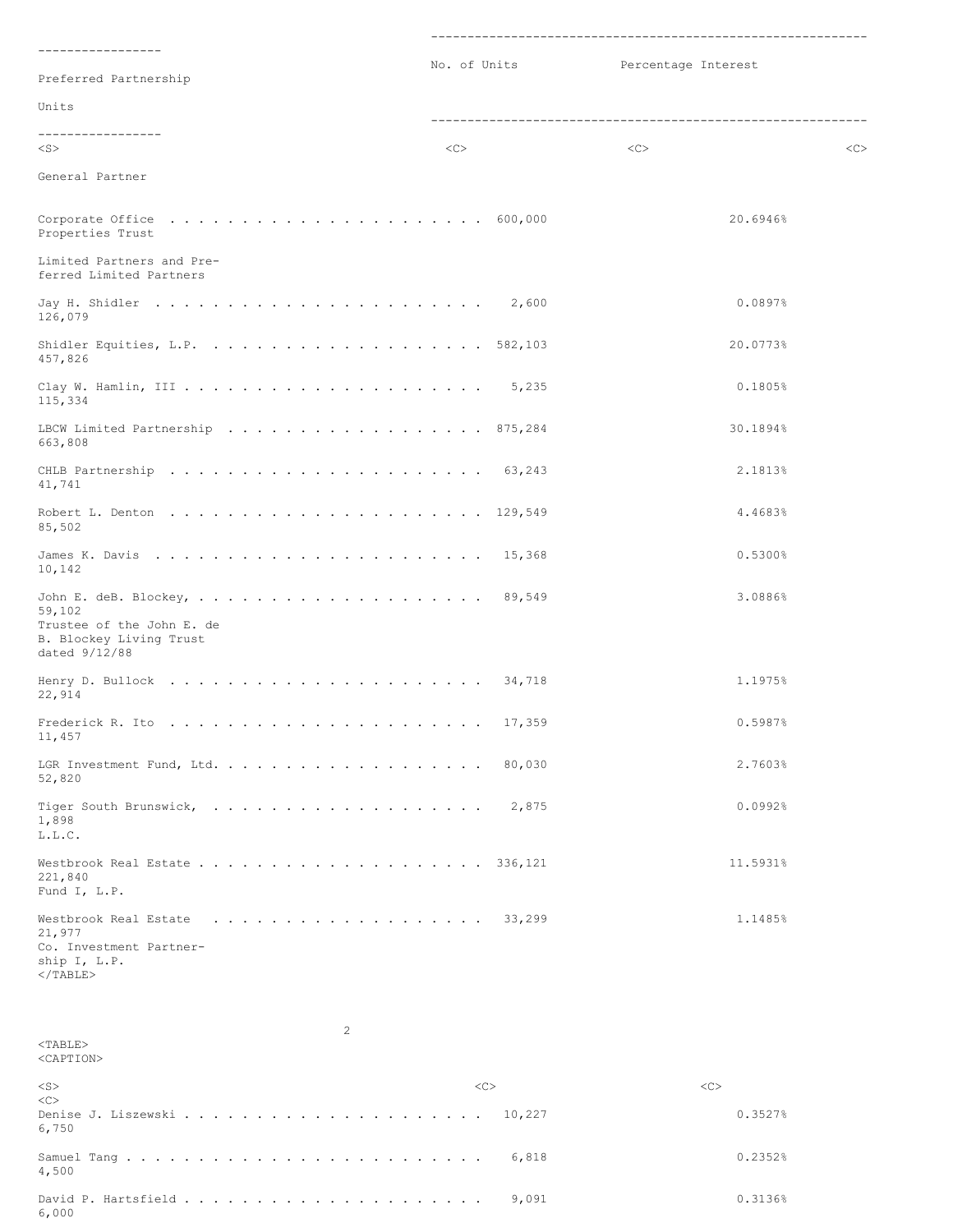| -----------------<br>Preferred Partnership                                                                                        | No. of Units | Percentage Interest |    |
|-----------------------------------------------------------------------------------------------------------------------------------|--------------|---------------------|----|
| Units                                                                                                                             |              |                     |    |
| -----------------                                                                                                                 |              |                     |    |
| $<$ S $>$                                                                                                                         | <<           | <<                  | << |
| General Partner                                                                                                                   |              |                     |    |
| Corporate Office $\ldots \ldots \ldots \ldots \ldots \ldots \ldots \ldots \ldots$ 600,000<br>Properties Trust                     |              | 20.6946%            |    |
| Limited Partners and Pre-<br>ferred Limited Partners                                                                              |              |                     |    |
| 126,079                                                                                                                           |              | 0.0897%             |    |
| 457,826                                                                                                                           |              | 20.0773%            |    |
| 115,334                                                                                                                           |              | 0.1805%             |    |
| LBCW Limited Partnership 875,284<br>663,808                                                                                       |              | 30.1894%            |    |
| 41,741                                                                                                                            |              | 2.1813%             |    |
| 85,502                                                                                                                            |              | 4.4683%             |    |
| 10,142                                                                                                                            |              | 0.5300%             |    |
| 59,102<br>Trustee of the John E. de<br>B. Blockey Living Trust<br>dated 9/12/88                                                   |              | 3.0886%             |    |
| Henry D. Bullock $\ldots \ldots \ldots \ldots \ldots \ldots \ldots \ldots \ldots$ 34,718<br>22,914                                |              | 1.1975%             |    |
| Frederick R. Ito $\ldots \ldots \ldots \ldots \ldots \ldots \ldots \ldots \ldots 17,359$<br>11,457                                |              | 0.5987%             |    |
| 52,820                                                                                                                            |              | 2.7603%             |    |
| 1,898<br>L.L.C.                                                                                                                   | 2,875        | 0.0992%             |    |
| 221,840<br>Fund I, L.P.                                                                                                           |              | 11.5931%            |    |
| Westbrook Real Estate $\ldots \ldots \ldots \ldots \ldots \ldots$ 33,299<br>21,977<br>Co. Investment Partner-<br>ship I, L.P.<br> |              |                     |    |

  | 1.1485% |  |<TABLE> <CAPTION> <S> <C> <C>  $<$ Denise J. Liszewski . . . . . . . . . . . . . . . . . . . . . 10,227 0.3527% 6,750 Samuel Tang . . . . . . . . . . . . . . . . . . . . . . . . . 6,818 0.2352% 4,500 David P. Hartsfield . . . . . . . . . . . . . . . . . . . . . 9,091 0.3136% 6,000

2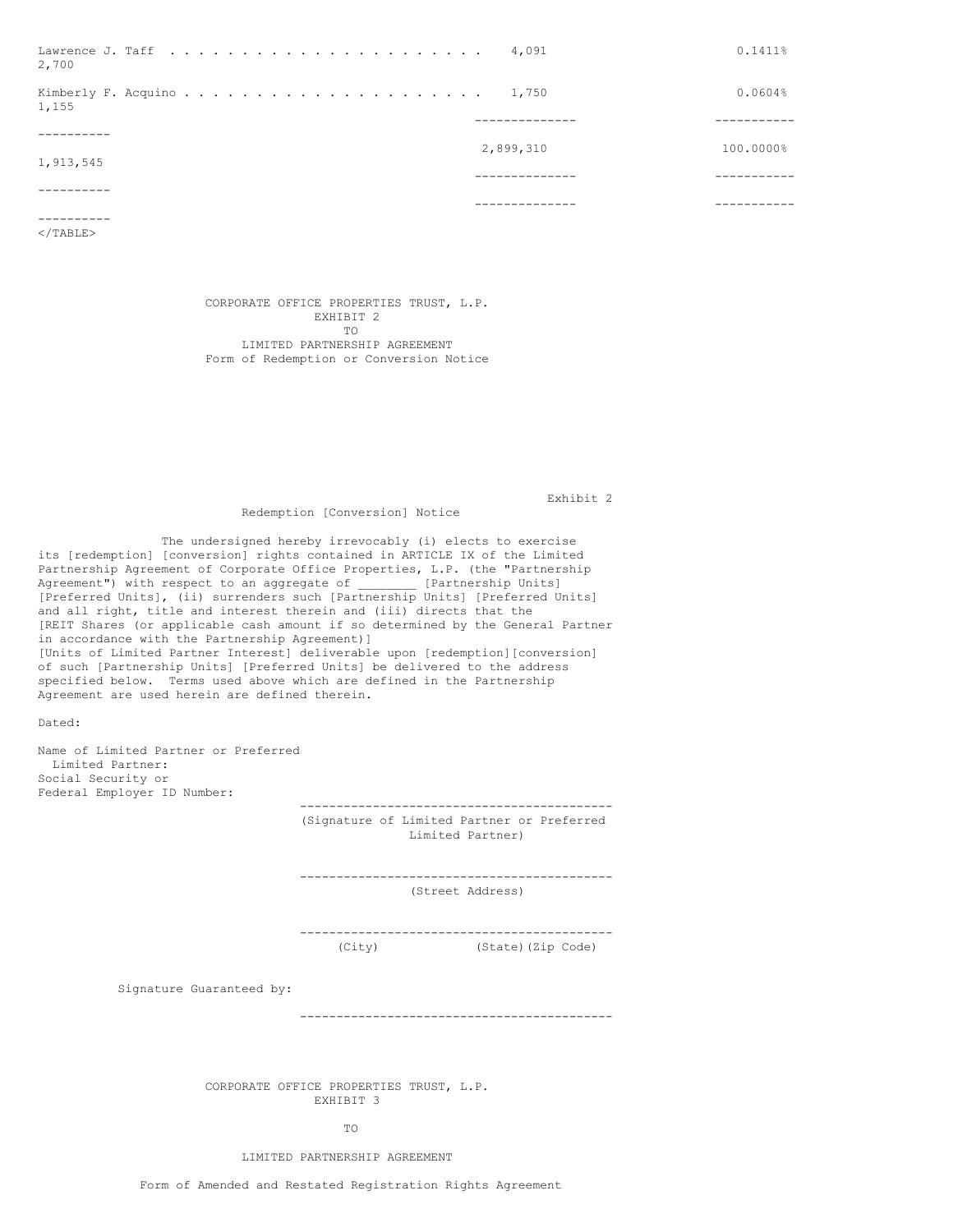| Lawrence J. Taff $\ldots$ , 4,091<br>2,700 |             | 0.1411%   |
|--------------------------------------------|-------------|-----------|
| 1,155                                      |             | 0.0604%   |
|                                            |             |           |
| 1,913,545                                  | 2,899,310   | 100.0000% |
|                                            | ----------- |           |
|                                            |             |           |

</TABLE>

CORPORATE OFFICE PROPERTIES TRUST, L.P. EXHIBIT 2 TO LIMITED PARTNERSHIP AGREEMENT Form of Redemption or Conversion Notice

Exhibit 2

# Redemption [Conversion] Notice

The undersigned hereby irrevocably (i) elects to exercise its [redemption] [conversion] rights contained in ARTICLE IX of the Limited Partnership Agreement of Corporate Office Properties, L.P. (the "Partnership Agreement") with respect to an aggregate of [Partnership Units] [Preferred Units], (ii) surrenders such [Partnership Units] [Preferred Units] and all right, title and interest therein and (iii) directs that the [REIT Shares (or applicable cash amount if so determined by the General Partner in accordance with the Partnership Agreement)] [Units of Limited Partner Interest] deliverable upon [redemption][conversion] of such [Partnership Units] [Preferred Units] be delivered to the address specified below. Terms used above which are defined in the Partnership Agreement are used herein are defined therein.

Dated:

Name of Limited Partner or Preferred Limited Partner: Social Security or Federal Employer ID Number:

> ------------------------------------------- (Signature of Limited Partner or Preferred Limited Partner)

> ------------------------------------------- (Street Address)

> ------------------------------------------- (City) (State)(Zip Code)

Signature Guaranteed by:

-------------------------------------------

CORPORATE OFFICE PROPERTIES TRUST, L.P. EXHIBIT 3

TO

# LIMITED PARTNERSHIP AGREEMENT

Form of Amended and Restated Registration Rights Agreement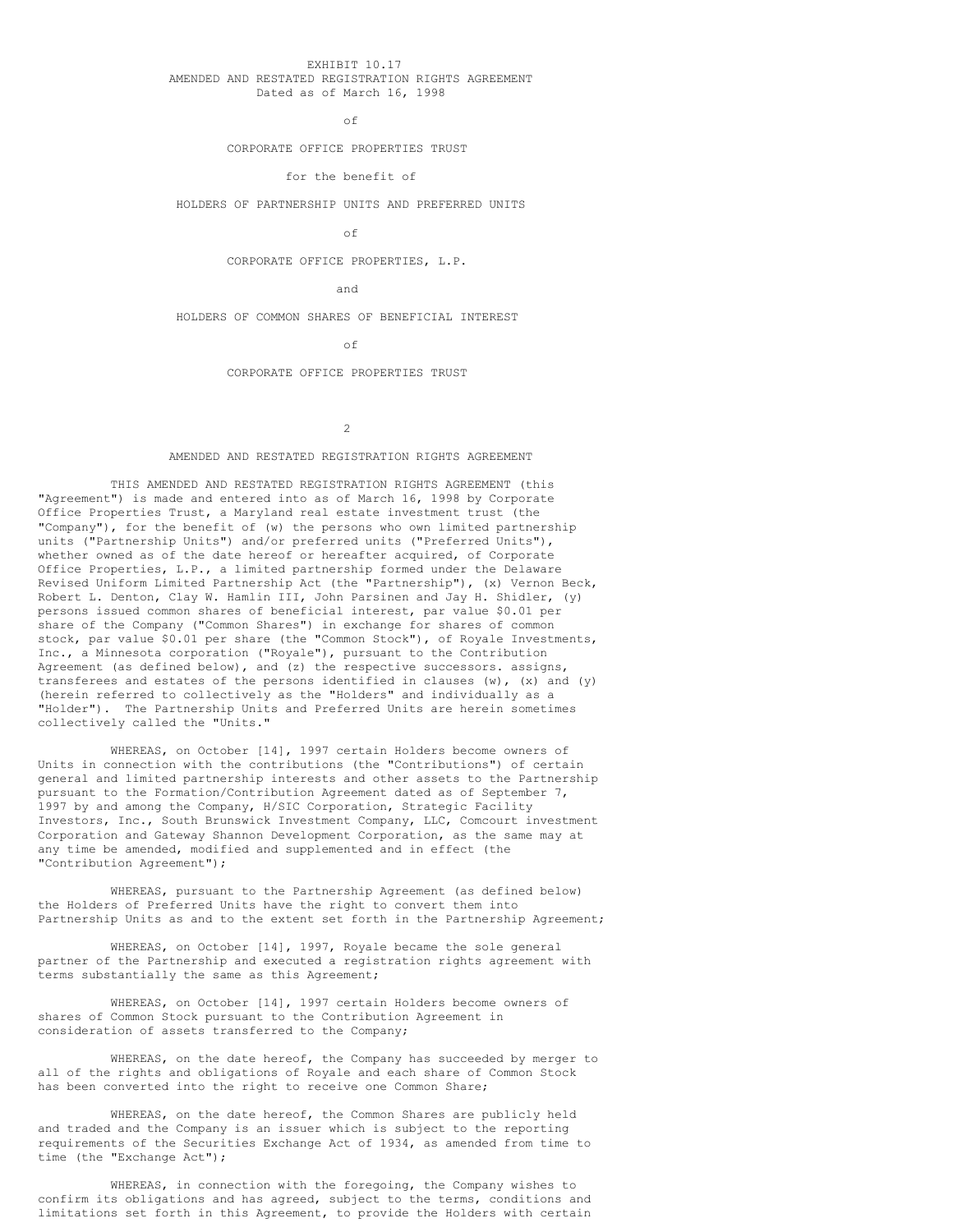## EXHIBIT 10.17 AMENDED AND RESTATED REGISTRATION RIGHTS AGREEMENT Dated as of March 16, 1998

of

## CORPORATE OFFICE PROPERTIES TRUST

# for the benefit of

HOLDERS OF PARTNERSHIP UNITS AND PREFERRED UNITS

of

# CORPORATE OFFICE PROPERTIES, L.P.

and

HOLDERS OF COMMON SHARES OF BENEFICIAL INTEREST

of

#### CORPORATE OFFICE PROPERTIES TRUST

 $\overline{2}$ 

#### AMENDED AND RESTATED REGISTRATION RIGHTS AGREEMENT

THIS AMENDED AND RESTATED REGISTRATION RIGHTS AGREEMENT (this "Agreement") is made and entered into as of March 16, 1998 by Corporate Office Properties Trust, a Maryland real estate investment trust (the "Company"), for the benefit of (w) the persons who own limited partnership units ("Partnership Units") and/or preferred units ("Preferred Units"), whether owned as of the date hereof or hereafter acquired, of Corporate Office Properties, L.P., a limited partnership formed under the Delaware Revised Uniform Limited Partnership Act (the "Partnership"), (x) Vernon Beck, Robert L. Denton, Clay W. Hamlin III, John Parsinen and Jay H. Shidler, (y) persons issued common shares of beneficial interest, par value \$0.01 per share of the Company ("Common Shares") in exchange for shares of common stock, par value \$0.01 per share (the "Common Stock"), of Royale Investments, Inc., a Minnesota corporation ("Royale"), pursuant to the Contribution Agreement (as defined below), and (z) the respective successors. assigns, transferees and estates of the persons identified in clauses  $(w)$ ,  $(x)$  and  $(y)$ (herein referred to collectively as the "Holders" and individually as a "Holder"). The Partnership Units and Preferred Units are herein sometimes collectively called the "Units."

WHEREAS, on October [14], 1997 certain Holders become owners of Units in connection with the contributions (the "Contributions") of certain general and limited partnership interests and other assets to the Partnership pursuant to the Formation/Contribution Agreement dated as of September 7, 1997 by and among the Company, H/SIC Corporation, Strategic Facility Investors, Inc., South Brunswick Investment Company, LLC, Comcourt investment Corporation and Gateway Shannon Development Corporation, as the same may at any time be amended, modified and supplemented and in effect (the "Contribution Agreement");

WHEREAS, pursuant to the Partnership Agreement (as defined below) the Holders of Preferred Units have the right to convert them into Partnership Units as and to the extent set forth in the Partnership Agreement;

WHEREAS, on October [14], 1997, Royale became the sole general partner of the Partnership and executed a registration rights agreement with terms substantially the same as this Agreement;

WHEREAS, on October [14], 1997 certain Holders become owners of shares of Common Stock pursuant to the Contribution Agreement in consideration of assets transferred to the Company;

WHEREAS, on the date hereof, the Company has succeeded by merger to all of the rights and obligations of Royale and each share of Common Stock has been converted into the right to receive one Common Share;

WHEREAS, on the date hereof, the Common Shares are publicly held and traded and the Company is an issuer which is subject to the reporting requirements of the Securities Exchange Act of 1934, as amended from time to time (the "Exchange Act");

WHEREAS, in connection with the foregoing, the Company wishes to confirm its obligations and has agreed, subject to the terms, conditions and limitations set forth in this Agreement, to provide the Holders with certain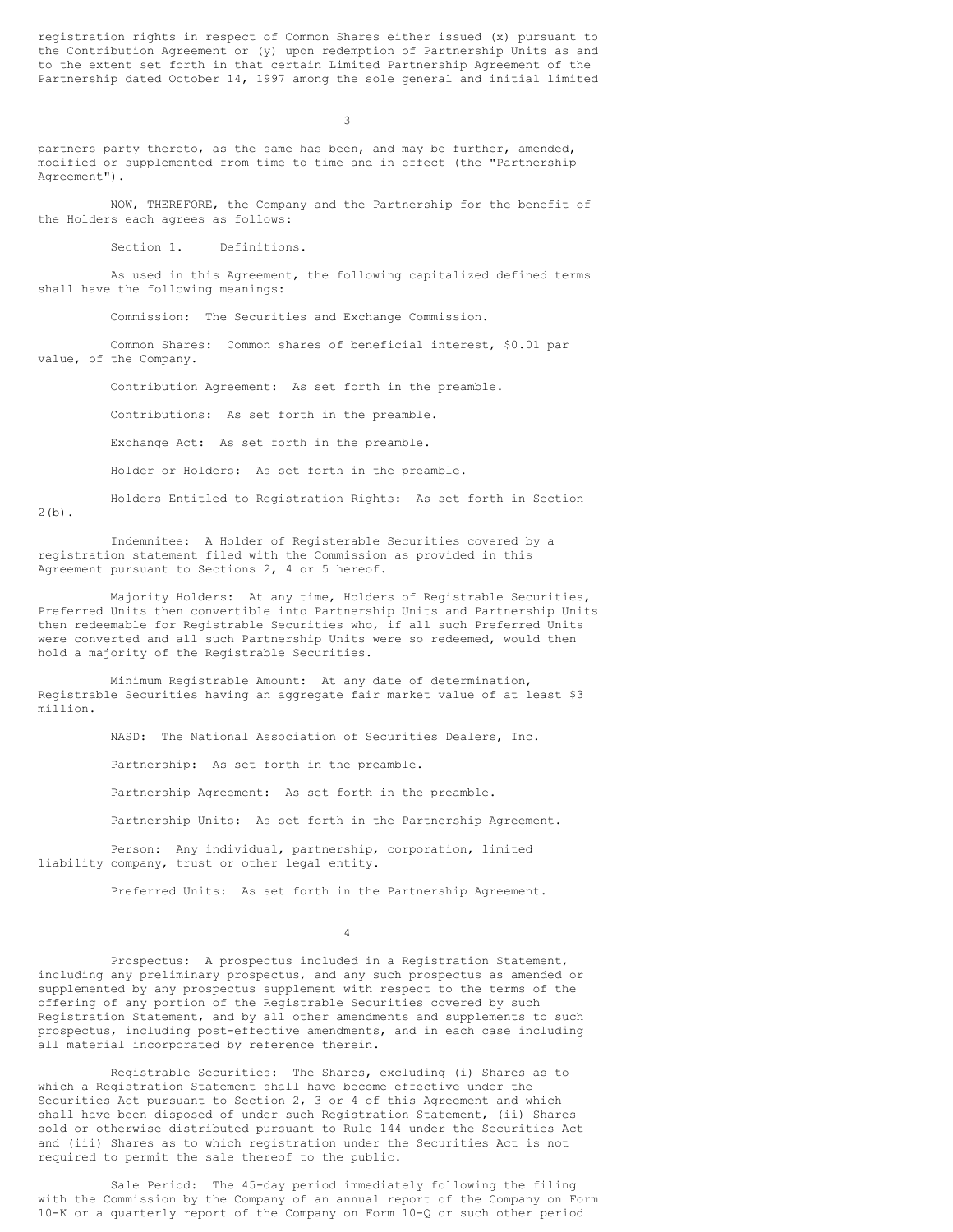registration rights in respect of Common Shares either issued (x) pursuant to the Contribution Agreement or (y) upon redemption of Partnership Units as and to the extent set forth in that certain Limited Partnership Agreement of the Partnership dated October 14, 1997 among the sole general and initial limited

3

partners party thereto, as the same has been, and may be further, amended, modified or supplemented from time to time and in effect (the "Partnership Agreement").

NOW, THEREFORE, the Company and the Partnership for the benefit of the Holders each agrees as follows:

Section 1. Definitions.

As used in this Agreement, the following capitalized defined terms shall have the following meanings:

Commission: The Securities and Exchange Commission.

Common Shares: Common shares of beneficial interest, \$0.01 par value, of the Company.

Contribution Agreement: As set forth in the preamble.

Contributions: As set forth in the preamble.

Exchange Act: As set forth in the preamble.

Holder or Holders: As set forth in the preamble.

Holders Entitled to Registration Rights: As set forth in Section 2(b).

Indemnitee: A Holder of Registerable Securities covered by a registration statement filed with the Commission as provided in this Agreement pursuant to Sections 2, 4 or 5 hereof.

Majority Holders: At any time, Holders of Registrable Securities, Preferred Units then convertible into Partnership Units and Partnership Units then redeemable for Registrable Securities who, if all such Preferred Units were converted and all such Partnership Units were so redeemed, would then hold a majority of the Registrable Securities.

Minimum Registrable Amount: At any date of determination, Registrable Securities having an aggregate fair market value of at least \$3 million.

NASD: The National Association of Securities Dealers, Inc.

Partnership: As set forth in the preamble.

Partnership Agreement: As set forth in the preamble.

Partnership Units: As set forth in the Partnership Agreement.

Person: Any individual, partnership, corporation, limited liability company, trust or other legal entity.

Preferred Units: As set forth in the Partnership Agreement.

4

Prospectus: A prospectus included in a Registration Statement, including any preliminary prospectus, and any such prospectus as amended or supplemented by any prospectus supplement with respect to the terms of the offering of any portion of the Registrable Securities covered by such Registration Statement, and by all other amendments and supplements to such prospectus, including post-effective amendments, and in each case including all material incorporated by reference therein.

Registrable Securities: The Shares, excluding (i) Shares as to which a Registration Statement shall have become effective under the Securities Act pursuant to Section 2, 3 or 4 of this Agreement and which shall have been disposed of under such Registration Statement, (ii) Shares sold or otherwise distributed pursuant to Rule 144 under the Securities Act and (iii) Shares as to which registration under the Securities Act is not required to permit the sale thereof to the public.

Sale Period: The 45-day period immediately following the filing with the Commission by the Company of an annual report of the Company on Form 10-K or a quarterly report of the Company on Form 10-Q or such other period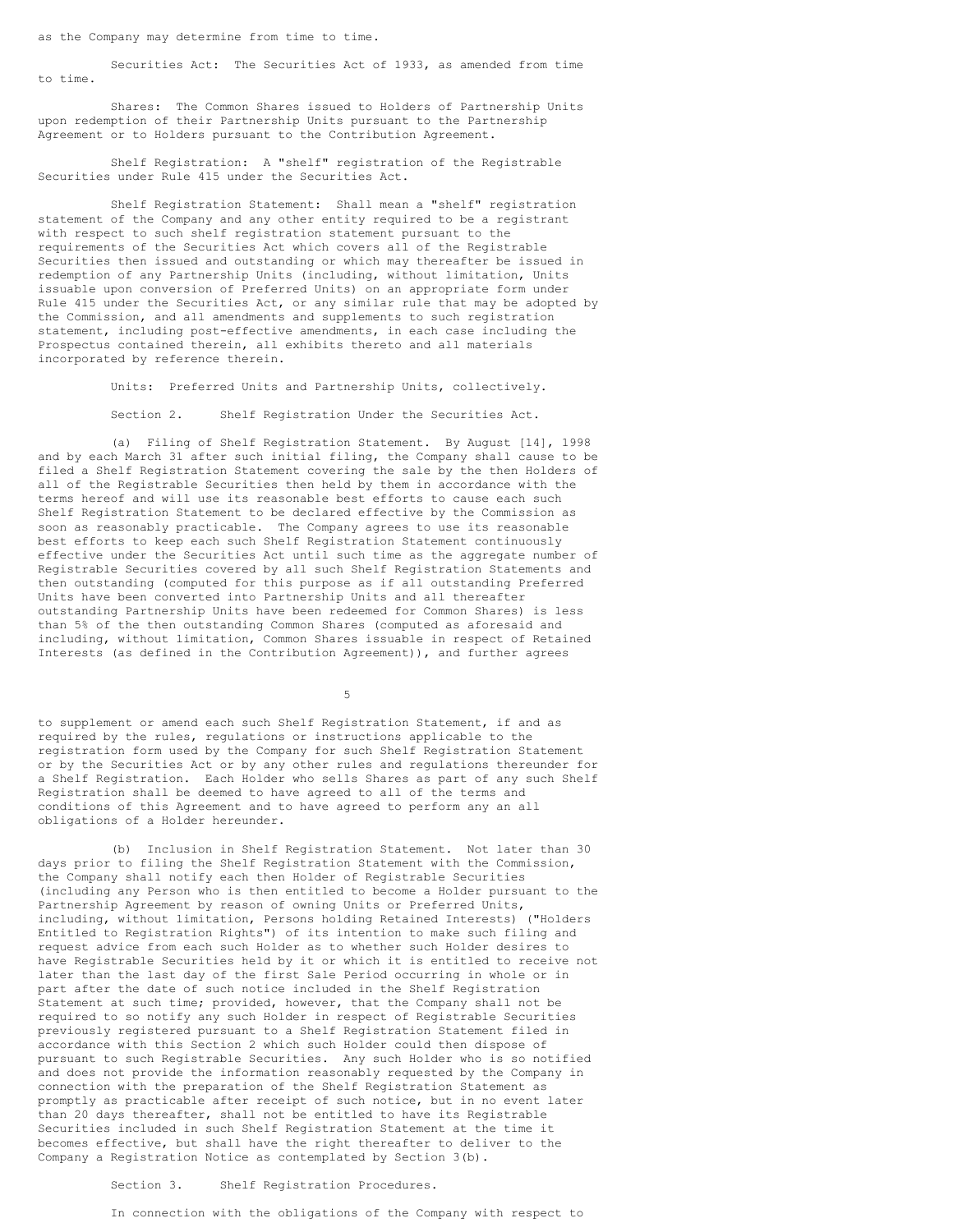as the Company may determine from time to time.

Securities Act: The Securities Act of 1933, as amended from time to time.

Shares: The Common Shares issued to Holders of Partnership Units upon redemption of their Partnership Units pursuant to the Partnership Agreement or to Holders pursuant to the Contribution Agreement.

Shelf Registration: A "shelf" registration of the Registrable Securities under Rule 415 under the Securities Act.

Shelf Registration Statement: Shall mean a "shelf" registration statement of the Company and any other entity required to be a registrant with respect to such shelf registration statement pursuant to the requirements of the Securities Act which covers all of the Registrable Securities then issued and outstanding or which may thereafter be issued in redemption of any Partnership Units (including, without limitation, Units issuable upon conversion of Preferred Units) on an appropriate form under Rule 415 under the Securities Act, or any similar rule that may be adopted by the Commission, and all amendments and supplements to such registration statement, including post-effective amendments, in each case including the Prospectus contained therein, all exhibits thereto and all materials incorporated by reference therein.

Units: Preferred Units and Partnership Units, collectively.

Section 2. Shelf Registration Under the Securities Act.

(a) Filing of Shelf Registration Statement. By August [14], 1998 and by each March 31 after such initial filing, the Company shall cause to be filed a Shelf Registration Statement covering the sale by the then Holders of all of the Registrable Securities then held by them in accordance with the terms hereof and will use its reasonable best efforts to cause each such Shelf Registration Statement to be declared effective by the Commission as soon as reasonably practicable. The Company agrees to use its reasonable best efforts to keep each such Shelf Registration Statement continuously effective under the Securities Act until such time as the aggregate number of Registrable Securities covered by all such Shelf Registration Statements and then outstanding (computed for this purpose as if all outstanding Preferred Units have been converted into Partnership Units and all thereafter outstanding Partnership Units have been redeemed for Common Shares) is less than 5% of the then outstanding Common Shares (computed as aforesaid and including, without limitation, Common Shares issuable in respect of Retained Interests (as defined in the Contribution Agreement)), and further agrees

5

to supplement or amend each such Shelf Registration Statement, if and as required by the rules, regulations or instructions applicable to the registration form used by the Company for such Shelf Registration Statement or by the Securities Act or by any other rules and regulations thereunder for a Shelf Registration. Each Holder who sells Shares as part of any such Shelf Registration shall be deemed to have agreed to all of the terms and conditions of this Agreement and to have agreed to perform any an all obligations of a Holder hereunder.

(b) Inclusion in Shelf Registration Statement. Not later than 30 days prior to filing the Shelf Registration Statement with the Commission, the Company shall notify each then Holder of Registrable Securities (including any Person who is then entitled to become a Holder pursuant to the Partnership Agreement by reason of owning Units or Preferred Units, including, without limitation, Persons holding Retained Interests) ("Holders Entitled to Registration Rights") of its intention to make such filing and request advice from each such Holder as to whether such Holder desires to have Registrable Securities held by it or which it is entitled to receive not later than the last day of the first Sale Period occurring in whole or in part after the date of such notice included in the Shelf Registration Statement at such time; provided, however, that the Company shall not be required to so notify any such Holder in respect of Registrable Securities previously registered pursuant to a Shelf Registration Statement filed in accordance with this Section 2 which such Holder could then dispose of pursuant to such Registrable Securities. Any such Holder who is so notified and does not provide the information reasonably requested by the Company in connection with the preparation of the Shelf Registration Statement as promptly as practicable after receipt of such notice, but in no event later than 20 days thereafter, shall not be entitled to have its Registrable Securities included in such Shelf Registration Statement at the time it becomes effective, but shall have the right thereafter to deliver to the Company a Registration Notice as contemplated by Section 3(b).

Section 3. Shelf Registration Procedures.

In connection with the obligations of the Company with respect to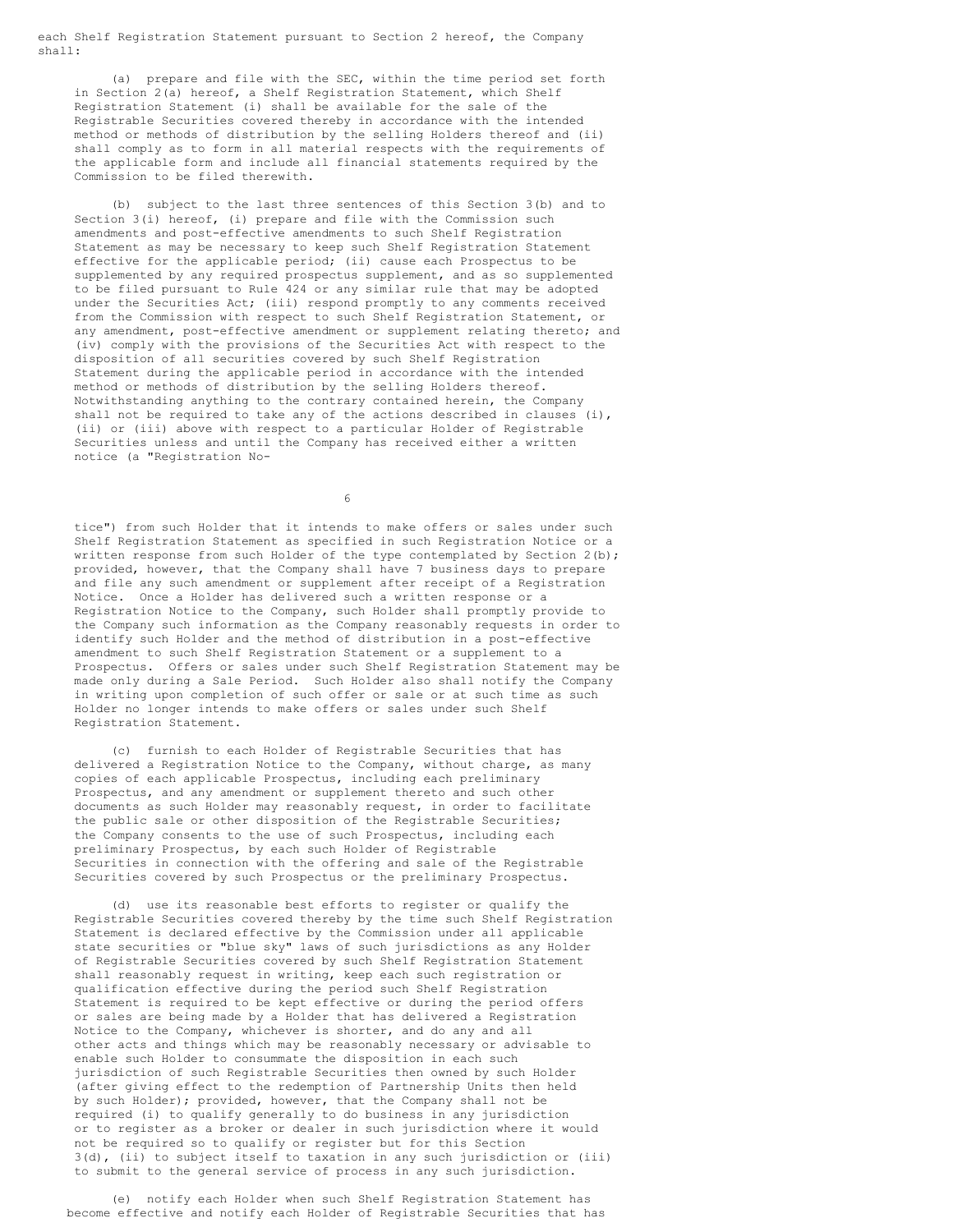each Shelf Registration Statement pursuant to Section 2 hereof, the Company shall:

(a) prepare and file with the SEC, within the time period set forth in Section 2(a) hereof, a Shelf Registration Statement, which Shelf Registration Statement (i) shall be available for the sale of the Registrable Securities covered thereby in accordance with the intended method or methods of distribution by the selling Holders thereof and (ii) shall comply as to form in all material respects with the requirements of the applicable form and include all financial statements required by the Commission to be filed therewith.

(b) subject to the last three sentences of this Section 3(b) and to Section 3(i) hereof, (i) prepare and file with the Commission such amendments and post-effective amendments to such Shelf Registration Statement as may be necessary to keep such Shelf Registration Statement effective for the applicable period; (ii) cause each Prospectus to be supplemented by any required prospectus supplement, and as so supplemented to be filed pursuant to Rule 424 or any similar rule that may be adopted under the Securities Act; (iii) respond promptly to any comments received from the Commission with respect to such Shelf Registration Statement, or any amendment, post-effective amendment or supplement relating thereto; and (iv) comply with the provisions of the Securities Act with respect to the disposition of all securities covered by such Shelf Registration Statement during the applicable period in accordance with the intended method or methods of distribution by the selling Holders thereof. Notwithstanding anything to the contrary contained herein, the Company shall not be required to take any of the actions described in clauses (i), (ii) or (iii) above with respect to a particular Holder of Registrable Securities unless and until the Company has received either a written notice (a "Registration No-

6

tice") from such Holder that it intends to make offers or sales under such Shelf Registration Statement as specified in such Registration Notice or a written response from such Holder of the type contemplated by Section 2(b); provided, however, that the Company shall have 7 business days to prepare and file any such amendment or supplement after receipt of a Registration Notice. Once a Holder has delivered such a written response or a Registration Notice to the Company, such Holder shall promptly provide to the Company such information as the Company reasonably requests in order to identify such Holder and the method of distribution in a post-effective amendment to such Shelf Registration Statement or a supplement to a Prospectus. Offers or sales under such Shelf Registration Statement may be made only during a Sale Period. Such Holder also shall notify the Company in writing upon completion of such offer or sale or at such time as such Holder no longer intends to make offers or sales under such Shelf Registration Statement.

(c) furnish to each Holder of Registrable Securities that has delivered a Registration Notice to the Company, without charge, as many copies of each applicable Prospectus, including each preliminary Prospectus, and any amendment or supplement thereto and such other documents as such Holder may reasonably request, in order to facilitate the public sale or other disposition of the Registrable Securities; the Company consents to the use of such Prospectus, including each preliminary Prospectus, by each such Holder of Registrable Securities in connection with the offering and sale of the Registrable Securities covered by such Prospectus or the preliminary Prospectus.

(d) use its reasonable best efforts to register or qualify the Registrable Securities covered thereby by the time such Shelf Registration Statement is declared effective by the Commission under all applicable state securities or "blue sky" laws of such jurisdictions as any Holder of Registrable Securities covered by such Shelf Registration Statement shall reasonably request in writing, keep each such registration or qualification effective during the period such Shelf Registration Statement is required to be kept effective or during the period offers or sales are being made by a Holder that has delivered a Registration Notice to the Company, whichever is shorter, and do any and all other acts and things which may be reasonably necessary or advisable to enable such Holder to consummate the disposition in each such jurisdiction of such Registrable Securities then owned by such Holder (after giving effect to the redemption of Partnership Units then held by such Holder); provided, however, that the Company shall not be required (i) to qualify generally to do business in any jurisdiction or to register as a broker or dealer in such jurisdiction where it would not be required so to qualify or register but for this Section 3(d), (ii) to subject itself to taxation in any such jurisdiction or (iii) to submit to the general service of process in any such jurisdiction.

(e) notify each Holder when such Shelf Registration Statement has become effective and notify each Holder of Registrable Securities that has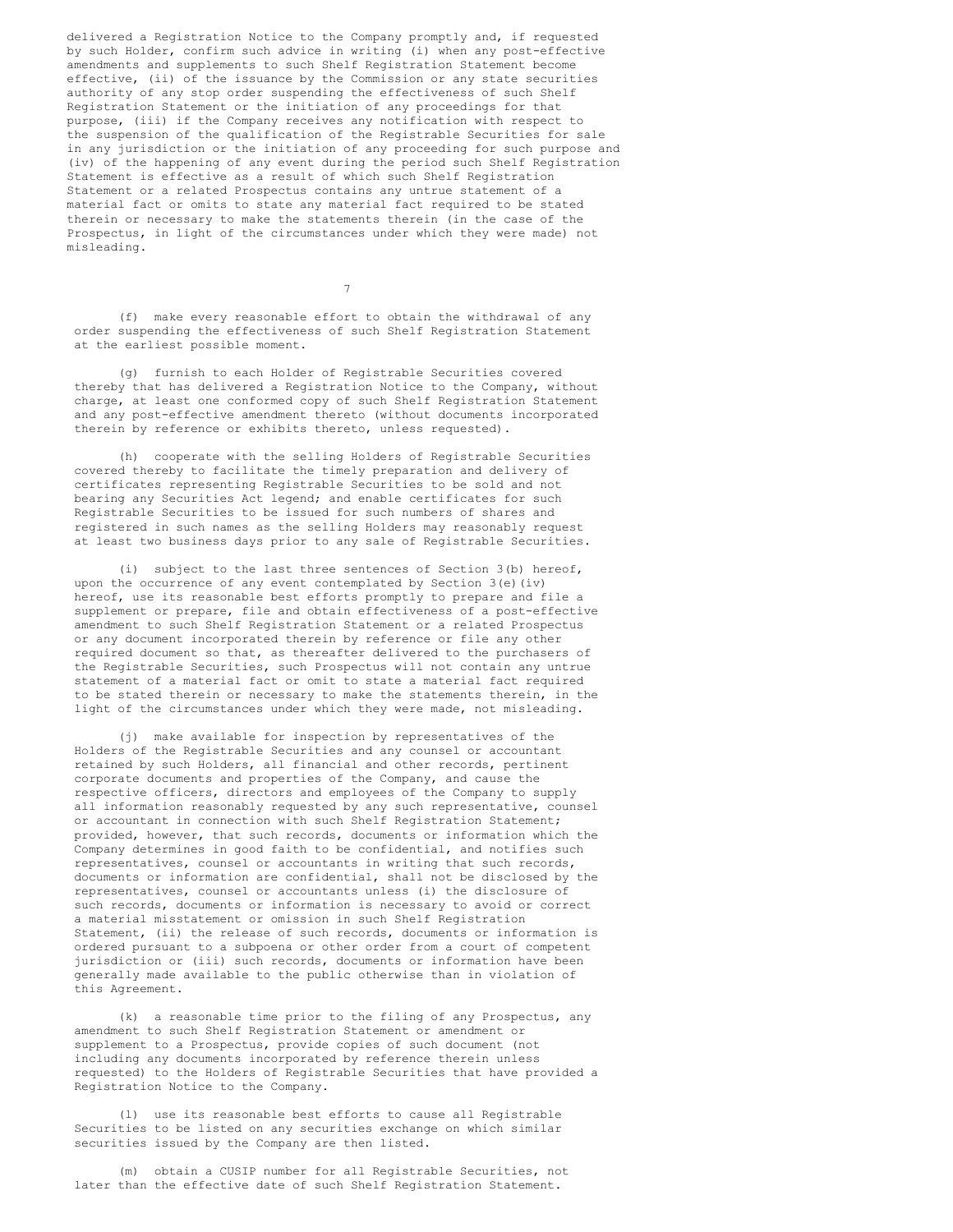delivered a Registration Notice to the Company promptly and, if requested by such Holder, confirm such advice in writing (i) when any post-effective amendments and supplements to such Shelf Registration Statement become effective, (ii) of the issuance by the Commission or any state securities authority of any stop order suspending the effectiveness of such Shelf Registration Statement or the initiation of any proceedings for that purpose, (iii) if the Company receives any notification with respect to the suspension of the qualification of the Registrable Securities for sale in any jurisdiction or the initiation of any proceeding for such purpose and (iv) of the happening of any event during the period such Shelf Registration Statement is effective as a result of which such Shelf Registration Statement or a related Prospectus contains any untrue statement of a material fact or omits to state any material fact required to be stated therein or necessary to make the statements therein (in the case of the Prospectus, in light of the circumstances under which they were made) not misleading.

(f) make every reasonable effort to obtain the withdrawal of any order suspending the effectiveness of such Shelf Registration Statement at the earliest possible moment.

7

(g) furnish to each Holder of Registrable Securities covered thereby that has delivered a Registration Notice to the Company, without charge, at least one conformed copy of such Shelf Registration Statement and any post-effective amendment thereto (without documents incorporated therein by reference or exhibits thereto, unless requested).

(h) cooperate with the selling Holders of Registrable Securities covered thereby to facilitate the timely preparation and delivery of certificates representing Registrable Securities to be sold and not bearing any Securities Act legend; and enable certificates for such Registrable Securities to be issued for such numbers of shares and registered in such names as the selling Holders may reasonably request at least two business days prior to any sale of Registrable Securities.

(i) subject to the last three sentences of Section 3(b) hereof, upon the occurrence of any event contemplated by Section 3(e)(iv) hereof, use its reasonable best efforts promptly to prepare and file a supplement or prepare, file and obtain effectiveness of a post-effective amendment to such Shelf Registration Statement or a related Prospectus or any document incorporated therein by reference or file any other required document so that, as thereafter delivered to the purchasers of the Registrable Securities, such Prospectus will not contain any untrue statement of a material fact or omit to state a material fact required to be stated therein or necessary to make the statements therein, in the light of the circumstances under which they were made, not misleading.

(j) make available for inspection by representatives of the Holders of the Registrable Securities and any counsel or accountant retained by such Holders, all financial and other records, pertinent corporate documents and properties of the Company, and cause the respective officers, directors and employees of the Company to supply all information reasonably requested by any such representative, counsel or accountant in connection with such Shelf Registration Statement; provided, however, that such records, documents or information which the Company determines in good faith to be confidential, and notifies such representatives, counsel or accountants in writing that such records, documents or information are confidential, shall not be disclosed by the representatives, counsel or accountants unless (i) the disclosure of such records, documents or information is necessary to avoid or correct a material misstatement or omission in such Shelf Registration Statement, (ii) the release of such records, documents or information is ordered pursuant to a subpoena or other order from a court of competent jurisdiction or (iii) such records, documents or information have been generally made available to the public otherwise than in violation of this Agreement.

(k) a reasonable time prior to the filing of any Prospectus, any amendment to such Shelf Registration Statement or amendment or supplement to a Prospectus, provide copies of such document (not including any documents incorporated by reference therein unless requested) to the Holders of Registrable Securities that have provided a Registration Notice to the Company.

(l) use its reasonable best efforts to cause all Registrable Securities to be listed on any securities exchange on which similar securities issued by the Company are then listed.

(m) obtain a CUSIP number for all Registrable Securities, not later than the effective date of such Shelf Registration Statement.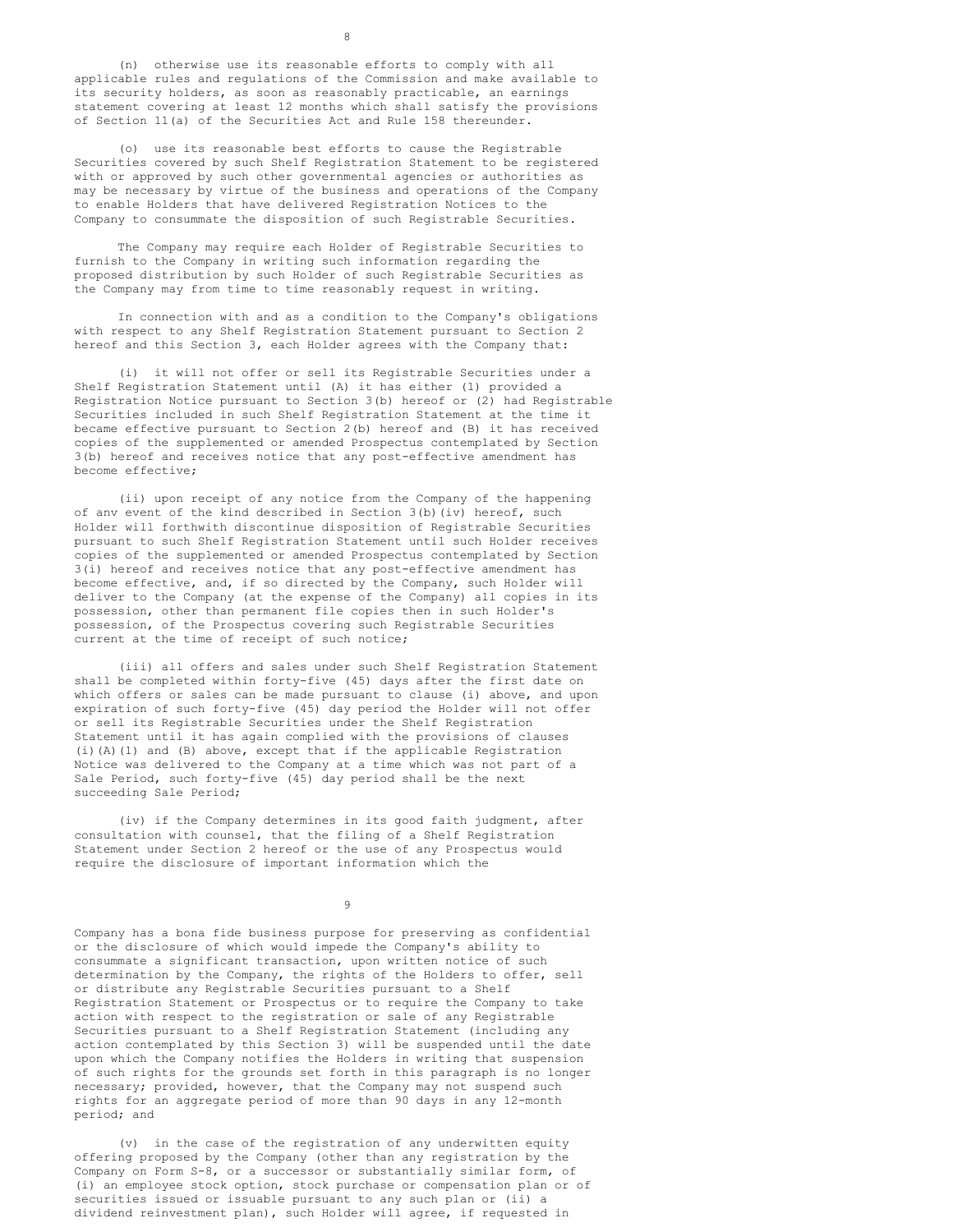(n) otherwise use its reasonable efforts to comply with all applicable rules and regulations of the Commission and make available to its security holders, as soon as reasonably practicable, an earnings statement covering at least 12 months which shall satisfy the provisions of Section 11(a) of the Securities Act and Rule 158 thereunder.

(o) use its reasonable best efforts to cause the Registrable Securities covered by such Shelf Registration Statement to be registered with or approved by such other governmental agencies or authorities as may be necessary by virtue of the business and operations of the Company to enable Holders that have delivered Registration Notices to the Company to consummate the disposition of such Registrable Securities.

The Company may require each Holder of Registrable Securities to furnish to the Company in writing such information regarding the proposed distribution by such Holder of such Registrable Securities as the Company may from time to time reasonably request in writing.

In connection with and as a condition to the Company's obligations with respect to any Shelf Registration Statement pursuant to Section 2 hereof and this Section 3, each Holder agrees with the Company that:

(i) it will not offer or sell its Registrable Securities under a Shelf Registration Statement until (A) it has either (1) provided a Registration Notice pursuant to Section 3(b) hereof or (2) had Registrable Securities included in such Shelf Registration Statement at the time it became effective pursuant to Section 2(b) hereof and (B) it has received copies of the supplemented or amended Prospectus contemplated by Section 3(b) hereof and receives notice that any post-effective amendment has become effective;

(ii) upon receipt of any notice from the Company of the happening of anv event of the kind described in Section 3(b)(iv) hereof, such Holder will forthwith discontinue disposition of Registrable Securities pursuant to such Shelf Registration Statement until such Holder receives copies of the supplemented or amended Prospectus contemplated by Section 3(i) hereof and receives notice that any post-effective amendment has become effective, and, if so directed by the Company, such Holder will deliver to the Company (at the expense of the Company) all copies in its possession, other than permanent file copies then in such Holder's possession, of the Prospectus covering such Registrable Securities current at the time of receipt of such notice;

(iii) all offers and sales under such Shelf Registration Statement shall be completed within forty-five (45) days after the first date on which offers or sales can be made pursuant to clause (i) above, and upon expiration of such forty-five (45) day period the Holder will not offer or sell its Registrable Securities under the Shelf Registration Statement until it has again complied with the provisions of clauses (i)(A)(1) and (B) above, except that if the applicable Registration Notice was delivered to the Company at a time which was not part of a Sale Period, such forty-five (45) day period shall be the next succeeding Sale Period;

(iv) if the Company determines in its good faith judgment, after consultation with counsel, that the filing of a Shelf Registration Statement under Section 2 hereof or the use of any Prospectus would require the disclosure of important information which the

9

Company has a bona fide business purpose for preserving as confidential or the disclosure of which would impede the Company's ability to consummate a significant transaction, upon written notice of such determination by the Company, the rights of the Holders to offer, sell or distribute any Registrable Securities pursuant to a Shelf Registration Statement or Prospectus or to require the Company to take action with respect to the registration or sale of any Registrable Securities pursuant to a Shelf Registration Statement (including any action contemplated by this Section 3) will be suspended until the date upon which the Company notifies the Holders in writing that suspension of such rights for the grounds set forth in this paragraph is no longer necessary; provided, however, that the Company may not suspend such rights for an aggregate period of more than 90 days in any 12-month period; and

(v) in the case of the registration of any underwitten equity offering proposed by the Company (other than any registration by the Company on Form S-8, or a successor or substantially similar form, of (i) an employee stock option, stock purchase or compensation plan or of securities issued or issuable pursuant to any such plan or (ii) a dividend reinvestment plan), such Holder will agree, if requested in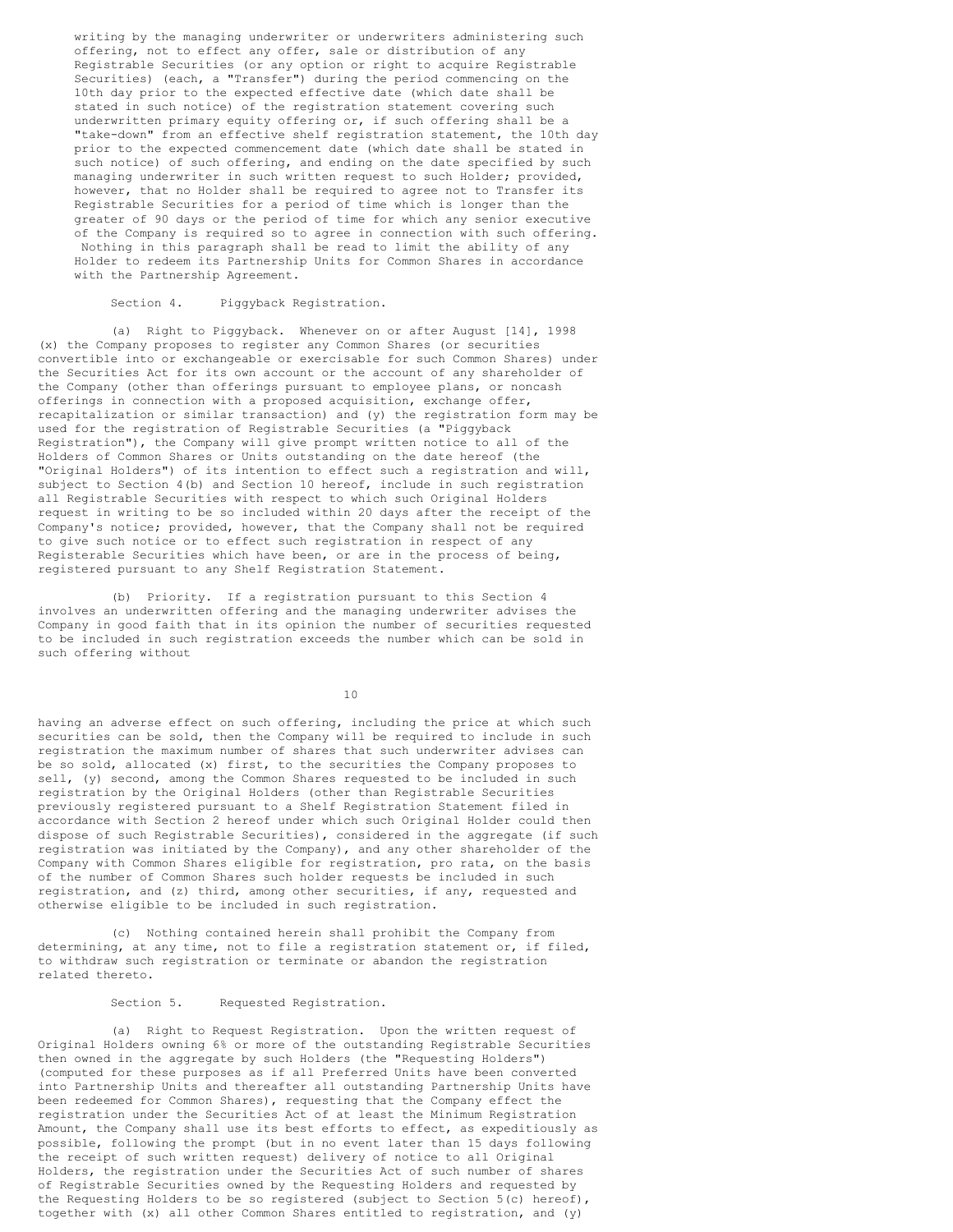writing by the managing underwriter or underwriters administering such offering, not to effect any offer, sale or distribution of any Registrable Securities (or any option or right to acquire Registrable Securities) (each, a "Transfer") during the period commencing on the 10th day prior to the expected effective date (which date shall be stated in such notice) of the registration statement covering such underwritten primary equity offering or, if such offering shall be a "take-down" from an effective shelf registration statement, the 10th day prior to the expected commencement date (which date shall be stated in such notice) of such offering, and ending on the date specified by such managing underwriter in such written request to such Holder; provided, however, that no Holder shall be required to agree not to Transfer its Registrable Securities for a period of time which is longer than the greater of 90 days or the period of time for which any senior executive of the Company is required so to agree in connection with such offering. Nothing in this paragraph shall be read to limit the ability of any Holder to redeem its Partnership Units for Common Shares in accordance with the Partnership Agreement.

### Section 4. Piggyback Registration.

(a) Right to Piggyback. Whenever on or after August [14], 1998 (x) the Company proposes to register any Common Shares (or securities convertible into or exchangeable or exercisable for such Common Shares) under the Securities Act for its own account or the account of any shareholder of the Company (other than offerings pursuant to employee plans, or noncash offerings in connection with a proposed acquisition, exchange offer, recapitalization or similar transaction) and (y) the registration form may be used for the registration of Registrable Securities (a "Piggyback Registration"), the Company will give prompt written notice to all of the Holders of Common Shares or Units outstanding on the date hereof (the "Original Holders") of its intention to effect such a registration and will, subject to Section 4(b) and Section 10 hereof, include in such registration all Registrable Securities with respect to which such Original Holders request in writing to be so included within 20 days after the receipt of the Company's notice; provided, however, that the Company shall not be required to give such notice or to effect such registration in respect of any Registerable Securities which have been, or are in the process of being, registered pursuant to any Shelf Registration Statement.

(b) Priority. If a registration pursuant to this Section 4 involves an underwritten offering and the managing underwriter advises the Company in good faith that in its opinion the number of securities requested to be included in such registration exceeds the number which can be sold in such offering without

10

having an adverse effect on such offering, including the price at which such securities can be sold, then the Company will be required to include in such registration the maximum number of shares that such underwriter advises can be so sold, allocated (x) first, to the securities the Company proposes to sell, (y) second, among the Common Shares requested to be included in such registration by the Original Holders (other than Registrable Securities previously registered pursuant to a Shelf Registration Statement filed in accordance with Section 2 hereof under which such Original Holder could then dispose of such Registrable Securities), considered in the aggregate (if such registration was initiated by the Company), and any other shareholder of the Company with Common Shares eligible for registration, pro rata, on the basis of the number of Common Shares such holder requests be included in such registration, and (z) third, among other securities, if any, requested and otherwise eligible to be included in such registration.

(c) Nothing contained herein shall prohibit the Company from determining, at any time, not to file a registration statement or, if filed, to withdraw such registration or terminate or abandon the registration related thereto.

Section 5. Requested Registration.

(a) Right to Request Registration. Upon the written request of Original Holders owning 6% or more of the outstanding Registrable Securities then owned in the aggregate by such Holders (the "Requesting Holders") (computed for these purposes as if all Preferred Units have been converted into Partnership Units and thereafter all outstanding Partnership Units have been redeemed for Common Shares), requesting that the Company effect the registration under the Securities Act of at least the Minimum Registration Amount, the Company shall use its best efforts to effect, as expeditiously as possible, following the prompt (but in no event later than 15 days following the receipt of such written request) delivery of notice to all Original Holders, the registration under the Securities Act of such number of shares of Registrable Securities owned by the Requesting Holders and requested by the Requesting Holders to be so registered (subject to Section 5(c) hereof), together with (x) all other Common Shares entitled to registration, and (y)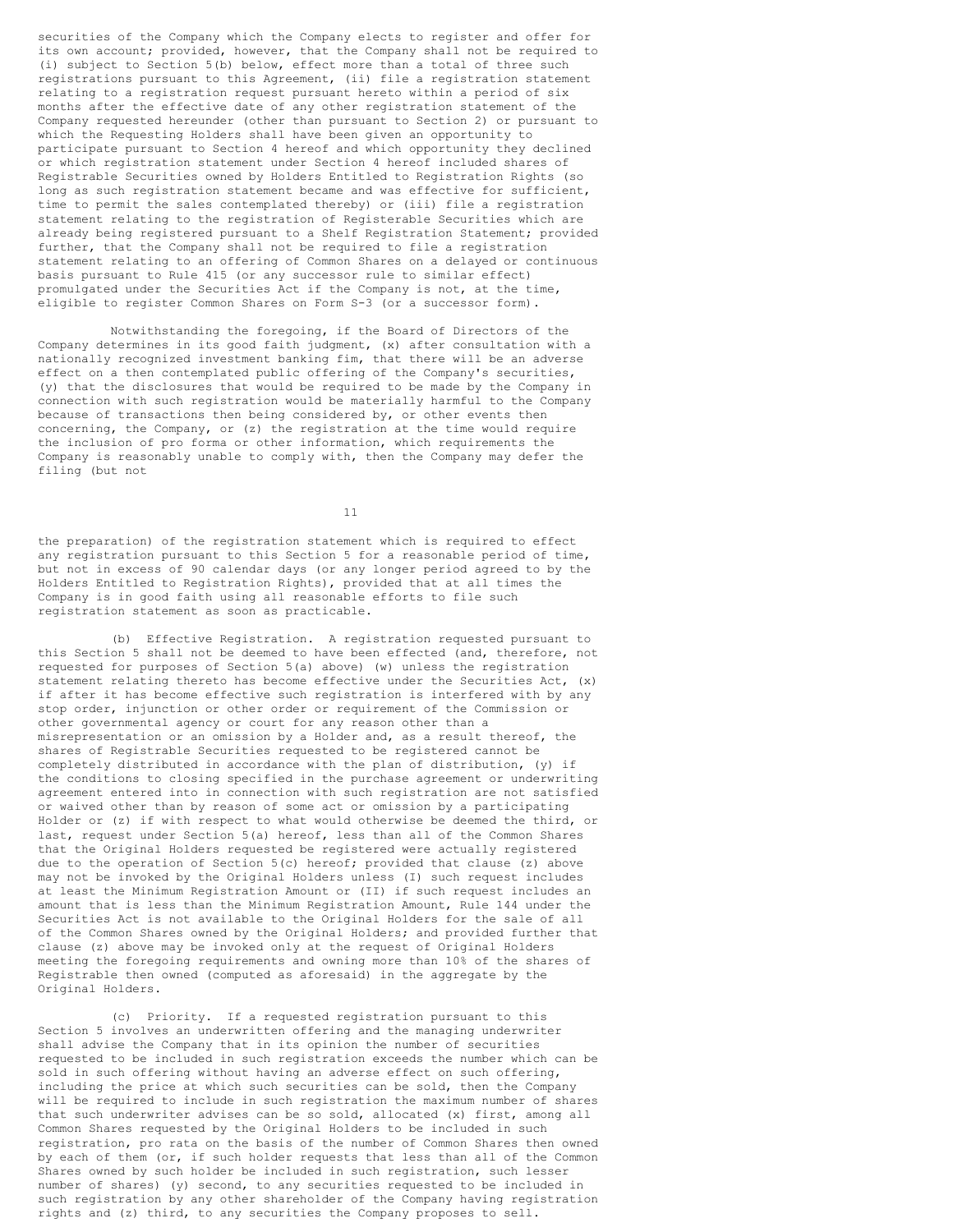securities of the Company which the Company elects to register and offer for its own account; provided, however, that the Company shall not be required to (i) subject to Section 5(b) below, effect more than a total of three such registrations pursuant to this Agreement, (ii) file a registration statement relating to a registration request pursuant hereto within a period of six months after the effective date of any other registration statement of the Company requested hereunder (other than pursuant to Section 2) or pursuant to which the Requesting Holders shall have been given an opportunity to participate pursuant to Section 4 hereof and which opportunity they declined or which registration statement under Section 4 hereof included shares of Registrable Securities owned by Holders Entitled to Registration Rights (so long as such registration statement became and was effective for sufficient, time to permit the sales contemplated thereby) or (iii) file a registration statement relating to the registration of Registerable Securities which are already being registered pursuant to a Shelf Registration Statement; provided further, that the Company shall not be required to file a registration statement relating to an offering of Common Shares on a delayed or continuous basis pursuant to Rule 415 (or any successor rule to similar effect) promulgated under the Securities Act if the Company is not, at the time, eligible to register Common Shares on Form S-3 (or a successor form).

Notwithstanding the foregoing, if the Board of Directors of the Company determines in its good faith judgment, (x) after consultation with a nationally recognized investment banking fim, that there will be an adverse effect on a then contemplated public offering of the Company's securities, (y) that the disclosures that would be required to be made by the Company in connection with such registration would be materially harmful to the Company because of transactions then being considered by, or other events then concerning, the Company, or (z) the registration at the time would require the inclusion of pro forma or other information, which requirements the Company is reasonably unable to comply with, then the Company may defer the filing (but not

11

the preparation) of the registration statement which is required to effect any registration pursuant to this Section 5 for a reasonable period of time, but not in excess of 90 calendar days (or any longer period agreed to by the Holders Entitled to Registration Rights), provided that at all times the Company is in good faith using all reasonable efforts to file such registration statement as soon as practicable.

(b) Effective Registration. A registration requested pursuant to this Section 5 shall not be deemed to have been effected (and, therefore, not requested for purposes of Section 5(a) above) (w) unless the registration statement relating thereto has become effective under the Securities Act, (x) if after it has become effective such registration is interfered with by any stop order, injunction or other order or requirement of the Commission or other governmental agency or court for any reason other than a misrepresentation or an omission by a Holder and, as a result thereof, the shares of Registrable Securities requested to be registered cannot be completely distributed in accordance with the plan of distribution, (y) if the conditions to closing specified in the purchase agreement or underwriting agreement entered into in connection with such registration are not satisfied or waived other than by reason of some act or omission by a participating Holder or (z) if with respect to what would otherwise be deemed the third, or last, request under Section 5(a) hereof, less than all of the Common Shares that the Original Holders requested be registered were actually registered due to the operation of Section  $5(c)$  hereof; provided that clause (z) above may not be invoked by the Original Holders unless (I) such request includes at least the Minimum Registration Amount or (II) if such request includes an amount that is less than the Minimum Registration Amount, Rule 144 under the Securities Act is not available to the Original Holders for the sale of all of the Common Shares owned by the Original Holders; and provided further that clause (z) above may be invoked only at the request of Original Holders meeting the foregoing requirements and owning more than 10% of the shares of Registrable then owned (computed as aforesaid) in the aggregate by the Original Holders.

(c) Priority. If a requested registration pursuant to this Section 5 involves an underwritten offering and the managing underwriter shall advise the Company that in its opinion the number of securities requested to be included in such registration exceeds the number which can be sold in such offering without having an adverse effect on such offering, including the price at which such securities can be sold, then the Company will be required to include in such registration the maximum number of shares that such underwriter advises can be so sold, allocated (x) first, among all Common Shares requested by the Original Holders to be included in such registration, pro rata on the basis of the number of Common Shares then owned by each of them (or, if such holder requests that less than all of the Common Shares owned by such holder be included in such registration, such lesser number of shares) (y) second, to any securities requested to be included in such registration by any other shareholder of the Company having registration rights and (z) third, to any securities the Company proposes to sell.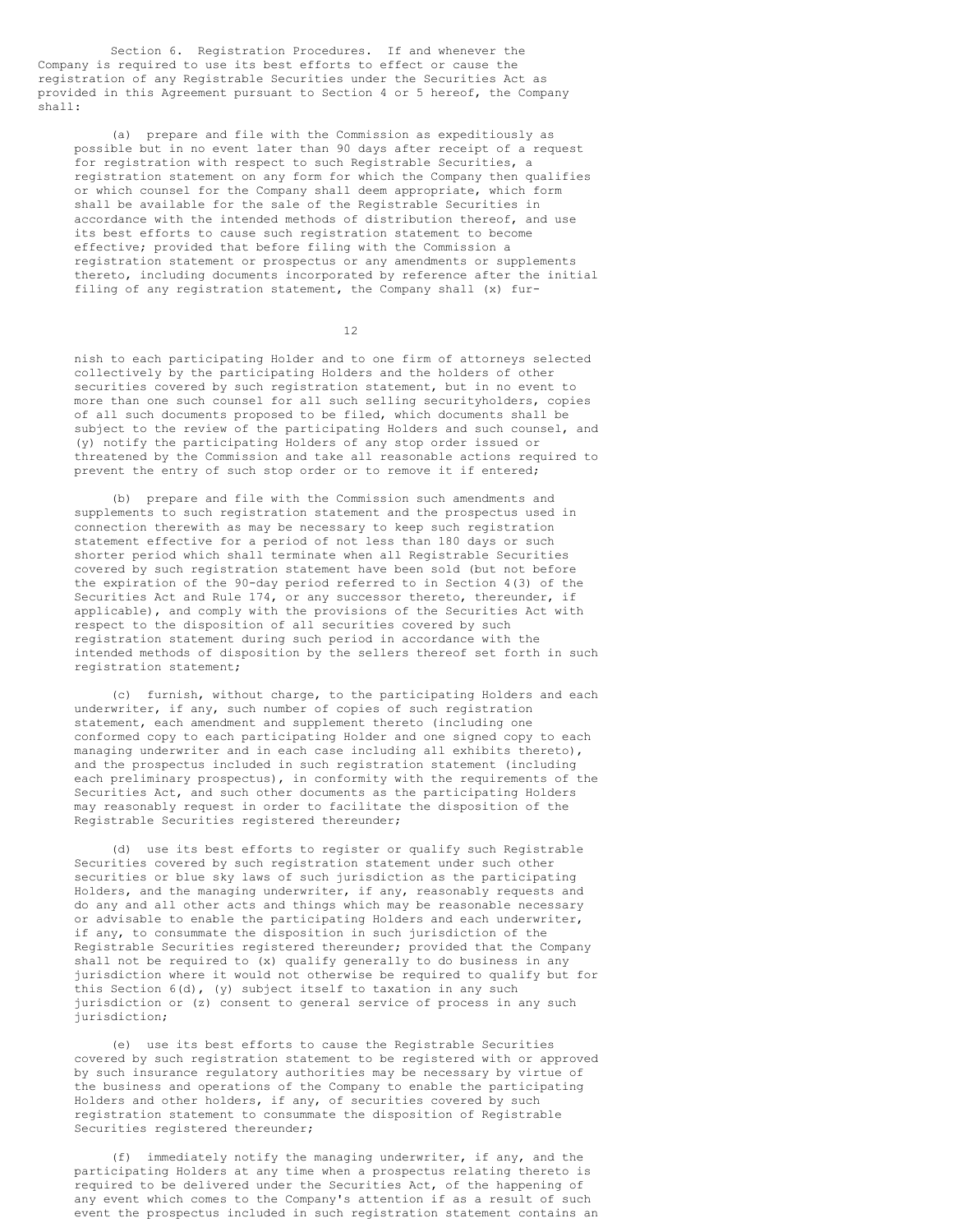Section 6. Registration Procedures. If and whenever the Company is required to use its best efforts to effect or cause the registration of any Registrable Securities under the Securities Act as provided in this Agreement pursuant to Section 4 or 5 hereof, the Company shall:

(a) prepare and file with the Commission as expeditiously as possible but in no event later than 90 days after receipt of a request for registration with respect to such Registrable Securities, a registration statement on any form for which the Company then qualifies or which counsel for the Company shall deem appropriate, which form shall be available for the sale of the Registrable Securities in accordance with the intended methods of distribution thereof, and use its best efforts to cause such registration statement to become effective; provided that before filing with the Commission a registration statement or prospectus or any amendments or supplements thereto, including documents incorporated by reference after the initial filing of any registration statement, the Company shall (x) fur-

12

nish to each participating Holder and to one firm of attorneys selected collectively by the participating Holders and the holders of other securities covered by such registration statement, but in no event to more than one such counsel for all such selling securityholders, copies of all such documents proposed to be filed, which documents shall be subject to the review of the participating Holders and such counsel, and (y) notify the participating Holders of any stop order issued or threatened by the Commission and take all reasonable actions required to prevent the entry of such stop order or to remove it if entered;

(b) prepare and file with the Commission such amendments and supplements to such registration statement and the prospectus used in connection therewith as may be necessary to keep such registration statement effective for a period of not less than 180 days or such shorter period which shall terminate when all Registrable Securities covered by such registration statement have been sold (but not before the expiration of the 90-day period referred to in Section 4(3) of the Securities Act and Rule 174, or any successor thereto, thereunder, if applicable), and comply with the provisions of the Securities Act with respect to the disposition of all securities covered by such registration statement during such period in accordance with the intended methods of disposition by the sellers thereof set forth in such registration statement;

(c) furnish, without charge, to the participating Holders and each underwriter, if any, such number of copies of such registration statement, each amendment and supplement thereto (including one conformed copy to each participating Holder and one signed copy to each managing underwriter and in each case including all exhibits thereto), and the prospectus included in such registration statement (including each preliminary prospectus), in conformity with the requirements of the Securities Act, and such other documents as the participating Holders may reasonably request in order to facilitate the disposition of the Registrable Securities registered thereunder;

(d) use its best efforts to register or qualify such Registrable Securities covered by such registration statement under such other securities or blue sky laws of such jurisdiction as the participating Holders, and the managing underwriter, if any, reasonably requests and do any and all other acts and things which may be reasonable necessary or advisable to enable the participating Holders and each underwriter, if any, to consummate the disposition in such jurisdiction of the Registrable Securities registered thereunder; provided that the Company shall not be required to (x) qualify generally to do business in any jurisdiction where it would not otherwise be required to qualify but for this Section 6(d), (y) subject itself to taxation in any such jurisdiction or (z) consent to general service of process in any such jurisdiction;

(e) use its best efforts to cause the Registrable Securities covered by such registration statement to be registered with or approved by such insurance regulatory authorities may be necessary by virtue of the business and operations of the Company to enable the participating Holders and other holders, if any, of securities covered by such registration statement to consummate the disposition of Registrable Securities registered thereunder;

(f) immediately notify the managing underwriter, if any, and the participating Holders at any time when a prospectus relating thereto is required to be delivered under the Securities Act, of the happening of any event which comes to the Company's attention if as a result of such event the prospectus included in such registration statement contains an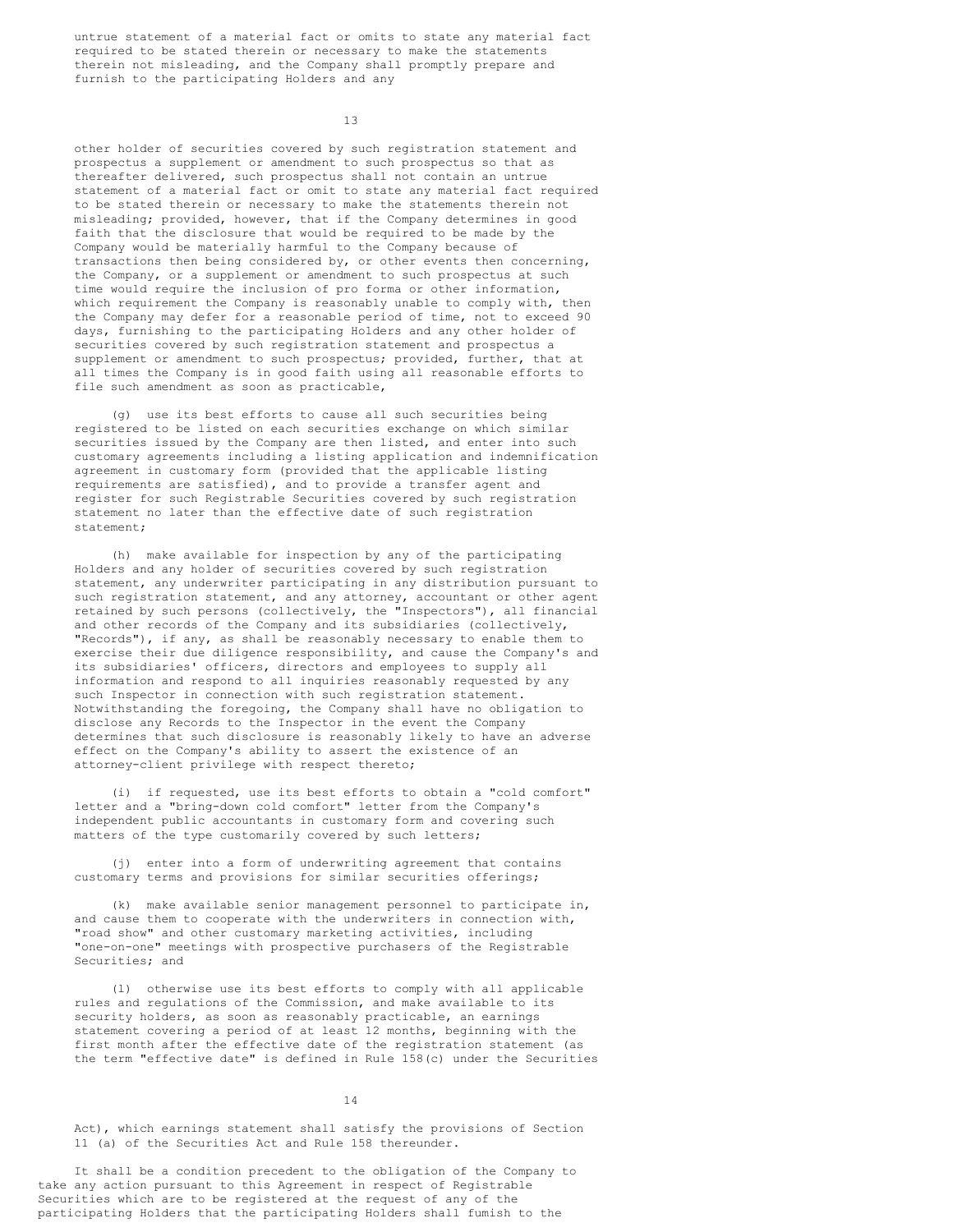untrue statement of a material fact or omits to state any material fact required to be stated therein or necessary to make the statements therein not misleading, and the Company shall promptly prepare and furnish to the participating Holders and any

13

other holder of securities covered by such registration statement and prospectus a supplement or amendment to such prospectus so that as thereafter delivered, such prospectus shall not contain an untrue statement of a material fact or omit to state any material fact required to be stated therein or necessary to make the statements therein not misleading; provided, however, that if the Company determines in good faith that the disclosure that would be required to be made by the Company would be materially harmful to the Company because of transactions then being considered by, or other events then concerning, the Company, or a supplement or amendment to such prospectus at such time would require the inclusion of pro forma or other information, which requirement the Company is reasonably unable to comply with, then the Company may defer for a reasonable period of time, not to exceed 90 days, furnishing to the participating Holders and any other holder of securities covered by such registration statement and prospectus a supplement or amendment to such prospectus; provided, further, that at all times the Company is in good faith using all reasonable efforts to file such amendment as soon as practicable,

(g) use its best efforts to cause all such securities being registered to be listed on each securities exchange on which similar securities issued by the Company are then listed, and enter into such customary agreements including a listing application and indemnification agreement in customary form (provided that the applicable listing requirements are satisfied), and to provide a transfer agent and register for such Registrable Securities covered by such registration statement no later than the effective date of such registration statement;

(h) make available for inspection by any of the participating Holders and any holder of securities covered by such registration statement, any underwriter participating in any distribution pursuant to such registration statement, and any attorney, accountant or other agent retained by such persons (collectively, the "Inspectors"), all financial and other records of the Company and its subsidiaries (collectively, "Records"), if any, as shall be reasonably necessary to enable them to exercise their due diligence responsibility, and cause the Company's and its subsidiaries' officers, directors and employees to supply all information and respond to all inquiries reasonably requested by any such Inspector in connection with such registration statement. Notwithstanding the foregoing, the Company shall have no obligation to disclose any Records to the Inspector in the event the Company determines that such disclosure is reasonably likely to have an adverse effect on the Company's ability to assert the existence of an attorney-client privilege with respect thereto;

(i) if requested, use its best efforts to obtain a "cold comfort" letter and a "bring-down cold comfort" letter from the Company's independent public accountants in customary form and covering such matters of the type customarily covered by such letters;

(j) enter into a form of underwriting agreement that contains customary terms and provisions for similar securities offerings;

(k) make available senior management personnel to participate in, and cause them to cooperate with the underwriters in connection with, "road show" and other customary marketing activities, including "one-on-one" meetings with prospective purchasers of the Registrable Securities; and

(l) otherwise use its best efforts to comply with all applicable rules and regulations of the Commission, and make available to its security holders, as soon as reasonably practicable, an earnings statement covering a period of at least 12 months, beginning with the first month after the effective date of the registration statement (as the term "effective date" is defined in Rule 158(c) under the Securities

# 14

Act), which earnings statement shall satisfy the provisions of Section 11 (a) of the Securities Act and Rule 158 thereunder.

It shall be a condition precedent to the obligation of the Company to take any action pursuant to this Agreement in respect of Registrable Securities which are to be registered at the request of any of the participating Holders that the participating Holders shall fumish to the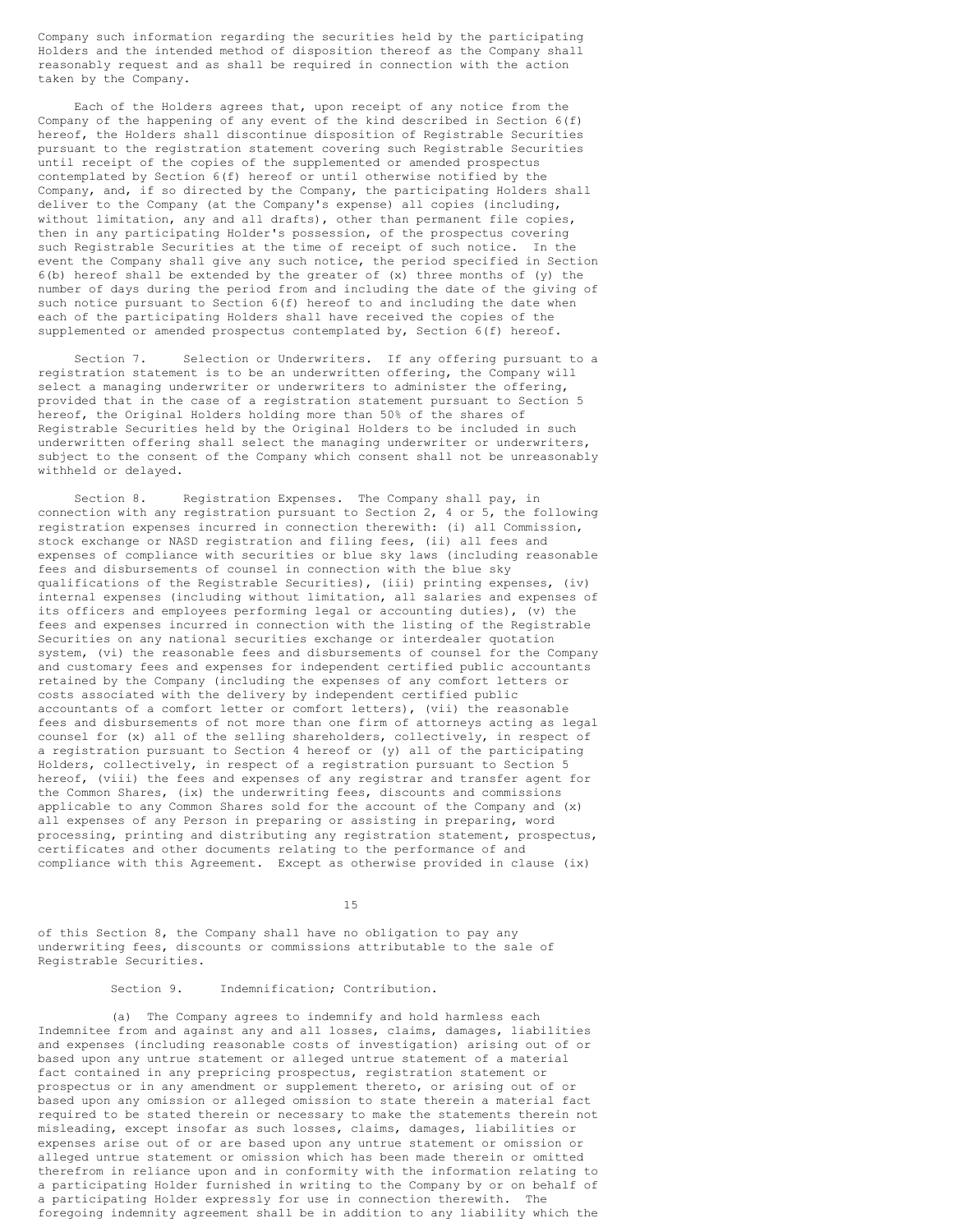Company such information regarding the securities held by the participating Holders and the intended method of disposition thereof as the Company shall reasonably request and as shall be required in connection with the action taken by the Company.

Each of the Holders agrees that, upon receipt of any notice from the Company of the happening of any event of the kind described in Section 6(f) hereof, the Holders shall discontinue disposition of Registrable Securities pursuant to the registration statement covering such Registrable Securities until receipt of the copies of the supplemented or amended prospectus contemplated by Section 6(f) hereof or until otherwise notified by the Company, and, if so directed by the Company, the participating Holders shall deliver to the Company (at the Company's expense) all copies (including, without limitation, any and all drafts), other than permanent file copies, then in any participating Holder's possession, of the prospectus covering such Registrable Securities at the time of receipt of such notice. In the event the Company shall give any such notice, the period specified in Section  $6(b)$  hereof shall be extended by the greater of  $(x)$  three months of  $(y)$  the number of days during the period from and including the date of the giving of such notice pursuant to Section 6(f) hereof to and including the date when each of the participating Holders shall have received the copies of the supplemented or amended prospectus contemplated by, Section 6(f) hereof.

Section 7. Selection or Underwriters. If any offering pursuant to a registration statement is to be an underwritten offering, the Company will select a managing underwriter or underwriters to administer the offering, provided that in the case of a registration statement pursuant to Section 5 hereof, the Original Holders holding more than 50% of the shares of Registrable Securities held by the Original Holders to be included in such underwritten offering shall select the managing underwriter or underwriters, subject to the consent of the Company which consent shall not be unreasonably withheld or delayed.

Section 8. Registration Expenses. The Company shall pay, in connection with any registration pursuant to Section 2, 4 or 5, the following registration expenses incurred in connection therewith: (i) all Commission, stock exchange or NASD registration and filing fees, (ii) all fees and expenses of compliance with securities or blue sky laws (including reasonable fees and disbursements of counsel in connection with the blue sky qualifications of the Registrable Securities), (iii) printing expenses, (iv) internal expenses (including without limitation, all salaries and expenses of its officers and employees performing legal or accounting duties), (v) the fees and expenses incurred in connection with the listing of the Registrable Securities on any national securities exchange or interdealer quotation system, (vi) the reasonable fees and disbursements of counsel for the Company and customary fees and expenses for independent certified public accountants retained by the Company (including the expenses of any comfort letters or costs associated with the delivery by independent certified public accountants of a comfort letter or comfort letters), (vii) the reasonable fees and disbursements of not more than one firm of attorneys acting as legal counsel for (x) all of the selling shareholders, collectively, in respect of a registration pursuant to Section 4 hereof or (y) all of the participating Holders, collectively, in respect of a registration pursuant to Section 5 hereof, (viii) the fees and expenses of any registrar and transfer agent for the Common Shares, (ix) the underwriting fees, discounts and commissions applicable to any Common Shares sold for the account of the Company and (x) all expenses of any Person in preparing or assisting in preparing, word processing, printing and distributing any registration statement, prospectus, certificates and other documents relating to the performance of and compliance with this Agreement. Except as otherwise provided in clause (ix)

15

of this Section 8, the Company shall have no obligation to pay any underwriting fees, discounts or commissions attributable to the sale of Registrable Securities.

Section 9. Indemnification; Contribution.

(a) The Company agrees to indemnify and hold harmless each Indemnitee from and against any and all losses, claims, damages, liabilities and expenses (including reasonable costs of investigation) arising out of or based upon any untrue statement or alleged untrue statement of a material fact contained in any prepricing prospectus, registration statement or prospectus or in any amendment or supplement thereto, or arising out of or based upon any omission or alleged omission to state therein a material fact required to be stated therein or necessary to make the statements therein not misleading, except insofar as such losses, claims, damages, liabilities or expenses arise out of or are based upon any untrue statement or omission or alleged untrue statement or omission which has been made therein or omitted therefrom in reliance upon and in conformity with the information relating to a participating Holder furnished in writing to the Company by or on behalf of a participating Holder expressly for use in connection therewith. The foregoing indemnity agreement shall be in addition to any liability which the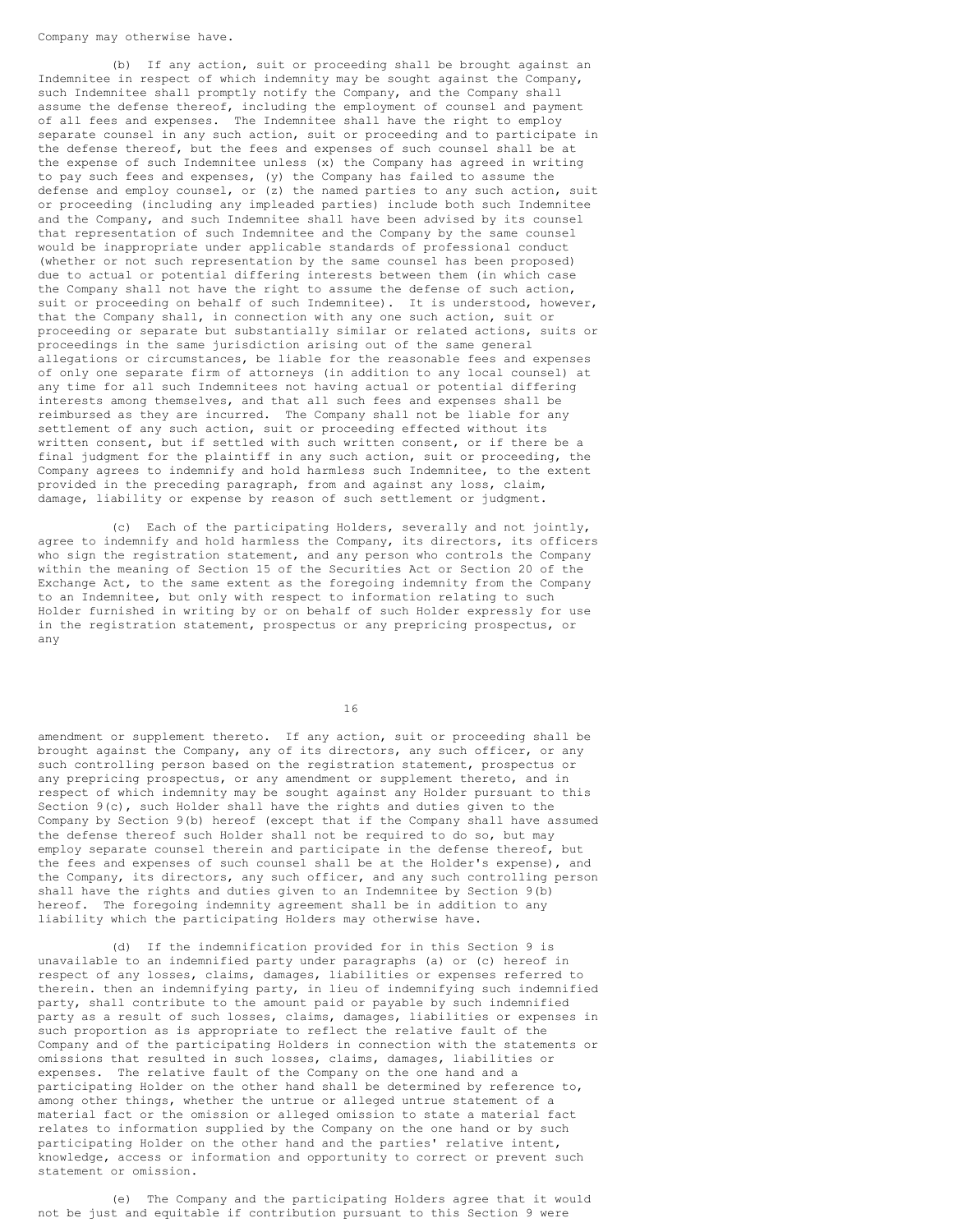Company may otherwise have.

(b) If any action, suit or proceeding shall be brought against an Indemnitee in respect of which indemnity may be sought against the Company, such Indemnitee shall promptly notify the Company, and the Company shall assume the defense thereof, including the employment of counsel and payment of all fees and expenses. The Indemnitee shall have the right to employ separate counsel in any such action, suit or proceeding and to participate in the defense thereof, but the fees and expenses of such counsel shall be at the expense of such Indemnitee unless (x) the Company has agreed in writing to pay such fees and expenses, (y) the Company has failed to assume the defense and employ counsel, or (z) the named parties to any such action, suit or proceeding (including any impleaded parties) include both such Indemnitee and the Company, and such Indemnitee shall have been advised by its counsel that representation of such Indemnitee and the Company by the same counsel would be inappropriate under applicable standards of professional conduct (whether or not such representation by the same counsel has been proposed) due to actual or potential differing interests between them (in which case the Company shall not have the right to assume the defense of such action, suit or proceeding on behalf of such Indemnitee). It is understood, however, that the Company shall, in connection with any one such action, suit or proceeding or separate but substantially similar or related actions, suits or proceedings in the same jurisdiction arising out of the same general allegations or circumstances, be liable for the reasonable fees and expenses of only one separate firm of attorneys (in addition to any local counsel) at any time for all such Indemnitees not having actual or potential differing interests among themselves, and that all such fees and expenses shall be reimbursed as they are incurred. The Company shall not be liable for any settlement of any such action, suit or proceeding effected without its written consent, but if settled with such written consent, or if there be a final judgment for the plaintiff in any such action, suit or proceeding, the Company agrees to indemnify and hold harmless such Indemnitee, to the extent provided in the preceding paragraph, from and against any loss, claim, damage, liability or expense by reason of such settlement or judgment.

(c) Each of the participating Holders, severally and not jointly, agree to indemnify and hold harmless the Company, its directors, its officers who sign the registration statement, and any person who controls the Company within the meaning of Section 15 of the Securities Act or Section 20 of the Exchange Act, to the same extent as the foregoing indemnity from the Company to an Indemnitee, but only with respect to information relating to such Holder furnished in writing by or on behalf of such Holder expressly for use in the registration statement, prospectus or any prepricing prospectus, or any

16

amendment or supplement thereto. If any action, suit or proceeding shall be brought against the Company, any of its directors, any such officer, or any such controlling person based on the registration statement, prospectus or any prepricing prospectus, or any amendment or supplement thereto, and in respect of which indemnity may be sought against any Holder pursuant to this Section 9(c), such Holder shall have the rights and duties given to the Company by Section 9(b) hereof (except that if the Company shall have assumed the defense thereof such Holder shall not be required to do so, but may employ separate counsel therein and participate in the defense thereof, but the fees and expenses of such counsel shall be at the Holder's expense), and the Company, its directors, any such officer, and any such controlling person shall have the rights and duties given to an Indemnitee by Section 9(b) hereof. The foregoing indemnity agreement shall be in addition to any liability which the participating Holders may otherwise have.

(d) If the indemnification provided for in this Section 9 is unavailable to an indemnified party under paragraphs (a) or (c) hereof in respect of any losses, claims, damages, liabilities or expenses referred to therein. then an indemnifying party, in lieu of indemnifying such indemnified party, shall contribute to the amount paid or payable by such indemnified party as a result of such losses, claims, damages, liabilities or expenses in such proportion as is appropriate to reflect the relative fault of the Company and of the participating Holders in connection with the statements or omissions that resulted in such losses, claims, damages, liabilities or expenses. The relative fault of the Company on the one hand and a participating Holder on the other hand shall be determined by reference to, among other things, whether the untrue or alleged untrue statement of a material fact or the omission or alleged omission to state a material fact relates to information supplied by the Company on the one hand or by such participating Holder on the other hand and the parties' relative intent, knowledge, access or information and opportunity to correct or prevent such statement or omission.

(e) The Company and the participating Holders agree that it would not be just and equitable if contribution pursuant to this Section 9 were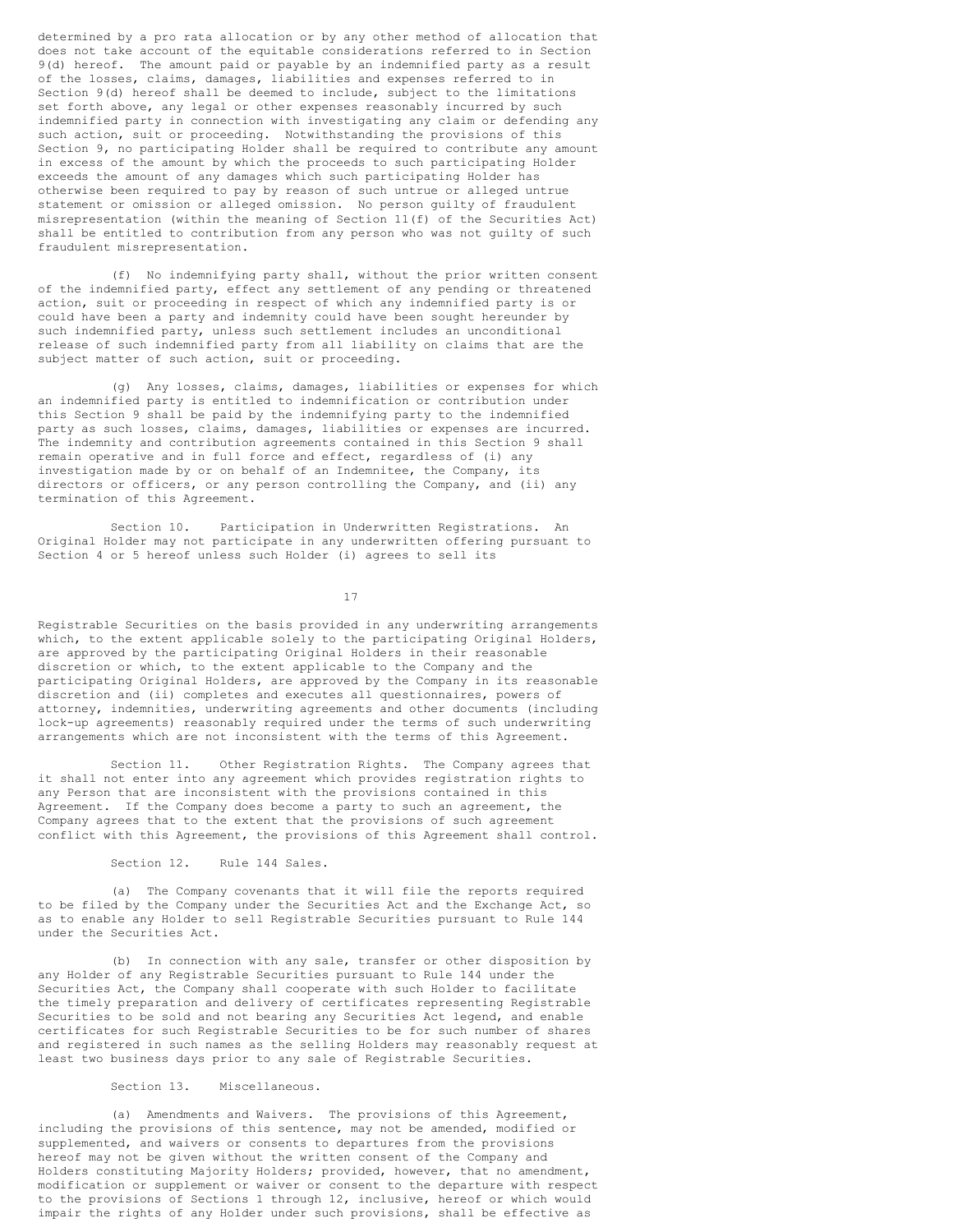determined by a pro rata allocation or by any other method of allocation that does not take account of the equitable considerations referred to in Section 9(d) hereof. The amount paid or payable by an indemnified party as a result of the losses, claims, damages, liabilities and expenses referred to in Section 9(d) hereof shall be deemed to include, subject to the limitations set forth above, any legal or other expenses reasonably incurred by such indemnified party in connection with investigating any claim or defending any such action, suit or proceeding. Notwithstanding the provisions of this Section 9, no participating Holder shall be required to contribute any amount in excess of the amount by which the proceeds to such participating Holder exceeds the amount of any damages which such participating Holder has otherwise been required to pay by reason of such untrue or alleged untrue statement or omission or alleged omission. No person guilty of fraudulent misrepresentation (within the meaning of Section 11(f) of the Securities Act) shall be entitled to contribution from any person who was not guilty of such fraudulent misrepresentation.

(f) No indemnifying party shall, without the prior written consent of the indemnified party, effect any settlement of any pending or threatened action, suit or proceeding in respect of which any indemnified party is or could have been a party and indemnity could have been sought hereunder by such indemnified party, unless such settlement includes an unconditional release of such indemnified party from all liability on claims that are the subject matter of such action, suit or proceeding.

(g) Any losses, claims, damages, liabilities or expenses for which an indemnified party is entitled to indemnification or contribution under this Section 9 shall be paid by the indemnifying party to the indemnified party as such losses, claims, damages, liabilities or expenses are incurred. The indemnity and contribution agreements contained in this Section 9 shall remain operative and in full force and effect, regardless of (i) any investigation made by or on behalf of an Indemnitee, the Company, its directors or officers, or any person controlling the Company, and (ii) any termination of this Agreement.

Section 10. Participation in Underwritten Registrations. An Original Holder may not participate in any underwritten offering pursuant to Section 4 or 5 hereof unless such Holder (i) agrees to sell its

17

Registrable Securities on the basis provided in any underwriting arrangements which, to the extent applicable solely to the participating Original Holders, are approved by the participating Original Holders in their reasonable discretion or which, to the extent applicable to the Company and the participating Original Holders, are approved by the Company in its reasonable discretion and (ii) completes and executes all questionnaires, powers of attorney, indemnities, underwriting agreements and other documents (including lock-up agreements) reasonably required under the terms of such underwriting arrangements which are not inconsistent with the terms of this Agreement.

Section 11. Other Registration Rights. The Company agrees that it shall not enter into any agreement which provides registration rights to any Person that are inconsistent with the provisions contained in this Agreement. If the Company does become a party to such an agreement, the Company agrees that to the extent that the provisions of such agreement conflict with this Agreement, the provisions of this Agreement shall control.

Section 12. Rule 144 Sales.

(a) The Company covenants that it will file the reports required to be filed by the Company under the Securities Act and the Exchange Act, so as to enable any Holder to sell Registrable Securities pursuant to Rule 144 under the Securities Act.

(b) In connection with any sale, transfer or other disposition by any Holder of any Registrable Securities pursuant to Rule 144 under the Securities Act, the Company shall cooperate with such Holder to facilitate the timely preparation and delivery of certificates representing Registrable Securities to be sold and not bearing any Securities Act legend, and enable certificates for such Registrable Securities to be for such number of shares and registered in such names as the selling Holders may reasonably request at least two business days prior to any sale of Registrable Securities.

Section 13. Miscellaneous.

(a) Amendments and Waivers. The provisions of this Agreement, including the provisions of this sentence, may not be amended, modified or supplemented, and waivers or consents to departures from the provisions hereof may not be given without the written consent of the Company and Holders constituting Majority Holders; provided, however, that no amendment, modification or supplement or waiver or consent to the departure with respect to the provisions of Sections 1 through 12, inclusive, hereof or which would impair the rights of any Holder under such provisions, shall be effective as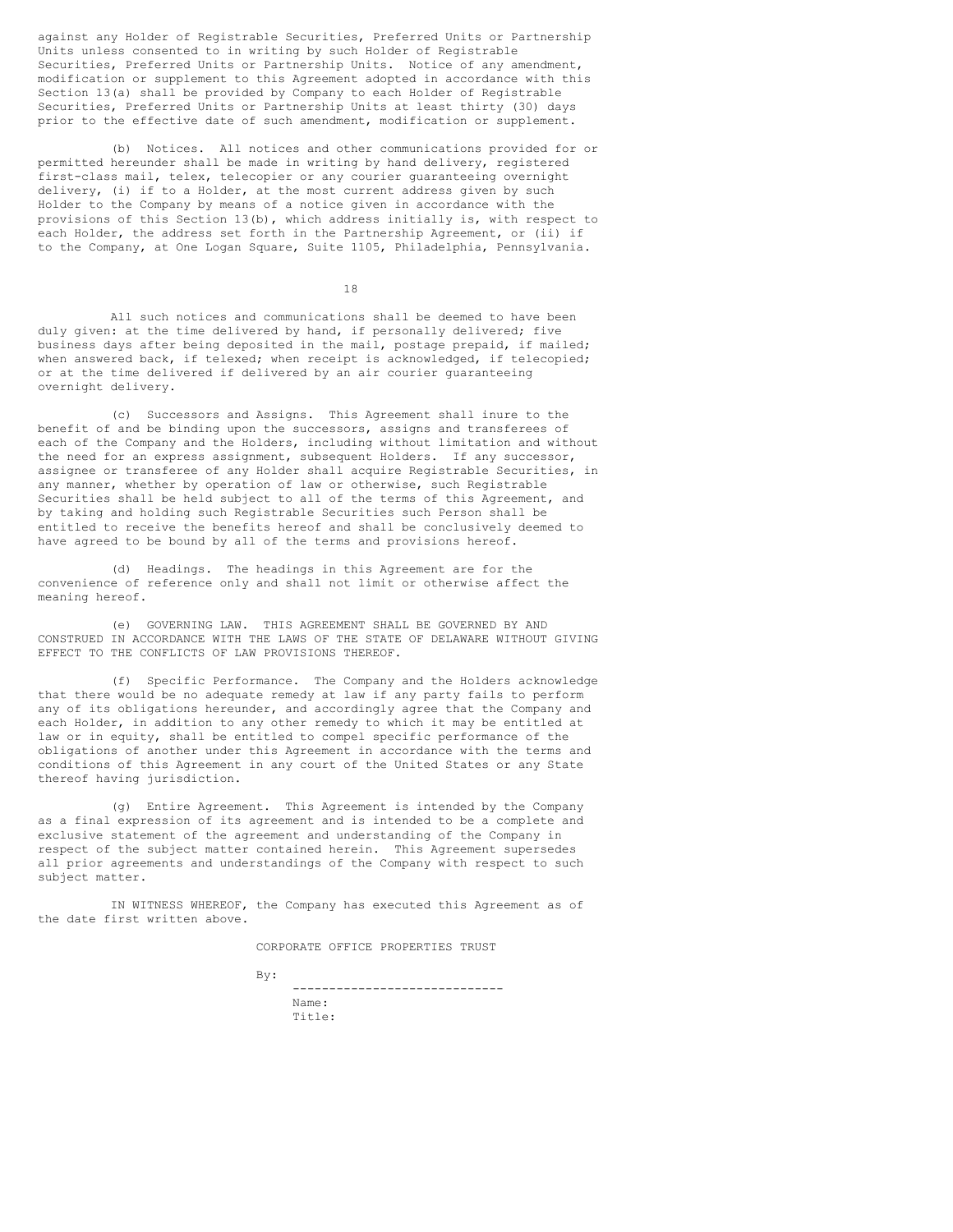against any Holder of Registrable Securities, Preferred Units or Partnership Units unless consented to in writing by such Holder of Registrable Securities, Preferred Units or Partnership Units. Notice of any amendment, modification or supplement to this Agreement adopted in accordance with this Section 13(a) shall be provided by Company to each Holder of Registrable Securities, Preferred Units or Partnership Units at least thirty (30) days prior to the effective date of such amendment, modification or supplement.

(b) Notices. All notices and other communications provided for or permitted hereunder shall be made in writing by hand delivery, registered first-class mail, telex, telecopier or any courier guaranteeing overnight delivery, (i) if to a Holder, at the most current address given by such Holder to the Company by means of a notice given in accordance with the provisions of this Section  $13(b)$ , which address initially is, with respect to each Holder, the address set forth in the Partnership Agreement, or (ii) if to the Company, at One Logan Square, Suite 1105, Philadelphia, Pennsylvania.

18

All such notices and communications shall be deemed to have been duly given: at the time delivered by hand, if personally delivered; five business days after being deposited in the mail, postage prepaid, if mailed; when answered back, if telexed; when receipt is acknowledged, if telecopied; or at the time delivered if delivered by an air courier guaranteeing overnight delivery.

(c) Successors and Assigns. This Agreement shall inure to the benefit of and be binding upon the successors, assigns and transferees of each of the Company and the Holders, including without limitation and without the need for an express assignment, subsequent Holders. If any successor, assignee or transferee of any Holder shall acquire Registrable Securities, in any manner, whether by operation of law or otherwise, such Registrable Securities shall be held subject to all of the terms of this Agreement, and by taking and holding such Registrable Securities such Person shall be entitled to receive the benefits hereof and shall be conclusively deemed to have agreed to be bound by all of the terms and provisions hereof.

(d) Headings. The headings in this Agreement are for the convenience of reference only and shall not limit or otherwise affect the meaning hereof.

(e) GOVERNING LAW. THIS AGREEMENT SHALL BE GOVERNED BY AND CONSTRUED IN ACCORDANCE WITH THE LAWS OF THE STATE OF DELAWARE WITHOUT GIVING EFFECT TO THE CONFLICTS OF LAW PROVISIONS THEREOF.

(f) Specific Performance. The Company and the Holders acknowledge that there would be no adequate remedy at law if any party fails to perform any of its obligations hereunder, and accordingly agree that the Company and each Holder, in addition to any other remedy to which it may be entitled at law or in equity, shall be entitled to compel specific performance of the obligations of another under this Agreement in accordance with the terms and conditions of this Agreement in any court of the United States or any State thereof having jurisdiction.

(g) Entire Agreement. This Agreement is intended by the Company as a final expression of its agreement and is intended to be a complete and exclusive statement of the agreement and understanding of the Company in respect of the subject matter contained herein. This Agreement supersedes all prior agreements and understandings of the Company with respect to such subject matter.

IN WITNESS WHEREOF, the Company has executed this Agreement as of the date first written above.

CORPORATE OFFICE PROPERTIES TRUST

By:

----------------------------- Name: Title: